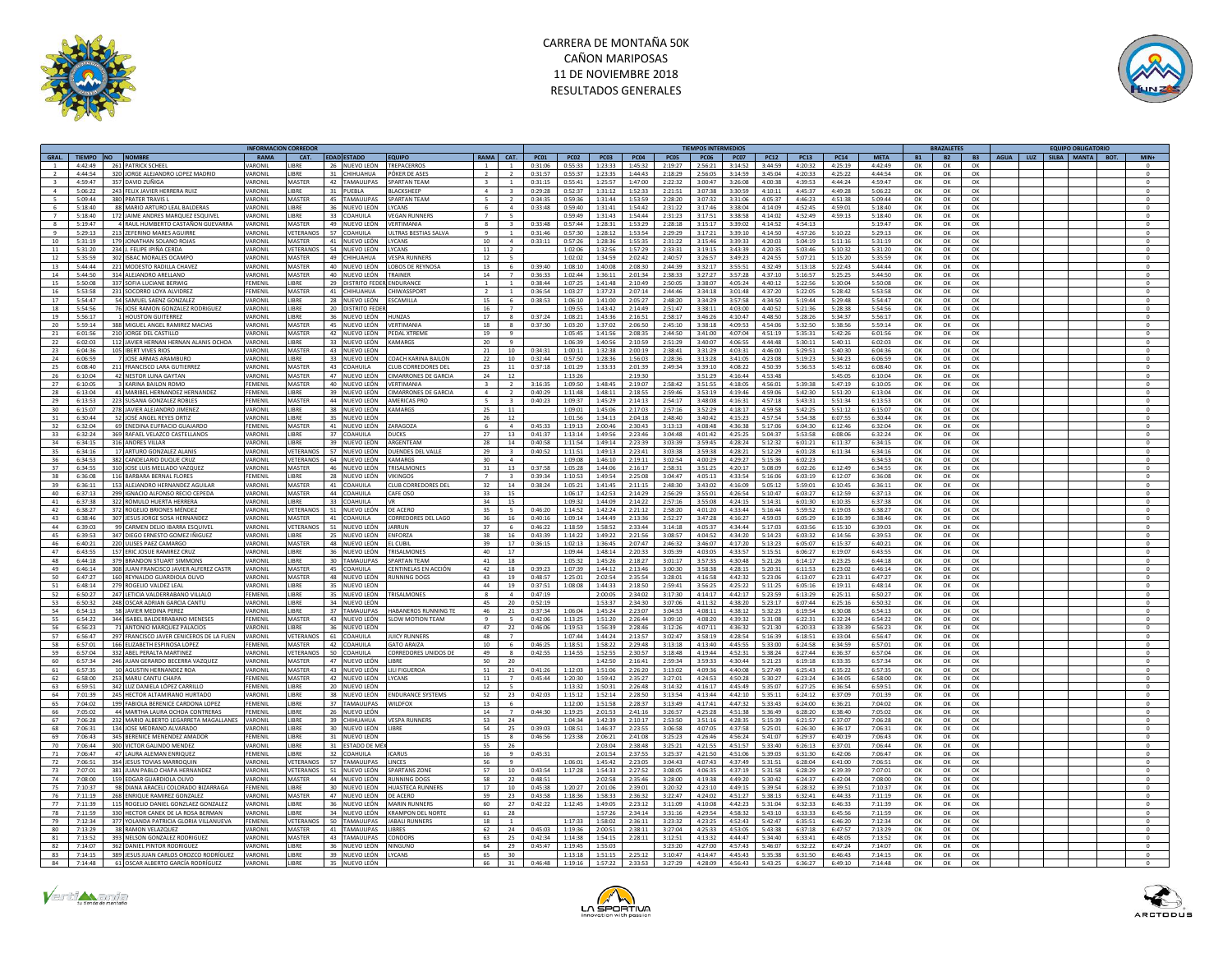



|                |                    |                                                                     | <b>INFORMACION CORREDOI</b> |                           |                              |                                      |                |                          |                    |                    |                    |                    |                    | <b>TIEMPOS INTERMEDIOS</b> |                    |                     |                    |                    |                    |           | <b>BRAZALETES</b> |           | <b>FOUIPO OBLIGATORIO</b>         |              |
|----------------|--------------------|---------------------------------------------------------------------|-----------------------------|---------------------------|------------------------------|--------------------------------------|----------------|--------------------------|--------------------|--------------------|--------------------|--------------------|--------------------|----------------------------|--------------------|---------------------|--------------------|--------------------|--------------------|-----------|-------------------|-----------|-----------------------------------|--------------|
| GRAL.          | TIEMPO NO NOMBRE   |                                                                     | <b>RAMA</b>                 | CAT.                      | EDAD ESTADO                  | <b>EQUIPO</b>                        | RAMA           | CAT.                     | <b>PC01</b>        | <b>PC02</b>        | <b>PC03</b>        | <b>PC04</b>        | <b>PC05</b>        | <b>PC06</b>                | <b>PC07</b>        | <b>PC12</b>         | <b>PC13</b>        | <b>PC14</b>        | <b>META</b>        | <b>B1</b> | <b>B2</b>         | <b>B3</b> | AGUA   LUZ   SILBA   MANTA   BOT. | $MIN+$       |
|                | 4:42:49            | 261 PATRICK SCHEEL                                                  | ARONI                       | <b>IIRRF</b>              | 26 NUEVO LEÓN                | TREPACERROS                          | $\overline{1}$ | -1                       | 0:31:06            | 0.55.33            | 1.23.33            | 1:45:32            | 2:19:27            | 2.56:21                    | 3.14.52            | 3:44:59             | 4:20:32            | 4:25:19            | 4:42:49            | OK        | OK                | OK        |                                   |              |
|                | 4:44:54            | 320 JORGE ALEJANDRO LOPEZ MADRID                                    | ARONI                       | <b>JBRE</b>               | 31 CHIHUAHUA                 | ÓKER DE ASE!                         |                |                          | 0:31:57            | 0:55:37            | 1:23:35            | 1:44:43            | 2:18:29            | 2:56:05                    | 3:14:59            | 3:45:04             | 4:20:33            | 4:25:22            | 4:44:54            | OK        | OK                | OK        |                                   | $\circ$      |
| $\mathbf{R}$   | 4.59:47            | 357 DAVID ZUÑIGA                                                    | VARONI                      | MASTER                    | 42 TAMAULIPAS                | <b>SPARTAN TFAM</b>                  | $\mathbf{R}$   | $\overline{1}$           | 0:31:15            | 0:55:41            | 1:25:57            | 1:47:00            | 2:22:32            | 3:00:47                    | 3:26:08            | 4:00:38             | 4:39:53            | 4:44:74            | 4:59:47            | OK        | OK                | OK        |                                   | $\Omega$     |
| $\mathbf{a}$   | 5:06:22            | 243 FELIX JAVIER HERRERA RUIZ                                       | <b>ARONI</b>                | <b>JBRE</b>               | 31 PUEBLA                    | LACKSHEEP                            | $\mathbf{A}$   |                          | 0:29:28            | 0:52:37            | 1:31:12            | 1:52:33            | 2:21:51            | 3:07:38                    |                    | 3:30:59 4:10:11     | 4:45:37            | 4:49:28            | 5:06:22            | OK        | OK                | OK        |                                   |              |
|                | 5:09:44            | 380 PRATER TRAVIS L                                                 | ARONI                       | MASTER                    | 45 TAMAULIPAS                | <b>PARTAN TEAM</b>                   | $\sim$         | 2                        | 0:34:35            | 0:59:36            | 1:31:44            | 1:53:59            | 2:28:20            | 3:07:32                    | 3:31:06            | 4:05:37             | 4:46:23            | 4:51:38            | 5:09:44            | OK        | OK                | OK        |                                   | $^{\circ}$   |
|                | 5:18:40            | 88 MARIO ARTURO LEAL BALDERAS                                       | <b>ARONI</b>                | LIBRE                     | 36 NUEVO LEÓN                | <b>CANS</b>                          |                | $\overline{a}$           | 0:33:48            | 0:59:40            | 1:31:41            | 1:54:42            | 2:31:22            | 3:17:46                    | 3:38:04            | 4:14:09             | 4:52:45            | 4:59:01            | 5:18:40            | OK        | OK                | OK        |                                   | $\mathbf{0}$ |
| $\overline{7}$ | 5:18:40            | 172 JAIME ANDRES MARQUEZ ESQUIVE                                    | <b>ARONI</b>                | <b>IRRF</b>               | 33 COAHUILA                  | <b>EGAN RUNNERS</b>                  |                | $\overline{\phantom{a}}$ |                    | 0:59:49            | 1:31:43            | 1:54:44            | 2:31:23            | 3:17:51                    | 3:38:58            | 4:14:02             | 4:52:49            | 4:59:13            | 5:18:40            | OK        | OK                | OK        |                                   | $\Omega$     |
| 8              | 5:19:47            | 4 RAUL HUMBERTO CASTAÑON GUEVARRA                                   | <b>ARONI</b>                | MASTER                    | 49 NUEVO LEÓN                | <b>ERTIMANIA</b>                     |                |                          | 0:33:48            | 0:57:44            | 1:28:31            | 1:53:29            | 2:28:18            | 3:15:17                    | 3:39:02            | 4:14:52             | 4:54:13            |                    | 5:19:47            | OK        | OK                | OK        |                                   | $\mathbf{0}$ |
|                | 5:29:13            | 213 ZEFERINO MARES AGUIRRE                                          | ARONI                       | VETERANOS                 | 57 COAHUILA                  | LTRAS BESTIAS SALVA                  |                |                          | 0:31:46            | 0:57:30            | 1:28:12            | 1:53:54            | 2:29:29            | 3:17:21                    | 3:39:10            | 4:14:50             | 4:57:26            | 5:10:22            | 5:29:13            | OK        | OK                | OK        |                                   |              |
| 10             | 5:31:19            | 179 JONATHAN SOLANO ROJAS                                           | VARONIL                     | <b>MASTER</b>             | 41 NUEVO LEÓN                | YCANS                                | 10             | $\overline{a}$           | 0:33:11            | 0:57:26            | 1:28:36            | 1:55:35            | 2:31:22            | 3:15:46                    | 3:39:33            | 4:20:03             | 5:04:19            | 5:11:16            | 5:31:19            | OK        | OK                | OK        |                                   | $\circ$      |
| 11             | 5:31:20            | 234 J. FELIPE IPIÑA CERDA                                           | VARONIL                     | VETERANOS                 | 54 NUEVO LEÓN                | YCANS                                | 11             | $\overline{2}$           |                    | 1:02:06            | 1:32:56            | 1:57:29            | 2:33:31            | 3:19:15                    | 3:43:39            | 4:20:35             | 5:03:46            | 5:10:32            | 5:31:20            | OK        | OK                | OK        |                                   | $\Omega$     |
| 12             | 5:35:59            | 302 ISBAC MORALES OCAMPO                                            | VARONIL                     | <b>MASTER</b>             | 49 CHIHUAHUA                 | <b>/FSPA RUNNERS</b>                 | 12             | $\overline{5}$           |                    | 1:02:02            | 1:34:59            | 2:02:42            | 2:40:57            | 3:26:57                    | 3:49:23            | 4:24:55             | 5:07:21            | 5:15:20            | 5:35:59            | OK        | OK                | OK        |                                   | $\circ$      |
| 13             | 5:44:44            | 221 MODESTO RADILLA CHAVEZ                                          | <b>ARONI</b>                | MASTER                    | 40 NUEVO LEÓN                | OBOS DE REYNOSA                      | 13             | 6                        | 0:39:40            | 1:08:10            | 1:40:08            | 2:08:30            | 2:44:39            | 3:32:17                    | 3:55:51            | 4:32:49             | 5:13:18            | 5:22:43            | 5:44:44            | OK        | OK                | OK        |                                   | $^{\circ}$   |
| 14             | 5:44:50            | 314 ALEJANDRO ARELLANO                                              | VARONIL                     | MASTER                    | 40 NUEVO LEÓN                | RAINER                               | 14             | $\overline{7}$           | 0:36:33            | 1:02:44            | 1:36:11            | 2:01:34            | 2:38:33            | 3:27:27                    | 3:57:28            | 4:37:10             | 5:16:57            | 5:25:25            | 5:44:50            | OK        | OK                | OK        |                                   | $\circ$      |
| 15             | 5:50:08            | 337 SOFIA LUCIANE BERWIG                                            | FFMFNI                      | <b>IRRF</b>               | 29 DISTRITO FEDER            | INDURANCE                            | $\mathbf{1}$   | $\blacksquare$           | 0:38:44            | 1:07:25            | 1:41:48            | 2:10:49            | 2:50:05            | 3:38:07                    | 4:05:24            | 4:40:12             | 5:22:56            | 5:30:04            | 5:50:08            | OK        | OK                | OK        |                                   | $\Omega$     |
| 16             | 5:53:58            | 231 SOCORRO LOYA ALVIDREZ                                           | FEMENIL                     | MASTER                    | 41 CHIHUAHUA                 | HIWASSPOR                            | $\overline{2}$ |                          | 0:36:54            | 1:03:27            | 1:37:23            | 2:07:14            | 2:44:46            | 3:34:18                    | 3:01:48            | 4:37:20             | 5:22:05            | 5:28:42            | 5:53:58            | OK        | ОК                | OK        |                                   | $^{\circ}$   |
| 17             | 5:54:47            | 54 SAMUEL SAENZ GONZALEZ                                            | ARONI                       | <b>IRRF</b>               | 28 NUEVO LEÓN                | <b>CAMILLA</b>                       | 15             | 6.                       | 0:38:53            | 1:06:10            | 1:41:00            | 2:05:27            | 2:48:20            | 3:34:29                    | 3:57:58            | 4:34:50             | 5:19:44            | 5:29:48            | 5:54:47            | OK        | OK                | OK        |                                   | $\Omega$     |
| 18             | 5:54:56            | 76 JOSE RAMON GONZALEZ RODRIGUEZ                                    | VARONIL                     | LIBRE                     | <b>DISTRITO FED</b><br>20    |                                      | 16             | $\overline{7}$           |                    | 1:09:55            | 1:43:42            | 2:14:49            | 2:51:47            | 3:38:11                    | 4:03:00            | 4:40:52             | 5:21:36            | 5:28:38            | 5:54:56            | OK        | OK                | OK        |                                   |              |
| 19             | 5:56:17            | 1 HOUSTON GUITERREZ                                                 | VARONII                     | <b>IRRF</b>               | 36 NUEVO LEÓN                | <b>ILINZAS</b>                       | 17             | $\mathbf{R}$             | 0:37:24            | 1:08:21            | 1:43:36            | 2:16:51            | 2:58:17            | 3:46:26                    | 4:10:47            | 4:48:50             | 5:28:26            | 5.34.37            | 5:56:17            | OK        | OK                | OK        |                                   | $\Omega$     |
| 20             | 5:59:14            | 388 MIGUEL ANGEL RAMIREZ MACIAS                                     | VARONII                     | <b>MASTER</b>             | 45 NUEVO LEÓN                | VERTIMANIA                           | 18             | $\mathbf{R}$             | 0.37.30            | 1:03:20            | 1:37:02            | 2:06:50            | 2:45:10            | 3.38.18                    |                    | $4:09:53$ $4:54:06$ | 5:32:50            | 5:38:56            | 5:59:14            | OK        | OK                | OK        |                                   | $^{\circ}$   |
| 21             | 6:01:56            | 210 JORGE DEL CASTILLO                                              | <b>ARONIL</b>               | MASTER                    | 42 NUEVO LEÓN                | PEDAI XTREME                         | 19             | $\mathbf{Q}$             |                    | 1:05:45            | 1:41:56            | 2:08:35            | 2:44:50            | 3:41:00                    | 4:07:04            | 4:51:19             | 5:35:31            | 5:42:26            | 6:01:56            | OK        | OK                | OK        |                                   | $\Omega$     |
| 22             | 6:02:03            | 112 JAVIER HERNAN HERNAN ALANIS OCHOA                               | VARONIL                     | <b>IIRRF</b>              | 33 NUEVO LEÓN                | <b>KAMARGS</b>                       | 20             | $\mathbf{q}$             |                    | 1:06:39            | 1:40:56            | 2:10:59            | 2:51:29            | 3:40:07                    | 4:06:55            | 4:44:48             | 5:30:11            | 5:40:11            | 6:02:03            | OK        | OK                | ок        |                                   | $^{\circ}$   |
| 23             | 6:04:36            | 105 IBERT VIVES RIOS                                                | VARONIL                     | MASTER                    | 43 NUEVO LEÓN                |                                      | 21             | 10 <sup>1</sup>          | 0:34:31            | 1:00:11            | 1:32:38            | 2:00:19            | 2:38:41            | 3:31:29                    | 4:03:31            | 4:46:00             | 5:29:51            | 5:40:30            | 6:04:36            | OK        | OK                | OK        |                                   |              |
| 24             | 6:06:59            | 7 JOSE ARMAS ARAMBURO                                               | VARONII                     | <b>LIBRE</b>              | 33 NUEVO LEÓN                | <b>OACH KARINA BAILON</b>            | 22             | 10                       | 0:32:44            | 0:57:50            | 1:28:36            | 1:56:03            | 2:28:36            | 3:13:28                    | 3:41:05            | 4:23:08             | 5:19:23            | 5:34:23            | 6:06:59            | OK        | OK                | OK        |                                   | $\circ$      |
| 25             | 6:08:40            | 211 FRANCISCO LARA GUTIERRE                                         | ARONI                       | MASTER                    | 43 COAHUILA                  | LUB CORREDORES DEL                   | 23             | 11                       | 0:37:18            | 1:01:29            | 1:33:33            | 2:01:39            | 2:49:34            | 3:39:10                    | 4:08:22            | 4:50:39             | 5:36:53            | 5:45:12            | 6:08:40            | OK        | OK                | OK        |                                   | $^{\circ}$   |
| 26             | 6:10:04            | 42 NESTOR ILINA GAYTAN                                              | VARONII                     | MASTER                    | 47 NUEVO LEÓN                | <b>IMARRONES DE GARCIA</b>           | 24             | 12                       |                    | 1:13:26            |                    | 2.19:30            |                    | 3:51:29                    | 4:16:44            | $4.53 - 48$         |                    | 5:45:05            | 6:10:04            | OK        | OK                | OK        |                                   | $\Omega$     |
| 27             | 6:10:05            | 3 KARINA BAILON ROMO                                                | FEMENII                     | MASTER                    | 40 NUEVO LEÓN                | <b>/ERTIMANIA</b>                    |                |                          | 3:16:35            | 1:09:50            | 1:48:45            | 2:19:07            | 2:58:42            | 3:51:55                    | 4:18:05            | 4:56:01             | 5:39:38            | 5:47:19            | 6:10:05            | OK        | OK                | OK        |                                   | $\mathbf{0}$ |
| 28             | 6:13:04            | 41 MARIREL HERNANDEZ HERNANDEZ                                      | FFMFNII                     | <b>IRRE</b>               | 39 NUEVO LEÓN                | <b>IMARRONES DE GARCIA</b>           | $\overline{a}$ | $\overline{z}$           | 0:40:29            | 1:11:48            | 1:48:11            | 2.18.55            | 2:59:46            | 3:53:19                    | 4:19:46            | 4:59:06             | 5:42:30            | 5:51:20            | 6:13:04            | OK        | $\cap$ K          | OK        |                                   | $\Omega$     |
| 29             | 6:13:53            | 223 SUSANA GONZALEZ ROBLES                                          | EMENII                      | MASTER                    | 44 NUEVO LEÓN                | <b>MERICAS PRO</b>                   |                |                          | 0:40:23            | 1:09:37            | 1:45:29            | 2:14:13            | 2:54:17            | 3:48:08                    | 4:16:31            | 4:57:18             | 5:43:31            | 5:51:34            | 6:13:53            | OK        | OK                | OK        |                                   | $\mathbf{0}$ |
| 30             | 6:15:07            | 278 JAVIER ALEJANDRO JIMENEZ                                        | VARONIL                     | <b>IRRF</b>               | 38 NUEVO LEÓN                | CAMARGS                              | 25             | 11                       |                    | 1:09:01            | 1:45:06            | 2:17:03            | 2:57:16            | 3:52:29                    | 4:18:17            | 4:59:58             | 5:42:25            | 5:51:12            | 6:15:07            | OK        | OK                | OK        |                                   | $\circ$      |
| 31             | 6:30:44            | 52 JOSÉ ANGEL REYES ORTIZ                                           | <b>ARONI</b>                | LIBRE                     | 35 NUEVO LEÓN                |                                      | 26             | 12                       |                    | 1:01:56            | 1:34:13            | 2:04:18            | 2:48:40            | 3:40:42                    | 4:15:23            | 4:57:54             | 5:54:38            | 6:07:55            | 6:30:44            | OK        | OK                | OK        |                                   |              |
| 32             | 6:32:04            | 69 ENEDINA EUFRACIO GUAJARDO                                        | EMENIL                      | MASTER                    | 41 NUEVO LEÓN                | ZARAGOZA                             | 6              | $\overline{a}$           | 0:45:33            | 1:19:13            | 2:00:46            | 2:30:43            | 3:13:13            | 4:08:48                    | 4:36:38            | 5:17:06             | 6:04:30            | 6:12:46            | 6:32:04            | OK        | OK                | OK        |                                   | $^{\circ}$   |
| 33             | 6:32:24            | 369 RAFAEL VELAZCO CASTELLANO                                       | <b>ARONI</b>                | LIBRE                     | 37 COAHUILA                  | UCKS                                 | 27             | 13                       | 0:41:37            | 1:13:14            | 1:49:56            | 2:23:46            | 3:04:48            | 4:01:42                    | 4:25:25            | 5:04:37             | 5:53:58            | 6:08:06            | 6:32:24            | OK        | OK                | OK        |                                   |              |
| 34             | 6:34:15            | 316 ANDRES VILLAR                                                   | VARONII                     | <b>IRRF</b>               | 39 NUEVO LEÓN                | ARGENTEAM                            | - 28           | 14                       | 0:40:58            | 1:11:54            | 1:49:14            | 2:23:39            | 3:03:39            | 3.59.45                    | 4:28:24            | 5:12:32             | 6:01:21            | 6:11:37            | 6:34:15            | OK        | OK                | OK        |                                   | $\Omega$     |
| 35             | 6:34:16            | 17 ARTURO GONZALEZ ALANIS                                           | VARONIL                     |                           | VETERANOS 57 NUEVO LEÓN      | DUENDES DEL VALLE                    | 29             | 3                        | 0:40:52            | 1:11:51            | 1:49:13            | 2:23:41            | 3:03:38            | 3:59:38                    |                    | 4:28:21   5:12:29   | 6:01:28            | 6:11:34            | 6:34:16            | OK        | OK                | OK        |                                   | $^{\circ}$   |
| 36             | 6:34:53            | 382 CANDELARIO DUOUE CRUZ                                           | <b>ARONI</b>                | <b>JETERANOS</b>          | 64 NUEVO LEÓN                | <b>AMARGS</b>                        | 30             | $\Lambda$                |                    | 1:09:08            | 1:46:10            | 2:19:11            | 3:02:54            | 4:00:29                    | 4:29:27            | 5:15:36             | 6:02:23            |                    | 6:34:53            | OK        | OK                | OK        |                                   | $\Omega$     |
| 37             | 6:34:55            | 310 JOSE LUIS MELLADO VAZQUE                                        | VARONII                     | <b>MASTER</b>             | 46 NUEVO LEÓN                | RISALMONE!                           | 31             | 13                       | 0:37:58            | 1:05:28            | 1:44:06            | 2:16:17            | 2:58:31            | 3:51:25                    | 4:20:17            | 5:08:09             | 6:02:26            | 6:12:49            | 6:34:55            | OK        | OK                | OK        |                                   | $\circ$      |
| 38             | 6:36:08            |                                                                     | FFMFNII                     | <b>IRRF</b>               |                              | <b>IKINGOS</b>                       | $\overline{7}$ | $\overline{\mathbf{3}}$  | 0.39.34            | 1:10:53            | 1:49:54            | 2:25:08            | 3:04:47            | 4:05:13                    | 4:33:54            |                     |                    | 6:12:07            | 6:36:08            | OK        | OK                | OK        |                                   |              |
|                |                    | 116 BARBARA BERNAL FLORES                                           | VARONII                     | <b>MASTER</b>             | 28 NUEVO LEÓN                |                                      | 32             |                          |                    |                    |                    |                    | 2:48:30            | 3:43:02                    |                    | 5:16:06             | 6:03:19<br>5:59:01 | 6:10:45            |                    | OK        |                   |           |                                   |              |
| 39<br>40       | 6:36:11<br>6-37-13 | 153 ALEJANDRO HERNANDEZ AGUILAR<br>299 IGNACIO ALFONSO RECIO CEPEDA | <b>ARONI</b>                | MASTER                    | 41 COAHUILA<br>44 COAHUILA   | LUB CORREDORES DEL<br>AFE OSO        | 33             | 14<br>15                 | 0:38:24            | 1:05:21<br>1:06:17 | 1:41:45<br>1:42:53 | 2:11:15<br>2.14.29 | 2.56.29            | 3.55:01                    | 4:16:09<br>4:26:54 | 5:05:12<br>5:10:47  | 5:03:27            | 6:12:59            | 6:36:11<br>6:37:13 | OK        | OK<br>OK          | ок<br>OK  |                                   | $\circ$      |
|                |                    |                                                                     |                             | <b>IRRF</b>               |                              |                                      |                |                          |                    |                    |                    |                    |                    |                            |                    |                     |                    |                    |                    |           |                   |           |                                   |              |
| 41<br>42       | 6:37:38<br>6:38:27 | 322 RÓMULO HUERTA HERRERA<br>372 ROGELIO BRIONES MÉNDEZ             | VARONII<br>VARONIL          | <b>JETERANOS</b>          | 33 COAHUILA<br>51 NUEVO LEÓN | DE ACERO                             | 34<br>35       | 15<br>5                  | 0:46:20            | 1:09:32<br>1:14:52 | 1:44:09<br>1:42:24 | 2:14:22<br>2:21:12 | 2:57:16<br>2:58:20 | 3:55:08<br>4:01:20         | 4:24:15<br>4:33:44 | 5:14:31<br>5:16:44  | 6:01:30<br>5:59:52 | 6:10:35<br>6:19:03 | 6:37:38<br>6:38:27 | OK<br>OK  | OK<br>OK          | OK<br>OK  |                                   | $\Omega$     |
|                |                    |                                                                     |                             |                           |                              |                                      |                |                          |                    |                    |                    |                    |                    |                            |                    |                     |                    |                    |                    |           |                   |           |                                   |              |
| 43<br>44       | 6:38:46            | 307 JESUS JORGE SOSA HERNANDEZ                                      | VARONIL                     | MASTER<br><b>FTFRANOS</b> | 41 COAHUILA                  | <b>CORREDORES DEL LAGO</b><br>ARRIJN | 36<br>37       | 16                       | 0:40:16            | 1:09:14<br>1:18:59 | 1:44:49            | 2:13:36            | 2:52:27            | 3:47:28                    | 4:16:27            | 4:59:03             | 6:05:29            | 6:16:39            | 6:38:46            | OK        | ок                | OK        |                                   | $\mathbf 0$  |
|                | 6:39:03            | 99 CARMEN DELIO IBARRA ESQUIVE                                      | ARONIL<br>VARONIL           | <b>LIBRE</b>              | 51<br>NUEVO LEÓN             | NFORZA                               |                | 6.                       | 0:46:22<br>0:43:39 |                    | 1:58:52            | 2:33:44            | 3:14:18            | 4:05:37                    | 4:34:44            | 5:17:03             | 6:03:56            | 6:15:10            | 6:39:03            | OK        | OK                | OK        |                                   |              |
| 45             | 6:39:53            | 347 DIEGO ERNESTO GOMEZ IÑIGUEZ                                     |                             |                           | 25 NUEVO LEÓN                |                                      | 38             | 16                       |                    | 1:14:22            | 1:49:22            | 2:21:56            | 3:08:57            | 4:04:52                    | 4:34:20            | 5:14:23             | 6:03:32            | 6:14:56            | 6:39:53            | OK        | OK                | OK        |                                   | $\,$ 0       |
| 46             | 6:40:21            | 220 ULISES PAEZ CAMARGO                                             | VARONIL                     | MASTER                    | 48 NUEVO LEÓN                | CUBIL                                | 39             | 17                       | 0:36:15            | 1:02:13            | 1:36:45            | 2:07:47            | 2:46:32            | 3:46:07                    | 4:17:20            | 5:13:23             | 6:05:07            | 6:15:37            | 6:40:21            | OK        | OK                | OK        |                                   |              |
| 47             | 6:43:55            | 157 ERIC JOSUE RAMIREZ CRUZ                                         | VARONII                     | <b>IRRF</b>               | 36 NUEVO LEÓN                | TRISAI MONES                         | 40             | 17                       |                    | 1:09:44            | 1.48:14            | 2:20:33            | 3:05:39            | 4:03:05                    | 4:33:57            | 5:15:51             | 6:06:27            | 6:19:07            | 6:43:55            | OK        | OK                | OK        |                                   | $\circ$      |
| 48             | 6:44:18            | 379 BRANDON STUART SIMMONS                                          | ARONIL                      | <b>IRRF</b>               | 30 TAMAULIPAS                | <b>SPARTAN TFAM</b>                  | 41             | 18                       |                    | 1:05:32            | 1:45:26            | 2:18:27            | 3:01:17            | 3:57:35                    | 4:30:48            | 5:21:26             | 6:14:17            | 6:23:25            | 6:44:18            | OK        | OK                | OK        |                                   | $\Omega$     |
| 49             | 6:46:14            | 308 JUAN FRANCISCO JAVIER ALFEREZ CASTR                             | VARONIL                     | MASTER                    | 45 COAHUILA                  | <b>ENTINELAS EN ACCIÓN</b>           | 42             | 18                       | 0:39:23            | 1:07:39            | 1:44:12            | 2:13:46            | 3:00:30            | 3:58:38                    | 4:28:15            | 5:20:31             | 6:11:53            | 6:23:02            | 6:46:14            | OK        | OK                | OK        |                                   | $\circ$      |
| 50             | 6:47:27            | 160 REYNALDO GUARDIOLA OLIVO                                        | VARONII                     | MASTER                    | 48 NUEVO LEÓN                | <b>UNNING DOGS</b>                   | 43             | 19                       | 0:48:57            | 1:25:01            | 2:02:54            | 2:35:54            | 3:28:01            | 4:16:58                    |                    | 4:42:32 5:23:06     | 6:13:07            | 6:23:11            | 6:47:27            | OK        | OK                | OK        |                                   | $^{\circ}$   |
| 51             | 6:48:14            | 279 ROGELIO VALDEZ LEAL                                             | VARONI                      | LIBRE                     | 35 NUEVO LEÓN                |                                      | 44             | 19                       | 0:37:51            | 1:08:08            | 1:44:33            | 2:18:50            | 2:59:41            | 3:56:25                    | 4:25:22            | 5:11:25             | 6:05:16            | 6:19:11            | 6:48:14            | OK        | OK                | OK        |                                   | $^{\circ}$   |
| 52             | 6:50:27            | 247 LETICIA VALDERRABANO VILLALO                                    | EMENIL                      | LIBRE                     | 35 NUEVO LEÓN                | RISALMONES                           | 8              | 4                        | 0:47:19            |                    | 2:00:05            | 2:34:02            | 3:17:30            | 4:14:17                    | 4:42:17            | 5:23:59             | 6:13:29            | 6:25:11            | 6:50:27            | OK        | OK                | OK        |                                   | $\circ$      |
| 53             | 6:50:32            | 248 OSCAR ADRIAN GARCIA CANTU                                       | VARONIL                     | <b>IRRF</b>               | 34 NUEVO LEÓN                |                                      | 45             | 20                       | 0:52:19            |                    | 1:53:37            | 2:34:30            | 3:07:06            | 4:11:32                    | 4:38:20            | 5:23:17             | 6:07:44            | 6:25:16            | 6:50:32            | OK        | OK                | OK        |                                   | $\Omega$     |
| 54             | 6:54:13            | 58 JAVIER MEDINA PEREZ                                              | <b>ARONI</b>                | LIBRE                     | 37 TAMAULIPAS                | <b>HABANEROS RUNNING TE</b>          | 46             | 21                       | 0:37:34            | 1:06:04            | 1:45:24            | 2:23:07            | 3:04:53            | 4:08:11                    | 4:38:12            | 5:32:23             | 6:19:54            | 6:30:08            | 6:54:13            | OK        | OK                | OK        |                                   | $\mathbf{0}$ |
| 55             | 6:54:22            | 344 ISAREL BALDERRABANO MENESES                                     | <b>FMFNII</b>               | MASTER                    | 43 NUEVO LEÓN                | <b>I OW MOTION TEAM</b>              | $\alpha$       | $\sim$                   | 0:42:06            | 1:13:25            | 1:51:20            | 2.26:44            | 3:09:10            | 4:08:20                    | 4:39:32            | 5:31:08             | 6:22:31            | 6:32:24            | 6:54:22            | OK        | OK                | OK        |                                   | $\Omega$     |
| 56             | 6:56:23            | 71 ANTONIO MARQUEZ PALACIOS                                         | ARONII                      | LIBRE                     | 36 NUEVO LEÓN                |                                      | 47             | 22                       | 0:46:06            | 1:19:53            | 1:56:39            | 2:28:46            | 3:12:26            | 4:07:11                    | 4:36:32            | 5:21:30             | 6:20:33            | 6:33:39            | 6:56:23            | OK        | OK                | OK        |                                   |              |
| 57             | 6:56:47            | 297 FRANCISCO JAVER CENICEROS DE LA FUEN                            | VARONIL                     | VETERANOS                 | 61 COAHUILA                  | <b>ILIICY RUNNERS</b>                | 48             | $\overline{7}$           |                    | 1:07:44            | 1:44:24            | 2.13.57            | 3:02:47            | 3.58:19                    | $4.28 - 54$        | 5:16:39             | 6:18:51            | 6:33:04            | 6:56:47            | OK        | OK                | OK        |                                   | $\Omega$     |
| 58             | 6:57:01            | 166 ELIZABETH ESPINOSA LOPEZ                                        | FEMENII                     | <b>MASTER</b>             | 42 COAHUILA                  | <b>GATO ARAIZA</b>                   | 10             |                          | 0:46:25            | 1:18:51            | 1:58:22            | 2:29:48            | 3:13:18            | 4:13:40                    | 4:45:55            | 5:33:00             | 6:24:58            | 6:34:59            | 6:57:01            | OK        | OK                | OK        |                                   |              |
| 59             | 6:57:04            | 332 ABEL PERALTA MARTINEZ                                           | <b>ARONII</b>               | VETERANOS                 | 50 COAHUILA                  | ORREDORES UNIDOS DE                  | 49             | $\mathbf{R}$             | 0:42:55            | 1:14:55            | 1:52:55            | 2.30.57            | 3.18.48            | 4:19:44                    | 4:52:31            | 5-38-24             | 6:27:44            | 6:36:37            | 6:57:04            | OK        | OK                | OK        |                                   | $\Omega$     |
| 60             | 6:57:34            | 246 JUAN GERARDO BECERRA VAZQUEZ                                    | VARONII                     | <b>MASTER</b>             | 47 NUEVO LEÓN                | <b>IRRF</b>                          | 50             | 20                       |                    |                    | 1:42:50            | 2:16:41            | 2:59:34            | 3:59:33                    | 4:30:44            | 5:21:23             | 6:19:18            | 6:33:35            | 6:57:34            | OK        | ОК                | OK        |                                   | $\circ$      |
| 61             | 6:57:35            | 10 AGUSTIN HERNANDEZ ROA                                            | <b>ARONI</b>                | MASTER                    | 43 NUEVO LEÓN                | <b>III FIGUEROA</b>                  | 51             | 21                       | 0:41:26            | 1:12:03            | 1:51:06            | 2:26:20            | 3:13:02            | 4:09:36                    | 4:40:08            | 5:27:49             | 6:25:43            | 6:35:22            | 6:57:35            | OK        | OK                | OK        |                                   | $\sqrt{2}$   |
| 62             | 6:58:00            | 253 MARU CANTU CHAPA                                                | FEMENII                     | MASTER                    | 42 NUEVO LEÓN                | YCANS                                | 11             | $\overline{7}$           | 0:45:44            | 1:20:30            | 1:59:42            | 2:35:27            | 3:27:01            | 4:24:53                    | 4:50:28            | 5:30:27             | 6:23:24            | 6:34:05            | 6:58:00            | OK        | OK                | ок        |                                   | $\circ$      |
| 63             | 6:59:51            | 342 IUZ DANIFIA IÓPEZ CARRILLO                                      | <b>FMFNII</b>               | <b>IRRF</b>               | 20 NUEVO LEÓN                |                                      | 12             |                          |                    | 1:13:32            | 1:50:31            | 2.26:48            | 3:14:32            | 4:16:17                    | 4.45.49            | 5:35:07             | 6:27:25            | 6:36:54            | 6:59:51            | OK        | OK                | OK        |                                   | $\Omega$     |
| 64             | 7:01:39            | 245 HECTOR ALTAMIRANO HURTADO                                       | VARONII                     | <b>IRRF</b>               | 38 NUEVO LEÓN                | <b>VDURANCE SYSTEMS</b>              | 52             | 23                       | 0:42:03            | 1:15:12            | 1:52:14            | 2:28:50            | 3:13:54            | 4:13:44                    | 4:42:10            | 5:35:11             | 6:24:12            | 6:37:09            | 7:01:39            | OK        | OK                | OK        |                                   | $\mathbf{0}$ |
| 65             | 7:04:02            | 199 FABIOLA BERENICE CARDONA LOPEZ                                  | FFMFNII                     | <b>LIBRE</b>              | 37 TAMAUUPAS                 | VII DEOX                             | 13             | 6                        |                    | 1:12:00            | 1:51:58            | 2.28.37            | 3:13:49            | 4:17:41                    | 4:47:32            | 5:33:43             | 6:24:00            | 6:36:21            | 7:04:02            | OK        | OK                | OK        |                                   | $\Omega$     |
| 66             | 7:05:02            | 44 MARTHA LAURA OCHOA CONTRERAS                                     | FEMENII                     | LIBRE                     | 26 NUEVO LEÓN                |                                      | 14             | $7^{\circ}$              | 0:44:30            | 1:19:25            | 2:01:53            | 2:41:16            | 3:26:57            | 4:25:28                    |                    | 4:51:38   5:36:49   | 6:28:20            | 6:38:40            | 7:05:02            | OK        | OK                | OK        |                                   | $\circ$      |
| 67             | 7:06:28            | 232 MARIO ALBERTO LEGARRETA MAGALLANES                              | VARONII                     | LIBRE                     | 39 CHIHUAHUA                 | <b>ESPA RUNNERS</b>                  | 53             | 24                       |                    | 1:04:34            | 1:42:39            | 2:10:17            | 2:53:50            | 3:51:16                    | 4:28:35            | 5:15:39             | 6:21:57            | 6:37:07            | 7:06:28            | OK        | OK                | OK        |                                   | $^{\circ}$   |
| 68             | 7:06:31            | 134 JOSE MEDRANO ALVARADO                                           | ARONI                       | LIBRE                     | 30 NUEVO LEÓN                | BRE                                  | 54             | 25                       | 0:39:03            | 1:08:51            | 1:46:37            | 2:23:55            | 3:06:58            | 4:07:05                    | 4:37:58            | 5:25:01             | 6:26:30            | 6:36:17            | 7:06:31            | OK        | OK                | OK        |                                   | $\,$ 0       |
| 69             | 7:06:43            | 345 BERENICE MENENDEZ AMADOR                                        | FEMENIL                     | <b>IRRF</b>               | 31 NUEVO LEÓN                |                                      | 15             | $\mathbf{R}$             | 0:46:56            | 1:23:38            | 2:06:21            | 2:41:08            | 3:25:23            | 4:26:46                    | 4:56:24            | 5:41:07             | 6:29:37            | 6:40:19            | 7:06:43            | OK        | OK                | OK        |                                   | $\Omega$     |
| 70             | 7:06:44            | 300 VICTOR GALINDO MENDEZ                                           | <b>/ARONI</b>               | LIBRE                     | 31 ESTADO DE MÉ              |                                      | 55             | 26                       |                    |                    | 2:03:04            | 2:38:48            | 3:25:21            | 4:21:55                    | 4:51:57            | 5:33:40             | 6:26:13            | 6:37:01            | 7:06:44            | OK        | OK                | OK        |                                   | $\mathbf{0}$ |
| 71             | 7:06:47            | 47 LAURA ALEMAN ENRIQUEZ                                            | EMENII                      | LIBRE                     | COAHUILA<br>-32              | <b>ARUS</b>                          | 16             |                          | 0:45:31            |                    | 2:01:54            | 2:37:55            | 3:25:37            | 4:21:50                    | 4:51:06            | 5:39:03             | 6:31:30            | 6:42:06            | 7:06:47            | OK        | OK                | OK        |                                   |              |
| 72             | 7:06:51            | 354 JESUS TOVIAS MARROQUIN                                          | VARONIL                     | <b>VETERANOS</b>          | 57 TAMAULIPAS                | <b>INCES</b>                         | 56             | $\mathbf{q}$             |                    | 1:06:01            | 1:45:42            | 2:23:05            | 3:04:43            | 4:07:43                    | 4:37:49            | 5:31:51             | 6:28:04            | 6:41:00            | 7:06:51            | OK        | OK                | OK        |                                   | $\circ$      |
| 73             | 7:07:01            | 381 JUAN PABLO CHAPA HERNANDEZ                                      | VARONIL                     | VETERANOS                 | 51 NUEVO LEÓN                | PARTANS ZONI                         | 57             | 10 <sup>10</sup>         | 0:43:54            | 1:17:28            | 1:54:33            | 2:27:52            | 3:08:05            | 4:06:35                    | 4:37:19            | 5:31:58             | 6:28:29            | 6:39:39            | 7:07:01            | OK        | OK                | OK        |                                   |              |
| 74             | 7:08:00            | 159 EDGAR GUARDIOLA OLIVO                                           | VARONIL                     | MASTER                    | 44 NUEVO LEÓN                | <b>RUNNING DOGS</b>                  | 58             | 22                       | $0.48 - 51$        |                    | 2:02:58            | $2.35 - 46$        | 3:28:00            | 4:19:38                    | 4:49:20            | 5:30:42             | 6:24:37            | 6:42:04            | 7:08:00            | OK        | OK                | OK        |                                   | $\circ$      |
| 75             | 7:10:37            | 98 DIANA ARACELI COLORADO BIZARRAGA                                 | EMENIL                      | <b>IRRF</b>               | 30 NUEVO LEÓN                | HUASTECA RUNNERS                     | 17             | 10                       | 0:45:38            | 1:20:27            | 2:01:06            | 2:39:01            | 3:20:32            | 4:23:10                    | 4:49:15            | 5:39:54             | 6:28:32            | 6:39:51            | 7:10:37            | OK        | OK                | OK        |                                   | $\Omega$     |
| 76             | 7:11:19            | 268 ENRIQUE RAMIREZ GONZALEZ                                        | VARONIL                     | MASTER                    | 47 NUEVO LEÓN                | DE ACERO                             | 59             | 23                       | $0.43 - 5.8$       | 1.18.36            | 1.58:33            | 2.36:32            | 3:22:47            | 4:24:02                    | 4:51:27            | 5:38:13             | 6:32:41            | 6.44.33            | 7:11:19            | OK        | OK                | OK        |                                   | $\Omega$     |
| 77             | 7:11:39            | 115 ROGELIO DANIEL GONZLAEZ GONZALEZ                                | VARONIL                     | LIBRE                     | 36 NUEVO LEÓN                | <b>MARIN RUNNERS</b>                 | 60             | 27                       | 0:42:22            | 1:12:45            | 1:49:05            | 2:23:12            | 3:11:09            | 4:10:08                    |                    | 4:42:23 5:31:04     | 6:32:33            | 6:46:33            | 7:11:39            | OK        | OK                | OK        |                                   | $\circ$      |
| 78             | 7:11:59            | 330 HECTOR CANEK DE LA ROSA BERMAN                                  | VARONIL                     | <b>IRRE</b>               | 34 NUEVO LEÓN                | <b>KRAMPON DEL NORTE</b>             | 61             | 28                       |                    |                    | 1:57:26            | 2.34:14            | 3:31:16            | 4:29:54                    | 4:58:32            | 5:43:10             | 6:33:33            | 6:45:56            | 7:11:59            | OK        | OK                | OK        |                                   | $\Omega$     |
| 79             | 7:12:34            | 377 YOLANDA PATRICIA GLORIA VILLANUEVA                              | EMENIL                      | VETERANOS                 | 50 TAMAULIPAS                | <b>ABALI RUNNERS</b>                 | 18             |                          |                    | 1:17:33            | 1:58:02            | 2:36:11            | 3:23:32            | 4:23:25                    | 4:52:43            | 5:42:47             | 6:35:51            | 6:46:20            | 7:12:34            | OK        | OK                | OK        |                                   | $^{\circ}$   |
| 80             | 7:13:29            | 38 RAMON VELAZQUEZ                                                  | VARONII                     | MASTER                    | 41 TAMAULIPAS                | <b>BRES</b>                          | 62             | 24                       | 0:45:03            | 1:19:36            | 2:00:51            | 2:38:11            | 3:27:04            | 4:25:33                    | 4:53:05            | 5:43:38             | 6:37:18            | 6:47:57            | 7:13:29            | OK        | OK                | OK        |                                   | $\circ$      |
| 81             | 7:13:52            | 393 NELSON GONZALEZ RODRIGUEZ                                       | VARONII                     | MASTER                    | 43 TAMAULIPAS                | ONDORS                               | 63             | 25                       |                    | $0:42:34$ 1:14:38  | 1:54:15            | 2:28:11            | 3:12:51            | 4:13:32                    |                    | 4:44:47 5:34:40     | 6:33:41            | 6:48:05            | 7:13:52            | OK        | OK                | OK        |                                   | $\circ$      |
| 82             | 7:14:07            | 362 DANIEL PINTOR RODRIGUEZ                                         | <b>ARONI</b>                | <b>IRRF</b>               | 36 NUEVO LEÓN                | NINGUNO                              | 64             | 29                       | 0:45:47            | 1:19:45            | 1:55:03            |                    | 3:23:20            | 4:27:00                    | 4:57:43            | 5:46:07             | 6:32:22            | 6:47:24            | 7:14:07            | OK        | OK                | OK        |                                   | $\Omega$     |
| 83             | 7:14:15            | 389 JESUS JUAN CARLOS OROZCO RODRÍGUEZ                              | ARONII                      | LIBRE                     | 39 NUEVO LEÓN                | YCANS                                | 65             | 30                       |                    | 1:13:18            | 1:51:15            | 2:25:12            | 3:10:47            | 4:14:47                    | 4:45:43            | 5:35:38             | 6:31:50            | 6:46:43            | 7:14:15            | OK        | OK                | OK        |                                   |              |
| 84             | 7:14:48            | 61 OSCAR ALBERTO GARCÍA RODRÍGUEZ                                   | VARONII                     | <b>IIRRF</b>              | 35 NUEVO LEÓN                |                                      | 66             | 31                       | $0.46 - 48$        | 1:19:16            | 1:57:22            | 2.33.53            | 3:27:29            | 4:28:09                    | 4:56:43            | 5:43:25             | 6:36:27            | 6:49:10            | 7:14:48            | OK        | OK                | OK        |                                   |              |





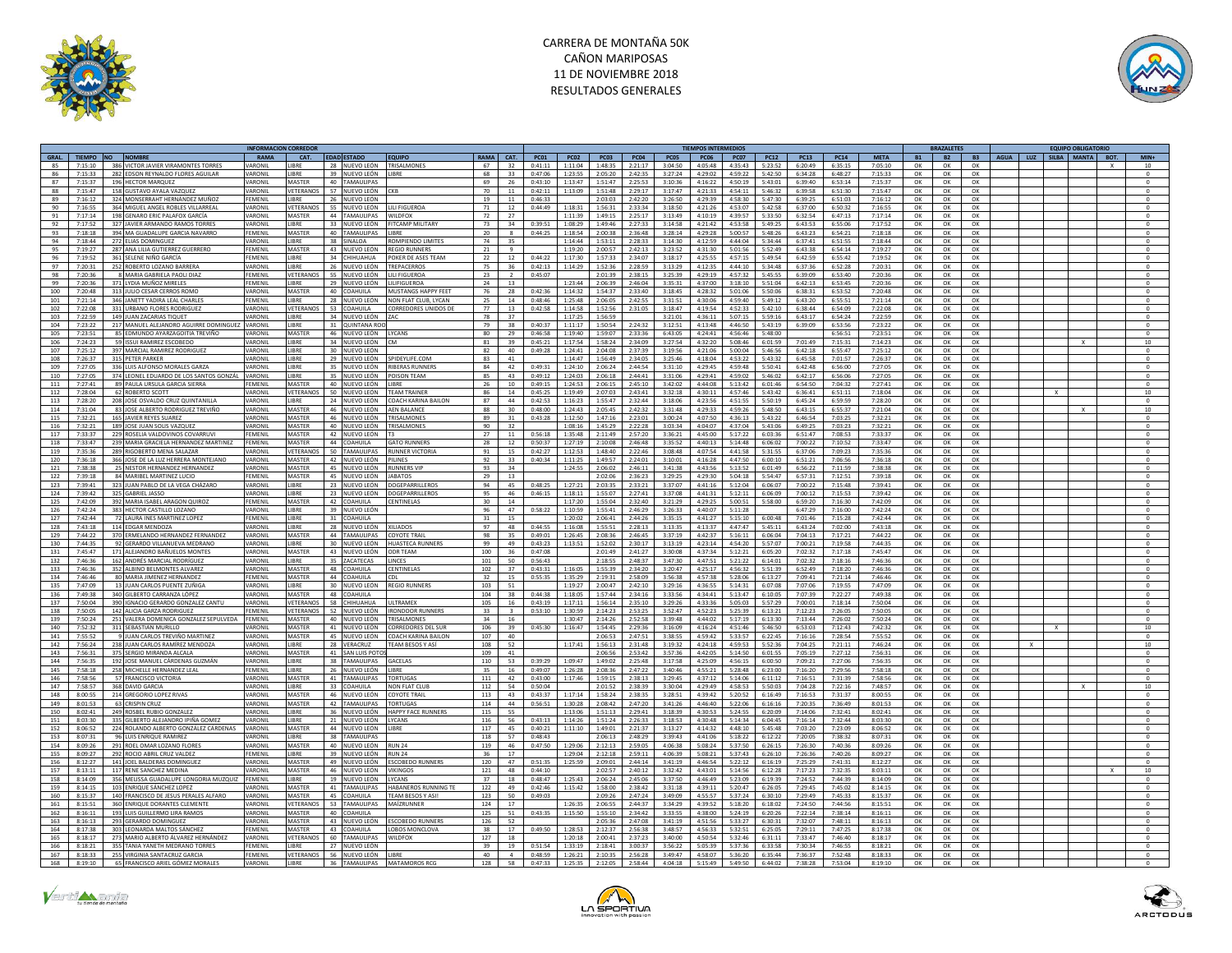



|            |                    |                                                                             | <b>NFORMACION CORREDO</b> |                          |                                |                                     |                |                    |                        |                        |                    |                    |                    | <b>TIEMPOS INTERMEDIOS</b> |                    |                                  |                    |                    |                    |                 | <b>BRAZALETE</b> |           | <b>EQUIPO OBLIGATORIO</b>    |                       |
|------------|--------------------|-----------------------------------------------------------------------------|---------------------------|--------------------------|--------------------------------|-------------------------------------|----------------|--------------------|------------------------|------------------------|--------------------|--------------------|--------------------|----------------------------|--------------------|----------------------------------|--------------------|--------------------|--------------------|-----------------|------------------|-----------|------------------------------|-----------------------|
| GRAL.      | TIEMPO NO NOMBRE   |                                                                             | RAMA                      | CAT.                     | <b>FDAD ESTADO</b>             | <b>FOUIPO</b>                       | <b>RAMA</b>    | CAT.               | PC01                   | PCO2                   | PC03               | <b>PC04</b>        | PCO <sub>5</sub>   | <b>PC06</b>                | <b>PC07</b>        | <b>PC12</b>                      | <b>PC13</b>        | <b>PC14</b>        | <b>MFTA</b>        | <b>B1</b>       | <b>B2</b>        | <b>B3</b> | SILBA MANTA BOT.<br>AGUA LUZ | <b>MIN-</b>           |
| 85         |                    | 7:15:10 386 VICTOR JAVIER VIRAMONTES TORRES                                 | <b>ARONI</b>              | <b>IBRE</b>              | 28 NUEVO LEÓN                  | TRISALMONES                         | 67             | 32                 | 0:41:11                | 1:11:04                | 1:48:35            | 2:21:17            | 3:04:50            | 4:05:48                    | 4:35:43            | 5:23:52                          | 6:20:49            | 6:35:15            | 7:05:10            | OK              | OK               | OK        |                              | 10                    |
| 86         | 7.15.33            | 282 EDSON REYNALDO FLORES AGUILAR                                           | ARONII                    | <b>IRRF</b>              | 39 NUEVO LEÓN                  | <b>IRRF</b>                         | 68             | 33                 | 0:47:06                | 1:23:55                | 2:05:20            | 2.42.35            | 3:27:24            | 4:29:02                    | 4:59:22            | 5:42:50                          | 6:34:28            | 6:48:27            | 7:15:33            | OK              | OK               | OK        |                              | $\Omega$              |
| 87         | 7:15:37            | 196 HECTOR MARQUEZ                                                          | ARONII                    | MASTER                   | 40 TAMAULIPAS                  |                                     | 69             | 26                 | 0:43:10                | 1:13:47                | 1:51:47            | 2:25:53            | 3:10:36            | 4:16:22                    | 4:50:19            | 5:43:01                          | 6:39:40            | 6:53:14            | 7:15:37            | OK              | OK               | OK        |                              | $^{\circ}$            |
| 88         | 7:15:47            | 158 GUSTAVO AYALA VAZOUEZ                                                   | VARONII                   | VETERANOS                | 57 NUEVO LEÓN                  |                                     | 70             | 11                 | 0:42:11                | 1:13:09                | 1:51:48            | 2:29:17            | 3:17:47            | 4:21:33                    | 4:54:11            | 5:46:32                          | 6:39:58            | 6:51:30            | 7:15:47            | OK              | OK               | OK        |                              | $\sqrt{2}$            |
| 89<br>90   | 7:16:12<br>7.16:55 | 324 MONSERRAHT HERNÁNDEZ MUÑOZ<br>364 MIGUEL ANGEL ROBLES VILLARREAL        | FEMENIL<br><b>ARONI</b>   | LIBRE<br>VETERANOS       | 26 NUEVO LEÓN<br>55 NUEVO LEÓN | <b>ILL FIGUEROA</b>                 | 19<br>71       | 11                 | 0:46:33<br>$0.44 - 49$ | 1:18:31                | 2:03:03<br>1:56:31 | 2:42:20<br>2.33.34 | 3:26:50<br>3:18:50 | 4:29:39<br>4:21:26         | 4:53:07            | 4:58:30 5:47:30<br>5:42:58       | 6:39:25<br>6:37:00 | 6:51:03<br>6:50:32 | 7:16:12<br>7:16:55 | OK<br>OK        | OK<br>OK         | OK<br>OK  |                              | $\circ$<br>$\sqrt{2}$ |
| 91         | 7:17:14            | 198 GENARO ERIC PALAFOX GARCÍA                                              | VARONII                   | <b>MASTER</b>            | 44 TAMAULIPAS                  | NILDFOX                             | 72             | 12<br>27           |                        | 1:11:39                | 1:49:15            | 2:25:17            | 3:13:49            | 4:10:19                    | 4:39:57            | 5:33:50                          | 6:32:54            | 6:47:13            | 7:17:14            | OK              | OK               | OK        |                              | $\,$ 0                |
| 92         | 7:17:52            | 327 IAVIER ARMANDO RAMOS TORRES                                             | VARONII                   | <b>LIBRE</b>             | 33 NUEVO LEÓN                  | <b>ITCAMP MILITARY</b>              | - 73           | 34                 | 0.39:51                | 1:08:29                | 1:49:46            | 2:27:33            | 3.14.58            | 4:21:42                    |                    | $4.53.58$ 5.49.25                | 6:43:53            | 6:55:06            | 7:17:52            | OK              | OK               | OK        |                              | $\sqrt{2}$            |
| 93         | 7:18:18            | 394 MA GUADALUPE GARCIA NAVARRO                                             | FEMENII                   | MASTER                   | 40 TAMAULIPAS                  | <b>IBRE</b>                         | 20             | 8                  | 0:44:25                | 1:18:54                | 2:00:38            | 2:36:48            | 3:28:14            | 4:29:28                    | 5:00:57            | 5:48:26                          | 6:43:23            | 6:54:21            | 7:18:18            | OK              | ОК               | OK        |                              |                       |
| 94         | 7:18:44            | 272 ELIAS DOMINGUEZ                                                         | <b>ARONI</b>              | LIBRE                    | 38 SINALOA                     | <b>OMPIENDO LIMITES</b>             | 74             | 35                 |                        | 1:14:44                | 1:53:11            | 2:28:33            | 3:14:30            | 4:12:59                    | 4:44:04            | 5:34:44                          | 6:37:41            | 6:51:55            | 7:18:44            | OK              | OK               | OK        |                              | $\Omega$              |
| 95         | 7:19:27            | 287 ANA LILIA GUTIERREZ GUERRERO                                            | FEMENII                   | MASTER                   | 43 NUEVO LEÓN                  | REGIO RUNNERS                       | 21             | $\mathbf{q}$       |                        | 1:19:20                | 2:00:57            | 2:42:13            | 3:23:52            | 4:31:30                    | 5:01:56            | 5:52:49                          | 6:43:38            | 6:54:14            | 7:19:27            | OK              | OK               | OK        |                              |                       |
| 96         | 7:19:52            | 361 SELENE NIÑO GARCÍA                                                      | <b>FEMENIL</b>            | LIBRE                    | 34 CHIHUAHUA                   | POKER DE ASES TEAM                  | 22             | 12                 | 0:44:22                | 1:17:30                | 1:57:33            | 2:34:07            | 3:18:17            | 4:25:55                    | 4:57:15            | 5:49:54                          | 6:42:59            | 6:55:42            | 7:19:52            | OK              | OK               | OK        |                              | $\Omega$              |
| 97         | 7:20:31            | 252 ROBERTO LOZANO BARRERA                                                  | VARONII                   | LIBRE                    | 26 NUEVO LEÓN                  | TREPACERROS                         | 75             | 36                 | 0:42:13                | 1:14:29                | 1:52:36            | 2:28:59            | 3:13:29            | 4:12:35                    | 4:44:10            | 5:34:48                          | 6:37:36            | 6:52:28            | 7:20:31            | OK              | ОК               | OK        |                              | $\,$ 0                |
| 98         | 7:20:36            | 8 MARIA GABRIELA PAOLI DIAZ                                                 | FEMENIL                   | VETERANOS                | 55 NUEVO LEÓN                  | LILI FIGUEROA                       | 23             |                    | 0:45:07                |                        | 2:01:39            | 2:38:15            | 3:25:39            | 4:29:19                    | 4:57:32            | 5:45:55                          | 6:39:09            | 6:53:40            | 7:20:36            | ΩK              | OK               | OK        |                              | $\Omega$              |
| 99         | 7:20:36            | 371 LYDIA MUÑOZ MIRELES                                                     | FFMFNII                   | <b>IRRE</b>              | 29 NUEVO LEÓN                  | <b>LILIFIGUEROA</b>                 | 24             | 13                 |                        | 1:23:44                | 2:06:39            | 2:46:04            | 3:35:31            | 4:37:00                    | 3:18:10            | 5:51:04                          | 6:42:13            | 6:53:45            | 7:20:36            | OK              | OK               | OK        |                              | $\circ$               |
| 100        | 7:20:48            | 313 JULIO CESAR CERROS ROMO                                                 | VARONIL                   | MASTER                   | 40 COAHUILA                    | <b>MUSTANGS HAPPY FEET</b>          | 76             | 28                 | 0:42:36                | 1:14:32                | 1:54:37            | 2:33:40            | 3:18:45            | 4:28:32                    | 5:01:06            | 5:50:06                          | 6:38:31            | 6:53:52            | 7:20:48            | OK              | OK               | OK        |                              | $\Omega$              |
| 101        | 7:21:14            | 346 JANETT YADIRA LEAL CHARLES                                              | FFMFNII                   | <b>IRRF</b>              | 28 NUEVO LEÓN                  | NON FLAT CLUB, LYCAN                | 25             | 14                 | 0:48:46                | 1:25:48                | 2:06:05            | 2:42:55            | 3:31:51            | 4:30:06                    | 4:59:40            | 5:49:12                          | 6:43:20            | 6:55:51            | 7:21:14            | OK              | OK               | OK        |                              | $\circ$               |
| 102        | 7:22:08            | 331 URBANO FLORES RODRIGUEZ                                                 | ARONII                    | VETERANOS                | 53 COAHUILA                    | ORREDORES UNIDOS DI                 | 77             | 13                 | 0:42:58                | 1:14:58                | 1:52:56            | 2:31:05            | 3:18:47            | 4:19:54                    | 4:52:33            | 5:42:10                          | 6:38:44            | 6:54:09            | 7:22:08            | OK              | OK               | OK        |                              |                       |
| 103        | 7:22:59            | 149 JUAN ZACARIAS TIQUET                                                    | VARONIL                   | <b>IRRF</b>              | 34 NUEVO LEÓN                  |                                     | 78             | 37                 |                        | 1:17:25                | 1:56:59            |                    | 3:21:01            | 4:36:11                    | 5:07:15            | 5:59:16                          | 6:43:17            | 6:54:24            | 7:22:59            | OK              | OK               | OK        |                              | $\Omega$              |
| 104        | 7:23:22            | 217 MANUEL ALEJANDRO AGUIRRE DOMINGUEZ                                      | VARONIL<br>VARONIL        | LIBRE<br>MASTER          | 31 QUINTANA RO                 |                                     | 79<br>80       | 38                 | 0:40:37<br>$0.46 - 58$ | 1:11:17<br>$1.19 - 40$ | 1:50:54            | 2:24:32            | 3:12:51            | 4:13:48<br>$A - 2A - A1$   | 4:46:50            | 5:43:19<br>$A - 56 - 46$ 5-48-00 | 6:39:09            | 6:53:56            | 7:23:22            | OK<br><b>OK</b> | OK               | OK        |                              | $\circ$               |
| 105        | 7:23:51<br>7:24:23 | 85 FDMUNDO AYARZAGOITIA TREVIÑO<br>59 ISSUI RAMIREZ ESCOBEDO                | ARONIL                    | LIBRE                    | 46 NUEVO LEÓN<br>34 NUEVO LEÓN | <b>IYCANS</b>                       | 81             | 29<br>39           | 0:45:21                | 1:17:54                | 1:59:07<br>1:58:24 | 2.33.36<br>2:34:09 | 6:43:05<br>3:27:54 | 4:32:20                    |                    |                                  | 7:01:49            | 6:56:51<br>7:15:31 | 7:23:51<br>7:14:23 | OK              | $\Omega$ K       | OK        |                              | $\Omega$              |
| 106<br>107 | 7:25:12            | 397 MARCIAL RAMIREZ RODRIGUEZ                                               | VARONII                   | LIRRE                    | 30 NUEVO LEÓN                  |                                     | 82             | 40                 | 0:49:28                | 1:24:41                | 2:04:08            | 2.37.39            | 3:19:56            | 4:21:06                    | 5:08:46<br>5:00:04 | 6:01:59<br>5:46:56               | 6:42:18            | 6:55:47            | 7:25:12            | OK              | OK<br>OK         | OK<br>OK  |                              | $10\,$<br>$\Omega$    |
| 108        | 7:26:37            | 315 PETER PARKER                                                            | VARONIL                   | LIBRE                    | 29 NUEVO LEÓN                  | SPIDEYLIFE.COM                      | 83             | 41                 |                        | 1:14:47                | 1:56:49            | 2:34:05            | 3:25:46            | 4:18:04                    | 4:53:22            | 5:43:32                          | 6:45:58            | 7:01:57            | 7:26:37            | OK              | OK               | OK        |                              | $\mathbf{0}$          |
| 109        | 7.27:05            | 336 I LUIS ALEONSO MORALES GARZA                                            | <b>ARONII</b>             | <b>IRRF</b>              | 35 NUEVO LEÓN                  | <b>RIBERAS RUNNERS</b>              | 84             | 42                 | 0.49:31                | 1:24:10                | 2:06:24            | 2.44.54            | 3:31:10            | 4:29:45                    | 4:59:48            | 5:50:41                          | 6:42:48            | 6:56:00            | 7:27:05            | OK              | OK               | OK        |                              | $\Omega$              |
| 110        | 7:27:05            | 374 LEONEL EDUARDO DE LOS SANTOS GONZÁL                                     | <b>ARONIL</b>             | LIBRE                    | 35 NUEVO LEÓN                  | OISON TEAM                          | 85             | 43                 | 0:49:12                | 1:24:03                | 2:06:18            | 2:44:41            | 3:31:06            | 4:29:41                    | 4:59:02            | 5:46:02                          | 6:42:17            | 6:56:06            | 7:27:05            | OK              | OK               | OK        |                              |                       |
| 111        | 7:27:41            | 89 PAULA URSULA GARCIA SIERRA                                               | FFMFNII                   | MASTER                   | 40 NUEVO LEÓN                  | <b>IRRF</b>                         | 26             | 10                 | 0.49:15                | 1:24:53                | 2:06:15            | 2.45:10            | 3:42:02            | 4:44:08                    | 5:13:42            | 6:01:46                          | 6:54:50            | 7:04:32            | 7:27:41            | OK              | ок               | OK        |                              | $\Omega$              |
| 112        | 7:28:04            | 62 ROBERTO SCOTT                                                            | VARONI                    | VETERANOS                | 50 NUEVO LEÓN                  | <b>TEAM TRAINER</b>                 | 86             | 14                 | 0:45:25                | 1:19:49                | 2:07:03            | 2:43:41            | 3:32:18            | 4:30:11                    | 4:57:46            | 5:43:42                          | 6:36:41            | 6:51:11            | 7:18:04            | OK              | OK               | OK        |                              | $10\,$                |
| 113        | 7:28:20            | 208 JOSE OSVALDO CRUZ OUINTANILLA                                           | <b>ARONII</b>             | <b>IRRF</b>              | 24 NUEVO LEÓN                  | COACH KARINA BAILON                 | 87             | 44                 | 0:42:53                | 1:16:23                | 1:55:47            | $2.32 - 44$        | 3:18:06            | 4:23:56                    | 4:51:55            | 5:50:19                          | 6:45:24            | 6:59:59            | 7:28:20            | OK              | OK               | OK        |                              | $\Omega$              |
| 114        | 7:31:04            | 83 JOSE ALBERTO RODRIGUEZ TREVIÑO                                           | ARONI                     | MASTER                   | 46 NUEVO LEÓN                  | AEN BALANCE                         | 88             | 30                 | 0:48:00                | 1:24:43                | 2:05:45            | 2:42:32            | 3:31:48            | 4:29:33                    | 4:59:26            | 5:48:50                          | 6:43:15            | 6:55:37            | 7:21:04            | OK              | OK               | OK        |                              | 10                    |
| 115        | 7:32:21            | 165 JAVIER REYES SUAREZ                                                     | VARONII                   | MASTER                   | 46 NUEVO LEÓN                  | <b>RISALMONE</b>                    | 89             | 31                 | 0:43:28                | 1:12:50                | 1:47:16            | 2:23:01            | 3:00:24            | 4:07:50                    | 4:36:13            | 5:43:22                          | 6:46:54            | 7:03:25            | 7:32:21            | OK              | OK               | OK        |                              |                       |
| 116        | 7:32:21            | 189 JOSE JUAN SOLIS VAZQUEZ                                                 | VARONII                   | MASTER                   | 40 NUEVO LEÓN                  | <b><i>RISALMONES</i></b>            | 90             | 32                 |                        | 1:08:16                | 1:45:29            | 2:22:28            | 3:03:34            | 4:04:07                    | 4:37:04            | 5:43:06                          | 6:49:25            | 7:03:23            | 7:32:21            | OK              | OK               | OK        |                              | $\circ$               |
| 117        | 7.33.37            | 229 ROSELIA VALDOVINOS COVARRUV                                             | <b>FMFNII</b>             | MASTER                   | 42 NUEVO LEÓN                  |                                     | 27             | 11                 | 0.56:18                | 1:35:48                | 2:11:49            | 2.57:20            | 3:36:21            | 4:45:00                    | 5:17:22            | 6:03:36                          | 6:51:47            | 7:08:53            | 7.33.37            | OK              | OK               | OK        |                              |                       |
| 118        | 7:33:47            | 239 MARIA GRACIELA HERNANDEZ MARTINEZ                                       | FEMENII                   | MASTER                   | 44 COAHUILA                    | <b>GATO RUNNERS</b>                 | 28             | 12                 | 0:50:37                | 1:27:19                | 2:10:08            | 2:46:48            | 3:35:52            | 4:40:13                    | 5:14:48            | 6:06:02                          | 7:00:22            | 7:10:52            | 7:33:47            | OK              | OK               | OK        |                              | $\,$ 0                |
| 119        | 7:35:36            | 289 RIGOBERTO MENA SALAZAR                                                  | <b>/ARONIL</b>            | VETERANOS                | 50 TAMAULIPAS                  | <b>RUNNER VICTORIA</b>              | 91             | 15                 | 0:42:27                | 1:12:53                | 1:48:40            | 2:22:46            | 3:08:48            | 4:07:54                    |                    | 4:41:58 5:31:55                  | 6:37:06            | 7:09:23            | 7:35:36            | OK              | OK               | OK        |                              | $\Omega$              |
| 120        | 7:36:18            | 366 JOSE DE LA LUZ HERRERA MONTEJANO                                        | VARONII                   | MASTER                   | 42 NUEVO LEÓN                  | PILINES                             | 92             | 33                 | 0:40:34                | 1:11:25                | 1:49:57            | 2:24:01            | 3:10:01            | 4:16:28                    | 4:47:50            | 6:00:10                          | 6:51:21            | 7:06:56            | 7:36:18            | OK              | OK               | OK        |                              | $\bf 0$               |
| 121        | 7:38:38            | 25 NESTOR HERNANDEZ HERNANDEZ                                               | ARONII                    | MASTER                   | 45 NUEVO LEÓN                  | <b>NUNNERS VIR</b>                  | 93             | 34                 |                        | 1:24:55                | 2:06:02            | 2:46:11            | 3:41:38            | 4:43:56                    | 5:13:52            | 6:01:49                          | 6:56:22            | 7:11:59            | 7:38:38            | OK              | OK               | OK        |                              | $\Omega$              |
| 122<br>123 | 7:39:18<br>7:39:41 | 84 MARIBEL MARTINEZ LUCIO<br>323 JUAN PABLO DE LA VEGA CHÁZARO              | EMENI<br>VARONIL          | MASTER<br><b>UBRE</b>    | 45 NUEVO LEÓN<br>23 NUEVO LEÓN | ABATOS<br>OGEPARRILLEROS            | 29<br>94       | 13<br>45           | 0:48:25                | 1:27:21                | 2:02:06<br>2:03:35 | 2:36:23<br>2:33:21 | 3:29:25<br>3:37:07 | 4:29:30                    | 5:04:18<br>5:12:04 | 5:54:47                          | 6:57:31<br>7:00:22 | 7:12:51<br>7:15:48 | 7:39:18<br>7:39:41 | OK              | OK<br>OK         | OK<br>OK  |                              | $\Omega$              |
| 124        | 7-39-42            | 325 GABRIEL JASSO                                                           | VARONIL                   | <b>LIRRE</b>             | 23 NUEVO LEÓN                  | DOGEPARRILLEROS                     | Q <sub>5</sub> | 46                 | $0.46 - 15$            | $1 - 18 - 11$          | $1 - 55 - 07$      | $7.77 - 41$        | $3.37 - 0.8$       | 4:41:16<br>$A - A1 - 31$   |                    | 6:06:07<br>$5.12.11$ 6.06.09     | 7:00:12            | $7.15 - 53$        | $7.39 - 42$        | OK<br>∩ĸ        | $\cap$ K         | OK.       |                              | $\Omega$              |
| 125        | 7:42:09            | 392 MARIA ISABEL ARAGON QUIROZ                                              | FEMENIL                   | MASTER                   | 42 COAHUILA                    | <b>ENTINELAS</b>                    | 30             | 14                 |                        | 1:17:20                | 1:55:04            | 2:32:40            | 3:21:29            | 4:29:25                    | 5:00:51            | 5:58:00                          | 6:59:20            | 7:16:30            | 7:42:09            | OK              | OK               | OK        |                              | $^{\circ}$            |
| 126        | 7:42:24            | 383 HECTOR CASTILLO LOZANO                                                  | VARONII                   | LIRRE                    | 39 NUEVO LEÓN                  |                                     | 96             | 47                 | 0:58:22                | 1:10:59                | 1:55:41            | 2:46:29            | 3:26:33            | 4:40:07                    | 5:11:28            |                                  | 6:47:29            | 7:16:00            | 7:42:24            | OK              | OK               | OK        |                              | $\circ$               |
| 127        | 7:42:44            | 72 LAURA INES MARTINEZ LOPEZ                                                | FEMENIL                   | LIBRE                    | 31 COAHUILA                    |                                     | 31             | 15                 |                        | 1:20:02                | 2:06:41            | 2:44:26            | 3:35:15            | 4:41:27                    |                    | 5:15:10 6:00:48                  | 7:01:46            | 7:15:28            | 7:42:44            | OK              | OK               | OK        |                              | $\Omega$              |
| 128        | 7:43:18            | 114 EDGAR MENDOZA                                                           | VARONI                    | LIRRE                    | 28 NUEVO LEÓN                  | <b>XILIADOS</b>                     | 97             | 48                 | 0:44:55                | 1:16:08                | 1:55:51            | 2:28:13            | 3:13:35            | 4:13:37                    |                    | 4:47:47 5:45:11                  | 6:43:24            | 7:02:00            | 7:43:18            | OK              | OK               | OK        |                              | $\circ$               |
| 129        | 7:44:22            | 370 ERMELANDO HERNANDEZ FERNANDEZ                                           | ARONIL                    | <b>MASTER</b>            | 44 TAMAULIPAS                  | <b>OYOTE TRAI</b>                   | 98             | 35                 | 0:49:01                | 1:26:45                | 2:08:36            | 2:46:45            | 3:37:19            | 4:42:37                    | 5:16:11            | 6:06:04                          | 7:04:13            | 7:17:21            | 7:44:22            | OK              | ок               | ок        |                              | $^{\circ}$            |
| 130        | 7:44:35            | 92 GERARDO VILLANUEVA MEDRANO                                               | VARONII                   | LIBRE                    | 30 NUEVO LEÓN                  | <b>HUASTECA RUNNERS</b>             | 99             | 49                 | 0:43:23                | 1:13:51                | 1:52:02            | 2:30:17            | 3:13:19            | 4:23:14                    | 4:54:20            | 5:57:07                          | 7:00:21            | 7:19:58            | 7:44:35            | OK              | OK               | OK        |                              |                       |
| 131        | 7:45:47            | 171 ALEJANDRO BAÑUELOS MONTES                                               | VARONIL                   | MASTER                   | 43 NUEVO LEÓN                  | <b>DDR TEAM</b>                     | 100            | 36                 | 0:47:08                |                        | 2:01:49            | 2:41:27            | 3:30:08            | 4:37:34                    | 5:12:21            | 6:05:20                          | 7:02:32            | 7:17:18            | 7:45:47            | OK              | OK               | OK        |                              | $\circ$               |
| 132        | 7:46:36            | 162 ANDRÉS MARCIAL RODRÍGUEZ                                                | VARONI                    | <b>IRRE</b>              | 35 ZACATECAS                   | <b>INCES</b>                        | 101            | 50                 | 0:56:43                |                        | 2:18:55            | 2.48:37            | 3:47:30            | 4:47:51                    | 5:21:22            | 6:14:01                          | 7:02:32            | 7:18:16            | 7:46:36            | OK              | OK               | OK        |                              |                       |
| 133        | 7:46:36            | 352 ALBINO BELMONTES ALVAREZ                                                | ARONIL                    | MASTER                   | 48 COAHUILA                    | <b>ENTINELAS</b>                    | 102            | 37                 | 0:43:31                | 1:16:05                | 1:55:39            | 2:34:20            | 3:20:47            | 4:25:17                    | 4:56:32            | 5:51:39                          | 6:52:49            | 7:18:20            | 7:46:36            | OK              | OK               | OK        |                              | $\circ$               |
| 134        | 7.46:46            | 80 MARIA IIMENEZ HERNANDEZ                                                  | FFMFNII                   | <b>MASTER</b>            | 44 COAHUILA                    | וח־                                 | 32             | 15                 | 0:55:35                | 1:35:29                | 2:19:31            | 2.58:09            | 3.56.38            | 4:57:38                    | 5:28:06            | 6:13:27                          | 7:09:41            | 7:21:14            | 7.46:46            | OK              | OK               | OK        |                              | $\Omega$              |
| 135        | 7:47:09            | 13 JUAN CARLOS PUENTE ZUÑIGA                                                | VARONI                    | LIBRE                    | 30 NUEVO LEÓN                  | REGIO RUNNERS                       | 103            | 51                 |                        | 1:19:27                | 2:00:47            | 2:42:10            | 3:29:16            | 4:36:55                    | 5:14:31            | 6:07:08                          | 7:07:06            | 7:19:55            | 7:47:09            | OK              | OK               | OK        |                              | $\circ$               |
| 136        | 7.49.38            | 340 GILBERTO CARRANZA LÓPEZ                                                 | VARONII                   | MASTER<br>VETERANOS      | 48 COAHUILA                    |                                     | 104            | 38                 | 0.44.38                | 1:18:05                | 1:57:44            | 2.34:16            | 3.33.56            | 4:34:41                    | 5:13:47            | 6:10:05                          | 7:07:39            | 7:22:27<br>7:18:14 | 7.49.38            | OK              | OK               | OK        |                              | $\Omega$              |
| 137<br>138 | 7:50:04<br>7:50:05 | 390 IGNACIO GERARDO GONZALEZ CANTU<br>142 ALICIA GARZA RODRIGUEZ            | ARONIL<br><b>FFMFNII</b>  | <b>VETERANOS</b>         | 58 CHIHUAHUA<br>52 NUEVO LEÓN  | LTRAMEX<br><b>IRONDOOR RUNNERS</b>  | 105<br>33      | 16<br>$\mathbf{R}$ | 0:43:19<br>0:53:10     | 1:17:11<br>1:30:59     | 1:56:14<br>2:14:23 | 2:35:10<br>2.53.25 | 3:29:26<br>3:52:47 | 4:33:36<br>4.52.23         | 5:05:03<br>5:25:39 | 5:57:29<br>6:13:21               | 7:00:01<br>7:12:23 | 7:26:05            | 7:50:04<br>7:50:05 | OK<br>OK        | OK<br>ок         | OK<br>OK  |                              | $\circ$<br>$\Omega$   |
| 139        | 7:50:24            | 251 VALERA DOMENICA GONZALEZ SEPULVEDA                                      | FEMENII                   | MASTER                   | 40 NUEVO LEÓN                  | TRISALMONES                         | 34             | 16                 |                        | 1:30:47                | 2:14:26            | 2:52:58            | 3:39:48            | 4:44:02                    | 5:17:19            | 6:13:30                          | 7:13:44            | 7:26:02            | 7:50:24            | OK              | OK               | OK        |                              | $\circ$               |
| 140        | 7.52.32            | 311 SEBASTIAN MURILLO                                                       | ARONII                    | MASTER                   | 41 NUEVO LEÓN                  | ORREDORES DEL SUR                   | 106            | 39                 | 0.45:30                | 1:16:47                | 1:54:45            | 2.29.36            | 3:16:09            | 4:16:24                    | 4:51:46            | 5:46:50                          | 6:53:03            | 7:12:43            | 7:42:32            | OK              | OK               | OK        |                              | 10 <sup>10</sup>      |
| 141        | 7:55:52            | 9 JUAN CARLOS TREVIÑO MARTINEZ                                              | ARONI                     | MASTER<br>45             | NUEVO LEÓN                     | <b>OACH KARINA BAILON</b>           | 107            | 40                 |                        |                        | 2:06:53            | 2:47:51            | 3:38:55            | 4:59:42                    | 5:33:57            | 6:22:45                          | 7:16:16            | 7:28:54            | 7:55:52            | OK              | OK               | OK        |                              | $\bf 0$               |
| 142        | 7:56:24            | 238 JUAN CARLOS RAMÍREZ MENDOZA                                             | VARONII                   | <b>IRRF</b>              | 28 VERACRUZ                    | <b>FEAM BESOS Y AS</b>              | 108            | 52                 |                        | 1:17:41                | 1:56:13            | 2:31:48            | 3:19:32            | 4:24:18                    | 4.59.53            | 5:52:36                          | 7:04:25            | 7:21:11            | 7.46.24            | OK              | OK               | OK        |                              | 10                    |
| 143        | 7:56:31            | 375 SERGIO MIRANDA ALCALA                                                   | VARONII                   | MASTER                   | 41 SAN LUIS POTO               |                                     | 109            | 41                 |                        |                        | 2:06:56            | 2:53:42            | 3:57:36            | 4:42:05                    | 5:14:50            | 6:01:55                          | 7:05:19            | 7:27:12            | 7:56:31            | OK              | OK               | OK        |                              | $\circ$               |
| 144        | 7:56:35            | 192 JOSE MANUEL CÁRDENAS GUZMÁN                                             | <b>/ARONIL</b>            | LIBRE                    | 38 TAMAULIPAS                  | <b>SACELAS</b>                      | 110            | 53                 | 0:39:29                | 1:09:47                | 1:49:02            | 2:25:48            | 3:17:58            | 4:25:09                    | 4:56:15            | 6:00:50                          | 7:09:21            | 7:27:06            | 7:56:35            | OK              | OK               | OK        |                              | $\Omega$              |
| 145        | 7:58:18            | 258 MICHELLE HERNANDEZ LEAL                                                 | FEMENII                   | LIBRE                    | 26 NUEVO LEÓN                  | BRE                                 | 35             | 16                 | 0:49:07                | 1:26:28                | 2:08:36            | 2:47:22            | 3:40:46            | 4:55:21                    | 5:28:48            | 6:23:00                          | 7:16:20            | 7:29:56            | 7:58:18            | OK              | OK               | OK        |                              |                       |
| 146        | 7:58:56            | 57 FRANCISCO VICTORIA                                                       | VARONIL                   | MASTER                   | 41 TAMAULIPAS                  | ORTUGAS                             | 111            | 42                 | 0:43:00                | 1:17:46                | 1:59:15            | 2:38:13            | 3:29:45            | 4:37:12                    | 5:14:06            | 6:11:12                          | 7:16:51            | 7:31:39            | 7:58:56            | OK              | OK               | OK        |                              | $\Omega$              |
| 147        | 7:58:57            | 368 DAVID GARCIA                                                            | VARONII                   | LIBRE                    | 33 COAHUILA                    | <b>JON FLAT CLUB</b>                | 112            | 54                 | 0:50:04                |                        | 2:01:52            | 2:38:39            | 3:30:04            | 4:29:49                    | 4:58:53            | 5:50:03                          | 7:04:28            | 7:22:16            | 7:48:57            | OK              | OK               | OK        |                              | 10                    |
| 148        | 8:00:55            | 214 GREGORIO LOPEZ RIVAS                                                    | ARONII                    | MASTER                   | 46 NUEVO LEÓN                  | OYOTE TRAIL                         | 113            | 43                 | 0:43:37                | 1:17:14                | 1:58:24            | 2:38:35            | 3:28:51            | 4:39:42                    | 5:20:52            | 6:16:49                          | 7:16:53            | 7:31:37            | 8:00:55            | ΩK              | OK               | OK        |                              | $\Omega$              |
| 149        | 8:01:53            | 63 CRISPIN CRUZ                                                             | <b>ARONI</b>              | MASTER                   | 42 TAMAULIPAS                  | ORTUGAS                             | 114            | 44                 | 0:56:51                | 1:30:28                | 2:08:42            | 2:47:20            | 3:41:26            | 4.46:40                    | 5:22:06            | 6:16:16                          | 7:20:35            | 7:36:49            | 8:01:53            | OK              | OK               | OK        |                              |                       |
| 150        | 8:02:41<br>8:03:30 | 249 ROSBEL RUBIO GONZALEZ                                                   | VARONI<br>VARONI          | LIBRE<br><b>IRRF</b>     | 36 NUEVO LEÓN                  | <b>HAPPY FACE RUNNERS</b><br>LYCANS | 115<br>116     | 55                 | 0:43:13                | 1:13:06                | 1:51:13            | 2:29:41            | 3:18:39<br>3:18:53 | 4:30:53<br>4:30:48         | 5:24:55<br>5:14:34 | 6:20:09<br>6:04:45               | 7:14:06<br>7:16:14 | 7:32:41<br>7:32:44 | 8:02:41            | OK<br>OK        | OK               | OK        |                              |                       |
| 151        |                    | 335 GILBERTO ALEJANDRO IPIÑA GOMEZ<br>224 ROLANDO ALBERTO GONZÁLEZ CÁRDENAS | <b>ARONI</b>              | MASTER                   | 21 NUEVO LEÓN<br>44 NUEVO LEÓN |                                     | 117            | 56                 | 0:40:21                | 1:14:26                | 1:51:24<br>1:49:01 | 2:26:33            |                    | 4:14:32                    | 4:48:10            | 5:45:48                          |                    | 7:23:09            | 8:03:30<br>8:06:52 |                 | OK               | OK<br>OK  |                              | $\circ$               |
| 152<br>153 | 8:06:52<br>8:07:31 | 96 LUIS ENRIQUE RAMIREZ                                                     | <b>ARONII</b>             | <b>IRRE</b>              | 38 TAMAULIPAS                  | <b>BRE</b>                          | 118            | 45<br>57           | 0:48:43                | 1:11:10                | 2:06:13            | 2:21:37<br>2:48:29 | 3:13:27<br>3:39:43 | 4:41:06                    | 5:18:22            | 6:12:22                          | 7:03:20<br>7:20:05 | 7:38:32            | 8:07:31            | OK<br>OK        | OK<br>OK         | OK        |                              | $\Omega$<br>$\circ$   |
| 154        | 8:09:26            | 291 ROEL OMAR LOZANO FLORE                                                  | VARONIL                   | MASTER                   | 40 NUEVO LEÓN                  | <b>RUN 24</b>                       | 119            | 46                 | 0:47:50                | 1:29:06                | 2:12:13            | 2:59:05            | 4:06:38            | 5:08:24                    | 5:37:50            | 6:26:15                          | 7:26:30            | 7:40:36            | 8:09:26            | OK              | OK               | OK        |                              | $\Omega$              |
| 155        | 8:09:27            | 292 ROCIO ABRIL CRUZ VALDEZ                                                 | FFMFNII                   | <b>IRRF</b>              | 39 NUEVO LEÓN                  | <b>RUN 24</b>                       | 36             | 17                 |                        | 1:29:04                | 2:12:18            | 2:59:11            | 4:06:39            | 5:08:21                    | 5:37:43            | 6:26:10                          | 7:26:36            | 7:40:26            | 8:09:27            | OK              | OK               | OK        |                              | $^{\circ}$            |
| 156        | 8:12:27            | 141 JOEL BALDERAS DOMINGUEZ                                                 | <b>ARONI</b>              | MASTER                   | 49 NUEVO LEÓN                  | <b>SCOBEDO RUNNERS</b>              | 120            | 47                 | 0:51:35                | 1:25:59                | 2:09:01            | 2:44:14            | 3:41:19            | 4:46:54                    | 5:22:12            | 6:16:19                          | 7:25:29            | 7:41:31            | 8:12:27            | OK              | OK               | OK        |                              | $\circ$               |
| 157        | 8:13:11            | 117 RENE SANCHEZ MEDINA                                                     | VARONIL                   | MASTER                   | 46 NUEVO LEÓN                  | <b>IKINGOS</b>                      | 121            | 48                 | 0:44:10                |                        | 2:02:57            | 2:40:12            | 3:32:42            | 4:43:01                    | 5:14:56            | 6:12:28                          | 7:17:23            | 7:32:35            | 8:03:11            | OK              | OK               | OK        |                              | $10\,$                |
| 158        | 8:14:09            | 356 MELISSA GUADALUPE LONGORIA MUZQUIZ                                      | FEMENII                   | LIBRE                    | 19 NUEVO LEÓN                  | <b>YCANS</b>                        | 37             | 18                 | 0:48:47                | 1:25:43                | 2:06:24            | 2:45:06            | 3:37:50            | 4:46:49                    | 5:23:09            | 6:19:39                          | 7:24:52            | 7:44:39            | 8:14:09            | OK              | OK               | OK        |                              | $\circ$               |
| 159        | 8:14:15            | 103 ENRIQUE SÁNCHEZ LOPEZ                                                   | VARONII                   | MASTER                   | 41 TAMAULIPAS                  | HABANEROS RUNNING TE                | 122            | 49                 | 0:42:46                | 1:15:42                | 1:58:00            | 2:38:42            | 3:31:18            | 4:39:11                    | 5:20:47            | 6:26:05                          | 7:29:45            | 7:45:02            | 8:14:15            | OK              | ок               | OK        |                              | $^{\circ}$            |
| 160        | 8:15:37            | 140 FRANCISCO DE JESUS PERALES ALFARO                                       | ARONIL                    | MASTER                   | 45 COAHUILA                    | EAM BESOS Y ASI                     | 123            | 50                 | 0:49:03                |                        | 2:09:26            | 2:47:24            | 3:49:09            | 4:55:57                    | 5:37:24            | 6:30:10                          | 7:29:49            | 7:45:33            | 8:15:37            | OK              | OK               | OK        |                              | $^{\circ}$            |
| 161        | 8:15:51            | 360 ENRIQUE DORANTES CLEMENTE                                               | VARONII                   | <b>VETERANOS</b>         | 53 TAMAULIPAS                  | MAÍ7RUNNER                          | 124            | 17                 |                        | 1:26:35                | 2:06:55            | 2.44.37            | 3:34:29            | 4:39:52                    | 5:18:20            | 6:18:02                          | 7:24:50            | 7.44.56            | 8:15:51            | OK              | ок               | OK        |                              | $\Omega$              |
| 162        | 8:16:11            | 193 LUIS GUILLERMO LIRA RAMOS                                               | VARONII                   | MASTER                   | 40 COAHUILA                    |                                     | 125            | 51                 | 0:43:35                | 1:15:50                | 1:55:10            | 2.34:42            | 3.33.55            | 4:38:00                    | 5:24:19            | 6:20:26                          | 7:22:14            | 7.38.14            | 8:16:11            | OK              | OK               | OK        |                              | $\Omega$              |
| 163        | 8:16:13            | 293 GERARDO DOMINGUEZ                                                       | <b>ARONII</b>             | <b>MASTER</b>            | 43 NUEVO LEÓN                  | <b>ESCOREDO RUNNERS</b>             | 126            | 52                 |                        |                        | 2:05:36            | $2.47 - 0.8$       | 3:41:19            | 4:51:56                    | 5.33.27            | 6:30:31                          | 7.32:07            | 7:48:11            | 8:16:13            | OK              | OK               | OK        |                              | $\Omega$              |
| 164        | 8:17:38            | 303 LEONARDA MALTOS SÁNCHEZ                                                 | FMFNII                    | MASTER                   | 43 COAHUILA                    | <b>DBOS MONCLOVA</b>                | 38             | 17                 | 0:49:50                | 1:28:53                | 2:12:37            | 2:56:38            | 3:48:57            | 4:56:33                    | 5:32:51            | 6:25:05                          | 7:29:11            | 7:47:25            | 8:17:38            | OK              | OK               | OK        |                              | $\Omega$              |
| 165        | 8:18:17            | 273 MARIO ALBERTO ÁLVAREZ HERNÁNDEZ                                         | VARONIL                   | VETERANOS<br><b>IRRF</b> | 60 TAMAULIPAS                  | WII DEOX                            | 127            | 18                 |                        | 1:20:18                | 2:00:41            | 2:37:23            | 3:40:00            | 4:50:54                    | 5:32:46            | 6:31:11                          | 7:33:47            | 7:46:40            | 8:18:17            | OK              | ок               | OK        |                              | $\Omega$              |
| 166<br>167 | 8:18:21<br>8:18:33 | 355 TANIA YANETH MEDRANO TORRES                                             | FEMENII<br>FFMFNII        | VETERANOS                | 27 NUEVO LEÓN                  |                                     | 39<br>40       | 19<br>$\mathbf{a}$ | 0:51:54<br>0.48:59     | 1:33:19<br>1:26:21     | 2:18:41            | 3:00:37<br>2.56:28 | 3:56:22<br>3.49.47 | 5:05:39<br>4:58:07         | 5:37:36<br>5:36:20 | 6:33:58<br>6:35:44               | 7:30:34<br>7.36.37 | 7:46:55<br>7:52:48 | 8:18:21<br>8:18:33 | OK<br>OK        | OK<br>$\Omega$   | OK<br>OK  |                              | $\circ$               |
| 168        | 8:19:10            | 255 VIRGINIA SANTACRUZ GARCIA<br>65 FRANCISCO ARIEL GÓMEZ MORALE:           | VARONII                   | LIBRE                    | 56 NUEVO LEÓN<br>36 TAMAULIPAS | <b>LIBRE</b><br>MATAMOROS RCC       | 128            | 58                 | 0:47:33                | 1:25:35                | 2:10:35<br>2:12:05 | 2:58:44            | 4:04:18            | 5:15:49                    | 5:49:50            | 6:44:02                          | 7:38:28            | 7:53:04            | 8:19:10            | OK              | OK               | OK        |                              |                       |
|            |                    |                                                                             |                           |                          |                                |                                     |                |                    |                        |                        |                    |                    |                    |                            |                    |                                  |                    |                    |                    |                 |                  |           |                              |                       |





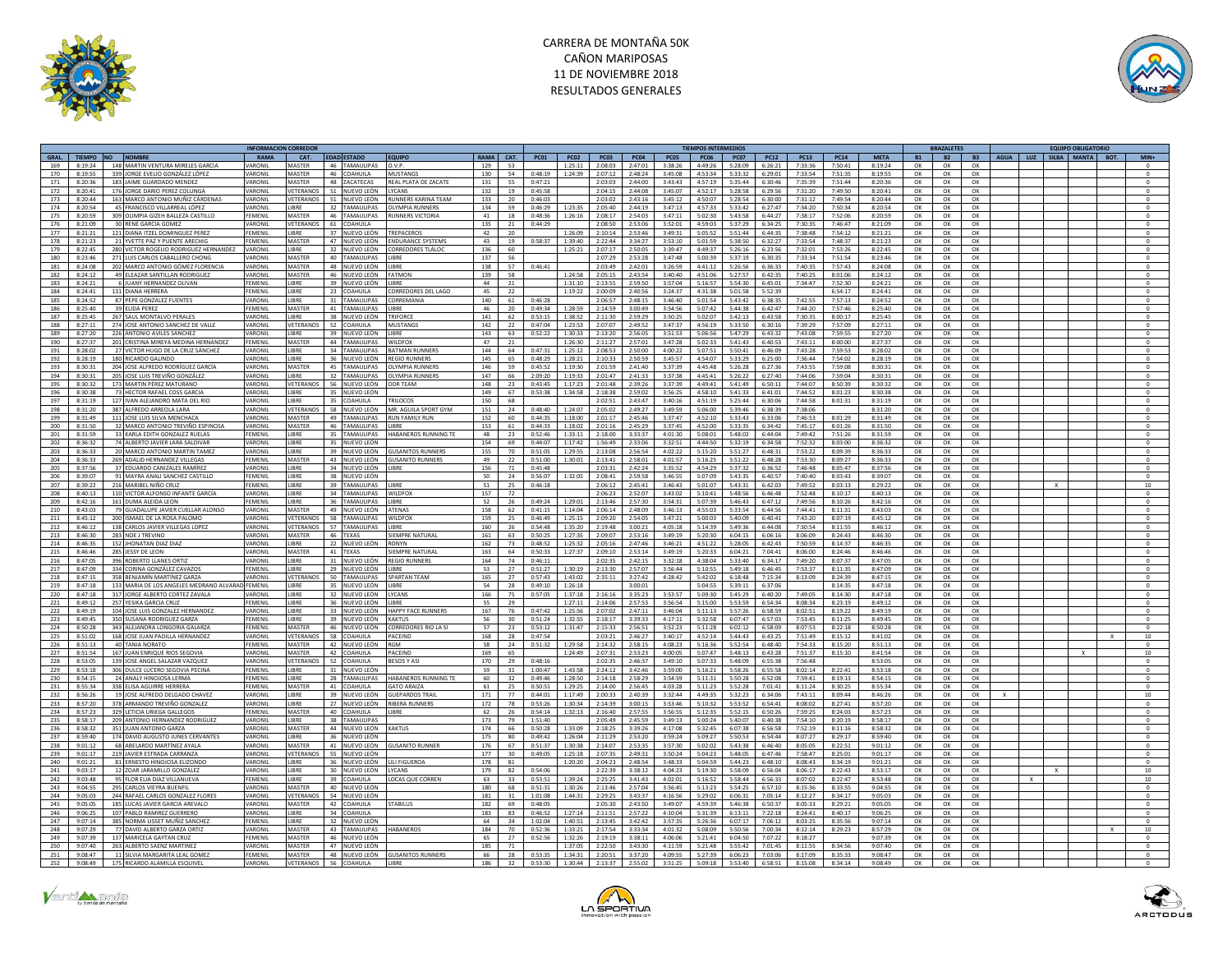



|                                  |                                                                    | <b>NFORMACION CORREDO</b> |                          |                                |                                              |                 |           |                   |                    |                    |                    |                    | <b>FIEMPOS INTERMEDIOS</b> |                    |                    |                    |                    |                    | RAZALETE               |           | <b>EQUIPO OBLIGATORIO</b>    |                     |
|----------------------------------|--------------------------------------------------------------------|---------------------------|--------------------------|--------------------------------|----------------------------------------------|-----------------|-----------|-------------------|--------------------|--------------------|--------------------|--------------------|----------------------------|--------------------|--------------------|--------------------|--------------------|--------------------|------------------------|-----------|------------------------------|---------------------|
| GRAL TIEMPO NO NOMBRE            |                                                                    | RAMA                      | CAT.                     | <b>FDAD ESTADO</b>             | <b>FOUIPO</b>                                |                 | RAMA CAT. | PC01              | PC02               | PCO3               | <b>PC04</b>        | <b>PC05</b>        | <b>PC06</b>                | <b>PC07</b>        | <b>PC12</b>        | PC13               | <b>PC14</b>        | <b>MFTA</b>        | <b>B1</b><br><b>B2</b> | <b>B3</b> | AGUA LUZ<br>SILBA MANTA ROT. | $MIN+$              |
| 169<br>8:19:24                   | 148 MARTIN VENTURA MIRELES GARCIA                                  | VARONIL                   | MASTER                   | 46 TAMAULIPAS                  | O.V.P.                                       | 129             | 53        |                   | 1:25:11            | 2:08:03            | 2:47:01            | 3:38:26            | 4:49:26                    | 5:28:09            | 6:26:21            | 7:33:36            | 7:50:41            | 8:19:24            | OK<br>OK               | OK        |                              |                     |
| 170<br>8:19:55                   | 339 JORGE EVELIO GONZÁLEZ LÓPEZ                                    | VARONII                   | MASTER                   | 46 COAHUILA                    | <b>MUSTANGS</b>                              | 130             | 54        | 0.48:19           | 1:24:39            | 2:07:12            | 2.48:24            | 3.45.08            | 4.53.34                    | 5-33-32            | 6:29:01            | $7 - 33 - 54$      | 7:51:35            | 8:19:55            | OK<br>OK               | OK        |                              | $\Omega$            |
| 171<br>8:20:36                   | 183 JAIME GUARDADO MENDEZ                                          | VARONIL                   | MASTER                   | 48 ZACATECAS                   | REAL PLATA DE ZACATE                         | 131             | 55        | 0:47:21           |                    | 2:03:03            | 2:44:00            | 3:43:43            | 4:57:19                    | 5:35:44            | 6:30:46            | 7:35:39            | 7:51:44            | 8:20:36            | OK<br>OK               | OK        |                              | $\circ$             |
| 172<br>8:20:41                   | 176 IORGE DARIO PEREZ COLUNGA                                      | VARONII                   | VETERANOS                | 51 NUEVO LEÓN                  | <b>IYCANS</b>                                | 132             | 19        | 0:45:58           |                    | 2:04:15            | $2.44 - 0.8$       | 3:45:07            | 4:52:17                    | 5:28:58            | 6:29:56            | 7:31:20            | 7.49:50            | 8:20:41            | OK<br>OK               | OK        |                              | $\Omega$            |
| 173<br>8:20:44                   | 163 MARCO ANTONIO MUÑIZ CÁRDENAS                                   | VARONIL                   |                          | VETERANOS 51 NUEVO LEÓN        | <b>RUNNERS KARINA TEAM</b>                   | 133             | 20        | 0:46:03           |                    | 2:03:02            | 2:43:16            | 3:45:12            | 4:50:07                    | 5:28:54            | 6:30:00            | 7:31:12            | 7:49:54            | 8:20:44            | OK<br>ОК               | OK        |                              | $\,$ 0              |
| 174<br>8:20:54                   | 45 FRANCISCO VIII ARREAL LÓPEZ                                     | VARONII                   | <b>LIBRE</b>             | 32 TAMAUUPAS                   | <b>OLYMPIA RUNNERS</b>                       | 134             | 59        | 0.46:29           | 1:23:35            | 2:05:40            | $7 - 44 - 19$      | 3:47:13            | 4.57.33                    | 5.33:42            | 6:27:47            | 7:34:20            | 7:50:34            | 8:20:54            | OK<br>OK               | OK        |                              | $\Omega$            |
| 175<br>8:20:59                   | 309 OLIMPIA GIZEH BALLEZA CASTILLO                                 | FEMENIL                   | MASTER                   | 46 TAMAULIPAS                  | RUNNERS VICTORIA                             | 41              | 18        | 0:48:36           | 1:26:16            | 2:08:17            | 2:54:03            | 3:47:11            | 5:02:30                    | 5:43:58            | 6:44:27            | 7:38:17            | 7:52:06            | 8:20:59            | OK<br>OK               | OK        |                              | $\,$ 0              |
| 176<br>8:21:09                   | 30 RENE GARCIA GOMEZ                                               | VARONIL                   | VETERANOS<br><b>IBRF</b> | 61 COAHUILA                    |                                              | 135             | 21        | 0.44:29           |                    | 2:08:50            | 2.53:06            | 3:52:01            | 4:59:03                    | 5.37.79            | 6:34:25            | 7-30-35            | 7:46:47            | 8:21:09            | OK<br>OK               | OK        |                              | $\Omega$            |
| 177<br>8:21:21                   | 121 DIANA ITZEL DOMINGUEZ PEREZ                                    | <b>FEMENI</b><br>FEMENIL  | MASTER                   | 37 NUEVO LEÓN                  | TREPACEROS                                   | 42<br>43        | 20        |                   | 1:26:09            | 2:10:14            | 2:53:46            | 3:49:31            | 5:05:52                    | 5:51:44            | 6:44:35            | 7:38:48            | 7:54:12            | 8:21:21            | OK<br>OK               | OK        |                              | $\mathbf{0}$        |
| 178<br>8:21:23                   | 21 YVETTE PAZ Y PUENTE ARECHIG                                     |                           |                          | 47 NUEVO LEÓN                  | <b>ENDURANCE SYSTEMS</b>                     |                 | 19        | 0:58:37           | 1:39:40            | 2:22:44            | 3:34:27            | 3:53:10            | 5:01:59                    | 5:38:50            | 6:32:27            | 7:33:54            | 7:48:37            | 8:21:23            | ок<br>OK               | OK        |                              | $^{\circ}$          |
| 179<br>8:22:45                   | 280 VICTOR ROGELIO RODRIGUEZ HERNANDEZ                             | VARONI                    | LIBRE<br>MASTER          | 32 NUEVO LEÓN<br>40 TAMAULIPAS | CORREDORES TLÁLO                             | 136             | 60        |                   | 1:25:21            | 2:07:17            | 2:50:05            | 3:39:47            | 4:49:37                    | 5:26:16            | 6:23:56            | 7:32:01            | 7:53:26            | 8:22:45            | OK<br>OK               | OK<br>OK  |                              |                     |
| 180<br>8:23:46                   | 271 LUIS CARLOS CABALLERO CHONG                                    | VARONIL                   |                          |                                | <b>IIRRE</b>                                 | 137             | 56        |                   |                    | 2:07:29            | 2:53:28            | 3:47:48            | 5:00:39                    | 5:37:19            | 6:30:35            | 7:33:34            | 7:51:54            | 8:23:46            | OK<br>OK               |           |                              | $^{\circ}$          |
| 181<br>8:24:08                   | 202 MARCO ANTONIO GÓMEZ FLORENCI                                   | VARONI                    | <b>MASTER</b><br>MASTER  | 48 NUEVO LEÓN<br>46 NUEVO LEÓN | LIBRE<br><b>FATMON</b>                       | 138             | 57        | 0:46:41           |                    | 2:03:49            | 2:42:01            | 3:26:59            | 4:41:12                    | 5:26:56            | 6:36:33            | 7:40:35            | 7:57:43<br>8:01:06 | 8:24:08            | OK<br>OK               | OK        |                              | $\mathbf{0}$        |
| 182<br>8:24:12<br>183<br>8:24:21 | 49 ELEAZAR SANTILLAN RODRIGUEZ                                     | VARONIL<br>FEMENIL        | <b>LIBRE</b>             |                                | <b>IIBRF</b>                                 | 139<br>44       | 58        |                   | 1:24:58<br>1:31:10 | 2:05:15            | 2:43:54            | 3:40:40            | 4:51:06                    | 5:27:57            | 6:42:35            | 7:40:25<br>7:34:47 | 7:52:30            | 8:24:12            | OK<br>OK<br>OK         | OK        |                              | $^{\circ}$          |
| 184<br>8:24:41                   | 6 JUANY HERNANDEZ OLIVAN<br>131 DIANA HERRERA                      | FEMENIL                   | LIBRE                    | 39 NUEVO LEÓN<br>23 COAHUILA   | CORREDORES DEL LAGO                          | 45              | 21<br>22  |                   | 1:19:22            | 2:13:55<br>2:00:09 | 2:59:50<br>2:40:56 | 3:57:04<br>3:24:37 | 5:16:57<br>4:31:38         | 5:54:30<br>5:01:58 | 6:45:01<br>5:52:39 |                    | 6:54:17            | 8:24:21<br>8:24:41 | OK<br>OK               | OK<br>OK  |                              |                     |
| 185<br>8:24:52                   | 87 PEPE GONZALEZ FUENTES                                           | VARONIL                   | <b>IIBRF</b>             | 31 TAMAULIPAS                  | CORREMANIA                                   | 140             | 61        | 0:46:28           |                    | 2:06:57            | 2:48:15            | 3:46:40            | 5:01:54                    | 5:43:42            | 6:38:35            | 7:42:55            | 7:57:13            | 8:24:52            | OK<br>OK<br>OK         | OK        |                              | $\circ$             |
| 186<br>8:25:40                   |                                                                    | FEMENIL                   | MASTER                   | 41 TAMAULIPAS                  | LIBRE                                        | 46              | 20        | 0:49:34           | 1:28:59            | 2:14:59            | 3:00:49            | 3:54:56            | 5:07:42                    | 5:44:38            | 6:42:47            | 7:44:20            | 7:57:46            | 8:25:40            | OK<br>OK               | OK        |                              |                     |
| 187<br>8:25:45                   | 39 ELIDA PEREZ<br>267 SAUL MONTALVO PERALES                        | VARONIL                   | <b>LIBRE</b>             | 38 NUEVO LEÓN                  | TRIFORCE                                     | 141             | 62        | 0:53:15           | 1:38:52            | 2:11:30            | 2:59:29            | 3:50:25            | 5:02:07                    | 5:42:13            | 6:43:58            | 7:30:35            | 8:00:17            | 8:25:45            | OK<br>ОК               | OK        |                              | $\circ$             |
| 188<br>8:27:11                   | 274 JOSE ANTONIO SANCHEZ DE VALLE                                  | VARONIL                   | <b>VETERANOS</b>         | 52 COAHUILA                    | <b>MUSTANGS</b>                              | 142             | 22        | 0:47:04           | 1:23:53            | 2:07:07            | 2:49:52            | 3:47:37            | 4:56:19                    | 5:33:50            | 6:30:16            | 7:39:29            | 7:57:09            | 8:27:11            | OK<br>OK               | OK        |                              | $\Omega$            |
|                                  |                                                                    | VARONIL                   | <b>IIRRF</b>             |                                | LIBRE                                        | 143             |           |                   |                    |                    |                    |                    | 5:06:56                    |                    |                    | 7:43:08            |                    |                    | OK                     |           |                              |                     |
| 189<br>8:27:20<br>190<br>8:27:37 | 226 ANTONIO AVILES SANCHEZ<br>201 CRISTINA MIREYA MEDINA HERNANDEZ | FEMENIL                   | MASTER                   | 39 NUEVO LEÓN<br>44 TAMAULIPAS | WII DEOX                                     | 47              | 63<br>21  | 0:52:22           | 1:30:33<br>1:26:30 | 2:13:20<br>2:11:27 | 2:56:05<br>2:57:01 | 3:51:53<br>3:47:28 | 5:02:33                    | 5:47:29<br>5:41:43 | 6:43:32<br>6:40:53 | 7:43:11            | 7:59:55<br>8:00:00 | 8:27:20<br>8:27:37 | ОК<br>OK<br>OK         | OK<br>OK  |                              | $\circ$<br>$\Omega$ |
|                                  |                                                                    |                           | LIBRE                    |                                |                                              |                 |           |                   |                    |                    |                    |                    |                            |                    |                    |                    |                    |                    |                        |           |                              |                     |
| 191<br>8:28:02<br>192<br>8:28:19 | 27 VICTOR HUGO DE LA CRUZ SÁNCHEZ<br>180 RICARDO GALINDO           | VARONI<br>VARONIL         | LIBRE                    | 34 TAMAULIPAS<br>36 NUEVO LEÓN | <b>BATMAN RUNNER</b><br><b>REGIO RUNNERS</b> | 144<br>145      | 64<br>65  | 0:47:3<br>0:48:29 | 1:25:12<br>1:28:21 | 2:08:53<br>2:10:33 | 2:50:00<br>2:50:59 | 4:00:22<br>3:45:57 | 5:07:51<br>4:54:07         | 5:50:41<br>5:33:29 | 6:46:09<br>6:25:00 | 7:43:28<br>7:36:44 | 7:59:53<br>7:54:02 | 8:28:02<br>8:28:19 | OK<br>OK<br>OK<br>OK   | OK<br>OK  |                              | $\Omega$            |
| 193<br>8:30:31                   | 204 JOSE ALFREDO RODRÍGUEZ GARCÍA                                  | VARONIL                   | MASTER                   | 45 TAMAULIPAS                  | OLYMPIA RUNNERS                              | 146             | 59        | 0:45:52           | 1:19:30            | 2:01:59            | 2.41:40            | 3:37:39            | 4.45.48                    | 5:26:28            | 6:27:36            | 7.43.55            | 7:59:08            | 8:30:31            | OK<br>OK               | OK        |                              | $\circ$             |
| 194<br>8:30:31                   | 205 JOSE LUIS TREVIÑO GONZÁLEZ                                     | VARONIL                   | <b>LIBRE</b>             | 32 TAMAULIPAS                  | OLYMPIA RUNNERS                              | 147             | 66        | 2:09:20           | 1:19:33            | 2:01:47            | 2:41:33            | 3:37:38            | 4:45:41                    | 5:26:22            | 6:27:40            | 7:44:06            | 7:59:04            | 8:30:31            | OK<br>OK               | OK        |                              | $\Omega$            |
| 195<br>8:30:32                   | 173 MARTIN PÉREZ MATURANO                                          | VARONIL                   | VETERANOS                | 56 NUEVO LEÓN                  | ODR TFAM                                     | 148             | 23        | 0:43:45           | 1:17:23            | 2:01:48            | 2:39:26            | 3:37:39            | 4:49:41                    | 5:41:49            | 6:50:11            | 7:44:07            | 8:50:39            | 8:30:32            | OK<br>OK               | OK        |                              | $\circ$             |
| 196<br>8:30:38                   | 73 HECTOR RAFAEL COSS GARCIA                                       | VARONIL                   | LIBRE                    | 35 NUEVO LEÓN                  |                                              | 149             | 67        | 0:53:38           | 1:34:58            | 2:18:38            | 2:59:02            | 3:56:25            | 4:58:10                    | 5:41:33            | 6:41:01            | 7:44:52            | 8:01:23            | 8:30:38            | OK<br>OK               | OK        |                              | $\Omega$            |
| 197<br>8:31:19                   | 127 IVAN ALFIANDRO MATA DEL RIO                                    | VARONIL                   | <b>LIRRE</b>             | 35 COAHUILA                    | TRILOCOS                                     | 150             | 68        |                   |                    | 2:02:51            | $7 - 43 - 47$      | 3:40:16            | 4:51:19                    | 5:25:44            | 6:30:06            | $7 - AA - 58$      | 8:01:31            | 8:31:19            | OK<br>OK               | OK        |                              | $\Omega$            |
| 198<br>8:31:20                   | 387 ALFREDO ARREOLA LARA                                           | VARONIL                   | VETERANOS                | 58 NUEVO LEÓN                  | MR. AGUILA SPORT GYM                         | 151             | 24        | 0:48:40           | 1:24:07            | 2:05:02            | 2:49:27            | 3:49:59            | 5:06:00                    | 5:39:46            | 6:38:39            | 7:38:06            |                    | 8:31:20            | OK<br>ОК               | OK        |                              | $^{\circ}$          |
| 199<br>8:31:49                   | 111 JOSE LUIS SILVA MENCHACA                                       | VARONIL                   | MASTER                   | 49 TAMAULIPAS                  | <b>RUN FAMILY RUN</b>                        | 152             | 60        | 0:44:35           | 1:18:00            | 2:01:17            | 2:45:46            | 3:37:47            | 4:52:10                    | 5:33:43            | 6:33:06            | 7:46:53            | 8:01:29            | 8:31:49            | OK<br>OK               | OK        |                              |                     |
| 200<br>8:31:50                   | 32 MARCO ANTONIO TREVIÑO ESPINOSA                                  | VARONIL                   | <b>MASTER</b>            | 46 TAMAULIPAS                  | LIBRE                                        | 153             | 61        | 0:44:33           | 1:18:02            | 2:01:16            | 2:45:29            | 3:37:45            | 4:52:00                    | 5:33:35            | 6:34:42            | 7:45:17            | 8:01:26            | 8:31:50            | OK<br>OK               | OK        |                              | $\circ$             |
| 201<br>8:31:59                   | 33 KARLA EDITH GONZALEZ RUELAS                                     | FEMENIL                   | <b>LIRRE</b>             | 35 TAMAULIPAS                  | HARANEROS RUNNING TE                         | $\overline{AB}$ | 23        | 0:52:46           | 1:33:11            | 2:18:00            | 3.33.37            | 4:01:30            | 5:08:01                    | 5:48:02            | 6:44:04            | 7.49.42            | 7:51:26            | 8:31:59            | OK<br>$\Omega$         | OK        |                              | $\Omega$            |
| 202<br>8:36:32                   | 74 ALBERTO JAVIER LARA SALDIVAR                                    | VARONIL                   | LIBRE                    | 35 NUEVO LEÓN                  |                                              | 154             | 69        | 0:44:07           | 1:17:42            | 1:56:49            | 2:33:06            | 3:32:51            | 4:44:50                    | 5:32:19            | 6:34:58            | 7:52:32            | 8:03:00            | 8:36:32            | OK<br>OK               | OK        |                              | $\circ$             |
| 203<br>8:36:33                   | 20 MARCO ANTONIO MARTIN TAME?                                      | VARONIL                   | <b>IIBRF</b>             | 39 NUEVO LEÓN                  | <b>GUSANITOS RUNNERS</b>                     | 155             | 70        | 0:51:05           | 1:29:55            | 2:13:08            | 2.56:54            | 4:02:22            | 5:15:20                    | 5:51:27            | 6:48:31            | 7:53:22            | 8.09.39            | 8:36:33            | OK<br>OK               | OK        |                              | $\Omega$            |
| 204<br>8:36:33                   | 269 ADALID HERNANDEZ VILLEGAS                                      | FEMENIL                   | MASTER                   | 43 NUEVO LEÓN                  | <b>GUSANITO RUNNERS</b>                      | 49              | 22        | 0:51:00           | 1:30:01            | 2:13:41            | 2:58:01            | 4:01:57            | 5:16:25                    | 5:51:22            | 6:48:28            | 7:53:30            | 8:09:27            | 8:36:33            | OK<br>OK               | OK        |                              | $\circ$             |
| 205<br>8:37:56                   | 37 EDUARDO CANIZALES RAMÍREZ                                       | VARONIL                   | <b>IIBRF</b>             | 34 NUEVO LEÓN LIBRE            |                                              | 156             | 71        | 0.45:48           |                    | 2:03:31            | 2.42:24            | 3:35:52            | 4.54.29                    | 5:37:32            | 6:36:52            | 7.46.48            | 8:05:47            | 8:37:56            | OK<br>OK               | OK        |                              | $\Omega$            |
| 8:39:07<br>206                   | 91 MAYRA ANALI SANCHEZ CASTILLO                                    | EMENIL                    | LIBRE                    | 38 NUEVO LEÓN                  |                                              | 50              | 24        | 0:56:07           | 1:32:05            | 2:08:41            | 2:59:58            | 3:46:55            | 5:07:09                    | 5:43:35            | 6:40:57            | 7:40:40            | 8:03:43            | 8:39:07            | OK<br>OK               | OK        |                              | $\circ$             |
| 207<br>8.39.22                   | 216 MARIBEL NIÑO CRUZ                                              | <b>FFMFNII</b>            | <b>LIBRE</b>             | 39 TAMAULIPAS                  | <b>IIRRF</b>                                 | 51              | 25        | 0:46:18           |                    | 2:06:12            | 2.45:41            | 3:46:43            | 5:01:07                    | 5:43:31            | 6:42:03            | 7.49.52            | 8:03:13            | 8:29:22            | OK<br>ок               | OK        | $\mathbf{x}$                 | 10                  |
| 208<br>8:40:13                   | 110 VICTOR ALFONSO INFANTE GARCÍA                                  | VARONIL                   | <b>IIRRF</b>             | 34 TAMAULIPAS                  | WILDFOX                                      | 157             | 72        |                   |                    | 2:06:23            | 2:52:07            | 3:43:02            | 5:10:41                    |                    | 5:48:56 6:46:48    | 7:52:48            | 8:10:17            | 8:40:13            | OK<br>OK               | OK        |                              | $\circ$             |
| 209<br>8:42:16                   | 161 DUMA ALEIDA LEON                                               | <b>FFMFNII</b>            | <b>LIBRE</b>             | 36 TAMAUUPAS                   | <b>LIBRE</b>                                 | 52              | 26        | 0.49.24           | 1:29:01            | 2:13:46            | $2.57 - 30$        | 3:54:31            | 5:07:39                    | $5.46 - 43$        | 6:47:12            | 7.49.56            | 8:10:26            | 8:42:16            | OK<br>OK               | OK        |                              | $\Omega$            |
| 210<br>8:43:03                   | 79 GUADALUPE JAVIER CUELLAR ALONSO                                 | VARONIL                   | MASTER                   | 49 NUEVO LEÓN                  | <b>ATENAS</b>                                | 158             | 62        | 0:41:15           | 1:14:04            | 2:06:14            | 2:48:09            | 3:46:13            | 4:55:03                    | 5:33:54            | 6:44:56            | 7:44:41            | 8:11:31            | 8:43:03            | OK<br>OK               | OK        |                              | $\circ$             |
| 211<br>8:45:12                   | 200 ISMAEL DE LA ROSA PALOMO                                       | VARONIL                   | VETERANOS                | 58 TAMAULIPAS                  | WII DFOX                                     | 159             | 25        | 0.46:49           | 1:25:15            | 2:09:20            | 2:54:05            | 3:47:21            | 5:00:03                    | 5:40:09            | 6:40:41            | 7:43:20            | 8:07:19            | 8:45:12            | OK<br>OK               | OK        |                              | $\Omega$            |
| 212<br>8:46:12                   | 138 CARLOS JAVIER VILLEGAS LOPEZ                                   | VARONIL                   |                          | VETERANOS 57 TAMAULIPAS        | LIBRE                                        | 160             | 26        | 0:54:48           | 1:35:20            | 2:19:48            | 3:00:21            | 4:05:18            | 5:14:39                    | 5:49:36            | 6:44:08            | 7:50:54            | 8:11:55            | 8:46:12            | OK<br>OK               | OK        |                              | $\mathbf{0}$        |
| 213<br>8:46:30                   | 283 NOE J TREVINO                                                  | VARONIL                   | MASTER                   | 46 TEXAS                       | SIEMPRE NATURAL                              | 161             | 63        | 0:50:25           | 1:27:35            | 2:09:07            | 2:53:16            | 3:49:19            | 5:20:30                    | 6:04:15            | 6:06:16            | 8:06:09            | 8:24:43            | 8:46:30            | OK<br>OK               | OK        |                              | $\circ$             |
| 214<br>8:46:35                   | 152 JHONATAN DIAZ DIAZ                                             | VARONI                    | LIBRE                    | 22 NUEVO LEÓN                  | <b>RONYN</b>                                 | 162             | 73        | 0:48:52           | 1:25:32            | 2:05:16            | 2:47:46            | 3:46:21            | 4:51:22                    | 5:28:05            | 6:42:43            | 7:50:59            | 8:14:37            | 8:46:35            | OK<br>OK               | OK        |                              | $\circ$             |
| 215<br>8:46:46                   | 285 JESSY DE LEON                                                  | VARONIL                   | MASTER                   | 41 TEXAS                       | SIEMPRE NATURAL                              | 163             | 64        | 0:50:33           | 1:27:37            | 2:09:10            | 2:53:14            | 3:49:19            | 5:20:33                    | 6:04:21            | 7:04:41            | 8:06:00            | 8:24:46            | 8:46:46            | OK<br>OK               | OK        |                              | $\Omega$            |
| 216<br>8:47:05                   | 396 ROBERTO LLANES ORTIZ                                           | VARONIL                   | LIBRE                    | 31 NUEVO LEÓN                  | <b>REGIO RUNNERS</b>                         | 164             | 74        | 0:46:1            |                    | 2:02:35            | 2:42:15            | 3:32:18            | 4:38:04                    | 5:33:40            | 6:34:17            | 7:49:20            | 8:07:37            | 8:47:05            | OK<br>OK               | OK        |                              | $\mathbf{0}$        |
| 8:47:09<br>217                   | 334 CORINA GONZÁLEZ CAVAZOS                                        | <b>FEMENIL</b>            | LIBRE                    | 29 NUEVO LEÓN                  | LIBRE                                        | 53              | 27        | 0:51:27           | 1:30:19            | 2:13:30            | 2:57:07            | 3:56:44            | 5:10:55                    | 5:49:18            | 6:46:45            | 7:53:37            | 8:11:35            | 8:47:09            | OK<br>OK               | OK        |                              | $^{\circ}$          |
| 218<br>8:47:15                   | 358 BENJAMÍN MARTÍNEZ GARZA                                        | VARONIL                   | VETERANO                 | 50 TAMAULIPAS                  | <b>SPARTAN TEAM</b>                          | 165             | 27        | 0:57:43           | 1:43:02            | 2:35:11            | 3:27:42            | 4:28:42            | 5:42:02                    | 6:18:48            | 7:15:34            | 8:13:09            | 8:24:39            | 8:47:15            | OK<br>OK               | OK        |                              | $^{\circ}$          |
| 219<br>8:47:18                   | 133 MARIA DE LOS ANGELES MEDRANO ALVARAD FEMENIL                   |                           | LIBRE                    | 35 NUEVO LEÓN                  | <b>LIBRE</b>                                 | 54              | 28        | 0.49:10           | 1:26:18            |                    | 3:00:01            |                    | 5:04:55                    | 5:39:11            | 6:37:06            |                    | 8:14:35            | 8:47:18            | OK<br>OK               | OK        |                              | $\sqrt{2}$          |
| 220<br>8:47:18                   | 317 JORGE ALBERTO CORTEZ ZAVALA                                    | VARONIL                   | <b>LIBRE</b>             | 32 NUEVO LEÓN                  | LYCANS                                       | 166             | 75        | 0:57:05           | 1:37:18            | 2:16:16            | 3:35:23            | 3:53:57            | 5:09:30                    | 5:45:29            | 6:40:20            | 7:49:05            | 8:14:30            | 8:47:18            | OK<br>OK               | ок        |                              | $^{\circ}$          |
| 221<br>8:49:12                   | 257 YESIKA GARCIA CRUZ                                             | <b>FFMFNII</b>            | <b>LIBRE</b>             | 36 NUEVO LEÓN                  | <b>IIRRF</b>                                 | 55              | 29        |                   | 1:27:11            | 2:14:06            | $2.57 - 53$        | 3:56:54            | 5:15:00                    | 5.53.59            | 6:54:34            | 8:08:34            | 8:23:19            | 8:49:12            | OK<br>OK               | OK        |                              | $\Omega$            |
| 222<br>8:49:19                   | 104 JOSE LUIS GONZALEZ HERNANDEZ                                   | VARONIL                   | LIBRE                    | 33 NUEVO LEÓN                  | <b>HAPPY FACE RUNNERS</b>                    | 167             | 76        | 0:47:42           | 1:25:56            | 2:07:02            | 2:47:11            | 3:46:04            | 5:11:13                    | 5:57:26            | 6:58:59            | 8:02:51            | 8:19:22            | 8:49:19            | OK<br>OK               | OK        |                              | $^{\circ}$          |
| 223<br>8:49:45                   | 350 SUSANA RODRIGUEZ GARZA                                         | FEMENIL                   | <b>IIRRF</b>             | 39 NUEVO LEÓN                  | <b>KAKTUS</b>                                | 56              | 30        | 0:51:24           | 1:32:55            | 2:18:17            | 3:39:33            | 4:17:11            | 5:32:58                    | 6:07:47            | 6:57:03            | 7:53:45            | 8:11:25            | 8:49:45            | OK<br>OK               | OK        |                              | $\Omega$            |
| 224<br>8:50:28                   | 343 ALEJANDRA LONGORIA GALARZA                                     | FEMENIL                   | MASTER                   | 46 NUEVO LEÓN                  | CORREDORES RIO LA SI                         | 57              | 23        | 0:53:12           | 1:31:47            | 2:15:33            | 2:56:51            | 3:52:23            | 5:11:28                    | 6:02:12            | 6:58:09            | 8:07:53            | 8:22:18            | 8:50:28            | OK<br>OK               | OK        |                              |                     |
| 225<br>8:51:02                   | 168 JOSE JUAN PADILLA HERNANDEZ                                    | VARONIL                   | VETERANOS                | 58 COAHUILA                    | PACEIND                                      | 168             | 28        | 0:47:54           |                    | 2:03:21            | 2:46:27            | 3:40:17            | 4:52:14                    | 5:44:43            | 6:43:25            | 7:51:49            | 8:15:12            | 8:41:02            | OK<br>OK               | OK        |                              | 10                  |
| 226<br>8:51:13                   | 40 TANIA NORATO                                                    | FEMENIL                   | <b>MASTER</b>            | 42 NUEVO LEÓN                  | <b>RGM</b>                                   | 58              | 24        | 0:51:32           | 1:29:58            | 2:14:32            | 2:58:15            | 4:08:23            | 5:16:36                    | 5:52:54            | 6:48:40            | 7:54:33            | 8:15:20            | 8:51:13            | OK<br>OK               | OK        |                              |                     |
| 227<br>8:51:54                   | 167 JUAN ENRIQUE RIOS SEGOVIA                                      | VARONIL                   | MASTER                   | 42 COAHUILA                    | PACEIND                                      | 169             | 65        |                   | 1:24:49            | 2:07:31            | 2:53:23            | 4:00:05            | 5:07:47                    | 5:48:13            | 6:43:28            | 7:51:37            | 8:15:10            | 8:41:54            | OK<br>OK               | OK        |                              | 10                  |
| 228<br>8:53:05                   | 139 JOSE ANGEL SALAZAR VAZQUEZ                                     | VARONIL                   | VETERANOS                | 52 COAHUILA                    | <b>BESOS Y ASI</b>                           | 170             | 29        | 0:48:16           |                    | 2:02:35            | 2:46:37            | 3:49:10            | 5:07:33                    | 5:48:09            | 6:55:38            | 7:56:48            |                    | 8:53:05            | OK<br>OK               | OK        |                              | $\circ$             |
| 229<br>8:53:18                   | 306 DULCE LUCERO SEGOVIA PECINA                                    | EMENIL                    | LIBRE                    | 31 NUEVO LEÓN                  |                                              | 59              | 31        | 1:00:47           | 1:43:58            | 2:24:12            | 3:42:46            | 3:59:00            | 5:16:21                    | 5:58:26            | 6:55:58            | 8:02:14            | 8:22:41            | 8:53:18            | OK<br>OK               | OK        |                              |                     |
| 230<br>8:54:15                   | 24 ANALY HINOJOSA LERMA                                            | <b>FFMFNII</b>            | <b>LIRRE</b>             | 28 TAMAULIPAS                  | HARANFROS RUNNING TF                         | 60              | 32        | 0:49:46           | 1:28:50            | 2:14:18            | 2:58:29            | 3:54:59            | 5:11:31                    | 5:50:28            | 6:52:08            | 7:59:41            | 8:19:13            | 8:54:15            | OK<br>OK               | OK        |                              | $\Omega$            |
| 231<br>8:55:34                   | 338 ELISA AGUIRRE HERRERA                                          | FEMENIL                   | MASTER                   | 41 COAHUILA                    | <b>GATO ARAIZA</b>                           | 61              | 25        | 0:50:51           | 1:29:25            | 2:14:00            | 2:56:45            | 4:03:28            | 5:11:23                    | 5:52:28            | 7:01:41            | 8:11:24            | 8:30:25            | 8:55:34            | OK<br>OK               | OK        |                              |                     |
| 232<br>8.56.26                   | 19 IOSE ALEREDO DELGADO CHAVEZ                                     | <b>VARONII</b>            | <b>LIRRE</b>             | 39 NUEVO LEÓN                  | GUERARDOS TRAL                               | 171             | 77        | 0:44:01           | $1.17 - 49$        | 2:00:33            | $2 - 40 - 39$      | $3.32 - AA$        | $A - AQ - 35$              | $5 - 27 - 72$      | 6-34-06            | $7 - 43 - 11$      | $8.09 - AA$        | 8.46.26            | $\cap$ K<br>$\cap$ K   | OK        |                              | 10                  |
| 8:57:20<br>233                   | 378 ARMANDO TREVIÑO GONZALEZ                                       | VARONIL                   | LIBRE                    | 27 NUEVO LEÓN                  | <b>RIBERA RUNNERS</b>                        | 172             | 78        | 0:53:26           | 1:30:34            | 2:14:39            | 3:00:15            | 3:53:46            | 5:10:32                    | 5:53:52            | 6:54:41            | 8:08:02            | 8:27:41            | 8:57:20            | ок<br>OK               | OK        |                              | $^{\circ}$          |
| 234<br>8:57:23                   | 329 LETICIA URIEGA GALLEGOS                                        | FFMFNII                   | MASTER                   | 40 COAHUILA                    | LIRRE                                        | 62              | 26        | 0:54:14           | 1:32:13            | 2:16:40            | 2:57:55            | 3:56:55            | 5:12:35                    | 5:52:15            | 6:50:26            | 7:59:25            | 8:24:03            | 8:57:23            | OK<br>OK               | OK        |                              | $\circ$             |
| 235<br>8:58:17                   | 209 ANTONIO HERNANDEZ RODRIGUEZ                                    | VARONIL                   | LIBRE                    | 38 TAMAULIPAS                  |                                              | 173             | 79        | 1:51:40           |                    | 2:05:49            | 2:45:59            | 3:49:13            | 5:00:24                    | 5:40:07            | 6:40:38            | 7:54:10            | 8:20:19            | 8:58:17            | OK<br>OK               | OK        |                              | $\circ$             |
| 236<br>8:58:32                   | 351 JUAN ANTONIO GARZA                                             | VARONIL                   | MASTER                   | 44 NUEVO LEÓN                  | <b>KAKTUS</b>                                | 174             | 66        | 0:50:28           | 1:33:09            | 2:18:25            | 3:39:26            | 4:17:08            | 5:32:45                    | 6:07:38            | 6:56:58            | 7:52:19            | 8:11:16            | 8:58:32            | OK<br>ОК               | OK        |                              | $^{\circ}$          |
| 237<br>8:59:40                   | 174 DAVID AUGUSTO JUNES CERVANTES                                  | VARONIL                   | LIBRE                    | 36 NUEVO LEÓN                  |                                              | 175             | 80        | 0:49:42           | 1:26:04            | 2:11:29            | 2:53:20            | 3:59:24            | 5:09:27                    | 5:50:53            | 6:54:44            | 8:07:27            | 8:29:17            | 8:59:40            | OK<br>ОК               | OK        |                              | $\mathbf{0}$        |
| 238<br>9:01:12                   | 68 ABELARDO MARTÍNEZ AYALA                                         | VARONIL                   | MASTER                   | 41 NUEVO LEÓN                  | <b>SUSANITO RUNNER</b>                       | 176             | 67        | 0:51:37           | 1:30:38            | 2:14:07            | 2:53:35            | 3:57:30            | 5:02:02                    | 5:43:38            | 6:46:40            | 8:05:05            | 8:22:51            | 9:01:12            | OK<br>OK               | OK        |                              |                     |
| 239<br>9:01:17                   | 219 JAVIER ESTRADA CARRANZA                                        | VARONIL                   | VETERANOS                | 55 NUEVO LEÓN                  |                                              | 177             | 30        | 0:49:05           | 1:25:18            | 2:07:35            | 2:49:31            | 3:50:24            | 5:04:23                    | 5:48:05            | 6:47:46            | 7:58:47            | 8:25:01            | 9:01:17            | OK<br>OK               | OK        |                              | $\circ$             |
| 240<br>9:01:21                   | 81 ERNESTO HINOJOSA ELIZONDO                                       | VARONIL                   | <b>LIBRE</b>             | 36 NUEVO LEÓN                  | <b>IIII FIGUEROA</b>                         | 178             | 81        |                   | 1:20:20            | 2:04:23            | 2.48:54            | 3.48.33            | 5:04:59                    | 5.44.23            | 6:48:10            | 8.08.43            | 8.34.19            | 9:01:21            | OK<br>OK               | OK        |                              | $\Omega$            |
| 241<br>9:03:17                   | 12 ZOAR JARAMILLO GONZALEZ                                         | VARONII                   | LIBRE                    | 30 NUEVO LEÓN                  | LYCANS                                       | 179             | 82        | 0:54:06           |                    | 2:22:39            | 3:38:12            | 4:04:23            | 5:19:30                    | 5:58:09            | 6:56:04            | 8:06:17            | 8:22:43            | 8:53:17            | OK<br>OK               | OK        |                              | $10\,$              |
| 242<br>9:03:48                   | 95 FLOR FITA DIAZ VILLANUEVA                                       | <b>FFMFNII</b>            | <b>LIBRE</b>             | 39 COAHUILA                    | <b>LOCAS OUE CORREN</b>                      | 63              | 33        | 0:53:51           | 1:39:24            | 2:25:25            | 3:41:43            | 4:02:01            | 5:16:52                    | 5:58:44            | 6:56:33            | 8:07:02            | 8:22:47            | 8.53.48            | OK<br>ок               | OK        | $\mathbf{x}$                 | 10                  |
| 9:04:55<br>243                   | 295 CARLOS VIEYRA BUENEIL                                          | VARONIL                   | MASTER                   | 40 NUEVO LEÓN                  |                                              | 180             | 68        | 0:51:31           | 1:30:26            | 2:13:46            | 2:57:04            | 3:56:45            | 5:13:23                    | 5.54.25            | 6:57:10            | 8:15:36            | 8:33:55            | 9:04:55            | OK<br>OK               | OK        |                              | $\Omega$            |
| 244<br>9:05:03                   | 244 RAFAEL CARLOS GONZALEZ FLORES                                  | VARONII                   | VETERANOS                | 54 NUEVO LEÓN                  |                                              | 181             | 31        | 1:01:08           | 1:44:31            | 2:29:25            | 3:43:37            | 4:16:56            | 5:29:02                    | 6:06:31            | 7:05:14            | 8:12:27            | 8:34:17            | 9:05:03            | OK<br>OK               | OK        |                              | $\Omega$            |
| 245<br>9:05:05                   | 185 LUCAS JAVIER GARCIA AREVALO                                    | VARONIL                   | <b>MASTER</b>            | 42 COAHUILA                    | <b>STABILUS</b>                              | 182             | 69        | 0:48:05           |                    | 2:05:30            | 2:43:50            | 3:49:07            | 4:59:39                    | 5:46:38            | 6:50:37            | 8:05:33            | 8:29:21            | 9:05:05            | OK<br>OK               | OK        |                              | $\circ$             |
| 246<br>9:06:25                   | 107 PABLO RAMIREZ GUERRERO                                         | VARONIL                   | <b>LIBRE</b>             | 34 COAHUILA                    |                                              | 183             | 83        | 0:46:52           | 1:27:14            | 2:11:51            | 2:57:22            | 4:10:04            | 5:31:39                    | 6:13:11            | 7:22:18            | 8:24:41            | 8:40:17            | 9:06:25            | OK<br>OK               | OK        |                              | $\Omega$            |
| 247<br>9:07:14                   | 385 NORMA LISSET MUÑIZ SANCHEZ                                     | <b>FEMENIL</b>            | LIBRE                    | 32 NUEVO LEÓN                  |                                              | 64              | 34        | 1:02:04           | 1:40:51            | 2:13:45            | 3:42:42            | 3:57:35            | 5:26:36                    | 6:07:17            | 7:06:12            | 8:03:25            | 8:35:56            | 9:07:14            | OK<br>OK               | OK        |                              | $\mathbf{0}$        |
| 248<br>9:07:29                   | 77 DAVID ALBERTO GARZA ORTIZ                                       | VARONIL                   | MASTER                   | 43 TAMAULIPAS                  | <b>HARANFROS</b>                             | 184             | 70        | 0:52:36           | 1:33:21            | 2:17:54            | 3:33:34            | 4:01:32            | 5:08:09                    | 5:50:56            | 7:00:34            | 8:12:14            | 8:29:23            | 8:57:79            | OK<br>$\Omega$         | OK        |                              | 10<br>$\mathbf{x}$  |
| 249<br>9:07:39                   | 137 MARICELA GAYTAN CRUZ                                           | FEMENIL                   | MASTER                   | 46 NUEVO LEÓN                  |                                              | 65              | 27        | 0:52:56           | 1:32:26            | 2:19:19            | 3:38:11            | 4:06:06            | 5:21:41                    | 6:04:50            | 7:07:22            | 8:18:27            |                    | 9:07:39            | OK<br>OK               | OK        |                              |                     |
| 250<br>9:07:40                   | 263 ALBERTO SAENZ MARTINEZ                                         | VARONIL                   | MASTER                   | 47 NUEVO LEÓN                  |                                              | 185             | 71        |                   | 1:37:05            | 2:22:50            | 3:43:30            | 4:11:59            | 5:21:48                    | 5:55:42            | 7:01:45            | 8:11:55            | 8:34:56            | 9:07:40            | OK<br>OK               | OK        |                              | $\Omega$            |
| 251<br>9:08:47                   | 11 SILVIA MARGARITA LEAL GOMEZ                                     | FEMENIL                   | <b>MASTER</b>            | 48 NUEVO LEÓN                  | <b>GUSANITOS RUNNERS</b>                     | 66              | 28        | 0:53:35           | 1:34:31            | 2:20:51            | 3:37:20            | 4:09:55            | 5:27:39                    | 6:06:23            | 7:03:06            | 8:17:09            | 8:35:33            | 9:08:47            | OK<br>OK               | OK        |                              |                     |
| 252<br>9:08:49                   | 175 RICARDO ALAMILLA ESOLIIVEL                                     | VARONIL                   | VETERANOS                | 56 COAHUILA                    | <b>IIBRF</b>                                 | 186             | 32        | 0:53:30           | 1:30:44            | 2:13:37            | 2.55:02            | 3:51:25            | 5:09:18                    | 5:53:40            | 6:58:51            | 8:15:08            | 8:34:14            | 9.08.49            | OK<br>OK               | OK        |                              |                     |





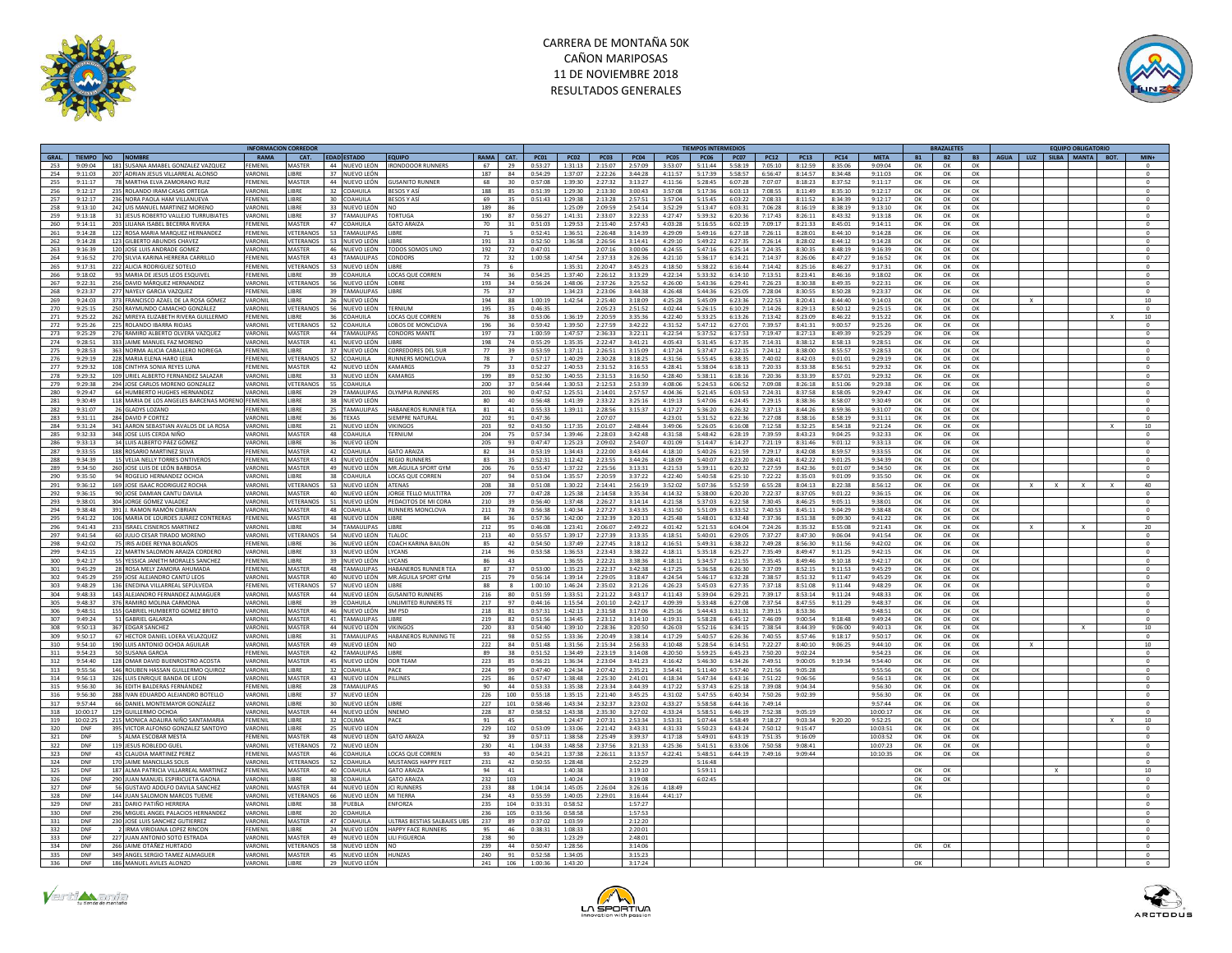



|                                  |                                                                     | <b>NFORMACION CORREDO</b> |                        |          |                                             |                                            |             |                |                    |                    |                    |                    |                    | <b>FIEMPOS INTERMEDIO:</b> |                    |                    |                    |                    |                    |           | RAZALETE  |           |              |              | <b>EQUIPO OBLIGATORIO</b> |                          |
|----------------------------------|---------------------------------------------------------------------|---------------------------|------------------------|----------|---------------------------------------------|--------------------------------------------|-------------|----------------|--------------------|--------------------|--------------------|--------------------|--------------------|----------------------------|--------------------|--------------------|--------------------|--------------------|--------------------|-----------|-----------|-----------|--------------|--------------|---------------------------|--------------------------|
| GRAL.                            | TIEMPO NO NOMBRE                                                    | RAMA                      | CAT.                   |          | <b>FDAD ESTADO</b>                          | <b>FOUIPO</b>                              | <b>RAMA</b> | CAT.           | PC01               | PCO2               | PC03               | PC04               | PCO <sub>5</sub>   | <b>PC06</b>                | <b>PC07</b>        | PC12               | PC13               | PC <sub>14</sub>   | <b>MFTA</b>        | <b>B1</b> | <b>B2</b> | <b>B3</b> |              |              | AGUA LUZ SUBA MANTA BOT.  | MIN <sub>4</sub>         |
| 253<br>9:09:04                   | 181 SUSANA AMABEL GONZALEZ VAZQUEZ                                  | FEMENIL                   | <b>MASTER</b>          |          | 44 NUEVO LEÓN                               | <b>IRONDOOOR RUNNERS</b>                   | 67          | 29             | 0:53:27            | 1:31:13            | 2:15:07            | 2:57:09            | 3:53:07            | 5:11:44                    | 5:58:19            | 7:05:10            | 8:12:59            | 8:35:06            | 9:09:04            | OK        | OK        | OK        |              |              |                           |                          |
| 254<br>9:11:03                   | 207 ADRIAN IFSUS VILLARREAL ALONSO                                  | VARONII                   | <b>IRRF</b>            |          | 37 NUEVO LEÓN                               |                                            | 187         | 84             | 0:54:29            | 1:37:07            | 2:22:26            | 3:44:78            | 4:11:57            | 5:17:39                    | 5:58:57            | 6:56:47            | 8:14:57            | 8.34.48            | 9:11:03            | OK        | OK        | OK        |              |              |                           | $\Omega$                 |
| 255<br>9:11:17                   | 78 MARTHA ELVA ZAMORANO RUIZ                                        | FEMENIL                   | MASTER                 | 44       | NUEVO LEÓN                                  | <b>GUSANITO RUNNER</b>                     | 68          | 30             | 0:57:08            | 1:39:30            | 2:27:32            | 3:13:27            | 4:11:56            | 5:28:45                    | 6:07:28            | 7:07:07            | 8:18:23            | 8:37:52            | 9:11:17            | OK        | OK        | OK        |              |              |                           |                          |
| 256<br>9:12:17                   | 235 ROLANDO IRAM CASAS ORTEGA                                       | VARONIL                   | <b>LIBRE</b>           | 32       | <b>COAHUILA</b>                             | <b>RESOS Y ASI</b>                         | 188         | 85             | 0:51:39            | 1:29:30            | 2:13:30            | 3:00:43            | 3:57:08            | 5:17:36                    | 6:03:13            | 7:08:55            | 8:11:49            | 8:35:10            | 9:12:17            | OK        | OK        | OK        |              |              |                           | $\Omega$                 |
| 257<br>9:12:17                   | 236 NORA PAOLA HAM VILLANUEVA                                       | FEMENIL                   | LIBRE                  |          | 30 COAHUILA                                 | <b>BESOS Y AS</b>                          | 69          | 35             | 0:51:43            | 1:29:38            | 2:13:28            | 2:57:51            | 3:57:04            | 5:15:45                    | 6:03:22            | 7:08:33            | 8:11:52            | 8:34:39            | 9:12:17            | ок        | OK        | OK        |              |              |                           | $\circ$                  |
| 258<br>9:13:10                   | 242 UIS MANUEL MARTINEZ MORENO                                      | VARONIL<br>VARONIL        | <b>IRRF</b><br>LIBRE   | 33<br>37 | NUEVO LEÓN<br><b>TAMAULIPAS</b>             | NO.<br><b>TORTUGA</b>                      | 189         | 86<br>87       | 0:56:27            | 1:25:09            | 2:09:59<br>2:33:07 | 2.54.14            | 3:52:29            | 5:13:47                    | 6:03:31<br>6:20:36 | 7:06:28            | 8:16:19            | 8:38:19            | 9:13:10            | OK        | OK        | OK        |              |              |                           | $^{\circ}$               |
| 259<br>9:13:18                   | 31 JESUS ROBERTO VALLEJO TURRUBIATES                                |                           | MASTER                 |          | 47 COAHUILA                                 |                                            | 190         |                |                    | 1:41:31            |                    | 3:22:33            | 4:27:47            | 5:39:32                    |                    | 7:17:43            | 8:26:11            | 8:43:32            | 9:13:18            | OK        | OK<br>OK  | OK<br>OK  |              |              |                           |                          |
| 260<br>9:14:11                   | 203 I IIIANA ISAREL BECERRA RIVERA                                  | FFMFNII                   |                        |          |                                             | <b>GATO ARAIZA</b><br>LIBRE                | 70<br>71    | 31             | 0:51:03            | 1:29:53            | 2:15:40            | 2.57.43            | 4:03:28            | 5:16:55                    | 6:02:19            | 7:09:17            | 8:21:33            | 8:45:01            | 9:14:11            | OK        |           |           |              |              |                           | $\Omega$                 |
| 261<br>9:14:28<br>262<br>9:14:28 | 122 ROSA MARIA MARQUEZ HERNANDEZ<br>123 GILBERTO ABUNDIS CHAVEZ     | FEMENIL<br>VARONIL        | VETERANOS<br>/ETERANOS | 53       | 53 TAMAULIPAS<br>NUEVO LEÓN                 | <b>IRRF</b>                                | 191         | 33             | 0:52:41<br>0:52:50 | 1:36:51<br>1:36:58 | 2:26:48<br>2:26:56 | 3:14:39<br>3:14:41 | 4:29:09<br>4:29:10 | 5:49:16<br>5:49:22         | 6:27:18<br>6:27:35 | 7:26:11<br>7:26:14 | 8:28:01<br>8:28:02 | 8:44:10<br>8:44:12 | 9:14:28<br>9:14:28 | OK<br>OK  | OK<br>OK  | OK<br>OK  |              |              |                           |                          |
| 263<br>9:16:39                   | 120 JOSE LUIS ANDRADE GOMEZ                                         | VARONIL                   | MASTER                 | 46       | NUEVO LEÓN                                  | ODOS SOMOS UNO                             | 192         | 72             | 0:47:01            |                    | 2:07:16            | 3:00:06            | 4:24:55            | 5:47:16                    | 6:25:14            | 7:24:35            | 8:30:35            | 8:48:19            | 9:16:39            | OK        | OK        | OK        |              |              |                           |                          |
| 264<br>9:16:52                   | 270 SILVIA KARINA HERRERA CARRILLO                                  | FEMENIL                   | MASTER                 |          | 43 TAMAULIPAS                               | <b>CONDORS</b>                             | 72          | 32             | 1:00:58            | 1:47:54            | 2:37:33            | 3:26:36            | 4:21:10            | 5:36:17                    | 6:14:21            | 7:14:37            | 8:26:06            | 8:47:27            | 9:16:52            | OK        | OK        | OK        |              |              |                           | $\Omega$                 |
| 265<br>9:17:31                   | 222 ALICIA RODRIGUEZ SOTELO                                         | FEMENIL                   | VETERANOS              |          | 53 NUEVO LEÓN                               | LIBRE                                      | 73          | 6              |                    | 1:35:31            | 2:20:47            | 3:45:23            | 4:18:50            | 5:38:22                    | 6:16:44            | 7:14:42            | 8:25:16            | 8:46:27            | 9:17:31            | OK        | ОК        | OK        |              |              |                           | $^{\circ}$               |
| 266<br>9:18:02                   | 93 MARIA DE JESUS LEOS ESQUIVEL                                     | FEMENIL                   | LIBRE                  | 39.      | COAHUILA                                    | LOCAS QUE CORREN                           | 74          | 36             | 0:54:25            | 1:37:40            | 2:26:12            | 3:13:29            | 4:22:14            | 5:33:32                    | 6:14:10            | 7:13:51            | 8:23:41            | 8:46:16            | 9:18:02            | OK        | OK        | OK        |              |              |                           | $\Omega$                 |
| 267<br>9:22:31                   | 256 DAVID MÁRQUEZ HERNANDEZ                                         | VARONIL                   | VETERANOS              |          | 56 NUEVO LEÓN                               | <b>IOBRE</b>                               | 193         | 34             | 0:56:24            | 1:48:06            | 2:37:26            | 3:25:52            | 4:26:00            | 5:43:36                    | 6:29:41            | 7:26:23            | 8:30:38            | 8:49:35            | 9:22:31            | OK        | OK        | OK        |              |              |                           | $\Omega$                 |
| 268<br>9:23:37                   | 277 NAYELY GARCIA VAZQUEZ                                           | FEMENIL                   | LIBRE                  |          | 39 TAMAULIPAS                               | LIBRE                                      | 75          | 37             |                    | 1:34:23            | 2:23:06            | 3:44:38            | 4:26:48            | 5:44:36                    | 6:25:05            | 7:28:04            | 8:30:55            | 8:50:28            | 9:23:37            | OK        | OK        | OK        |              |              |                           |                          |
| 269<br>9:24:03                   | 373 FRANCISCO AZAEL DE LA ROSA GÓMEZ                                | VARONIL                   | <b>IRRE</b>            |          | 26 NUEVO LEÓN                               |                                            | 194         | 88             | 1:00:19            | 1:42:54            | 2:25:40            | 3:18:09            | 4:25:28            | 5:45:09                    | 6:23:36            | 7:22:53            | 8:20:41            | $8.44 - 40$        | 9:14:03            | OK        | OK        | OK        | $\mathbf{x}$ |              |                           | 10                       |
| 270<br>9:25:15                   | 250 RAYMUNDO CAMACHO GONZÁLEZ                                       | VARONIL                   | VETERANOS              | 56       | NUEVO LEÓN                                  | ERNIUM                                     | 195         | 35             | 0:46:35            |                    | 2:05:23            | 2:51:52            | 4:02:44            | 5:26:15                    | 6:10:29            | 7:14:26            | 8:29:13            | 8:50:12            | 9:25:15            | OK        | OK        | OK        |              |              |                           |                          |
| 271<br>9:25:22                   | 262 MIREYA FI IZARETH RIVERA GUILLERMO                              | FEMENII                   | <b>IRRE</b>            | 36       | <b>OAHUILA</b>                              | LOCAS OUE CORREN                           | 76          | 38             | 0:53:06            | 1:36:19            | 2:20:59            | 3:35:36            | 4:22:40            | 5:33:25                    | 6:13:26            | 7:13:42            | 8:23:09            | 8:46:22            | 9:15:22            | OK        | OK        | OK        |              |              |                           | 10                       |
| 272<br>9:25:26                   | 225 ROLANDO IBARRA RIOJAS                                           | VARONIL                   | VETERANOS              |          | 52 COAHUILA                                 | LOBOS DE MONCLOVA                          | 196         | 36             | 0:59:42            | 1:39:50            | 2:27:59            | 3:42:22            | 4:31:52            | 5:47:12                    | 6:27:01            | 7:39:57            | 8:41:31            | 9:00:57            | 9:25:26            | OK        | OK        | OK        |              |              |                           | $\circ$                  |
| 273<br>9:25:29                   | 276 RAMIRO ALBERTO OLVERA VAZQUEZ                                   | VARONIL                   | MASTER                 |          | 44 TAMAILIPAS                               | CONDORS MANTE                              | 197         | 73             | 1:00:59            | $1.47 - 57$        | 7.36.33            | 3:22:11            | $A - 22 - 5A$      | $5 - 27 - 57$              | $6.17 - 53$        | $7.19 - 47$        | 8:27:13            | 8.49.39            | 9:25:29            | OK        | $\Omega$  | OK        |              |              |                           | $\sqrt{2}$               |
| 274<br>9:28:51                   | 333 JAIME MANUEL FAZ MORENO                                         | VARONIL                   | <b>MASTER</b>          |          | 41 NUEVO LEÓN                               | LIBRE                                      | 198         | 74             | 0:55:29            | 1:35:35            | 2:22:47            | 3:41:21            | 4:05:43            | 5:31:45                    | 6:17:35            | 7:14:31            | 8:38:12            | 8:58:13            | 9:28:51            | OK        | OK        | OK        |              |              |                           | $^{\circ}$               |
| 275<br>$9.28 - 52$               | 363 NORMA ALICIA CARALLERO NORIEGA                                  | FEMENIL                   | <b>LIRRE</b>           |          | 37 NUEVO LEÓN                               | <b>CORREDORES DEL SUR</b>                  | 77          | 39             | 0:53:59            | 1:37:11            | 2:26:51            | 3:15:09            | 4:17:24            | 5:37:47                    | 6:22:15            | 7:24:12            | 8:38:00            | $8 - 55 - 57$      | 9:28:53            | OK        | OK        | OK        |              |              |                           | $\sqrt{2}$               |
| 276<br>9:29:19                   | 228 MARIA ELENA HARO LEUA                                           | FEMENIL                   | VETERANOS              |          | 52 COAHUILA                                 | RUNNERS MONCLOVA                           | 78          | $\overline{7}$ | 0:57:17            | 1:40:29            | 2:30:28            | 3:18:25            | 4:31:56            | 5:55:45                    | 6:38:35            | 7:40:02            | 8:42:03            | 9:01:01            | 9:29:19            | OK        | OK        | OK        |              |              |                           | $^{\circ}$               |
| 277<br>9.29.32                   | 108 CINTHYA SONIA REYES LUNA                                        | <b>FFMFNII</b>            | MASTER                 |          | 42 NUEVO LEÓN                               | <b>KAMARGS</b>                             | 79          | 33             | 0:52:27            | 1:40:53            | 2:31:52            | 3:16:53            | 4:28:41            | 5:38:04                    | 6:18:13            | $7.20 - 33$        | 8-33-38            | 8:56:51            | 9.29.32            | OK        | OK        | OK        |              |              |                           | $\Omega$                 |
| 278<br>9:29:32                   | 109 URIEL ALBERTO FERNANDEZ SALAZAR                                 | VARONIL                   | LIBRE                  | 33       | <b>NUEVO LEÓN</b>                           | CAMARGS                                    | 199         | 89             | 0:52:30            | 1:40:55            | 2:31:53            | 3:16:50            | 4:28:40            | 5:38:11                    | 6:18:16            | 7:20:36            | 8:33:39            | 8:57:01            | 9:29:32            | OK        | OK        | OK        |              |              |                           |                          |
| 279<br>9.79.38                   | 294 JOSE CARLOS MORENO GONZALEZ                                     | VARONIL                   | VETERANOS              | 55       | <b>COAHUILA</b>                             |                                            | 200         | 37             | 0:54:44            | 1:30:53            | 2:12:53            | 2.53.39            | 4:08:06            | 5:24:53                    | 6:06:52            | 7:09:08            | 8:26:18            | 8:51:06            | 9:29:38            | OK        | OK        | OK        |              |              |                           | $\Omega$                 |
| 280<br>9:29:47                   | 64 HUMBERTO HUGHES HERNANDEZ                                        | VARONIL                   | LIBRE                  | 29       | <b>TAMAULIPAS</b>                           | <b>OLYMPIA RUNNERS</b>                     | 201         | 90             | 0:47:52            | 1:25:51            | 2:14:01            | 2:57:57            | 4:04:36            | 5:21:45                    | 6:03:53            | 7:24:31            | 8:37:58            | 8:58:05            | 9:29:47            | OK        | OK        | OK        |              |              |                           | $\mathbf{0}$             |
| 281<br>$9.30 - 49$               | 118 MARIA DE LOS ANGELES BARCENAS MORENO FEMENIL                    |                           | <b>IRRF</b>            | 38       | NUEVO LEÓN                                  |                                            | 80          | 40             | $0.56 - 48$        | 1:41:39            | 2:33:22            | 3:25:16            | 4:19:13            | 5:47:06                    | 6:24:45            | 7.29.15            | 8:38:36            | 8:58:07            | 9:30:49            | OK        | OK        | OK        |              |              |                           | $\Omega$                 |
| 282<br>9:31:07                   | 26 GLADYS LOZANO                                                    | FEMENIL                   | LIBRE                  | 25       | TAMAULIPAS                                  | HABANEROS RUNNER TEA                       | 81          | 41             | 0:55:33            | 1:39:11            | 2:28:56            | 3:15:37            | 4:17:27            | 5:36:20                    | 6:26:32            | 7:37:13            | 8:44:26            | 8:59:36            | 9:31:07            | OK        | OK        | OK        |              |              |                           | $^{\circ}$               |
| 283<br>9:31:11                   | 284 DAVID P CORTEZ                                                  | VARONIL                   | LIBRE                  | 36       | <b>TFXAS</b>                                | <b>SIEMPRE NATURAL</b>                     | 202         | 91             | 0:47:36            |                    | 2:07:07            |                    | 4:23:01            | 5:31:52                    | 6:22:36            | 7:27:08            | 8:38:16            | 8:58:19            | 9:31:11            | OK        | OK        | OK        |              |              |                           | $\Omega$                 |
| 284<br>9:31:24                   | 341 AARON SEBASTIAN AVALOS DE LA ROSA                               | VARONIL                   | LIBRE                  |          | 21 NUEVO LEÓN                               | <b>VIKINGOS</b>                            | 203         | 92             | 0:43:50            | 1:17:35            | 2:01:07            | 2:48:44            | 3:49:06            | 5:26:05                    | 6:16:08            | 7:12:58            | 8:32:25            | 8:54:18            | 9:21:24            | OK        | OK        | OK        |              |              |                           | $10$                     |
| 285<br>9.32.33                   | 348 JOSE LUIS CERDA NIÑO                                            | VARONIL                   | MASTER                 | 48       | <b>COAHUILA</b>                             | <b>FERNIUM</b>                             | 204         | 75             | 0.57.34            | 1:39:46            | 2:28:03            | 3:42:48            | 4:31:58            | 5:48:42                    | 6:28:19            | 7.39.59            | 8:43:23            | 9:04:25            | 9.32.37            | OK        | OK        | OK        |              |              |                           |                          |
| 286<br>9:33:13<br>287<br>9:33:55 | 34 LUIS ALBERTO PÁEZ GÓMEZ<br>188 ROSARIO MARTINEZ SILVA            | VARONIL<br>FEMENIL        | LIBRE<br><b>MASTER</b> | 36       | NUEVO LEÓN<br>42 COAHUILA                   | <b>GATO ARAIZA</b>                         | 205<br>82   | 93<br>34       | 0:47:47<br>0:53:19 | 1:25:23<br>1:34:43 | 2:09:02<br>2:22:00 | 2:54:07<br>3:43:44 | 4:01:09<br>4:18:10 | 5:14:47<br>5:40:26         | 6:14:27<br>6:21:59 | 7:21:19<br>7:29:17 | 8:31:46<br>8:42:08 | 9:01:12<br>8:59:57 | 9:33:13<br>9:33:55 | OK<br>OK  | OK<br>OK  | OK<br>OK  |              |              |                           | $\Omega$                 |
|                                  |                                                                     |                           |                        |          |                                             |                                            | 83          |                |                    |                    |                    |                    |                    |                            |                    |                    |                    |                    |                    |           |           |           |              |              |                           |                          |
| 288<br>9:34:39<br>289<br>9:34:50 | 15 VELIA NELLY TORRES ONTIVEROS<br>260 JOSE LUIS DE LEÓN BARBOSA    | FEMENII<br>VARONIL        | MASTER<br>MASTER       | 49       | 43 NUEVO LEÓN<br>NUEVO LEÓN                 | <b>REGIO RUNNER</b><br>MR.ÁGUILA SPORT GYM | 206         | 35<br>76       | 0:52:31<br>0:55:47 | 1:12:42<br>1:37:22 | 2:23:55<br>2:25:56 | 3:44:26<br>3:13:31 | 4:18:09<br>4:21:53 | 5:40:07<br>5:39:11         | 6:23:20<br>6:20:32 | 7:28:41<br>7:27:59 | 8:42:22<br>8:42:36 | 9:01:25<br>9:01:07 | 9:34:39<br>9:34:50 | OK<br>OK  | OK<br>OK  | OK<br>OK  |              |              |                           |                          |
| 290<br>9:35:50                   | 94 ROGELIO HERNANDEZ OCHO                                           | VARONII                   | <b>IRRF</b>            | 38       | OAHUILA                                     | LOCAS QUE CORREN                           | 207         | 94             | 0:53:04            | 1:35:57            | 2:20:59            | 3:37:22            | 4:22:40            | 5:40:58                    | 6:25:10            | 7:22:22            | 8:35:03            | 9:01:09            | 9:35:50            | OK        | OK        | OK        |              |              |                           |                          |
| 291<br>9:36:12                   | 169 JOSE ISAAC RODRIGUEZ ROCHA                                      | VARONIL                   | VETERANOS              |          | 53 NUEVO LEÓN                               | <b>ATENAS</b>                              | 208         | 38             | 0:51:08            | 1:30:22            | 2:14:41            | 2:56:19            | 3:52:02            | 5:07:36                    | 5:52:59            | 6:55:28            | 8:04:13            | 8:22:38            | 8:56:12            | OK        | OK        | OK        |              | $\mathbf{x}$ |                           | 40                       |
| 292<br>$9.36 - 15$               | 90 JOSE DAMIAN CANTU DAVILA                                         | VARONIL                   | MASTER                 |          | 40 NUEVO LEÓN                               | IORGE TELLO MULTITRA                       | 209         | 77             | $0.47 - 28$        | $1.75 - 38$        | $2.14 - 58$        | 3-35-34            | $A - 1A - 37$      | $5 - 38 - 00$              | 6:20:20            | 7.77.37            | $8 - 37 - 05$      | $9 - 01 - 22$      | 9:36:15            | $\cap K$  | <b>OK</b> | $\cap$ K  |              |              |                           | $\sqrt{2}$               |
| 293<br>9:38:01                   | 304 JORGE GÓMEZ VALADEZ                                             | VARONIL                   | VETERANOS              |          | 51 NUEVO LEÓN                               | PEDACITOS DE MI CORA                       | 210         | 39             | 0:56:40            | 1:37:48            | 2:26:27            | 3:14:14            | 4:21:58            | 5:37:03                    | 6:22:58            | 7:30:45            | 8:46:25            | 9:05:11            | 9:38:01            | OK        | OK        | OK        |              |              |                           | $^{\circ}$               |
| 294<br>9:38:48                   | 391 L RAMON RAMÓN CIRRIAN                                           | VARONIL                   | MASTER                 | 48       | COAHUILA                                    | <b>RUNNERS MONCLOVA</b>                    | 211         | 78             | 0:56:38            | 1:40:34            | 2:27:27            | 3:43:35            | 4:31:50            | 5:51:09                    | 6:33:52            | 7:40:53            | 8:45:11            | 9:04:29            | $9.38 - 48$        | OK        | OK        | OK        |              |              |                           | $\Omega$                 |
| 295<br>9:41:22                   | 106 MARIA DE LOURDES JUÁREZ CONTRERAS                               | FEMENIL                   | <b>MASTER</b>          |          | 48 NUEVO LEÓN                               | <b>IIRRF</b>                               | 84          | 36             | 0:57:36            | 1:42:00            | 2:32:39            | 3:20:13            | 4:25:48            | 5:48:01                    | 6:32:48            | 7:37:36            | 8:51:38            | 9:09:30            | 9:41:22            | OK        | OK        | OK        |              |              |                           | $\Omega$                 |
| 296<br>9:41:43                   | 233 ISRAEL CISNEROS MARTINEZ                                        | VARONIL                   | <b>IRRF</b>            |          | 34 TAMAULIPAS                               | LIBRE                                      | 212         | 95             | 0:46:08            | 1:23:41            | 2:06:07            | 2:49:22            | 4:01:42            | 5:21:53                    | 6:04:04            | 7:24:26            | 8-35-32            | 8:55:08            | 9:21:43            | OK        | OK        | OK        | $\mathbf{x}$ |              |                           | 20                       |
| 297<br>9:41:54                   | 60 JULIO CESAR TIRADO MORENO                                        | VARONIL                   | VETERANO               | 54       | NUEVO LEÓN                                  | TLALOO                                     | 213         | 40             | 0:55:57            | 1:39:17            | 2:27:39            | 3:13:35            | 4:18:51            | 5:40:01                    | 6:29:05            | 7:37:27            | 8:47:30            | 9:06:04            | 9:41:54            | OK        | OK        | OK        |              |              |                           |                          |
| 298<br>9:42:02                   | 75 IRIS AIDEE REYNA BOLAÑOS                                         | FFMFNII                   | LIBRE                  | 36       | NUEVO LEÓN                                  | COACH KARINA BAILON                        | 85          | 42             | 0:54:50            | 1:37:49            | 2:27:45            | 3:18:12            | 4:16:51            | 5:49:31                    | 6:38:22            | 7:49:28            | 8:56:30            | 9:11:56            | 9:42:02            | OK        | OK        | OK        |              |              |                           |                          |
| 299<br>9:42:15                   | 22 MARTN SALOMON ARAIZA CORDERO                                     | VARONIL                   | LIBRE                  |          | 33 NUEVO LEÓN                               | LYCANS                                     | 214         | 96             | 0:53:58            | 1:36:53            | 2:23:43            | 3:38:22            | 4:18:11            | 5:35:18                    | 6:25:27            | 7:35:49            | 8:49:47            | 9:11:25            | 9:42:15            | OK        | OK        | OK        |              |              |                           | $\mathbf{0}$             |
| 300<br>9:42:17                   | 55 YESSICA JANETH MORALES SANCHEZ                                   | FEMENII                   | <b>IRRF</b>            |          | 39 NUEVO LEÓN                               | <b>IVCANS</b>                              | 86          | 43             |                    | 1:36:55            | 2:22:21            | 3:38:36            | 4:18:11            | 5:34:57                    | 6:21:55            | 7:35:45            | 8:49:46            | 9:10:18            | 9:42:17            | OK        | OK        | OK        |              |              |                           |                          |
| 301<br>9:45:29                   | 28 ROSA MELY ZAMORA AHUMADA                                         | FEMENIL                   | MASTER                 | 48       | <b>TAMAULIPAS</b>                           | HABANEROS RUNNER TEA                       | 87          | 37             | 0:53:00            | 1:35:23            | 2:22:37            | 3:42:38            | 4:17:25            | 5:36:58                    | 6:26:30            | 7:37:09            | 8:52:15            | 9:11:53            | 9:45:29            | OK        | OK        | OK        |              |              |                           | $^{\circ}$               |
| 302<br>9.45.29                   | 259 JOSE ALEJANDRO CANTÚ LEOS                                       | VARONIL                   | MASTER                 |          | 40 NUEVO LEÓN                               | MR ÁGUILA SPORT GYM                        | 215         | 79             | 0:56:14            | 1:39:14            | 2:29:05            | 3:18:47            | 4:24:54            | 5:46:17                    | 6:32:28            | 7.38.57            | 8:51:32            | 9:11:47            | 9.45.29            | OK        | OK        | OK        |              |              |                           | $\Omega$                 |
| 303<br>9:48:29                   | 136 ENEDINA VILLARREAL SEPÚLVEDA                                    | FEMENIL                   | VETERANOS              |          | 57 NUEVO LEÓN                               | LIBRE                                      | 88          |                | 1:00:10            | 1:46:24            | 2:35:02            | 3:21:26            | 4:26:23            | 5:45:03                    | 6:27:35            | 7:37:18            | 8:51:08            | 9:11:44            | 9:48:29            | OK        | OK        | OK        |              |              |                           | $^{\circ}$               |
| 304<br>9.48.33                   | 143 ALEIANDRO FERNANDEZ ALMAGUER                                    | VARONIL                   | MASTER                 |          | 44 NUEVO LEÓN                               | <b>GUSANITO RUNNERS</b>                    | 216         | 80             | 0:51:59            | 1:33:51            | 2:21:22            | 3:43:17            | 4:11:43            | 5:39:04                    | 6:29:21            | 7.39.17            | 8:53:14            | 9:11:24            | 9.48.33            | OK        | OK        | OK        |              |              |                           | $\Omega$                 |
| 305<br>3:48:37                   | 376 RAMIRO MOLINA CARMONA                                           | VARONIL                   | LIBRE                  | 39       | OAHUILA                                     | UNLIMITED RUNNERS TE                       | 217         | 97             | 0:44:16            | 1:15:54            | 2:01:10            | 2:42:17            | 4:09:39            | 5:33:48                    | 6:27:08            | 7:37:54            | 8:47:55            | 9:11:29            | 9:48:37            | OK        | OK        | OK        |              |              |                           |                          |
| 306<br>9.48:51                   | 155 GABRIEL HUMBERTO GOMEZ BRITO                                    | VARONIL                   | MASTER                 |          | 46 NUEVO LEÓN                               | <b>3M PSD</b><br><b>LIRRE</b>              | 218         | 81             | 0:57:31            | 1:42:13            | 2:31:58            | 3:17:06            | 4:25:16            | 5:44:43                    | 6:31:31            | 7.39.15            | 8:53:36            |                    | 9:48:51            | OK        | OK        | OK        |              |              |                           | $^{\circ}$               |
| 307<br>9:49:24                   | 51 GABRIEL GALARZA                                                  | VARONIL                   | MASTER                 | 41       | <b>TAMAULIPAS</b>                           |                                            | 219         | 82             | 0:51:56            | 1:34:45            | 2:23:12            | 3:14:10            | 4:19:31            | 5:58:28                    | 6:45:12            | 7:46:09            | 9:00:54            | 9:18:48            | 9:49:24            | OK        | OK        | OK        |              |              |                           | $\circ$                  |
| 308<br>9:50:13<br>309<br>9:50:17 | 367 EDGAR SANCHEZ<br>67 HECTOR DANIEL LOERA VELAZQUEZ               | VARONIL<br>VARONIL        | MASTER<br><b>IRRF</b>  | 31       | 44 NUEVO LEÓN<br><b>TAMAULIPAS</b>          | VIKINGOS<br>HABANEROS RUNNING TE           | 220<br>221  | 83<br>98       | 0:54:40<br>0:52:55 | 1:39:10<br>1:33:36 | 2:28:36<br>2:20:49 | 3:20:50<br>3:38:14 | 4:26:03<br>4:17:29 | 5:52:16<br>5:40:57         | 6:34:15<br>6:26:36 | 7.38.54<br>7:40:55 | 8.4439<br>8:57:46  | 9:06:00<br>9:18:17 | 9:40:13<br>9:50:17 | OK<br>OK  | OK<br>OK  | OK<br>OK  |              |              |                           | 10                       |
| 310<br>9:54:10                   | 190 I UIS ANTONIO OCHOA AGUILAR                                     | VARONIL                   | MASTER                 |          | 49 NUEVO LEÓN                               | NO                                         | 222         | 84             | 0:51:48            | 1:31:56            | 2:15:34            | 2.56:33            | 4:10:48            | 5:28:54                    | 6:14:51            | 7:22:27            | 8:40:10            |                    | 9:44:10            | OK        | OK        | OK        | $\mathbf{Y}$ |              |                           | 10                       |
| 311<br>9:54:23                   | 50 SUSANA GARCIA                                                    | FEMENIL                   | MASTER                 |          | 42 TAMAULIPAS                               | LIBRE                                      | 89          | 38             | 0:51:52            | 1:34:49            | 2:23:19            | 3:14:08            | 4:20:50            | 5:59:25                    | 6:45:23            | 7:50:20            | 9:02:24            | 9:06:25            | 9:54:23            | OK        | OK        | OK        |              |              |                           | $^{\circ}$               |
| 312<br>9:54:40                   | 128 OMAR DAVID BUENROSTRO ACOSTA                                    | VARONIL                   | MASTER                 | 45       | NUEVO LEÓN                                  | <b>ODR TEAM</b>                            | 223         | 85             | 0:56:21            | 1:36:34            | 2:23:04            | 3:41:23            | 4:16:42            | 5.46.30                    | 6:34:26            | 7:49:51            | 9:00:05            | 9:19:34            | 9:54:40            | OK        | OK        | OK        |              |              |                           | $\Omega$                 |
| 313<br>9:55:56                   | 146 ROUBEN HASSAN GUILLERMO QUIROZ                                  | VARONII                   | LIBRE                  | 32       | OAHUILA                                     | PACE                                       | 224         | 99             | 0:47:40            | 1:24:34            | 2:07:42            | 2:35:21            | 3:54:41            | 5:11:40                    | 5:57:40            | 7:21:56            | 9:05:28            |                    | 9:55:56            | OK        | OK        | OK        |              |              |                           |                          |
| 314<br>9:56:13                   | 326 LUIS ENRIQUE BANDA DE LEON                                      | VARONIL                   | MASTER                 |          | 43 NUEVO LEÓN                               | PILLINES                                   | 225         | 86             | 0:57:47            | 1:38:48            | 2:25:30            | 2:41:01            | 4:18:34            | 5:47:34                    | 6:43:16            | 7:51:22            | 9:06:56            |                    | 9:56:13            | OK        | OK        | OK        |              |              |                           | $\Omega$                 |
| 315<br>9:56:30                   | 36 EDITH BALDERAS FERNÁNDEZ                                         | FEMENII                   | LIBRE                  |          | 28 TAMAULIPAS                               |                                            | 90          | 44             | 0:53:33            | 1:35:38            | 2:23:34            | 3:44:39            | 4:17:22            | 5:37:43                    | 6:25:18            | 7:39:08            | 9:04:34            |                    | 9:56:30            | OK        | OK        | OK        |              |              |                           | $\Omega$                 |
| 9:56:30<br>316                   | 288 IVAN EDUARDO ALEJANDRO BOTELLO                                  | VARONII                   | <b>IRRF</b>            |          | 37 NUEVO LEÓN                               |                                            | 226         | 100            | $0.55 - 18$        | 1:35:15            | 2:21:40            | 3:45:25            | 4:31:02            | $5 - 47 - 55$              | 6:40:34            | 7.50.26            | 9:02:39            |                    | 9:56:30            | ΩK        | OK        | OK        |              |              |                           |                          |
| 317<br>9:57:44                   | 66 DANIEL MONTEMAYOR GONZÁLEZ                                       | VARONII                   | LIBRE                  | 30       | NUEVO LEÓN                                  | LIRRE                                      | 227         | 101            | 0:58:46            | 1:43:34            | 2:32:37            | 3:23:02            | 4:33:27            | 5:58:58                    | 6:44:16            | 7:49:14            |                    |                    | 9:57:44            | OK        | OK        | OK        |              |              |                           |                          |
| 10:00:17<br>318                  | 129 GUILLERMO OCHOA                                                 | VARONIL                   | MASTER                 |          | 44 NUEVO LEÓN                               | NNEMO                                      | 228         | 87             | 0:58:52            | 1:43:38            | 2:35:30            | 3:27:02            | 4:33:24            | 5:58:51                    | 6:46:19            | 7:52:38            | 9:05:19            |                    | 10:00:17           | OK        | OK        | OK        |              |              |                           |                          |
| 319<br>10:02:25                  | 215 MONICA ADALIRA NIÑO SANTAMARIA                                  | FFMFNII                   | LIBRE                  |          | 32 COLIMA                                   | PACE                                       | 91          | 45             |                    | 1:24:47            | 2:07:31            | 2:53:34            | 3:53:31            | 5:07:44                    | 5:58:49            | 7:18:27            | 9:03:34            | 9:20:20            | 9:52:25            | OK        | OK        | OK        |              |              |                           | $10\,$                   |
| 320<br>DNF                       | 395 VICTOR ALFONSO GONZALEZ SANTOYO                                 | VARONIL                   | LIBRE                  |          | 25 NUEVO LEÓN                               |                                            | 229         | 102            | 0:53:09            | 1:33:06            | 2:21:42            | 3:43:31            | 4:31:33            | 5:50:23                    | 6:43:24            | 7:50:12            | 9:15:47            |                    | 10:03:51           | OK        | OK        | OK        |              |              |                           |                          |
| 321<br>DNF                       | 5 ALMA ESCOBAR MESTA                                                | FFMFNII                   | MASTER                 |          | 48 NUEVO LEÓN                               | GATO ARAIZA                                | 92          | 39             | 0:57:11            | 1:38:58            | 2:25:49            | 3:39:37            | 4:17:18            | 5:49:01                    | 6:43:19            | 7:51:35            | 9:16:09            |                    | 10:03:52           | ОК        | OK        | OK        |              |              |                           | $^{\circ}$               |
| 322<br>DNF                       | 119 JESUS ROBLEDO GUEL                                              | VARONIL                   | VETERANOS              |          | 72 NUEVO LEÓN                               |                                            | 230         | 41             | 1:04:33            | 1:48:58            | 2:37:56            | 3:21:33            | 4:25:36            | 5:41:51                    | 6:33:06            | 7:50:58            | 9:08:41            |                    | 10:07:23           | OK        | OK        | OK        |              |              |                           | $\Omega$                 |
| 323<br>DNF                       | 43 CLAUDIA MARTINEZ PEREZ                                           | FFMFNII                   | MASTER                 | 46       | COAHUILA                                    | OCAS QUE CORREN                            | 93          | 40             | 0:54:21            | 1:37:38            | 2:26:11            | 3:13:57            | 4:22:41            | 5:48:51                    | 6:44:19            | 7:49:16            | 9:09:44            |                    | 10:10:35           | OK        | OK        | OK        |              |              |                           | $^{\circ}$               |
| 324<br>DNF                       | 170 JAIME MANCILLAS SOLIS                                           | VARONIL                   | VETERANOS              | 52       | DAHUILA                                     | MUSTANGS HAPPY FEET                        | 231         | 42             | 0:50:55            | 1:28:48            |                    | 2:52:29            |                    | 5:16:48                    |                    |                    |                    |                    |                    |           |           |           |              |              |                           | $^{\circ}$               |
| 325<br>DNF                       | 187 ALMA PATRICIA VILLARREAL MARTINEZ                               | FEMENIL                   | <b>MASTER</b>          | 40       | OAHUILA                                     | GATO ARAIZA                                | 94          | 41             |                    | 1:40:38            |                    | 3:19:10            |                    | 5:59:1                     |                    |                    |                    |                    |                    | OK        | OK        |           |              |              |                           | $10\,$                   |
| 326<br>DNF                       | 290 JUAN MANUEL ESPIRICUETA GAONA                                   | VARONIL                   | <b>LIBRE</b>           | 38       | COAHUILA                                    | <b>GATO ARAIZA</b>                         | 232         | 103            |                    | 1:40:24            |                    | 3:19:08            |                    | 6:02:45                    |                    |                    |                    |                    |                    | OK        | OK        |           |              |              |                           | $\circ$                  |
| 327<br>DNF                       | 56 GUSTAVO ADOLFO DAVILA SANCHEZ                                    | VARONIL                   | <b>MASTER</b>          |          | 44 NUEVO LEÓN                               | <b>ICI RUNNERS</b>                         | 233         | 88             | 1:04:14            | 1:45:05            | 2:26:04            | 3:26:16            | 4:18:49            |                            |                    |                    |                    |                    |                    | OK        |           |           |              |              |                           |                          |
| 328<br>DNF                       | 144 JUAN SALOMON MARCOS TUEME                                       | VARONIL                   | VETERANO               | 66       | NUEVO LEÓN                                  | MI TIERRA                                  | 234         | 43             | 0:55:59            | 1:40:05            | 2:29:01            | 3:16:44            | 4:41:17            |                            |                    |                    |                    |                    |                    | OK        |           |           |              |              |                           |                          |
| 329<br>DNF                       | 281 DARIO PATIÑO HERRERA                                            | VARONIL                   | <b>LIBRE</b>           |          | 38 PUFBIA                                   | <b>FNFORZA</b>                             | 235         | 104            | 0:33:31            | 0:58:52            |                    | 1:57:27            |                    |                            |                    |                    |                    |                    |                    |           |           |           |              |              |                           | $\Omega$                 |
| 330<br>DNF                       | 296 MIGUEL ANGEL PALACIOS HERNANDEZ                                 | VARONIL                   | LIBRE                  |          | 20 COAHUILA                                 |                                            | 236         | 105            | 0:33:56            | 0:58:58            |                    | 1:57:53            |                    |                            |                    |                    |                    |                    |                    |           |           |           |              |              |                           | $\Omega$                 |
| 331<br>DNF                       | 230 JOSE LUIS SANCHEZ GUTIERREZ                                     | VARONIL                   | MASTER                 |          | 47 COAHUILA                                 | ULTRAS RESTIAS SALBAJES URS                | 237         | 89             | 0:37:02            | 1:03:59            |                    | 2:12:20            |                    |                            |                    |                    |                    |                    |                    |           |           |           |              |              |                           | $\Omega$                 |
| DNF<br>332<br>DNF                | <b>IRMA VIRIDIANA LOPEZ RINCON</b><br>227 IUAN ANTONIO SOTO ESTRADA | FEMENII<br>VARONIL        | <b>IRRF</b><br>MASTER  |          | 24 NUEVO LEÓN<br>49 NUEVO LEÓN LILLEIGUEROA | <b>HAPPY FACE RUNNERS</b>                  | 95          | 46<br>90       | 0:38:31            | 1:08:33            |                    | 2:20:01<br>2:48:01 |                    |                            |                    |                    |                    |                    |                    |           |           |           |              |              |                           | $\Omega$                 |
| 333<br>334<br>DNF                | 266 JAIME OTÁÑEZ HURTADO                                            | VARONIL                   | VETERANOS              |          | 58 NUEVO LEÓN                               | NO.                                        | 238<br>239  | 44             | 0:50:47            | 1:23:29<br>1:28:56 |                    | 3:14:06            |                    |                            |                    |                    |                    |                    |                    | OK        | OK        |           |              |              |                           | $^{\circ}$<br>$^{\circ}$ |
| 335<br>DNF                       | 349 ANGEL SERGIO TAMEZ ALMAGUER                                     | VARONIL                   | MASTER                 |          | 45 NUEVO LEÓN                               | HUN7AS                                     | 240         | 91             | 0.52.58            | 1:34:05            |                    | 3:15:23            |                    |                            |                    |                    |                    |                    |                    |           |           |           |              |              |                           |                          |
| 336<br>DNF                       | 186 MANUEL AVILES ALONZO                                            | VARONIL                   | <b>IRRF</b>            | 29       | NUEVO LEÓN                                  |                                            | 241         | 106            | 1:00:36            | 1:43:20            |                    | 3:17:24            |                    |                            |                    |                    |                    |                    |                    | OK        |           |           |              |              |                           |                          |
|                                  |                                                                     |                           |                        |          |                                             |                                            |             |                |                    |                    |                    |                    |                    |                            |                    |                    |                    |                    |                    |           |           |           |              |              |                           |                          |





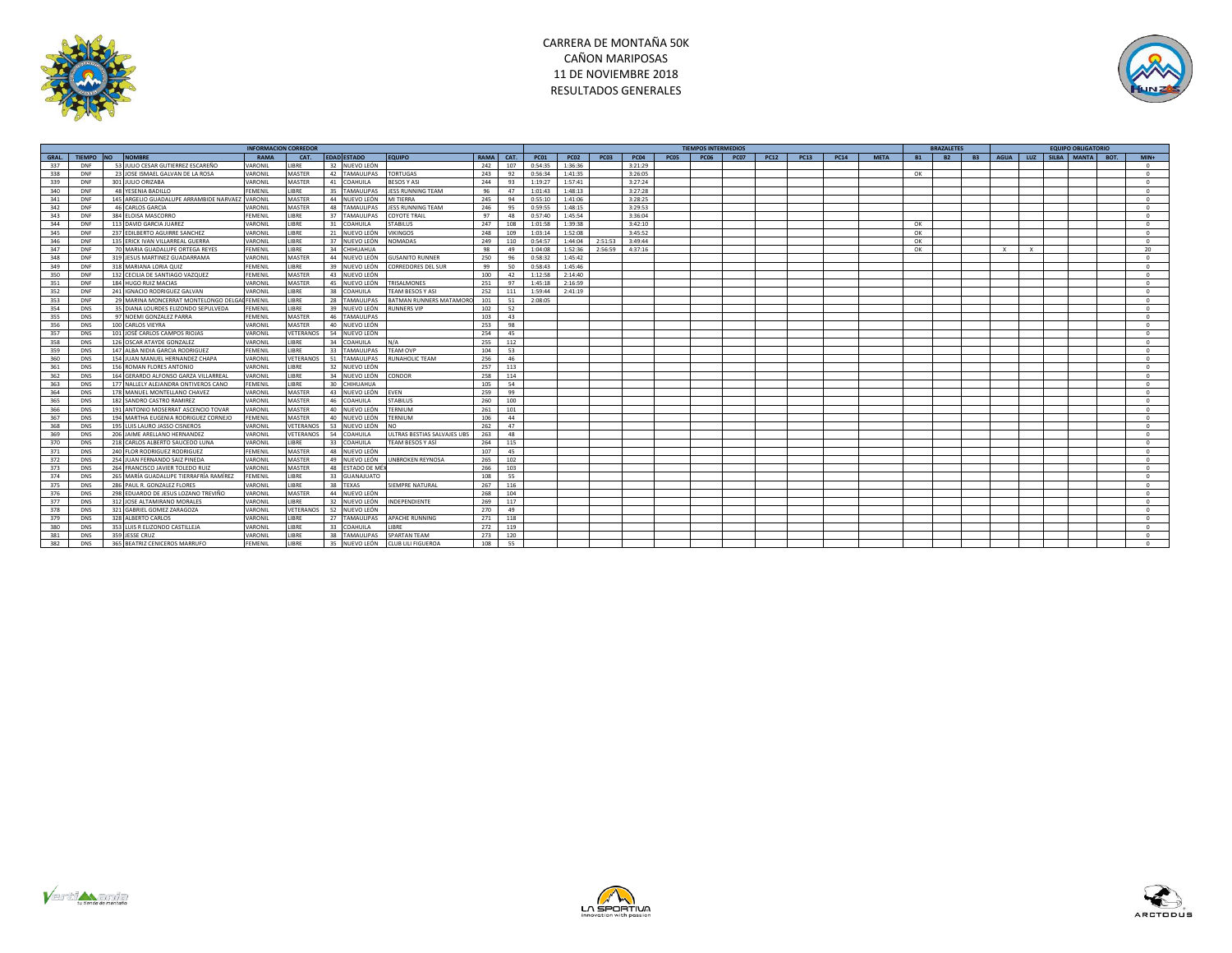



|             |            |                                                 |                 | <b>INFORMACION CORREDOR</b> |                         |                             |      |      |             |             |             |             |                  | <b>TIEMPOS INTERMEDIOS</b> |             |             |             |             |             |           | <b>BRAZALETES</b> |           |              |              | <b>EQUIPO OBLIGATORIO</b> |            |
|-------------|------------|-------------------------------------------------|-----------------|-----------------------------|-------------------------|-----------------------------|------|------|-------------|-------------|-------------|-------------|------------------|----------------------------|-------------|-------------|-------------|-------------|-------------|-----------|-------------------|-----------|--------------|--------------|---------------------------|------------|
| <b>GRAL</b> | TIEMPO NO  | <b>NOMBRE</b>                                   | RAMA            | CAT.                        | <b>EDAD ESTADO</b>      | <b>EQUIPO</b>               | RAMA | CAT. | <b>PC01</b> | <b>PC02</b> | <b>PC03</b> | <b>PC04</b> | PCO <sub>5</sub> | <b>PC06</b>                | <b>PC07</b> | <b>PC12</b> | <b>PC13</b> | <b>PC14</b> | <b>MFTA</b> | <b>B1</b> | B2                | <b>B3</b> | AGUA I       | LUZ          | SILBA MANTA ROT.          | $MIN +$    |
| 337         | DNF        | 53 JULIO CESAR GUTIERREZ ESCAREÑO               | VARONIL         | <b>LIBRE</b>                | 32 NUEVO LEÓN           |                             | 242  | 107  | 0.54.35     | 1:36:36     |             | 3:21:29     |                  |                            |             |             |             |             |             |           |                   |           |              |              |                           | $\Omega$   |
| 338         | DNF        | 23 JOSE ISMAEL GALVAN DE LA ROSA                | VARONIL         | MASTER                      | 42 TAMAULIPAS           | <b>TORTUGAS</b>             | 243  | 92   | 0:56:34     | 1:41:35     |             | 3:26:05     |                  |                            |             |             |             |             |             | OK        |                   |           |              |              |                           | $\Omega$   |
| 339         | DNF        | 301 JULIO ORIZABA                               | VARONIL         | <b>MASTER</b>               | 41 COAHUILA             | BESOS Y ASI                 | 244  | 93   | 1:19:27     | 1:57:41     |             | 3:27:24     |                  |                            |             |             |             |             |             |           |                   |           |              |              |                           | $\Omega$   |
| 340         | <b>DNF</b> | 48 YESENIA BADILLO                              | <b>FEMENIL</b>  | <b>LIBRE</b>                | 35 TAMAULIPAS           | <b>ESS RUNNING TEAM</b>     | 96   | 47   | 1:01:43     | 1:48:13     |             | 3:27:28     |                  |                            |             |             |             |             |             |           |                   |           |              |              |                           | $\Omega$   |
| 341         | DNF        | 145 ARGELIO GUADALUPE ARRAMBIDE NARVAEZ VARONIL |                 | MASTER                      | 44 NUEVO LEÓN           | MI TIERRA                   | 245  | 94   | 0:55:10     | 1:41:06     |             | 3:28:25     |                  |                            |             |             |             |             |             |           |                   |           |              |              |                           | $\Omega$   |
| 342         | DNF        | 46 CARLOS GARCIA                                | VARONIL         | MASTER                      | 48<br><b>TAMAULIPAS</b> | <b>ESS RUNNING TEAM</b>     | 246  | 95   | 0:59:55     | 1:48:15     |             | 3:29:53     |                  |                            |             |             |             |             |             |           |                   |           |              |              |                           | $\sim$     |
| 343         | DNF        | 384 ELOISA MASCORRO                             | <b>FEMENIL</b>  | <b>LIBRE</b>                | 37<br><b>TAMAULIPAS</b> | <b>COYOTE TRAIL</b>         | 97   | 48   | 0:57:40     | 1:45:54     |             | 3:36:04     |                  |                            |             |             |             |             |             |           |                   |           |              |              |                           | $\Omega$   |
| 344         | DNF        | 113 DAVID GARCIA IUAREZ                         | VARONIL         | <b>LIBRE</b>                | 31<br><b>COAHUILA</b>   | TARILUS.                    | 247  | 108  | 1:01:58     | 1:39:38     |             | 3:42:10     |                  |                            |             |             |             |             |             | OK        |                   |           |              |              |                           | $\Omega$   |
| 345         | DNF        | 237 EDILBERTO AGUIRRE SANCHEZ                   | VARONIL         | <b>LIBRE</b>                | 21<br>NUEVO LEÓN        | <b>IKINGOS</b>              | 248  | 109  | 1:03:14     | 1:52:08     |             | 3:45:52     |                  |                            |             |             |             |             |             | OK        |                   |           |              |              |                           | $\Omega$   |
| 346         | DNF        | 135 ERICK IVAN VILLARREAL GUERRA                | VARONIL         | LIBRE                       | 37<br>NUEVO LEÓN        | <b>IOMADAS</b>              | 249  | 110  | 0:54:57     | 1:44:04     | 2:51:53     | 3:49:44     |                  |                            |             |             |             |             |             | OK        |                   |           |              |              |                           | $\sqrt{2}$ |
| 347         | <b>DNF</b> | 70 MARIA GUADALUPE ORTEGA REYES                 | <b>FEMENIL</b>  | LIBRE                       | 34<br>CHIHUAHUA         |                             | 98   | 49   | 1:04:08     | 1:52:36     | 2:56:59     | 4:37:16     |                  |                            |             |             |             |             |             | OK        |                   |           | $\mathbf{x}$ | $\mathbf{x}$ |                           | 20         |
| 348         | DNF        | 319 JESUS MARTINEZ GUADARRAMA                   | VARONIL         | MASTER                      | 44 NUEVO LEÓN           | <b>GUSANITO RUNNER</b>      | 250  | 96   | 0:58:32     | 1:45:42     |             |             |                  |                            |             |             |             |             |             |           |                   |           |              |              |                           | $\Omega$   |
| 349         | DNF        | 318 MARIANA LORIA QUIZ                          | FFMFNII         | <b>LIBRE</b>                | 39 NUEVO LEÓN           | ORREDORES DEL SUR           | 99   | 50   | 0:58:43     | 1:45:46     |             |             |                  |                            |             |             |             |             |             |           |                   |           |              |              |                           | $\sim$     |
| 350         | DNF        | 132 CECILIA DE SANTIAGO VAZQUEZ                 | <b>FEMENIL</b>  | MASTER                      | 43 NUEVO LEÓN           |                             | 100  | 42   | 1:12:58     | 2:14:40     |             |             |                  |                            |             |             |             |             |             |           |                   |           |              |              |                           | $\Omega$   |
| 351         | DNF        | 184 HUGO RUIZ MACIAS                            | VARONIL         | <b>MASTER</b>               | 45 NUEVO LEÓN           | <b><i>FRISALMONES</i></b>   | 251  | 97   | 1:45:18     | 2:16:59     |             |             |                  |                            |             |             |             |             |             |           |                   |           |              |              |                           | $\Omega$   |
| 352         | DNF        | 241 IGNACIO RODRIGUEZ GALVAN                    | VARONIL         | <b>LIBRE</b>                | 38<br>COAHUILA          | <b>EAM BESOS Y ASI</b>      | 252  | 111  | 1:59:44     | 2:41:19     |             |             |                  |                            |             |             |             |             |             |           |                   |           |              |              |                           | $\Omega$   |
| 353         | DNF        | 29 MARINA MONCERRAT MONTELONGO DELG             | <b>UFEMENIL</b> | <b>LIBRE</b>                | 28<br><b>TAMAULIPAS</b> | BATMAN RUNNERS MATAMORO     | 101  | 51   | 2:08:05     |             |             |             |                  |                            |             |             |             |             |             |           |                   |           |              |              |                           | $\Omega$   |
| 354         | <b>DNS</b> | 35 DIANA LOURDES ELIZONDO SEPULVEDA             | <b>FEMENIL</b>  | <b>LIBRE</b>                | 39<br>NUEVO LEÓN        | <b>IUNNERS VIP</b>          | 102  | 52   |             |             |             |             |                  |                            |             |             |             |             |             |           |                   |           |              |              |                           | $\sqrt{2}$ |
| 355         | <b>DNS</b> | 97 NOEMI GONZALEZ PARRA                         | FEMENIL         | MASTER                      | 46<br><b>TAMAULIPAS</b> |                             | 103  | 43   |             |             |             |             |                  |                            |             |             |             |             |             |           |                   |           |              |              |                           | $\Omega$   |
| 356         | <b>DNS</b> | 100 CARLOS VIEYRA                               | VARONIL         | <b>MASTER</b>               | 40 NUEVO LEÓN           |                             | 253  | 98   |             |             |             |             |                  |                            |             |             |             |             |             |           |                   |           |              |              |                           | $^{\circ}$ |
| 357         | <b>DNS</b> | 101 JOSÉ CARLOS CAMPOS RIOJAS                   | VARONIL         | VETERANOS                   | 54 NUEVO LEÓN           |                             | 254  | 45   |             |             |             |             |                  |                            |             |             |             |             |             |           |                   |           |              |              |                           | $\Omega$   |
| 358         | <b>DNS</b> | 126 OSCAR ATAYDE GONZALEZ                       | VARONIL         | <b>LIBRE</b>                | 34 COAHUILA             | N/A                         | 255  | 112  |             |             |             |             |                  |                            |             |             |             |             |             |           |                   |           |              |              |                           | $\Omega$   |
| 359         | <b>DNS</b> | 147 ALBA NIDIA GARCIA RODRIGUEZ                 | FEMENIL         | LIBRE                       | 33<br><b>TAMAULIPAS</b> | <b>TEAM OVP</b>             | 104  | 53   |             |             |             |             |                  |                            |             |             |             |             |             |           |                   |           |              |              |                           | $\sqrt{2}$ |
| 360         | <b>DNS</b> | 154 JUAN MANUEL HERNANDEZ CHAPA                 | VARONIL         | VETERANO                    | 51<br><b>TAMAULIPAS</b> | <b>NUNAHOLIC TEAM</b>       | 256  | 46   |             |             |             |             |                  |                            |             |             |             |             |             |           |                   |           |              |              |                           | $\Omega$   |
| 361         | <b>DNS</b> | 156 ROMAN FLORES ANTONIO                        | VARONIL         | LIBRE                       | 32 NUEVO LEÓN           |                             | 257  | 113  |             |             |             |             |                  |                            |             |             |             |             |             |           |                   |           |              |              |                           | $\Omega$   |
| 362         | <b>DNS</b> | 164 GERARDO ALFONSO GARZA VILLARREA             | VARONIL         | LIBRE                       | 34 NUEVO LEÓN           | CONDOR                      | 258  | 114  |             |             |             |             |                  |                            |             |             |             |             |             |           |                   |           |              |              |                           | $\Omega$   |
| 363         | <b>DNS</b> | 177 NALLELY ALEJANDRA ONTIVEROS CANO            | <b>FEMENIL</b>  | <b>LIBRE</b>                | 30 CHIHUAHUA            |                             | 105  | 54   |             |             |             |             |                  |                            |             |             |             |             |             |           |                   |           |              |              |                           | $\Omega$   |
| 364         | <b>DNS</b> | 178 MANUEL MONTELLANO CHAVEZ                    | VARONIL         | <b>MASTER</b>               | 43 NUEVO LEÓN           | <b>EVEN</b>                 | 259  | 99   |             |             |             |             |                  |                            |             |             |             |             |             |           |                   |           |              |              |                           | $\Omega$   |
| 365         | <b>DNS</b> | 182 SANDRO CASTRO RAMIREZ                       | VARONIL         | MASTER                      | 46 COAHUILA             | TABILUS                     | 260  | 100  |             |             |             |             |                  |                            |             |             |             |             |             |           |                   |           |              |              |                           | $\Omega$   |
| 366         | DNS        | 191 ANTONIO MOSERRAT ASCENCIO TOVAR             | VARONIL         | <b>MASTER</b>               | 40 NUEVO LEÓN           | <b><i>ERNIUM</i></b>        | 261  | 101  |             |             |             |             |                  |                            |             |             |             |             |             |           |                   |           |              |              |                           | $\Omega$   |
| 367         | <b>DNS</b> | 194 MARTHA EUGENIA RODRIGUEZ CORNEJO            | <b>FEMENIL</b>  | MASTER                      | 40 NUEVO LEÓN           | ERNIUM                      | 106  | 44   |             |             |             |             |                  |                            |             |             |             |             |             |           |                   |           |              |              |                           | $\sim$     |
| 368         | <b>DNS</b> | 195 LUIS LAURO JASSO CISNEROS                   | VARONIL         | VETERANOS                   | 53<br>NUEVO LEÓN        |                             | 262  | 47   |             |             |             |             |                  |                            |             |             |             |             |             |           |                   |           |              |              |                           | $\Omega$   |
| 369         | <b>DNS</b> | 206 JAIME ARELLANO HERNANDEZ                    | VARONII         | <b>VETERANO</b>             | 54<br><b>COAHUILA</b>   | JLTRAS BESTIAS SALVAJES UBS | 263  | 48   |             |             |             |             |                  |                            |             |             |             |             |             |           |                   |           |              |              |                           | $\Omega$   |
| 370         | <b>DNS</b> | 218 CARLOS ALBERTO SAUCEDO LUNA                 | VARONIL         | <b>LIBRE</b>                | 33 COAHUILA             | <b>FEAM BESOS Y ASÍ</b>     | 264  | 115  |             |             |             |             |                  |                            |             |             |             |             |             |           |                   |           |              |              |                           | $\Omega$   |
| 371         | DNS        | 240 FLOR RODRIGUEZ RODRIGUEZ                    | FEMENIL         | MASTER                      | 48 NUEVO LEÓN           |                             | 107  | 45   |             |             |             |             |                  |                            |             |             |             |             |             |           |                   |           |              |              |                           | $\Omega$   |
| 372         | <b>DNS</b> | 254 JUAN FERNANDO SAIZ PINEDA                   | VARONIL         | MASTER                      | 49 NUEVO LEÓN           | NBROKEN REYNOSA             | 265  | 102  |             |             |             |             |                  |                            |             |             |             |             |             |           |                   |           |              |              |                           | $\Omega$   |
| 373         | <b>DNS</b> | 264 FRANCISCO JAVIER TOLEDO RUIZ                | VARONIL         | MASTER                      | 48 ESTADO DE MÉ         |                             | 266  | 103  |             |             |             |             |                  |                            |             |             |             |             |             |           |                   |           |              |              |                           | $\Omega$   |
| 374         | <b>DNS</b> | 265 MARÍA GUADALUPE TIERRAFRÍA RAMÍREZ          | <b>FEMENIL</b>  | <b>LIBRE</b>                | 33 GUANAJUATO           |                             | 108  | 55   |             |             |             |             |                  |                            |             |             |             |             |             |           |                   |           |              |              |                           | $\Omega$   |
| 375         | <b>DNS</b> | 286 PAUL R. GONZALEZ FLORES                     | VARONIL         | LIBRE                       | 38 TEXAS                | SIEMPRE NATURAL             | 267  | 116  |             |             |             |             |                  |                            |             |             |             |             |             |           |                   |           |              |              |                           | $\Omega$   |
| 376         | <b>DNS</b> | 298 EDUARDO DE JESUS LOZANO TREVIÑO             | VARONIL         | MASTER                      | 44 NUEVO LEÓN           |                             | 268  | 104  |             |             |             |             |                  |                            |             |             |             |             |             |           |                   |           |              |              |                           | $\sqrt{2}$ |
| 377         | <b>DNS</b> | 312 JOSE ALTAMIRANO MORALES                     | VARONIL         | LIBRE                       | 32 NUEVO LEÓN           | INDEPENDIENTE               | 269  | 117  |             |             |             |             |                  |                            |             |             |             |             |             |           |                   |           |              |              |                           | $\Omega$   |
| 378         | <b>DNS</b> | 321 GABRIEL GOMEZ ZARAGOZA                      | VARONIL         | VETERANO                    | 52<br>NUEVO LEÓN        |                             | 270  | 49   |             |             |             |             |                  |                            |             |             |             |             |             |           |                   |           |              |              |                           | $\Omega$   |
| 379         | <b>DNS</b> | 328 ALBERTO CARLOS                              | VARONIL         | LIBRE                       | 27<br><b>TAMAULIPAS</b> | APACHE RUNNING              | 271  | 118  |             |             |             |             |                  |                            |             |             |             |             |             |           |                   |           |              |              |                           | $\sqrt{2}$ |
| 380         | <b>DNS</b> | 353 LUIS R ELIZONDO CASTILLEJA                  | VARONIL         | LIBRE                       | 33<br>COAHUILA          | <b>IRRF</b>                 | 272  | 119  |             |             |             |             |                  |                            |             |             |             |             |             |           |                   |           |              |              |                           | $\sqrt{2}$ |
| 381         | <b>DNS</b> | 359 JESSE CRUZ                                  | VARONIL         | LIBRE                       | 38<br><b>TAMAULIPAS</b> | <b>SPARTAN TEAM</b>         | 273  | 120  |             |             |             |             |                  |                            |             |             |             |             |             |           |                   |           |              |              |                           | $\Omega$   |
| 382         | <b>DNS</b> | 365 BEATRIZ CENICEROS MARRUEO                   | <b>FFMENIL</b>  | <b>LIBRE</b>                | 35 NUEVO LEÓN           | CIUR I II I FIGUEROA        | 108  | 55   |             |             |             |             |                  |                            |             |             |             |             |             |           |                   |           |              |              |                           | $\sqrt{2}$ |





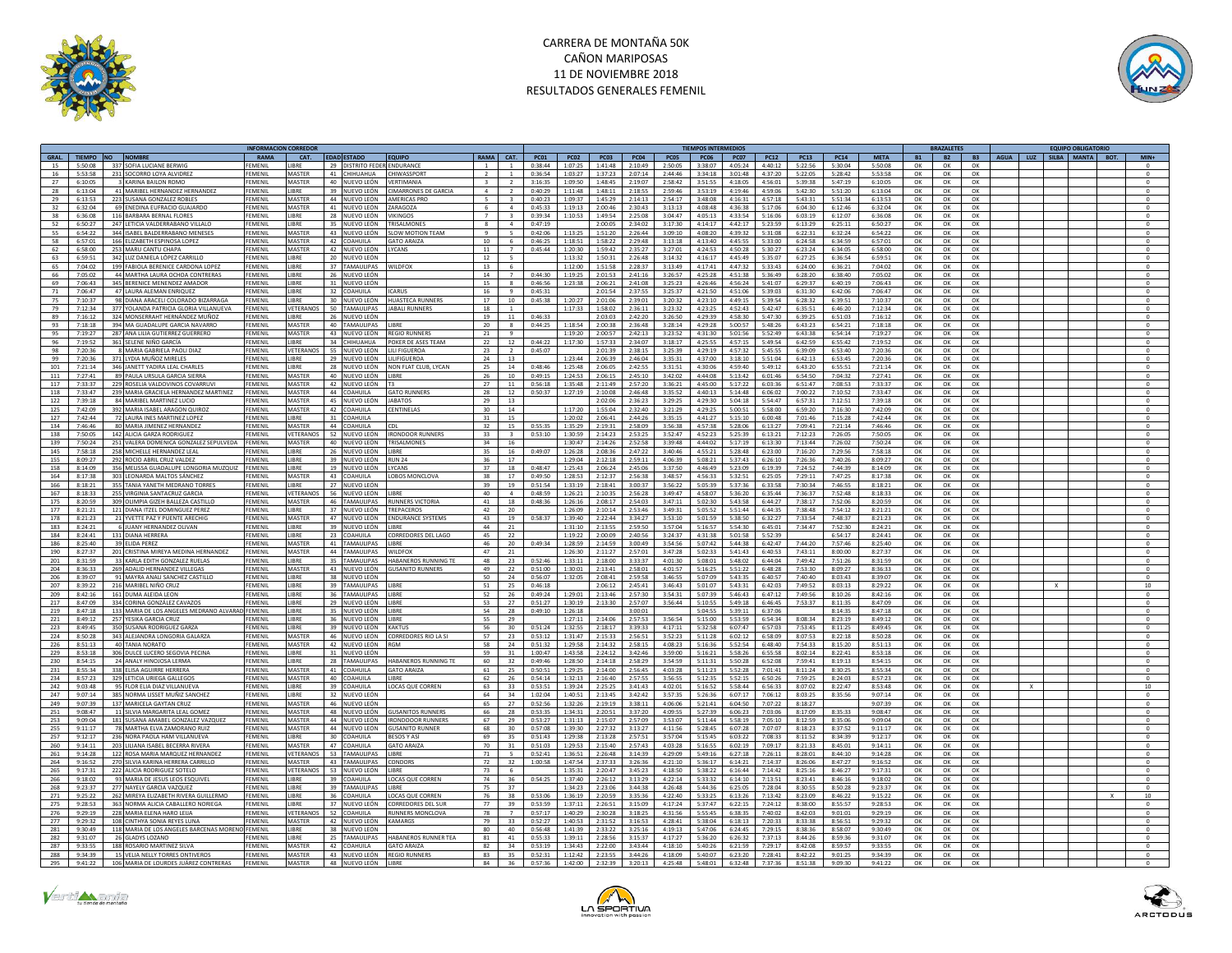



|       |             |                                                 |                | <b>NFORMACION CORREDO</b> |                             |                                   |                         |                          |             |             |             |             |             | <b>IEMPOS INTERMEDIO:</b> |               |             |               |             |             |           |           |          |  | <b>EQUIPO OBLIGATORIO</b>              |                  |
|-------|-------------|-------------------------------------------------|----------------|---------------------------|-----------------------------|-----------------------------------|-------------------------|--------------------------|-------------|-------------|-------------|-------------|-------------|---------------------------|---------------|-------------|---------------|-------------|-------------|-----------|-----------|----------|--|----------------------------------------|------------------|
| GRAL. |             | TIEMPO NO NOMBRE                                | RAMA           | CAT.                      | EDAD ESTADO                 | <b>EQUIPO</b>                     |                         | RAMA CAT.                | <b>PC01</b> | <b>PC02</b> | <b>PC03</b> | <b>PC04</b> | <b>PC05</b> | <b>PC06</b>               | <b>PC07</b>   | <b>PC12</b> | <b>PC13</b>   | <b>PC14</b> | <b>META</b> | <b>B1</b> | <b>B2</b> |          |  | B3   AGUA   LUZ   SILBA   MANTA   BOT. | $MIN+$           |
| 15    |             | 5:50:08 337 SOFIA LUCIANE BERWIG                | FEMENII        | <b>JBRE</b>               | 29 DISTRITO FEDER ENDURANCE |                                   |                         | $\overline{1}$           | 0:38:44     | 1:07:25     | 1:41:48     | 2:10:49     | 2:50:05     | 3:38:07                   | 4:05:24       | 4:40:12     | 5:22:56       | 5:30:04     | 5:50:08     | ок        | OK        | OK       |  |                                        | $\mathbf 0$      |
| 16    | 5:53:58     | 231 SOCORRO LOYA ALVIDREZ                       | EMENII         | MASTER                    | 41 CHIHUAHUA                | CHIWASSPORT                       |                         | $\overline{1}$           | 0:36:54     | 1:03:27     | 1:37:23     | 2:07:14     | 2:44:46     | 3:34:18                   | 3:01:48       | 4:37:20     | 5:22:05       | 5:28:42     | 5:53:58     | OK        | OK        | OK       |  |                                        | $\circ$          |
| 27    | 6:10:05     | 3 KARINA BAILON ROMO                            | FEMENIL        | MASTER                    | 40 NUEVO LEÓN               | VERTIMANIA                        | $\overline{\mathbf{3}}$ | $\overline{2}$           | 3:16:35     | 1:09:50     | 1:48:45     | 2:19:07     | 2:58:42     | 3:51:55                   | 4:18:05       | 4:56:01     | 5:39:38       | 5:47:19     | 6:10:05     | ОК        | OK        | OK       |  |                                        | $\circ$          |
| 28    | 6:13:04     | 41 MARIBEL HERNANDEZ HERNANDEZ                  | FEMENII        | LIBRE                     | 39 NUEVO LEÓN               | <b>CIMARRONES DE GARCIA</b>       | $\sim$                  | $\overline{2}$           | 0:40:29     | 1:11:48     | 1:48:11     | 2:18:55     | 2:59:46     | 3:53:19                   | 4:19:46       | 4:59:06     | 5:42:30       | 5:51:20     | 6:13:04     | ΩK        | OK        | OK       |  |                                        | $^{\circ}$       |
| 29    | 6:13:53     | 223 SUSANA GONZALEZ ROBLES                      | FEMENII        | MASTER                    | 44 NUEVO LEÓN               | AMERICAS PRO                      | 5 <sup>1</sup>          | $\mathbf{R}$             | 0:40:23     | 1:09:37     | 1:45:29     | 2.14.13     | 2:54:17     | 3.48.08                   | 4:16:31       | 4:57:18     | 5:43:31       | 5:51:34     | 6:13:53     | ОК        | OK        | OK       |  |                                        | $\circ$          |
| 32    | 6:32:04     | 69 ENEDINA EUFRACIO GUAJARDO                    | EMENI          | MASTER                    | 41 NUEVO LEÓN               | ZARAGOZA                          | 6.                      | $\mathbf{A}$             | 0:45:33     | 1:19:13     | 2:00:46     | 2:30:43     | 3:13:13     | 4:08:48                   | 4:36:38       | 5:17:06     | 6:04:30       | 6:12:46     | 6:32:04     | OK        | OK        | OK       |  |                                        | $^{\circ}$       |
| 38    | 6:36:08     | 116 BARBARA BERNAL FLORES                       | FFMFNII        | <b>IRRF</b>               | 28 NUEVO LEÓN               | <b>VIKINGOS</b>                   | $\overline{7}$          | $\mathbf{R}$             | 0:39:34     | 1:10:53     | 1:49:54     | 2:25:08     | 3:04:47     | 4:05:13                   | 4:33:54       | 5:16:06     | 6:03:19       | 6:12:07     | 6:36:08     | OK        |           |          |  |                                        | $\circ$          |
|       |             |                                                 |                |                           |                             |                                   |                         |                          |             |             |             |             |             |                           |               |             |               |             |             |           | OK        | OK       |  |                                        |                  |
| 52    | 6:50:27     | 247 LETICIA VALDERRABANO VILLALO                | FEMENIL        | <b>JBRE</b>               | 35 NUEVO LEÓN               | <b>TRISALMONES</b>                | $\mathbf{R}$            | $\overline{a}$           | 0:47:19     |             | 2:00:05     | 2:34:02     | 3:17:30     | 4:14:17                   | 4:42:17       | 5:23:59     | 6:13:29       | 6:25:11     | 6:50:27     | OK        | OK        | OK       |  |                                        | $\circ$          |
| 55    | 6:54:22     | 344 ISAREL BALDERRABANO MENESES                 | FEMENII        | MASTER                    | 43 NUEVO LEÓN               | SLOW MOTION TEAM                  | $\alpha$                | $\overline{5}$           | 0:42:06     | 1.13.25     | 1:51:20     | 2:26:44     | 3:09:10     | $A - 0.8 - 20$            | $A - 20 - 27$ | 5:31:08     | 6:22:31       | 6:32:24     | 6:54:22     | OK        | $\Omega$  | OK       |  |                                        | $\circ$          |
| 58    | 6:57:01     | 166 ELIZABETH ESPINOSA LOPEZ                    | EMENI          | MASTER                    | 42 COAHUILA                 | <b>GATO ARAIZA</b>                | 10 <sup>10</sup>        | 6                        | 0:46:25     | 1:18:51     | 1:58:22     | 2:29:48     | 3:13:18     | 4:13:40                   | 4:45:55       | 5:33:00     | 6:24:58       | 6:34:59     | 6:57:01     | OK        | OK        | OK       |  |                                        | $\mathbf 0$      |
| 62    | 6:58:00     | 253 MARU CANTU CHAPA                            | FEMENII        | MASTER                    | 42 NUEVO LEÓN               | YCANS                             | 11                      | $\overline{7}$           | 0:45:44     | 1:20:30     | 1:59:42     | 2:35:27     | 3:27:01     | 4:24:53                   | 4:50:28       | 5:30:27     | 6:23:24       | 6:34:05     | 6:58:00     | OK        | OK        | OK       |  |                                        | $\circ$          |
| 63    | 6:59:51     | 342 LUZ DANIELA LÓPEZ CARRILLO                  | FEMENII        | <b>JBRE</b>               | 20 NUEVO LEÓN               |                                   | 12                      | $\overline{5}$           |             | 1:13:32     | 1:50:31     | 2:26:48     | 3:14:32     | 4:16:17                   | 4:45:49       | 5:35:07     | 6:27:25       | 6:36:54     | 6:59:51     | OK        | OK        | OK       |  |                                        | $\circ$          |
| 65    | 7:04:02     | 199 FABIOLA BERENICE CARDONA LOPEZ              | FEMENIL        | LIBRE                     | 37 TAMAULIPAS               | WILDFOX                           | 13                      | - 6                      |             | 1:12:00     | 1:51:58     | 2:28:37     | 3:13:49     | 4:17:41                   | 4:47:32       | 5:33:43     | 6:24:00       | 6:36:21     | 7:04:02     | ОК        | OK        | OK       |  |                                        | $\circ$          |
| 66    | 7:05:02     | 44 MARTHA LAURA OCHOA CONTRERAS                 | EMENIL         | <b>JBRE</b>               | NUEVO LEÓN<br>26            |                                   | 14                      | $\overline{7}$           | 0.4430      | 1:19:25     | 2:01:53     | 2:41:16     | 3:26:57     | 4:25:28                   | 4:51:38       | 5:36:49     | 6:28:20       | 6:38:40     | 7:05:02     | OK        | OK        | OK       |  |                                        | $\circ$          |
| 69    | 7.06:43     | 345 BERENICE MENENDEZ AMADOR                    | FFMFNII        | <b>IIRRF</b>              | 31 NUEVO LEÓN               |                                   | 15                      | $\mathbf{R}$             | 0.46:56     | 1:23:38     | 2:06:21     | 2:41:08     | 3:25:23     | 4:26:46                   | 4:56:24       | 5:41:07     | 6:29:37       | 6:40:19     | 7:06:43     | OK        | OK        | OK       |  |                                        | $\circ$          |
| 71    | 7:06:47     | 47 LAURA ALEMAN ENRIQUEZ                        | FEMENII        | <b>IRRF</b>               | 32 COAHUILA                 | <b>ICARUS</b>                     | 16                      | $\mathbf{q}$             | 0:45:31     |             | 2:01:54     | $2.37 - 55$ | 3:25:37     | 4:21:50                   | 4:51:06       | 5:39:03     | 6:31:30       | 6:42:06     | 7:06:47     | OK        | OK        | $\Omega$ |  |                                        | $\circ$          |
| 75    | 7.10.37     | 98 DIANA ARACELI COLORADO BIZARRAGA             | FFMFNII        | <b>IRRF</b>               | 30 NUEVO LEÓN               | <b>HUASTECA RUNNERS</b>           | 17                      | 10                       | 0.45.38     | 1:20:27     | 2:01:06     | 2.39:01     | 3:20:32     | 4:23:10                   | 4:49:15       | 5:39:54     | 6:28:32       | 6:39:51     | 7:10:37     | OK        | OK        | OK       |  |                                        | $^{\circ}$       |
|       | 7:12:34     | 377 YOLANDA PATRICIA GLORIA VILLANUEVA          | EMENI          | VETERANOS                 | 50 TAMAULIPAS               |                                   | 18                      |                          |             | 1:17:33     | 1:58:02     |             | 3:23:32     |                           | 4:52:43       | 5:42:47     |               |             | 7:12:34     | OK        | OK        | OK       |  |                                        |                  |
| 79    |             | 324 MONSERRAHT HERNÁNDEZ MUÑOZ                  | FFMFNII        | LIBRE                     |                             | <b>JABALI RUNNERS</b>             |                         | $\overline{1}$           | 0:46:33     |             |             | 2:36:11     |             | 4:23:25                   |               |             | 6:35:51       | 6:46:20     |             |           |           |          |  |                                        | $^{\circ}$       |
| 89    | 7:16:12     |                                                 |                |                           | 26 NUEVO LEÓN               |                                   | 19                      | $11\,$                   |             |             | 2:03:03     | 2:42:20     | 3:26:50     | 4:29:39                   | 4:58:30       | 5:47:30     | 6:39:25       | 6:51:03     | 7:16:12     | OK        | OK        | OK       |  |                                        | $\circ$          |
| 93    | 7:18:18     | 394 MA GUADALUPE GARCIA NAVARRO                 | FEMENII        | MASTER                    | 40 TAMAULIPAS               | LIBRI                             | 20                      | 8                        | 0:44:25     | 1:18:54     | 2:00:38     | 2:36:48     | 3:28:14     | 4:29:28                   | 5:00:57       | 5:48:26     | 6:43:23       | 6:54:21     | 7:18:18     | OK        | OK        | OK       |  |                                        | $\circ$          |
| 95    | 7:19:27     | 287 ANA LILIA GUTIERREZ GUERRERO                | FFMFNII        | MASTER                    | 43 NUEVO LEÓN               | <b>REGIO RUNNERS</b>              | 21                      | $\mathbf{q}$             |             | 1:19:20     | 2:00:57     | 2.42:13     | 3:23:52     | 4:31:30                   | 5:01:56       | $5.52 - 49$ | 6:43:38       | 6:54:14     | 7:19:27     | OK        | OK        | OK       |  |                                        | $\circ$          |
| 96    | 7:19:52     | 361 SELENE NIÑO GARCÍA                          | EMENII         | <b>JBRE</b>               | 34 CHIHUAHUA                | POKER DE ASES TEAM                | 22                      | 12                       | 0:44:22     | 1:17:30     | 1:57:33     | 2:34:07     | 3:18:17     | 4:25:55                   | 4:57:15       | 5:49:54     | 6:42:59       | 6:55:42     | 7:19:52     | OK        | OK        | OK       |  |                                        | $\circ$          |
| 98    | $7.20 - 36$ | <b>8 MARIA GARRIELA PAOLI DIAZ</b>              | FEMENII        | VETERANOS                 | 55 NUEVO LEÓN               | <b>IIII FIGUEROA</b>              | 22                      | $\overline{2}$           | 0:45:07     |             | $2.01 - 39$ | 2.38:15     | 3.25.39     | $A - 29 - 19$             | $A - 57 - 37$ | 5-45-55     | 6:39:09       | 6-53-40     | 7:20:36     | OK        | OK        | OK       |  |                                        | $\Omega$         |
| 99    | 7:20:36     | 371 LYDIA MUÑOZ MIRELES                         | FEMENII        | <b>JBRE</b>               | 29 NUEVO LEÓN LILIFIGUEROA  |                                   | 24                      | 13                       |             | 1:23:44     | 2:06:39     | 2:46:04     | 3:35:31     | 4:37:00                   | 3:18:10       | 5:51:04     | 6:42:13       | 6:53:45     | 7:20:36     | OK        | OK        | OK       |  |                                        | $\circ$          |
| 101   | 7:21:14     | 346 IANETT YADIRA I FALCHARLES                  | <b>FMFNII</b>  | <b>IRRF</b>               |                             | 28 NUEVO LEÓN NON FLAT CIUB LYCAN | 25                      | 14                       | 0.48:46     | 1:25:48     | 2:06:05     | 2.42.55     | 3:31:51     | 4:30:06                   | 4:59:40       | 5:49:12     | 6:43:20       | 6:55:51     | 7:21:14     | OK        | OK        | OK       |  |                                        | $\Omega$         |
| 111   | 7:27:41     | 89 PAULA URSULA GARCIA SIERRA                   | EMENI          | MASTER                    | 40 NUEVO LEÓN               | LIBRE                             | 26                      | 10                       | 0:49:15     | 1:24:53     | 2:06:15     | 2:45:10     | 3:42:02     | 4:44:08                   | 5:13:42       | 6:01:46     | 6:54:50       | 7:04:32     | 7:27:41     | OK        | OK        | OK       |  |                                        | $\bf 0$          |
| 117   | 7.33.37     | 229 ROSELIA VALDOVINOS COVARRUV                 | FFMFNII        | MASTER                    | 42 NUEVO LEÓN               | IT3.                              | 27                      | 11                       | 0:56:18     | 1:35:48     | 2:11:49     | 2.57:20     | 3:36:21     | 4.45:00                   | 5:17:22       | 6:03:36     | 6:51:47       | 7:08:53     | 7.33.37     | OK        | OK        | OK       |  |                                        | $^{\circ}$       |
| 118   | 7:33:47     | 239 MARIA GRACIELA HERNANDEZ MARTINEZ           | FEMENII        | MASTER                    | 44 COAHUILA                 | <b>GATO RUNNERS</b>               | 28                      | 12                       | 0:50:37     | 1:27:19     | 2:10:08     | 2:46:48     | 3:35:52     | 4:40:13                   | 5:14:48       | 6:06:02     | 7:00:22       | 7:10:52     | 7:33:47     | OK        | OK        | OK       |  |                                        | $\circ$          |
| 122   | 7.39.18     | 84 MARIREL MARTINEZ LUCIO                       | FFMFNII        | MASTER                    | 45 NUEVO LEÓN               | <b>IARATOS</b>                    | 29                      | 13                       |             |             | 2:02:06     | 2.36.23     | 3.29.25     | 4:29:30                   | 5:04:18       | 5:54:47     | 6:57:31       | 7:12:51     | 7:39:18     | OK        | OK        | OK       |  |                                        | $\Omega$         |
| 125   | 7:42:09     | 392 MARIA ISABEL ARAGON QUIRO                   | EMENI          | MASTER                    | 42 COAHUILA                 | CENTINELAS                        | 30 <sub>o</sub>         | 14                       |             | 1:17:20     | 1:55:04     | 2:32:40     | 3:21:29     | 4:29:25                   | 5:00:51       | 5:58:00     | 6:59:20       | 7:16:30     | 7:42:09     | OK        | OK        | OK       |  |                                        | $\circ$          |
| 127   |             |                                                 |                |                           | 31 COAHUILA                 |                                   |                         |                          |             |             |             |             |             |                           |               |             |               |             |             |           |           |          |  |                                        |                  |
|       | 7.42.44     | 72 LAURA INES MARTINEZ LOPEZ                    | FFMFNII        | <b>IRRF</b>               |                             |                                   | 31                      | 15                       |             | 1:20:02     | 2:06:41     | 2:44:26     | 3:35:15     | 4:41:27                   | 5:15:10       | 6:00:48     | 7:01:46       | 7:15:28     | 7:42:44     | OK        | OK        | OK       |  |                                        | $\circ$          |
| 134   | 7:46:46     | 80 MARIA JIMENEZ HERNANDEZ                      | FEMENII        | MASTER                    | 44 COAHUILA                 | <b>CDI</b>                        | 32                      | 15                       | 0:55:35     | 1:35:29     | 2:19:31     | 2:58:09     | 3:56:38     | 4:57:38                   | 5:28:06       | 6:13:27     | 7:09:41       | 7:21:14     | 7:46:46     | OK        | OK        | OK       |  |                                        | $\circ$          |
| 138   | 7:50:05     | 142 ALICIA GARZA RODRIGUEZ                      | <b>FEMENII</b> | VETERANOS                 | 52 NUEVO LEÓN               | <b>IRONDOOR RUNNERS</b>           | 33.                     | $\overline{\mathbf{3}}$  | 0:53:10     | 1:30:59     | 2:14:23     | 2.53.25     | 3:52:47     | 4.52.23                   | 5:25:39       | 6:13:21     | 7:12:23       | 7:26:05     | 7:50:05     | OK        | OK        | OK       |  |                                        | $^{\circ}$       |
| 139   | 7:50:24     | 251 VALERA DOMENICA GONZALEZ SEPULVEDA          | EMENI          | MASTER                    | 40<br>NUEVO LEÓN            | TRISALMONES                       | 34                      | 16                       |             | 1:30:47     | 2:14:26     | 2:52:58     | 3:39:48     | 4:44:02                   | 5:17:19       | 6:13:30     | 7:13:44       | 7:26:02     | 7:50:24     | OK        | OK        | OK       |  |                                        | $\circ$          |
| 145   | 7:58:18     | 258 MICHELLE HERNANDEZ LEAL                     | FEMENIL        | LIBRE                     | 26 NUEVO LEÓN LIBRE         |                                   | 35                      | 16                       | 0:49:07     | 1:26:28     | 2:08:36     | 2:47:22     | 3:40:46     | 4:55:21                   | 5:28:48       | 6:23:00     | 7:16:20       | 7:29:56     | 7:58:18     | OK        | OK        | OK       |  |                                        | $\overline{0}$   |
| 155   | 8:09:27     | 292 ROCIO ABRIL CRUZ VALDEZ                     | FEMENII        | <b>JBRE</b>               | 39 NUEVO LEÓN               | RUN <sub>24</sub>                 | 36                      | 17                       |             | 1:29:04     | 2:12:18     | 2:59:11     | 4:06:39     | 5:08:21                   | 5:37:43       | 6:26:10     | 7:26:36       | 7:40:26     | 8:09:27     | OK        | OK        | OK       |  |                                        | $\circ$          |
| 158   | 8:14:09     | 356 MELISSA GUADALUPE LONGORIA MUZQUIZ          | FEMENII        | <b>JBRE</b>               | 19 NUEVO LEÓN               | LYCANS                            | 37                      | 18                       | 0:48:47     | 1:25:43     | 2:06:24     | 2:45:06     | 3:37:50     | 4:46:49                   | 5:23:09       | 6:19:39     | 7:24:52       | 7:44:39     | 8:14:09     | OK        | OK        | OK       |  |                                        | $\circ$          |
| 164   | 8:17:38     | 303 LEONARDA MALTOS SÁNCHEZ                     | EMENII         | MASTER                    | 43 COAHUILA                 | LOBOS MONCLOVA                    | 38                      | 17                       | 0:49:50     | 1:28:53     | 2:12:37     | 2:56:38     | 3:48:57     | 4:56:33                   | 5:32:51       | 6:25:05     | 7:29:11       | 7:47:2!     | 8:17:38     | OK        | OK        | OK       |  |                                        | $\mathbf 0$      |
| 166   | 8:18:21     | 355 TANIA YANETH MEDRANO TORRES                 | <b>FEMENIL</b> | LIBRE                     | 27 NUEVO LEÓN               |                                   | 39                      | 19                       | 0:51:54     | 1:33:19     | 2:18:41     | 3:00:37     | 3:56:22     | 5:05:39                   | 5:37:36       | 6:33:58     | 7:30:34       | 7:46:55     | 8:18:21     | OK        | OK        | OK       |  |                                        | $\circ$          |
| 167   | 8.18.33     | 255 VIRGINIA SANTACRUZ GARCIA                   | FEMENIL        | VETERANOS                 | 56 NUEVO LEÓN               | <b>LIBRE</b>                      | $40-1$                  | $\Lambda$                | $0.48 - 59$ | 1:26:21     | $2.10 - 35$ | 2.56:28     | 3.49.47     | $A - 58 - 07$             | 5:36:20       | 6-35-44     | 7.36.37       | 7:52:48     | 8:18:33     | OK        | OK        | OK       |  |                                        | $\circ$          |
| 175   | 8.20.59     | 309 OUMPIA GIZEH BALLEZA CASTILLO               | <b>FMFNI</b>   | MASTER                    | 46 TAMAUUPAS                | <b>RUNNERS VICTORIA</b>           | 41                      | 18                       | 0.48:36     | 1:26:16     | 2:08:17     | 2.54.03     | 3:47:11     | 5:02:30                   | 5.43.58       | 6:44:27     | 7.38:17       | 7:52:06     | 8:20:59     | OK        | OK        | OK       |  |                                        | $\circ$          |
| 177   | 8:21:21     | 121 DIANA ITZEL DOMINGUEZ PEREZ                 | FEMENII        | <b>IRRF</b>               | 37<br>NUEVO LEÓN            | TREPACEROS                        | 42                      | 20                       |             | 1:26:09     | 2:10:14     | 2:53:46     | 3:49:31     | 5:05:52                   | 5:51:44       | 6:44:35     | 7:38:48       | 7:54:12     | 8:21:21     | OK        | OK        | OK       |  |                                        | $\circ$          |
| 178   | 8:21:23     | 21 YVETTE PAZ Y PUENTE ARECHIO                  | FFMFNII        | MASTER                    | 47 NUEVO LEÓN               | <b>ENDURANCE SYSTEMS</b>          | 43                      | 19                       | 0.58:37     | 1:39:40     | 2:22:44     | 3:34:27     | 3:53:10     | 5:01:59                   | 5.38:50       | 6:32:27     | $7 - 33 - 54$ | 7.48.37     | 8:21:23     | OK        | OK        | $\Omega$ |  |                                        | $\Omega$         |
| 183   | 8:24:21     | 6 JUANY HERNANDEZ OLIVAN                        | FEMENII        | LIBRE                     | 39 NUEVO LEÓN               | LIBRE                             | 44                      | 21                       |             | 1:31:10     | 2:13:55     | 2:59:50     | 3:57:04     | 5:16:57                   | 5:54:30       | 6:45:01     | 7:34:47       | 7:52:30     | 8:24:21     | OK        | OK        | OK       |  |                                        | $\circ$          |
| 184   | 8:24:41     | 131 DIANA HERRERA                               | EMENI          | <b>JBRE</b>               | 23 COAHUILA                 | CORREDORES DEL LAGO               | 45                      | 22                       |             | 1:19:22     | 2:00:09     | 2:40:56     | 3:24:37     | 4:31:38                   | 5:01:58       | 5:52:39     |               | 6:54:17     | 8:24:41     | OK        | OK        | OK       |  |                                        | $^{\circ}$       |
| 186   | 8:25:40     | 39 ELIDA PEREZ                                  | EMENI          | MASTER                    | 41 TAMAULIPAS               | LIBRE                             | 46                      | 20                       | 0:49:34     | 1:28:59     | 2:14:59     | 3:00:49     | 3:54:56     | 5:07:42                   | 5:44:38       | 6:42:47     | 7:44:20       | 7:57:46     | 8:25:40     | OK        | OK        | OK       |  |                                        | $\mathbf 0$      |
| 190   | 8:27:37     | 201 CRISTINA MIREYA MEDINA HERNANDEZ            | FEMENII        | MASTER                    | 44 TAMAULIPAS               | WII DEOX                          | 47                      | 21                       |             | 1:26:30     | 2:11:27     | 2:57:01     | 3:47:28     | 5:02:33                   | 5:41:43       | 6:40:53     | 7:43:11       | 8:00:00     | 8:27:37     | OK        | OK        | OK       |  |                                        | $\circ$          |
| 201   | 8:31:59     | 33 KARLA EDITH GONZALEZ RUELAS                  | EMENI          | IBRE                      | 35 TAMAULIPAS               | HABANEROS RUNNING TI              | 48                      | 23                       | 0:52:46     | 1:33:11     | 2:18:00     | 3:33:37     | 4:01:30     | 5:08:01                   | 5:48:02       | 6:44:04     | 7:49:42       | 7:51:26     | 8:31:59     | OK        | OK        | OK       |  |                                        | $\circ$          |
| 204   | 8:36:33     | 269 ADALID HERNANDEZ VILLEGAS                   | EMENI          | MASTER                    | 43 NUEVO LEÓN               | <b>GUSANITO RUNNERS</b>           | 49                      | 22                       | 0:51:00     | 1:30:01     | 2:13:41     | 2:58:01     | 4:01:57     | 5:16:25                   | 5:51:22       | 6:48:28     | 7:53:30       | 8:09:27     | 8:36:33     | OK        | OK        | OK       |  |                                        | $^{\circ}$       |
| 206   | 8:39:07     | 91 MAYRA ANALL SANCHEZ CASTILLO                 | FFMFNII        | <b>IRRF</b>               | 38<br>NUEVO LEÓN            |                                   | 50                      | 24                       | 0:56:07     | 1:32:05     | 2:08:41     | 2:59:58     | 3:46:55     | 5:07:09                   | 5:43:35       | 6:40:57     | 7:40:40       | 8:03:43     | 8:39:07     | OK        | OK        | OK       |  |                                        | $\circ$          |
| 207   | 8:39:22     | 216 MARIBEL NIÑO CRUZ                           | FEMENII        | <b>JBRE</b>               | 39 TAMAULIPAS               | <b>IIRRF</b>                      | 51                      | 25                       | 0:46:18     |             | 2:06:12     | 2:45:41     | 3:46:43     | 5:01:07                   | 5:43:31       | 6:42:03     | 7:49:52       | 8:03:13     | 8:29:22     | OK        | OK        | OK       |  |                                        | 10 <sub>10</sub> |
| 209   | 8:42:16     | 161 DUMA ALEIDA LEON                            | FFMFNII        | <b>IRRF</b>               | 36 TAMAULIPAS               | <b>IIRRF</b>                      | 52                      | 26                       | 0.49.24     | 1:29:01     | 2:13:46     | 2:57:30     | 3:54:31     | 5:07:39                   | 5:46:43       | 6:47:12     | 7:49:56       | 8:10:26     | 8:42:16     | OK        | OK        | OK       |  |                                        | $\circ$          |
|       | 8:47:09     | 334 CORINA GONZÁLEZ CAVAZOS                     | FEMENII        | <b>JBRE</b>               | 29 NUEVO LEÓN               |                                   | 53                      |                          |             | 1:30:19     | 2:13:30     | 2:57:07     | 3:56:44     |                           | 5:49:18       | 6:46:45     |               |             | 8:47:09     |           | OK        | OK       |  |                                        |                  |
| 217   | 8:47:18     |                                                 |                | <b>IRRF</b>               |                             | LIBRE<br><b>LIBRE</b>             | 54                      | 27                       | 0:51:27     |             |             |             |             | 5:10:55                   |               |             | 7:53:37       | 8:11:35     |             | OK        |           |          |  |                                        | $^{\circ}$       |
| 219   |             | 133 MARIA DE LOS ANGELES MEDRANO ALVARAD FEMENI |                |                           | 35 NUEVO LEÓN               |                                   |                         | 28                       | 0:49:10     | 1:26:18     |             | 3:00:01     |             | 5:04:55                   | 5:39:11       | 6:37:06     |               | 8:14:35     | 8:47:18     | OK        | OK        | OK       |  |                                        | $\circ$          |
| 221   | 8:49:12     | 257 YESIKA GARCIA CRUZ                          | <b>EMENII</b>  | LIBRE                     | 36 NUEVO LEÓN               | LIBRE                             | 55                      | 29                       |             | 1:27:11     | 2:14:06     | 2:57:53     | 3:56:54     | 5:15:00                   | 5:53:59       | 6:54:34     | 8:08:34       | 8:23:19     | 8:49:12     | OK        | OK        | OK       |  |                                        | $\overline{0}$   |
| 223   | 8:49:45     | 350 SUSANA RODRIGUEZ GARZA                      | EMENI          | LIBRE                     | 39 NUEVO LEÓN               | <b>KAKTUS</b>                     | 56                      | 30                       | 0:51:24     | 1:32:55     | 2:18:17     | 3:39:33     | 4:17:11     | 5:32:58                   | 6:07:47       | 6:57:03     | 7:53:45       | 8:11:25     | 8:49:45     | ОК        | OK        | OK       |  |                                        | $\circ$          |
| 224   | 8:50:28     | 343 ALEJANDRA LONGORIA GALARZA                  | EMENIL         | MASTER                    | 46<br>NUEVO LEÓN            | CORREDORES RIO LA SI              | 57                      | 23                       | 0:53:12     | 1:31:47     | 2:15:33     | 2:56:51     | 3:52:23     | 5:11:28                   | 6:02:12       | 6:58:09     | 8:07:53       | 8:22:18     | 8:50:28     | OK        | OK        | OK       |  |                                        | $\circ$          |
| 226   | 8:51:13     | 40 TANIA NORATO                                 | FEMENIL        | MASTER                    | 42<br>NUEVO LEÓN            | <b>RGM</b>                        | 58                      | 24                       | 0:51:32     | 1:29:58     | 2:14:32     | 2:58:15     | 4:08:23     | 5:16:36                   | 5:52:54       | 6:48:40     | 7:54:33       | 8:15:20     | 8:51:13     | OK        | OK        | OK       |  |                                        | $\circ$          |
| 229   | 8:53:18     | 306 DULCE LUCERO SEGOVIA PECINA                 | <b>FFMENII</b> | <b>IRRF</b>               | 31 NUEVO LEÓN               |                                   | 59                      | 31                       | 1:00:47     | 1:43:58     | 2:24:12     | 3:42:46     | 3:59:00     | 5:16:21                   | 5:58:26       | 6:55:58     | 8:02:14       | 8:22:41     | 8:53:18     | OK        | OK        | OK       |  |                                        | $\circ$          |
| 230   | 8:54:15     | 24 ANALY HINOIOSA LERMA                         | <b>FFMFNII</b> | <b>IIRRF</b>              | 28 TAMAULIPAS               | HARANEROS RUNNING TE              | 60                      | 32                       | 0.49.46     | 1:28:50     | 2:14:18     | 2:58:29     | 3.54.59     | 5:11:31                   | 5:50:28       | 6:52:08     | 7:59:41       | 8:19:13     | 8:54:15     | OK        | OK        | OK       |  |                                        | $^{\circ}$       |
| 231   | 8:55:34     | 338 ELISA AGUIRRE HERRERA                       | EMENIL         | MASTER                    | 41 COAHUILA                 | <b>GATO ARAIZA</b>                | 61                      | 25                       | 0:50:51     | 1:29:25     | 2:14:00     | 2:56:45     | 4:03:28     | 5:11:23                   | 5:52:28       | 7:01:41     | 8:11:24       | 8:30:25     | 8:55:34     | ΩK        | OK        | OK       |  |                                        | $^{\circ}$       |
| 234   | 8:57:23     | 329 LETICIA URIEGA GALLEGOS                     | FFMFNII        | <b>MASTER</b>             | 40 COAHUILA                 | <b>LIBRE</b>                      | 62                      | 26                       | 0:54:14     | 1:32:13     | 2:16:40     | 2:57:55     | 3:56:55     | 5:12:35                   | 5:52:15       | 6:50:26     | 7:59:25       | 8:24:03     | 8:57:23     | ОК        | OK        | OK       |  |                                        | $\circ$          |
| 242   | 9:03:48     | 95 FLOR ELIA DIAZ VILLANUEVA                    | FEMENIL        | <b>JBRE</b>               | 39 COAHUILA                 | LOCAS QUE CORREN                  | 63                      | 33                       | 0:53:51     | 1:39:24     | 2:25:25     | 3:41:43     | 4:02:01     | 5:16:52                   | 5:58:44       | 6:56:33     | 8:07:02       | 8:22:47     | 8:53:48     | OK        | OK        | OK       |  |                                        | 10 <sub>10</sub> |
| 247   | 9:07:14     | 385 NORMA LISSET MUÑIZ SANCHEZ                  | FFMFNII        | <b>IRRE</b>               | 32 NUEVO LEÓN               |                                   | 64                      | 34                       | 1:02:04     | 1:40:51     | 2:13:45     | 3:42:42     | 3.57.35     | 5:26:36                   | 6:07:17       | 7:06:12     | 8:03:25       | 8:35:56     | 9:07:14     | OK        | $\Omega$  | OK       |  |                                        | $\circ$          |
| 249   | 9:07:39     | 137 MARICELA GAYTAN CRUZ                        | EMENI          | MASTER                    | 46 NUEVO LEÓN               |                                   | 65                      | 27                       | 0:52:56     | 1:32:26     | 2:19:19     | 3:38:11     | 4:06:06     | 5:21:41                   | 6:04:50       | 7:07:22     | 8:18:27       |             | 9:07:39     | OK        | OK        | OK       |  |                                        | $^{\circ}$       |
| 251   | 9:08:47     | 11 SILVIA MARGARITA LEAL GOMEZ                  | FEMENIL        | MASTER                    | 48 NUEVO LEÓN               | <b>GUSANITOS RUNNERS</b>          | 66                      | 28                       | 0.53.35     | 1.34.31     | 2:20:51     | 3:37:20     | A:09.55     | 5:27:39                   | 6:06:23       | 7:03:06     | 8:17:09       | 8.35.33     | 9:08:47     | OK        | OK        | $\Omega$ |  |                                        | $\Omega$         |
| 253   | 9:09:04     | 181 SUSANA AMABEL GONZALEZ VAZQUEZ              | FEMENII        | MASTER                    | 44 NUEVO LEÓN               | <b>IRONDOOOR RUNNERS</b>          | 67                      | 29                       | 0:53:27     | 1:31:13     | 2:15:07     | 2:57:09     | 3:53:07     | 5:11:44                   | 5:58:19       | 7:05:10     | 8:12:59       | 8:35:06     | 9:09:04     | OK        | OK        | OK       |  |                                        | $\circ$          |
| 255   | 9:11:17     | 78 MARTHA FIVA ZAMORANO RUIZ                    | FEMENII        | MASTER                    | 44 NUEVO LEÓN               | <b>GUSANITO RUNNER</b>            | 68                      | 30 <sub>1</sub>          | 0:57:08     | 1:39:30     | 2:27:32     | 3:13:27     | 4:11:56     | 5:28:45                   | 6.07.28       | 7.07.07     | 8:18:23       | 8:37:52     | 9:11:17     | OK        | OK        | OK       |  |                                        | $\circ$          |
| 257   | 9:12:17     | 236 NORA PAOLA HAM VILLANUEVA                   | EMENI          | <b>JBRE</b>               | 30 COAHUILA                 | BESOS Y AS                        | 69                      | 35                       | 0:51:43     | 1:29:38     | 2:13:28     | 2:57:51     | 3:57:04     | 5:15:45                   | 6:03:22       | 7:08:33     | 8:11:52       | 8:34:39     | 9:12:17     | OK        | OK        | OK       |  |                                        | $\mathbf 0$      |
| 260   | 9:14:11     | 203 LILIANA ISABEL BECERRA RIVERA               | FEMENII        | MASTER                    | 47 COAHUILA                 | <b>GATO ARAIZA</b>                | 70                      | 31                       | 0:51:03     | 1:29:53     | 2:15:40     | 2:57:43     | 4:03:28     | 5:16:55                   | 6:02:19       | 7:09:17     | 8:21:33       | 8:45:01     | 9:14:11     | OK        | OK        | OK       |  |                                        | $\circ$          |
| 261   | 9:14:28     | 122 ROSA MARIA MARQUEZ HERNANDEZ                | FEMENII        | VETERANOS                 | 53 TAMAULIPAS               | LIBRE                             | 71                      | $\overline{\phantom{a}}$ | 0:52:41     | 1:36:51     | 2:26:48     | 3:14:39     | 4:29:09     | 5:49:16                   | 6:27:18       | 7:26:11     | 8:28:01       | 8:44:10     | 9:14:28     | OK        | OK        | OK       |  |                                        | $\circ$          |
| 264   | 9:16:52     | 270 SILVIA KARINA HERRERA CARRILLO              | <b>FEMENII</b> | MASTER                    | 43 TAMAULIPAS               | CONDORS                           | 72                      | 32                       | 1:00:58     | 1:47:54     | 2.37.33     | 3.26:36     | 4:21:10     | 5:36:17                   | 6:14:21       | 7:14:37     | 8:26:06       | 8:47:77     | 9:16:52     | OK        | OK        | OK       |  |                                        | $^{\circ}$       |
| 265   | 9:17:31     | 222 ALICIA RODRIGUEZ SOTELO                     | EMENI          | <b>/ETERANOS</b>          |                             | LIBRE                             | 73                      | 6                        |             | 1:35:31     | 2:20:47     |             | 4:18:50     | 5:38:22                   | 6:16:44       | 7:14:42     | 8:25:16       | 8:46:27     | 9:17:31     |           |           | OK       |  |                                        | $\circ$          |
|       |             |                                                 |                |                           | 53 NUEVO LEÓN               | <b>LOCAS OUE CORREN</b>           |                         |                          |             |             |             | 3:45:23     |             |                           |               |             |               |             |             | OK        | OK        |          |  |                                        | $\Omega$         |
| 266   | 9:18:02     | 93 MARIA DE JESUS LEOS ESQUIVE                  | FFMFNII        | <b>IRRF</b>               | 39 COAHUILA                 |                                   | 74                      | 36                       | 0:54:25     | 1:37:40     | 2:26:12     | 3:13:29     | 4:22:14     | 5-33-32                   | 6:14:10       | 7:13:51     | 8:23:41       | 8:46:16     | 9:18:02     | OK        | OK        | OK       |  |                                        |                  |
| 268   | 9:23:37     | 277 NAYELY GARCIA VAZOUEZ                       | FFMFNII        | <b>IRRF</b>               | 39 TAMAULIPAS               | <b>ILIBRE</b>                     | 75                      | 37                       |             | 1:34:23     | 2:23:06     | 3.4438      | 4:26:48     | 5:44:36                   | 6:25:05       | 7:28:04     | 8:30:55       | 8:50:28     | 9:23:37     | OK        | OK        | OK       |  |                                        | $\Omega$         |
| 271   | 9:25:22     | 262 MIREYA ELIZABETH RIVERA GUILLERMO           | FFMFNII        | <b>IRRF</b>               | 36 COAHUILA                 | <b>LOCAS QUE CORREN</b>           | 76                      | 38                       | 0:53:06     | 1:36:19     | 2:20:59     | 3:35:36     | 4:22:40     | 5:33:25                   | 6:13:26       | 7:13:42     | 8:23:09       | 8:46:22     | 9:15:22     | OK        | OK        | OK       |  |                                        | 10               |
| 275   | 9:28:53     | 363 NORMA ALICIA CABALLERO NORIEGA              | EMENII         | <b>JBRE</b>               | 37<br>NUEVO LEÓN            | CORREDORES DEL SUF                | 77                      | 39                       | 0:53:59     | 1:37:11     | 2:26:51     | 3:15:09     | 4:17:24     | 5:37:47                   | 6:22:15       | 7:24:12     | 8:38:00       | 8:55:57     | 9:28:53     | OK        | OK        | OK       |  |                                        | $\circ$          |
| 276   | 9:79:19     | 228 MARIA FI FNA HARO I FIJA                    | FFMFNII        | VETERANOS                 | 52 COAHUILA                 | <b>RUNNERS MONCLOVA</b>           | 78                      | 7                        | 0:57:17     | 1:40:29     | 2:30:28     | 3:18:25     | 4:31:56     | 5:55:45                   | 6:38:35       | 7:40:02     | 8:42:03       | 9:01:01     | 9:29:19     | OK        | OK        | OK       |  |                                        | $^{\circ}$       |
| 277   | 9:29:32     | 108 CINTHYA SONIA REYES LUNA                    | FEMENII        | MASTER                    | 42 NUEVO LEÓN               | <b>KAMARGS</b>                    | 79                      | 33                       | 0:52:27     | 1:40:53     | 2:31:52     | 3:16:53     | 4:28:41     | 5:38:04                   | 6:18:13       | 7:20:33     | 8:33:38       | 8:56:51     | 9:29:32     | OK        | OK        | OK       |  |                                        | $\circ$          |
| 281   | 9:30:49     | 118 MARIA DE LOS ANGELES BARCENAS MORENO FEMENI |                | <b>IRRF</b>               | 38 NUEVO LEÓN               |                                   | 80                      | 40                       | $0.56 - 48$ | 1:41:39     | 2:33:22     | 3:25:16     | 4:19:13     | 5:47:06                   | 6:24:45       | 7:29:15     | 8:38:36       | 8:58:07     | 9:30:49     | OK        | OK        | OK       |  |                                        | $\circ$          |
| 282   | 9:31:07     | 26 GLADYS LOZANO                                | EMENII         | <b>IBRE</b>               | <b>TAMAULIPAS</b>           | HABANEROS RUNNER TEA              | 81                      | 41                       | 0:55:33     | 1:39:11     | 2:28:56     | 3:15:37     | 4:17:27     | :36:20                    | 6:26:32       | 7:37:13     | 8:44:26       | 8:59:36     | 9:31:07     | OK        | OK        | OK       |  |                                        |                  |
| 287   | 9:33:55     | 188 ROSARIO MARTINEZ SILVA                      | FEMENII        | MASTER                    | 42 COAHUILA                 | <b>GATO ARAIZA</b>                | 82                      | 34                       | 0:53:19     | 1:34:43     | 2:22:00     | 3:43:44     | 4:18:10     | 5:40:26                   | 6:21:59       | 7:29:17     | 8:42:08       | 8:59:57     | 9:33:55     | OK        | OK        | OK       |  |                                        | $\circ$          |
| 288   | 9:34:39     | 15 VELIA NELLY TORRES ONTIVEROS                 | FEMENII        | MASTER                    | 43 NUEVO LEÓN               | <b>REGIO RUNNERS</b>              | 83                      | 35                       | 0:52:31     | 1:12:42     | 2:23:55     | 3:44:26     | 4:18:09     | 5:40:07                   | 6:23:20       | 7:28:41     | 8:42:22       | 9:01:25     | 9:34:39     | OK        | OK        | OK       |  |                                        |                  |
| 295   | 9:41:22     | 106 MARIA DE LOURDES ILIÁREZ CONTRERAS          | <b>FFMFNII</b> | MASTER                    | 48 NUEVO LEÓN               | LUBBE                             | 84                      | 36                       | 0:57:36     | 1:42:00     | 2.32.39     | 3:20:13     | 4:25:48     | 5.48:01                   | 6:32:48       | 7.37.36     | 8:51:38       | 9:09:30     | 9:41:77     | OK        | OK        | OK       |  |                                        |                  |





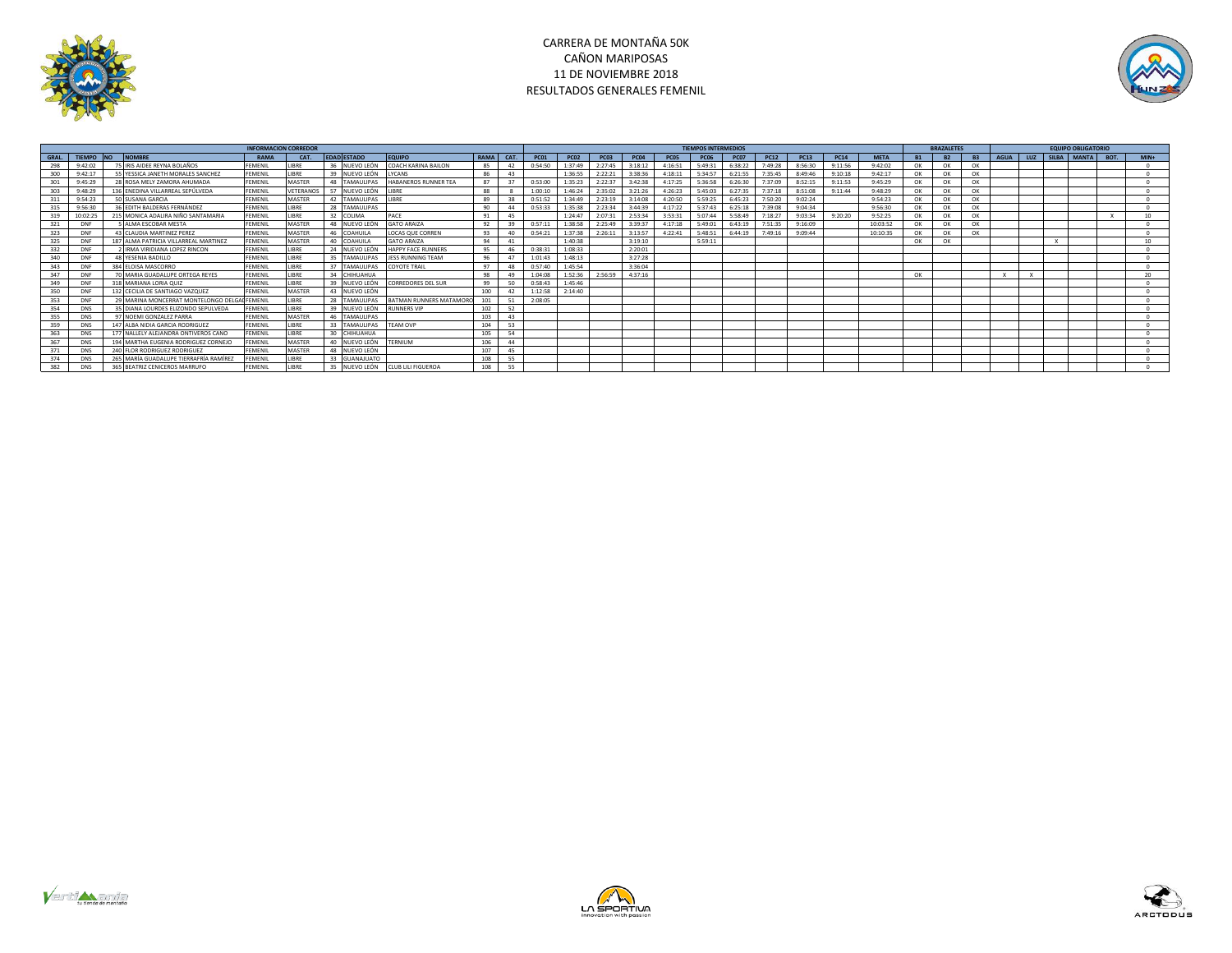



|       |            |                                              | <b>INFORMACION CORREDOR</b> |             |                         |                             |      |      |             |             |             |             |               | <b>TIEMPOS INTERMEDIOS</b> |             |             |             |             |             |           | <b>BRAZALETES</b> |           |             |     | <b>EQUIPO OBLIGATORIO</b> |                 |
|-------|------------|----------------------------------------------|-----------------------------|-------------|-------------------------|-----------------------------|------|------|-------------|-------------|-------------|-------------|---------------|----------------------------|-------------|-------------|-------------|-------------|-------------|-----------|-------------------|-----------|-------------|-----|---------------------------|-----------------|
| GRAL. | TIEMPO NO  | <b>NOMBRE</b>                                | RAMA                        | CAT.        | <b>EDAD ESTADO</b>      | <b>EQUIPO</b>               | RAMA | CAT. | <b>PC01</b> | <b>PC02</b> | <b>PC03</b> | <b>PC04</b> | <b>PC05</b>   | <b>PC06</b>                | <b>PC07</b> | <b>PC12</b> | <b>PC13</b> | <b>PC14</b> | <b>META</b> | <b>B1</b> | <b>B2</b>         | <b>B3</b> | <b>AGUA</b> | LUZ | SILBA MANTA BOT.          | $MIN+$          |
| 298   | 9:42:02    | 75 IRIS AIDEE REYNA BOLAÑOS                  | FFMFNII                     | <b>IRRF</b> | NUEVO LEÓN              | COACH KARINA BAILON         | 85   | 42   | 0:54:50     | 1:37:49     | 2:27:45     | 3:18:12     | 4:16:51       | 5:49:31                    | 6:38:22     | 7:49:28     | 8:56:30     | 9:11:56     | 9:42:02     | OK        | OK                | OK        |             |     |                           |                 |
| 300   | 9:42:17    | 55 YESSICA JANETH MORALES SANCHEZ            | <b>FEMENIL</b>              | LIBRE       | 39<br>NUEVO LEÓN        | LYCANS                      | 86   | 43   |             | 1:36:55     | 2:22:21     | 3:38:36     | 4:18:11       | 5:34:57                    | 6:21:55     | 7:35:45     | 8:49:46     | 9:10:18     | 9:42:17     | OK        | OK                | OK        |             |     |                           |                 |
|       | 9:45:29    | 28 ROSA MELY ZAMORA AHUMADA                  | <b>FEMENIL</b>              | MASTER      | <b>TAMAULIPAS</b><br>48 | <b>HABANEROS RUNNER TEA</b> | 87   | 37   | 0:53:00     | 1:35:23     | 2:22:37     | 3:42:38     | 4:17:25       | 5:36:58                    | 6:26:30     | 7:37:09     | 8:52:15     | 9:11:53     | 9:45:29     | OK        | OK                | OK        |             |     |                           |                 |
|       | 9:48:29    | 136 ENEDINA VILLARREAL SEPÚLVEDA             | FEMENII                     | VETERANO    | 57<br>NUEVO LEÓI        | <b>IRRF</b>                 | 88   |      | 1:00:10     | 1:46:24     | 2:35:02     | 3:21:26     | $A - 26 - 23$ | 5:45:03                    | 6:27:35     | 7:37:18     | 8:51:08     | 9:11:44     | 9:48:29     | OK        | OK                | OK        |             |     |                           |                 |
|       | 9:54:23    | 50 SUSANA GARCIA                             | FEMENIL                     | MASTER      | TAMAULIPAS<br>42        | <b>IRRE</b>                 | 89   |      | 0:51:52     | 1:34:49     | 2:23:19     | 3:14:08     | 4:20:50       | 5:59:25                    | 6:45:23     | 7:50:20     | 9:02:24     |             | 9:54:23     | OK        | OK                | OK        |             |     |                           |                 |
|       | 9:56:30    | 36 FDITH BALDERAS FERNÁNDEZ                  | <b>FFMFNII</b>              | <b>IRRF</b> | 28 TAMAULIPAS           |                             | 90   | 44   | 0:53:33     | 1:35:38     | 2.23.34     | 3:44:39     | 4:17:22       | 5:37:43                    | 6:25:18     | 7.39:08     | 9:04:34     |             | 9:56:30     | OK        | OK                | OK        |             |     |                           |                 |
|       | 10:02:25   | 215 MONICA ADALIRA NIÑO SANTAMARIA           | <b>FEMENIL</b>              | LIBRE       | 32<br><b>COLIMA</b>     | PACE                        | 91   | 45   |             | 1:24:47     | 2:07:31     | 2:53:34     | 3:53:31       | 5:07:44                    | 5:58:49     | 7:18:27     | 9:03:34     | 9:20:20     | 9:52:25     | OK        | OK                | OK        |             |     |                           | 10 <sup>1</sup> |
| 321   | <b>DNF</b> | <b>AIMA ESCOBAR MESTA</b>                    | <b>FEMENIL</b>              | MASTER      | 48 NUEVO LEÓ            | <b>GATO ARAIZA</b>          | 92   | 39   | 0:57:11     | 1:38:58     | 2:25:49     | 3:39:37     | 4:17:18       | 5:49:01                    | 6:43:19     | 7:51:35     | 9:16:09     |             | 10:03:52    | OK        | OK                | OK        |             |     |                           |                 |
| 323   | <b>DNF</b> | 43 CLAUDIA MARTINEZ PEREZ                    | <b>FEMENIL</b>              | MASTER      | 46<br><b>COAHUIL/</b>   | <b>LOCAS QUE CORREN</b>     | 93   | 40   | 0:54:21     | 1:37:38     | 2:26:11     | 3:13:57     | 4:22:41       | 5:48:51                    | 6:44:19     | 7:49:16     | 9:09:44     |             | 10:10:35    | OK        | OK                | OK        |             |     |                           |                 |
| 325   | <b>DNF</b> | 187 ALMA PATRICIA VILLARREAL MARTINEZ        | FEMENII                     | MASTER      | 40<br><b>COAHUIL/</b>   | <b>GATO ARAIZA</b>          | 94   | 41   |             | 1:40:38     |             | 3:19:10     |               | 5:59:11                    |             |             |             |             |             | OK        | OK                |           |             |     |                           | 10 <sup>1</sup> |
| 332   | <b>DNF</b> | IRMA VIRIDIANA LOPEZ RINCON                  | FEMENIL                     | <b>JBRE</b> | NUEVO LEÓN              | <b>HAPPY FACE RUNNERS</b>   | 95   | 46   | 0:38:3      | 1:08:33     |             | 2:20:01     |               |                            |             |             |             |             |             |           |                   |           |             |     |                           |                 |
| 340   | <b>DNF</b> | 48 YESENIA BADILLO                           | <b>FEMENIL</b>              | LIBRE       | 35<br><b>TAMAULIPAS</b> | JESS RUNNING TEAM           | 96   | 47   | 1:01:43     | 1:48:13     |             | 3:27:28     |               |                            |             |             |             |             |             |           |                   |           |             |     |                           |                 |
|       | <b>DNF</b> | 384 FLOISA MASCORRO                          | <b>FEMENIL</b>              | <b>IRRF</b> | <b>TAMAULIPAS</b><br>37 | <b>OYOTE TRAIL</b>          | 97   | 48   | 0:57:40     | 1:45:54     |             | 3:36:04     |               |                            |             |             |             |             |             |           |                   |           |             |     |                           |                 |
|       | DNF        | <b>70 MARIA GUADALUPE ORTEGA REYES</b>       | <b>FEMENIL</b>              | LIBRE       | CHIHUAHUA               |                             | 98   | 49   | 1:04:08     | 1:52:36     | 2:56:59     | 4:37:16     |               |                            |             |             |             |             |             | OK        |                   |           |             |     |                           | $20^{\circ}$    |
|       | <b>DNF</b> | 318 MARIANA LORIA QUIZ                       | FEMENIL                     | LIBRE       | 39<br>NUEVO LEÓ         | CORREDORES DEL SUR          | 99   | 50   | 0:58:43     | 1:45:46     |             |             |               |                            |             |             |             |             |             |           |                   |           |             |     |                           |                 |
| 350   | <b>DNF</b> | 132 CECILIA DE SANTIAGO VAZQUEZ              | FEMENII                     | MASTER      | NUEVO LEÓN<br>43        |                             | 100  |      | 1:12:58     | 2:14:40     |             |             |               |                            |             |             |             |             |             |           |                   |           |             |     |                           |                 |
| 353   | <b>DNF</b> | 29 MARINA MONCERRAT MONTELONGO DELGAL FEMENI |                             | <b>JBRE</b> | 28<br>TAMAULIPAS        | BATMAN RUNNERS MATAMO       | 101  | 51   | 2:08:05     |             |             |             |               |                            |             |             |             |             |             |           |                   |           |             |     |                           |                 |
| 354   | <b>DNS</b> | 35 DIANA LOURDES ELIZONDO SEPULVEDA          | FEMENII                     | LIBRE       | 39<br>NUEVO LEÓN        | <b>RUNNERS VIP</b>          | 102  | 52   |             |             |             |             |               |                            |             |             |             |             |             |           |                   |           |             |     |                           |                 |
|       | <b>DNS</b> | 97 NOEMI GONZALEZ PARRA                      | <b>FEMENIL</b>              | MASTER      | <b>TAMAULIPAS</b><br>46 |                             | 103  | 43   |             |             |             |             |               |                            |             |             |             |             |             |           |                   |           |             |     |                           |                 |
| 359   | <b>DNS</b> | 147 ALBA NIDIA GARCIA RODRIGUEZ              | FEMENIL                     | LIBRE       | 33<br><b>TAMAULIPAS</b> | <b>TFAM OVP</b>             | 104  | 53   |             |             |             |             |               |                            |             |             |             |             |             |           |                   |           |             |     |                           |                 |
| 363   | <b>DNS</b> | 177 NAILFLY ALFIANDRA ONTIVEROS CANO         | <b>FFMFNII</b>              | <b>IRRF</b> | 30<br>CHIHUAHUA         |                             | 105  | 54   |             |             |             |             |               |                            |             |             |             |             |             |           |                   |           |             |     |                           |                 |
|       | <b>DNS</b> | 194 MARTHA EUGENIA RODRIGUEZ CORNEJO         | <b>FEMENIL</b>              | MASTER      | NUEVO LEÓN<br>40        | <b>TERNIUM</b>              | 106  | 44   |             |             |             |             |               |                            |             |             |             |             |             |           |                   |           |             |     |                           |                 |
|       | <b>DNS</b> | 240 FLOR RODRIGUEZ RODRIGUEZ                 | <b>FFMFNII</b>              | MASTER      | NUEVO LEÓN<br>48        |                             | 107  | 45   |             |             |             |             |               |                            |             |             |             |             |             |           |                   |           |             |     |                           |                 |
|       | <b>DNS</b> | 265 MARÍA GUADALUPE TIERRAFRÍA RAMÍREZ       | FEMENII                     | <b>JBRE</b> | <b>GUANAJUATO</b>       |                             | 108  | 55   |             |             |             |             |               |                            |             |             |             |             |             |           |                   |           |             |     |                           |                 |
| 382   | <b>DNS</b> | 365 BEATRIZ CENICEROS MARRUFO                | <b>FEMENIL</b>              | <b>IRRF</b> | NUEVO LEÓN<br>35        | <b>CLUB LILI FIGUEROA</b>   | 108  | 55   |             |             |             |             |               |                            |             |             |             |             |             |           |                   |           |             |     |                           |                 |





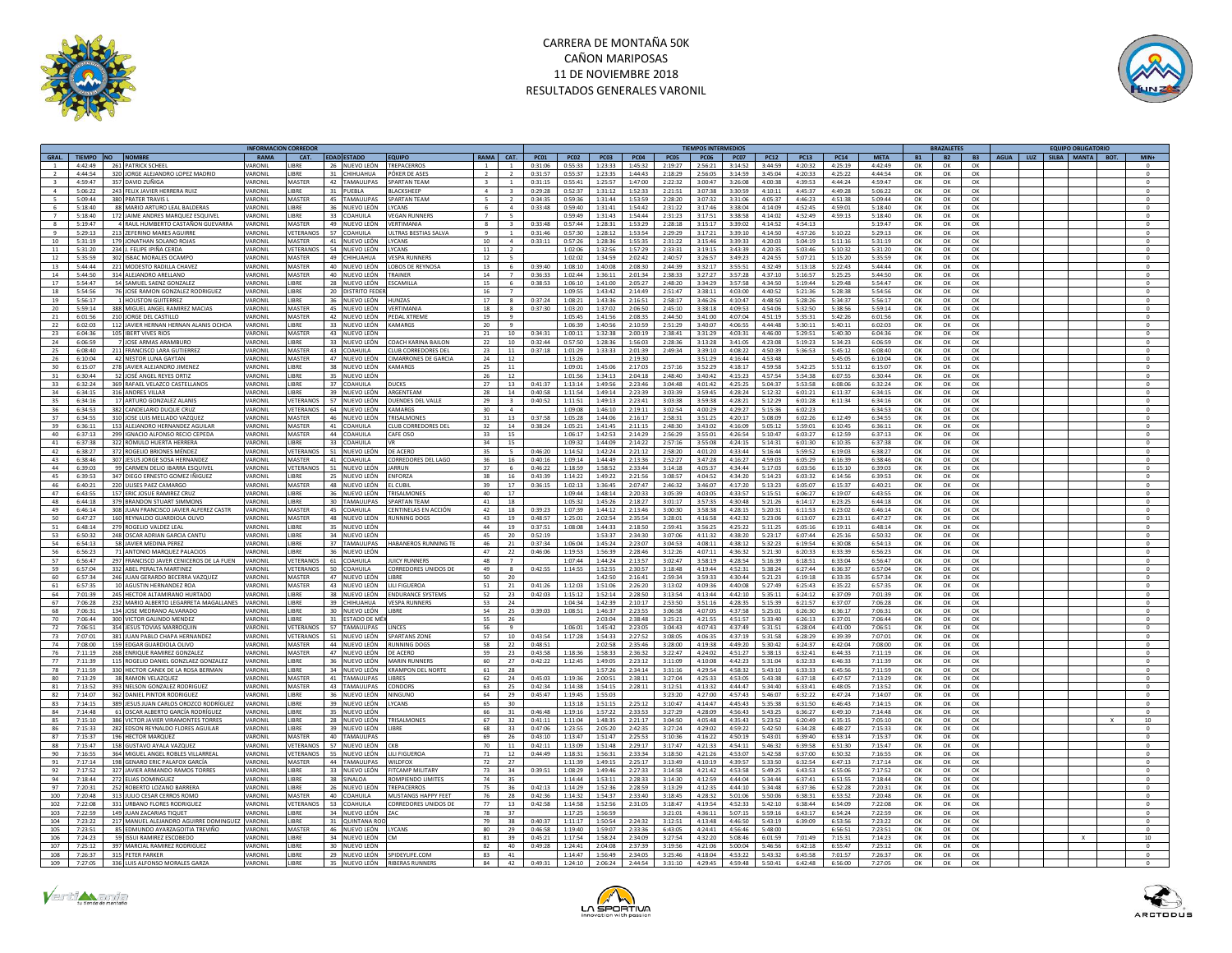



|                         |                  |                                          |                | <b>INFORMACION CORREDOI</b> |                                |                                 |                         |                         |             |             |                    |                    |                    | <b>TIEMPOS INTERMEDIOS</b> |               |                    |                                          |                    |           | <b>BRAZALETES</b> |           |  | <b>EQUIPO OBLIGATORIO</b> |                |
|-------------------------|------------------|------------------------------------------|----------------|-----------------------------|--------------------------------|---------------------------------|-------------------------|-------------------------|-------------|-------------|--------------------|--------------------|--------------------|----------------------------|---------------|--------------------|------------------------------------------|--------------------|-----------|-------------------|-----------|--|---------------------------|----------------|
| GRAL.                   | TIEMPO NO NOMBRE |                                          | <b>RAMA</b>    | CAT.                        | EDAD ESTADO                    | <b>EQUIPO</b>                   |                         | RAMA CAT.               | <b>PC01</b> | <b>PC02</b> | <b>PC03</b>        | <b>PC04</b>        | <b>PC05</b>        | <b>PC06</b>                | <b>PC07</b>   | <b>PC12</b>        | <b>PC13</b><br><b>PC14</b>               | <b>META</b>        | <b>B1</b> | <b>B2</b>         | <b>B3</b> |  | AGUA LUZ SILBA MANTA BOT. | $MIN+$         |
|                         | 4:42:49          | 261 PATRICK SCHEEL                       | <b>ARONI</b>   | <b>IRRF</b>                 | 26 NUEVO LEÓN                  | <b>TREPACERROS</b>              | $\overline{1}$          | $\overline{1}$          | 0:31:06     | 0.55:33     | 1:23:33            | 1:45:32            | 2:19:27            | 2.56:21                    | 3:14:52       | 3:44:59            | 4:20:32<br>4:25:19                       | 4:42:49            | OK        | OK                | OK        |  |                           | $\mathbf 0$    |
|                         | 4:44:54          | 320 JORGE ALEJANDRO LOPEZ MADRID         | <b>ARONI</b>   | LIBRE                       | 31 CHIHUAHUA                   | PÓKER DE ASES                   |                         | $\overline{2}$          | 0:31:57     | 0:55:37     | 1:23:35            | 1:44:43            | 2:18:29            | 2:56:05                    | 3:14:59       | 3:45:04            | 4:20:33<br>4:25:22                       | 4:44:54            | OK        | OK                | OK        |  |                           | $\circ$        |
| $\overline{\mathbf{3}}$ | 4:59:47          | 357 DAVID ZUÑIGA                         | VARONII        | MASTER                      | 42 TAMAULIPAS                  | SPARTAN TEAM                    | $\overline{\mathbf{3}}$ | $\overline{1}$          | 0:31:15     | 0:55:41     | 1:25:57            | 1:47:00            | 2:22:32            | 3:00:47                    | 3:26:08       | 4:00:38            | 4:39:53<br>4:44:24                       | 4:59:47            | OK        | OK                | OK        |  |                           | $\circ$        |
| $\sim$                  | 5:06:22          | 243 FELIX JAVIER HERRERA RUIZ            | VARONII        | <b>JBRE</b>                 | 31 PUEBLA                      | <b>BLACKSHEEP</b>               | 4                       | $\overline{\mathbf{3}}$ | 0:29:28     | 0:52:37     | 1:31:12            | 1:52:33            | 2:21:51            | 3:07:38                    | 3:30:59       | 4:10:11            | 4:45:37<br>4:49:28                       | 5:06:22            | OK        | OK                | OK        |  |                           | $\circ$        |
| -5                      | 5:09:44          | 380 PRATER TRAVIS I                      | <b>JARONI</b>  | MASTER                      | 45 TAMAUUPAS                   | <b>SPARTAN TFAM</b>             | -5.                     | $\overline{2}$          | 0:34:35     | 0.5936      | 1:31:44            | 1:53:59            | 2:28:20            | 3:07:32                    | 3:31:06       | 4:05:37            | 4.46:23<br>4:51:38                       | 5:09:44            | OK        | OK                | OK        |  |                           | $\Omega$       |
|                         | 5:18:40          | 88 MARIO ARTURO LEAL BALDERAS            | <b>ARONI</b>   | <b>JBRE</b>                 | 36<br>NUEVO LEÓN               | LYCANS                          |                         | $\overline{4}$          | 0:33:48     | 0:59:40     | 1:31:41            | 1:54:42            | 2:31:22            | 3:17:46                    | 3:38:04       | 4:14:09            | 4:52:45<br>4:59:01                       | 5:18:40            | OK        | OK                | OK        |  |                           | $\mathbf 0$    |
| $\overline{7}$          | 5:18:40          | 172 IAIME ANDRES MARQUEZ ESQUIVEI        | VARONI         | <b>IRRF</b>                 | 33 COAHUILA                    | <b>VEGAN RUNNERS</b>            | $\overline{7}$          | $\overline{5}$          |             | $0.59 - 49$ | 1:31:43            | 1:54:44            | 2:31:23            | 3:17:51                    | 3.38.58       | 4:14:02            | 4:52:49<br>4:59:13                       | 5:18:40            | OK        | OK                | OK        |  |                           | $\Omega$       |
|                         |                  |                                          |                |                             |                                |                                 |                         |                         |             |             |                    |                    |                    |                            |               |                    |                                          |                    |           |                   |           |  |                           |                |
| 8                       | 5:19:47          | 4 RAUL HUMBERTO CASTAÑON GUEVARRA        | VARONII        | MASTER                      | 49 NUEVO LEÓN                  | VERTIMANIA                      | 8                       | $\overline{\mathbf{3}}$ | 0:33:48     | 0:57:44     | 1:28:31            | 1:53:29            | 2:28:18            | 3:15:17                    | 3:39:02       | 4:14:52            | 4:54:13                                  | 5:19:47            | OK        | OK                | OK        |  |                           | $\circ$        |
| Q                       | 5:29:13          | 213 ZEFERINO MARES AGUIRRE               | <b>JARONI</b>  | VETERANOS                   | 57 COAHUILA                    | <b>ULTRAS RESTIAS SALVA</b>     | Q                       | $\overline{1}$          | 0:31:46     | 0:57:30     | 1:28:12            | 1:53:54            | 2:29:29            | 3:17:21                    | 3:39:10       | 4:14:50            | 4:57:26<br>5:10:22                       | 5:29:13            | OK        | OK                | OK        |  |                           | $^{\circ}$     |
| 10                      | 5:31:19          | 179 JONATHAN SOLANO ROJAS                | VARONII        | MASTER                      | 41 NUEVO LEÓN                  | LYCANS                          | 10                      | $\overline{a}$          | 0:33:11     | 0:57:26     | 1:28:36            | 1:55:35            | 2:31:22            | 3:15:46                    | 3:39:33       | 4:20:03            | 5:04:19<br>5:11:16                       | 5:31:19            | OK        | OK                | OK        |  |                           | $\mathbf 0$    |
| 11                      | 5:31:20          | 234 L FELIPE IPIÑA CERDA                 | VARONI         | VETERANOS                   | 54 NUEVO LEÓN                  | <b>IYCANS</b>                   | 11                      | $\overline{2}$          |             | 1:02:06     | 1:32:56            | 1:57:29            | 2:33:31            | 3:19:15                    | 3.43.39       | 4:20:35            | 5:03:46<br>5:10:32                       | 5:31:20            | OK        | OK                | OK        |  |                           | $\Omega$       |
| 12                      | 5:35:59          | 302 ISBAC MORALES OCAMPO                 | VARONII        | MASTER                      | 49 CHIHUAHUA                   | <b>VESPA RUNNERS</b>            | 12                      | 5                       |             | 1:02:02     | 1:34:59            | 2:02:42            | 2:40:57            | 3:26:57                    | 3:49:23       | 4:24:55            | 5:07:21<br>5:15:20                       | 5:35:59            | OK        | OK                | OK        |  |                           | $\circ$        |
| 13                      | 5:44:44          | 221 MODESTO RADILLA CHAVEZ               | VARONII        | MASTER                      | 40 NUEVO LEÓN                  | LOBOS DE REYNOSA                | 13                      | - 6                     | 0.39:40     | 1:08:10     | 1:40:08            | 2:08:30            | 7:44:39            | 3:32:17                    | 3:55:51       | 4:32:49            | 5:13:18<br>5:22:43                       | 5:44:44            | OK        | OK                | OK        |  |                           | $^{\circ}$     |
| 14                      | 5:44:50          | 314 ALEJANDRO ARELLANO                   | <b>ARONI</b>   | MASTER                      | 40<br>NUEVO LEÓN               | TRAINER                         | 14                      |                         | 0:36:33     | 1:02:44     | 1:36:11            | 2:01:34            | 2:38:33            | 3:27:27                    | 3:57:28       | 4:37:10            | 5:16:57<br>5:25:25                       | 5:44:50            | OK        | OK                | OK        |  |                           | $\circ$        |
| 17                      | 5:54:47          | 54 SAMUEL SAENZ GONZALEZ                 | VARONII        | LIBRE                       | 28 NUEVO LEÓN                  | ESCAMILLA                       | 15                      | 6                       | 0:38:53     | 1:06:10     | 1:41:00            | 2:05:27            | 2:48:20            | 3:34:29                    | 3:57:58       | 4:34:50            | 5:19:44<br>5:29:48                       | 5:54:47            | OK        | OK                | OK        |  |                           | $\overline{0}$ |
| 18                      | 5:54:56          | 76 JOSE RAMON GONZALEZ RODRIGUEZ         | VARONII        | <b>JBRE</b>                 | 20 DISTRITO FEDE               |                                 | 16 <sup>1</sup>         | $\overline{7}$          |             | 1:09:55     | 1:43:42            | 2:14:49            | 2:51:47            | 3:38:11                    | 4:03:00       | 4:40:52            | 5:21:36<br>5:28:38                       | 5:54:56            | OK        | OK                | OK        |  |                           | $\circ$        |
| 19                      | 5:56:17          | 1 HOUSTON GUITERREZ                      | <b>VARONII</b> | LIBRE                       | 36 NUEVO LEÓN                  | <b>HUNZAS</b>                   | 17                      | - 8                     | 0:37:24     | 1:08:21     | 1:43:36            | 2:16:51            | 2:58:17            | 3:46:26                    | 4:10:47       | 4:48:50            | 5:28:26<br>5:34:37                       | 5:56:17            | OK        | OK                | OK        |  |                           | $\circ$        |
| 20                      | 5:59:14          | 388 MIGUEL ANGEL RAMIREZ MACIAS          | VARONII        | MASTER                      | 45<br>NUEVO LEÓN               | <b>VERTIMANI</b>                | 18                      | 8                       | 0:37:30     | 1:03:20     | 1:37:02            | 2:06:50            | 2:45:10            | 3:38:18                    | 4:09:53       | 4:54:06            | 5:32:50<br>5:38:56                       | 5:59:14            | OK        | OK                | OK        |  |                           | $\bf 0$        |
| 21                      | 6:01:56          | 210 IORGE DEL CASTILLO                   | VARONIL        | MASTER                      | 42 NUEVO LEÓN                  | PEDAI XTREME                    | 19                      | $\mathbf{q}$            |             | 1:05:45     | 1:41:56            | 2.08:35            | 2:44:50            | 3:41:00                    | 4:07:04       | 4:51:19            | 5:35:31<br>5:42:26                       | 6:01:56            | OK        | OK                | OK        |  |                           | $\Omega$       |
|                         |                  |                                          |                |                             |                                |                                 |                         |                         |             |             |                    |                    |                    |                            |               |                    |                                          |                    |           |                   |           |  |                           |                |
| 22                      | 6:02:03          | 112 JAVIER HERNAN HERNAN ALANIS OCHOA    | VARONIL        | LIBRE                       | 33 NUEVO LEÓN KAMARGS          |                                 | 20                      | $\mathbf{q}$            |             | 1:06:39     | 1:40:56            | 2:10:59            | 2:51:29            | 3:40:07                    | 4:06:55       | 4:44:48            | 5:30:11<br>5:40:11                       | 6:02:03            | ОК        | OK                | OK        |  |                           | $\circ$        |
| 23                      | 6:04:36          | 105 IBERT VIVES RIOS                     | <b>JARONI</b>  | MASTER                      | 43 NUEVO LEÓN                  |                                 | 21                      | 10                      | 0:34:31     | 1:00:11     | 1:32:38            | 2:00:19            | 7:38:41            | 3:31:29                    | 4:03:31       | 4:46:00            | 5:29:51<br>5:40:30                       | 6:04:36            | OK        | OK                | OK        |  |                           | $^{\circ}$     |
| 24                      | 6:06:59          | 7 JOSE ARMAS ARAMBURG                    | VARONII        | LIBRE                       | 33 NUEVO LEÓN                  | <b>COACH KARINA BAILON</b>      | 22                      | $10\,$                  | 0:32:44     | 0:57:50     | 1:28:36            | 1:56:03            | 2:28:36            | 3:13:28                    | 3:41:05       | 4:23:08            | 5:19:23<br>5:34:23                       | 6:06:59            | OK        | OK                | OK        |  |                           | $\mathbf 0$    |
| 25                      | 6.08:40          | 211 FRANCISCO LARA GUTIERRE              | VARONI         | MASTER                      | 43 COAHUILA                    | CLUB CORREDORES DEL             | 23                      | 11                      | 0:37:18     | 1:01:29     | 1:33:33            | 2:01:39            | 2:49:34            | 3:39:10                    | 4:08:22       | 4:50:39            | 5-36-57<br>5:45:12                       | 6:08:40            | OK        | OK                | OK        |  |                           | $\circ$        |
| 26                      | 6:10:04          | 42 NESTOR LUNA GAYTAN                    | VARONII        | MASTER                      | 47 NUEVO LEÓN                  | <b>CIMARRONES DE GARCIA</b>     | 24                      | 12                      |             | 1:13:26     |                    | 2:19:30            |                    | 3:51:29                    | 4:16:44       | 4:53:48            | 5:45:05                                  | 6:10:04            | ОК        | OK                | OK        |  |                           | $\circ$        |
| 30                      | 6:15:07          | 278 JAVIER ALEJANDRO JIMENEZ             | <b>VARONII</b> | <b>JBRE</b>                 | 38 NUEVO LEÓN                  | <b>KAMARGS</b>                  | 25                      | 11                      |             | 1:09:01     | 1:45:06            | 2:17:03            | 2:57:16            | 3:52:29                    | 4:18:17       | 4:59:58            | 5:42:25<br>5:51:12                       | 6:15:07            | OK        | OK                | OK        |  |                           | $\circ$        |
|                         | 6:30:44          | 52 JOSÉ ANGEL REYES ORTIZ                | <b>VARONI</b>  | <b>JBRE</b>                 | NUEVO LEÓN                     |                                 | 26                      | 12                      |             | 1:01:56     | 1:34:13            | 2:04:18            | 2:48:40            | 3:40:42                    | 4:15:23       | 4:57:54            | 5:54:38<br>6:07:55                       | 6:30:44            | OK        | OK                | OK        |  |                           | $\mathbf{0}$   |
| 33                      | 6:32:24          | 369 RAFAEL VELAZCO CASTELLANOS           | VARONII        | <b>JBRE</b>                 | 37 COAHUILA                    | DUCKS                           | 27                      | 13                      | 0:41:37     | 1:13:14     | 1:49:56            | 2:23:46            | 3:04:48            | 4:01:42                    | 4:25:25       | 5:04:37            | 5:53:58<br>6:08:06                       | 6:32:24            | OK        | OK                | OK        |  |                           | $\circ$        |
| 34                      | 6:34:15          | 316 ANDRES VILLAR                        | VARONII        | <b>JBRE</b>                 | 39 NUEVO LEÓN                  | ARGENTEAN                       | 28                      | 14                      | 0:40:58     | 1:11:54     | 1:49:14            | 2:23:39            | 3:03:39            | 3:59:45                    | 4:28:24       | 5:12:32            | 6:01:21<br>6:11:37                       | 6:34:15            | OK        | OK                | OK        |  |                           | $\circ$        |
| 35                      | 6:34:16          | 17 ARTURO GONZALEZ ALANIS                | <b>ARONI</b>   | <b>/ETERANOS</b>            | 57 NUEVO LEÓN                  | <b>DUENDES DEL VALLE</b>        | 29                      | $\overline{\mathbf{3}}$ | 0:40:52     | 1:11:51     | 1:49:13            | 2:23:41            | 3:03:38            | 3:59:38                    | 4:28:21       | 5:12:29            | 6:11:34<br>6:01:28                       | 6:34:16            | OK        | OK                | OK        |  |                           | $\circ$        |
| 36                      | 6:34:53          | 382 CANDELARIO DUQUE CRUZ                | VARONII        | <b>VETERANOS</b>            | 64 NUEVO LEÓN                  | <b>KAMARGS</b>                  | 30                      | $\overline{a}$          |             | 1:09:08     | 1:46:10            | 2:19:11            | 3:02:54            | 4:00:29                    | 4:29:27       | 5:15:36            | 6:02:23                                  | 6:34:53            | OK        | OK                | OK        |  |                           | $\circ$        |
| 37                      | 6:34:55          | 310 JOSE LUIS MELLADO VAZQUEZ            | VARONII        | MASTER                      |                                | TRISALMONES                     | 31                      | 13                      | 0:37:58     |             |                    |                    | 2:58:31            |                            |               | 5:08:09            | 6:12:49                                  | 6:34:55            |           | OK                | OK        |  |                           | $\circ$        |
|                         |                  | 153 ALEJANDRO HERNANDEZ AGUILAR          | VARONI         | MASTER                      | 46 NUEVO LEÓN<br>41 COAHUILA   |                                 | 32                      |                         |             | 1:05:28     | 1:44:06            | 2:16:17            |                    | 3:51:25<br>3:43:02         | 4:20:17       |                    | 6:02:26                                  |                    | OK        |                   |           |  |                           | $\circ$        |
| 39                      | 6:36:11          |                                          |                |                             |                                | CLUB CORREDORES DEL             |                         | 14                      | 0:38:24     | 1:05:21     | 1:41:45            | 2:11:15            | 2:48:30            |                            | 4:16:09       | 5:05:12            | 5:59:01<br>6:10:45                       | 6:36:11            | OK        | OK                | OK        |  |                           |                |
| 40                      | 6:37:13          | 299 IGNACIO ALFONSO RECIO CEPEDA         | <b>ARONI</b>   | MASTER                      | 44 COAHUILA                    | CAFF OSO                        | 33.                     | 15                      |             | 1:06:17     | 1:42:53            | 2.14.29            | 2:56:29            | 3:55:01                    | 4:26:54       | 5:10:47            | 6:03:27<br>6:12:59                       | 6:37:13            | OK        | OK                | OK        |  |                           | $\Omega$       |
| 41                      | 6:37:38          | 322 RÓMULO HUERTA HERRERA                | VARONI         | <b>IRRF</b>                 | 33<br>COAHUILA                 |                                 | 34                      | 15                      |             | 1:09:32     | 1:44:09            | 2:14:22            | 2:57:16            | 3:55:08                    | 4:24:15       | 5:14:31            | 6:01:30<br>6:10:35                       | 6:37:38            | OK        | OK                | OK        |  |                           | $\circ$        |
| 42                      | 6:38:27          | 372 ROGELIO BRIONES MÉNDEZ               | VARONI         | VETERANOS                   | 51 NUEVO LEÓN                  | DE ACERO                        | 35                      | $\overline{5}$          | 0:46:20     | 1:14:52     | 1:42:24            | 2:21:12            | 2:58:20            | 4:01:20                    | 4:33:44       | 5:16:44            | 5:59:52<br>6:19:03                       | 6:38:27            | OK        | OK                | OK        |  |                           | $\circ$        |
| 43                      | 6:38:46          | 307 JESUS JORGE SOSA HERNANDEZ           | VARONIL        | MASTER                      | 41 COAHUILA                    | CORREDORES DEL LAGO             | 36                      | 16                      | 0:40:16     | 1:09:14     | 1:44:49            | 2:13:36            | 2:52:27            | 3:47:28                    | 4:16:27       | 4:59:03            | 6:05:29<br>6:16:39                       | 6:38:46            | OK        | ОК                | OK        |  |                           | $\circ$        |
| 44                      | 6:39:03          | 99 CARMEN DELIO IBARRA ESQUIVEL          | VARONII        | <b>/FTFRANOS</b>            | 51<br>NUEVO LEÓN               | <b>JARRUN</b>                   | 37                      | -6                      | 0:46:22     | 1:18:59     | 1:58:52            | 2:33:44            | 3:14:18            | 4:05:37                    | 4:34:44       | 5:17:03            | 6:03:56<br>6:15:10                       | 6:39:03            | OK        | OK                | OK        |  |                           | $\circ$        |
| 45                      | 6:39:53          | 347 DIEGO ERNESTO GOMEZ IÑIGUEZ          | VARONIL        | IBRE                        | 25 NUEVO LEÓN                  | <b>ENFORZA</b>                  | 38                      | 16                      | 0:43:39     | 1:14:22     | 1:49:22            | 2:21:56            | 3:08:57            | 4:04:52                    | 4:34:20       | 5:14:23            | 6:03:32<br>6:14:56                       | 6:39:53            | OK        | OK                | OK        |  |                           | $\mathbf 0$    |
| 46                      | 6:40:21          | 220 ULISES PAEZ CAMARGO                  | VARONIL        | MASTER                      | 48 NUEVO LEÓN                  | EL CUBIL                        | 39                      | 17                      | 0:36:15     | 1:02:13     | 1:36:45            | 2:07:47            | 2:46:32            | 3:46:07                    | 4:17:20       | 5:13:23            | 6:05:07<br>6:15:37                       | 6:40:21            | OK        | OK                | OK        |  |                           | $\circ$        |
| A7                      | 6-43-55          | 157 FRIC JOSUF RAMIREZ CRUZ              | VARONII        | <b>IRRE</b>                 | 36 NUEVO LEÓN                  | <b>TRISALMONES</b>              | AD                      | 17                      |             | $1.09 - AA$ | $1 - A8 - 1A$      | フ・フロ・ミミ            | 3.05.39            | $A - 03 - 05$              | $A - 33 - 57$ | 5:15:51            | 6:06:27<br>6:19:07                       | 6:43:55            | <b>OK</b> | OK                | OK        |  |                           | $\circ$        |
| 48                      | 6:44:18          | 379 BRANDON STUART SIMMONS               | <b>VARONI</b>  | LIBRE                       | <b>TAMAULIPAS</b><br>30        | <b>SPARTAN TEAM</b>             | 41                      | 18                      |             | 1:05:32     | 1:45:26            | 2:18:27            | 3:01:17            | 3:57:35                    | 4:30:48       | 5:21:26            | 6:23:25<br>6:14:17                       | 6:44:18            | OK        | OK                | OK        |  |                           | $^{\circ}$     |
| 49                      | 6:46:14          | 308 JUAN FRANCISCO JAVIER ALFEREZ CASTR  | VARONI         | MASTER                      | 45<br><b>COAHUILA</b>          | CENTINELAS EN ACCIÓN            | 42                      | 18                      | 0:39:23     | 1:07:39     | 1:44:12            | 2:13:46            | 3:00:30            | 3:58:38                    | 4:28:15       | 5:20:31            | 6:11:53<br>6:23:02                       | 6:46:14            | OK        | OK                | OK        |  |                           | $\circ$        |
| 50                      | 6:47:27          | 160 REYNALDO GUARDIOLA OLIVO             | VARONII        | MASTER                      | 48 NUEVO LEÓN                  |                                 | 43                      | 19                      | 0:48:57     | 1:25:01     | 2:02:54            | 2:35:54            | 3:28:01            | 4:16:58                    | 4:42:32       | 5:23:06            | 6:13:07<br>6:23:11                       | 6:47:27            | OK        | OK                | OK        |  |                           | $\circ$        |
|                         | 6:48:14          | 279 ROGELIO VALDEZ LEAL                  | VARONI         | <b>IRRF</b>                 | 35 NUEVO LEÓN                  | RUNNING DOGS                    | 44                      |                         | 0:37:51     | 1:08:08     | 1:44:33            | 2:18:50            | 2:59:41            | 3:56:25                    | 4:25:22       |                    | 6:19:11                                  | 6:48:14            | OK        |                   |           |  |                           |                |
| 51                      |                  |                                          |                | <b>JBRE</b>                 |                                |                                 |                         | 19                      |             |             |                    | 2:34:30            |                    |                            |               | 5:11:25            | 6:05:16                                  |                    |           | OK                | OK        |  |                           | $\circ$        |
| 53                      | 6:50:32          | 248 OSCAR ADRIAN GARCIA CANTU            | VARONIL        |                             | 34 NUEVO LEÓN                  |                                 | 45                      | 20                      | 0:52:19     |             | 1:53:37            |                    | 3:07:06            | 4:11:32                    | 4:38:20       | 5:23:17            | 6:07:44<br>6:25:16                       | 6:50:32            | OK        | OK                | OK        |  |                           | $\circ$        |
| 54                      | 6:54:13          | 58 JAVIER MEDINA PEREZ                   | VARONI         | LIBRE                       | 37 TAMAULIPAS                  | HABANEROS RUNNING TE            | 46                      | 21                      | 0:37:34     | 1:06:04     | 1:45:24            | 2:23:07            | 3:04:53            | 4:08:11                    | 4:38:12       | 5:32:23            | 6:19:54<br>6:30:08                       | 6:54:13            | OK        | OK                | OK        |  |                           | $\circ$        |
| 56                      | 6:56:23          | 71 ANTONIO MARQUEZ PALACIOS              | VARONIL        | <b>IRRF</b>                 | 36 NUEVO LEÓN                  |                                 | 47                      | 22                      | 0:46:06     | 1:19:53     | 1:56:39            | 2.28:46            | 3:12:26            | 4:07:11                    | 4:36:32       | 5:21:30            | 6:33:39<br>6:20:33                       | 6:56:23            | OK        | OK                | OK        |  |                           | $\circ$        |
| 57                      | 6:56:47          | 297 FRANCISCO JAVER CENICEROS DE LA FUEN | VARONI         | <b>/ETERANOS</b>            | 61 COAHUILA                    | <b>JUICY RUNNERS</b>            | 48                      | $\overline{7}$          |             | 1:07:44     | 1:44:24            | 2:13:57            | 3:02:47            | 3:58:19                    | 4:28:54       | 5:16:39            | 6:18:51<br>6:33:04                       | 6:56:47            | OK        | OK                | OK        |  |                           | $\circ$        |
| 59                      | 6:57:04          | 332 ABEL PERALTA MARTINEZ                | <b>ARONI</b>   | <b>/FTFRANOS</b>            | COAHUILA<br>50                 | CORREDORES UNIDOS DE            | 49                      | $\mathbf{\mathcal{R}}$  | 0:42:55     | 1:14:55     | 1:52:55            | 2:30:57            | 3:18:48            | 4:19:44                    | 4:52:31       | 5:38:24            | 6:36:37<br>6:27:44                       | 6:57:04            | OK        | OK                | OK        |  |                           | $\circ$        |
| 60                      | 6:57:34          | 246 JUAN GERARDO BECERRA VAZQUEZ         | VARONIL        | MASTER                      | 47 NUEVO LEÓN                  | <b>LIBRE</b>                    | 50                      | - 20                    |             |             | 1:42:50            | 2:16:41            | 2:59:34            | 3:59:33                    | 4:30:44       | 5:21:23            | 6:19:18<br>6:33:35                       | 6:57:34            | ОК        | OK                | OK        |  |                           | $^{\circ}$     |
| 61                      | 6:57:35          | 10 AGUSTIN HERNANDEZ ROA                 | VARONI         | MASTER                      | 43 NUEVO LEÓN LILI FIGUEROA    |                                 | 51                      | 21                      | 0:41:26     | 1:12:03     | 1:51:06            | 2:26:20            | 3:13:02            | 4:09:36                    | 4:40:08       | 5:27:49            | 6:25:43<br>6:35:22                       | 6:57:35            | OK        | OK                | OK        |  |                           | $\circ$        |
| 64                      | 7:01:39          | 245 HECTOR ALTAMIRANO HURTADO            | VARONI         | <b>IRRF</b>                 |                                | 38 NUEVO LEÓN ENDURANCE SYSTEMS | 52                      | 23                      | 0:42:03     | 1:15:12     | 1:52:14            | 2:28:50            | 3:13:54            | 4:13:44                    | 4:42:10       | 5:35:11            | 6:24:12<br>6:37:09                       | 7:01:39            | OK        | OK                | OK        |  |                           | $\circ$        |
| 67                      | 7:06:28          | 232 MARIO ALBERTO LEGARRETA MAGALLANES   | VARONII        | <b>IRRF</b>                 | 39 CHIHUAHUA                   | <b>VESPA RUNNERS</b>            | 53                      | 24                      |             | 1:04:34     | 1:42:39            | 2:10:17            | 2:53:50            | 3:51:16                    | 4:28:35       | 5:15:39            | 6:37:07<br>6:21:57                       | 7:06:28            | OK        | OK                | OK        |  |                           | $\circ$        |
| 68                      | 7:06:31          | 134 JOSE MEDRANO ALVARADO                | VARONII        | <b>IRRF</b>                 | 30 NUEVO LEÓN                  | LIBRE                           | 54                      | 25                      | 0:39:03     | 1:08:51     | 1:46:37            | 2:23:55            | 3:06:58            | 4:07:05                    | 4:37:58       | 5:25:01            | 6:26:30<br>6:36:17                       | 7:06:31            | OK        | OK                | OK        |  |                           | $\Omega$       |
| 70                      | 7:06:44          | 300 VICTOR GALINDO MENDEZ                | VARONI         | <b>JBRE</b>                 | 31 ESTADO DE MÉ                |                                 | 55                      | 26                      |             |             | 2:03:04            | 2:38:48            | 3:25:21            | 4:21:55                    | 4:51:57       | 5:33:40            | 6:37:01<br>6:26:13                       | 7:06:44            | OK        | OK                | OK        |  |                           | $\mathbf{0}$   |
| 72                      | 7:06:51          | 354 JESUS TOVIAS MARROQUIN               | VARONI         | <b>/FTFRANOS</b>            | 57 TAMAULIPAS                  | LINCES                          | 56                      | $\mathbf{q}$            |             | 1:06:01     | 1:45:42            | 2:23:05            | 3:04:43            | 4:07:43                    | $A - 37 - A9$ | 5:31:51            | 6:28:04<br>6:41:00                       | 7:06:51            | OK        | OK                | OK        |  |                           | $\circ$        |
| 73                      | 7:07:01          | 381 JUAN PABLO CHAPA HERNANDEZ           | <b>ARONI</b>   | <b>/ETERANOS</b>            | NUEVO LEÓN<br>51               | <b>SPARTANS ZONE</b>            | 57                      | 10                      | 0:43:54     | 1:17:28     | 1:54:33            | 2:27:52            | 3:08:05            | 4:06:35                    | 4:37:19       | 5:31:58            | 6:39:39<br>6:28:29                       | 7:07:01            | OK        | OK                | OK        |  |                           | $\mathbf 0$    |
| 74                      | 7:08:00          | 159 FDGAR GUARDIOLA OLIVO                | VARONI         | MASTER                      |                                | <b>BUNNING DOGS</b>             | 58                      |                         | 0:48:51     |             |                    |                    |                    | 4:19:38                    | 4:49:20       |                    |                                          |                    |           |                   |           |  |                           |                |
| 76                      | 7:11:19          | 268 ENRIQUE RAMIREZ GONZALEZ             | VARONIL        | MASTER                      | 44 NUEVO LEÓN<br>47 NUEVO LEÓN | DE ACERO                        | 59                      | 22<br>23                |             |             | 2:02:58<br>1:58:33 | 2:35:46<br>2:36:32 | 3:28:00<br>3:22:47 | 4:24:02                    | 4:51:27       | 5:30:42<br>5:38:13 | 6:24:37<br>6:42:04<br>6:32:41<br>6:44:33 | 7:08:00<br>7:11:19 | OK        | OK<br>OK          | OK<br>OK  |  |                           | $\circ$        |
|                         |                  |                                          |                |                             |                                |                                 |                         |                         | 0:43:58     | 1:18:36     |                    |                    |                    |                            |               |                    |                                          |                    | OK        |                   |           |  |                           | $\mathbf 0$    |
| 77                      | 7:11:39          | 115 ROGELIO DANIEL GONZLAEZ GONZALEZ     | VARONIL        | <b>IRRF</b>                 | 36 NUEVO LEÓN MARIN RUNNERS    |                                 | 60                      | 27                      | 0:42:22     | 1:12:45     | 1:49:05            | 2.23:12            | 3:11:09            | 4:10:08                    | 4:42:23       | 5:31:04            | 6-32-33<br>6:46:33                       | 7:11:39            | OK        | OK                | OK        |  |                           | $^{\circ}$     |
| 78                      | 7:11:59          | 330 HECTOR CANEK DE LA ROSA BERMAN       | VARONI         | <b>JBRE</b>                 | 34 NUEVO LEÓN                  | <b>KRAMPON DEL NORTE</b>        | 61                      | 28                      |             |             | 1:57:26            | 2:34:14            | 3:31:16            | 4:29:54                    | 4:58:32       | 5:43:10            | 6:33:33<br>6:45:56                       | 7:11:59            | OK        | OK                | OK        |  |                           | $\mathbf 0$    |
| 80                      | 7:13:29          | 38 RAMON VELAZQUEZ                       | VARONIL        | MASTER                      | 41 TAMAUUPAS                   | <b>LIBRES</b>                   | 62                      | 24                      | 0:45:03     | 1:19:36     | 2:00:51            | 2:38:11            | 3:27:04            | 4:25:33                    | 4:53:05       | 5:43:38            | 6:37:18<br>6:47:57                       | 7:13:29            | ОК        | OK                | OK        |  |                           | $\circ$        |
| 81                      | 7:13:52          | 393 NELSON GONZALEZ RODRIGUEZ            | VARONIL        | MASTER                      | 43 TAMAULIPAS                  | CONDORS                         | 63                      | 25                      | 0:42:34     | 1:14:38     | 1:54:15            | 2:28:11            | 3:12:51            | 4:13:32                    | 4:44:47       | 5:34:40            | 6:48:05<br>6:33:41                       | 7:13:52            | OK        | ОК                | OK        |  |                           | $\circ$        |
| 82                      | 7:14:07          | 362 DANIEL PINTOR RODRIGUEZ              | VARONII        | <b>IRRF</b>                 | 36 NUEVOLEÓN NINGUNO           |                                 | 64                      | 29                      | 0.45:47     | 1:19:45     | 1:55:03            |                    | 3:23:20            | 4:27:00                    | 4:57:43       | 5:46:07            | 6:32:22<br>6:47:24                       | 7:14:07            | OK        | OK                | OK        |  |                           | $^{\circ}$     |
| 83                      | 7:14:15          | 389 JESUS JUAN CARLOS OROZCO RODRÍGUEZ   | VARONI         | <b>JBRE</b>                 | 39 NUEVO LEÓN                  | LYCANS                          | 65                      | 30                      |             | 1:13:18     | 1:51:15            | 2:25:12            | 3:10:47            | 4:14:47                    | 4:45:43       | 5:35:38            | 6:46:43<br>6:31:50                       | 7:14:15            | OK        | OK                | OK        |  |                           | $^{\circ}$     |
| 84                      | 7:14:48          | 61 OSCAR ALBERTO GARCÍA RODRÍGUEZ        | VARONI         | <b>IRRF</b>                 | 35 NUEVO LEÓN                  |                                 | 66                      | 31                      | 0:46:48     | 1:19:16     | 1:57:22            | 2.33.53            | 3:27:29            | 4:28:09                    | 4:56:43       | 5:43:25            | 6:36:27<br>6:49:10                       | 7:14:48            | OK        | OK                | OK        |  |                           | $\Omega$       |
| 85                      | 7:15:10          | 386 VICTOR JAVIER VIRAMONTES TORRES      | VARONI         | LIBRE                       | 28 NUEVO LEÓN                  | TRISALMONES                     | 67                      | 32                      | 0:41:11     | 1:11:04     | 1:48:35            | 2:21:17            | 3:04:50            | 4:05:48                    | 4:35:43       | 5:23:52            | 6:20:49<br>6:35:15                       | 7:05:10            | OK        | OK                | OK        |  |                           | $10\,$         |
| 86                      | 7:15:33          | 282 EDSON REYNALDO FLORES AGUILAR        | VARONI         | <b>IRRF</b>                 | 39 NUEVO LEÓN                  | <b>IIBRF</b>                    | 68                      | 33                      | 0:47:06     | 1:23:55     | 2:05:20            | 2:42:35            | 3:27:24            | 4:29:02                    | 4:59:22       | 5:42:50            | 6:34:28<br>6:48:27                       | 7:15:33            | OK        | OK                | OK        |  |                           | $\circ$        |
| 87                      | 7:15:37          | 196 HECTOR MARQUEZ                       | VARONII        | MASTER                      | 40 TAMAULIPAS                  |                                 | 69                      | 26                      | 0:43:10     | 1:13:47     | 1:51:47            | 2:25:53            | 3:10:36            | 4:16:22                    | 4:50:19       | 5:43:01            | 6:39:40<br>6:53:14                       | 7:15:37            | OK        | OK                | OK        |  |                           | $\circ$        |
| 88                      | 7:15:47          | 158 GUSTAVO AYALA VAZQUE                 | VARONI         | VETERANOS                   | 57 NUEVO LEÓN                  |                                 | 70                      | $11\,$                  | 0:42:11     | 1:13:09     | 1:51:48            | 2:29:17            | 3:17:47            | 4:21:33                    | 4:54:11       | 5:46:32            | 6:39:58<br>6:51:30                       | 7:15:47            | OK        | OK                | OK        |  |                           | $\circ$        |
| 90                      | 7:16:55          |                                          | VARONII        | VETERANOS                   |                                | LILI FIGUEROA                   | 71                      | 12                      | 0:44:49     | 1:18:31     | 1:56:31            | 2:33:34            | 3:18:50            | 4:21:26                    | 4:53:07       | 5:42:58            | 6:37:00<br>6:50:32                       | 7:16:55            | OK        |                   | OK        |  |                           |                |
|                         |                  | 364 MIGUEL ANGEL ROBLES VILLARREAL       |                |                             | 55 NUEVO LEÓN                  |                                 |                         |                         |             |             |                    |                    |                    |                            |               |                    |                                          |                    |           | OK                |           |  |                           | $\circ$        |
| 91                      | 7:17:14          | 198 GENARO ERIC PALAEOX GARCÍA           | <b>JARONI</b>  | MASTER                      | 44 TAMAULIPAS                  | WII DEOX                        | 72                      | 27                      |             | 1:11:39     | 1:49:15            | 2:25:17            | 3:13:49            | 4:10:19                    | 4:39:57       | 5:33:50            | 6:32:54<br>6:47:13                       | 7:17:14            | OK        | OK                | OK        |  |                           | $\Omega$       |
| 92                      | 7:17:52          | 327 JAVIER ARMANDO RAMOS TORRES          | <b>ARONI</b>   | <b>JBRE</b>                 | 33 NUEVO LEÓN                  | <b>FITCAMP MILITARY</b>         | 73                      | 34                      | 0:39:51     | 1:08:29     | 1:49:46            | 2:27:33            | 3:14:58            | 4:21:42                    | 4:53:58       | 5:49:25            | 6:55:06<br>6:43:53                       | 7:17:52            | OK        | OK                | OK        |  |                           | $\mathbf{0}$   |
| 94                      | 7:18:44          | 272 FLIAS DOMINGUEZ                      | VARONIL        | <b>IRRF</b>                 | 38 SINAI OA                    | ROMPIENDO LIMITES               | 74                      | 35                      |             | 1:14:44     | 1:53:11            | 2:28:33            | 3:14:30            | 4:12:59                    | 4:44:04       | 5:34:44            | 6:37:41<br>6:51:55                       | 7:18:44            | OK        | OK                | OK        |  |                           | $\Omega$       |
| 97                      | 7:20:31          | 252 ROBERTO LOZANO BARRERA               | VARONII        | <b>JBRE</b>                 | 26 NUEVO LEÓN                  | TREPACERROS                     | 75                      | 36                      | 0:42:13     | 1:14:29     | 1:52:36            | 2:28:59            | 3:13:29            | 4:12:35                    | 4:44:10       | 5:34:48            | 6:52:28<br>6:37:36                       | 7:20:31            | OK        | OK                | OK        |  |                           | $\circ$        |
| 100                     | $7.20 - 48$      | 313 JULIO CESAR CERROS ROMO              | VARONII        | MASTER                      | 40 COAHUILA                    | MUSTANGS HAPPY FFFT             | 76                      | 28                      | 0:42:36     | 1:14:32     | 1:54:37            | 2.33:40            | 3:18:45            | 4:28:32                    | 5:01:06       | 5:50:06            | 6:38:31<br>6:53:52                       | 7:20:48            | OK        | OK                | OK        |  |                           | $^{\circ}$     |
| 102                     | 7:22:08          | 331 URBANO FLORES RODRIGUEZ              | <b>VARONI</b>  | <b>/ETERANOS</b>            | 53 COAHUILA                    | <b>CORREDORES UNIDOS DE</b>     | 77                      | 13                      | 0:42:58     | 1:14:58     | 1:52:56            | 2:31:05            | 3:18:47            | 4:19:54                    | 4:52:33       | 5:42:10            | 6:38:44<br>6:54:09                       | 7:22:08            | OK        | OK                | OK        |  |                           | $\circ$        |
| 103                     | 7:22:59          | 149 IUAN ZACARIAS TIQUET                 | VARONI         | <b>IRRF</b>                 | 34 NUEVO LEÓN                  | 740                             | 78                      | 37                      |             | 1:17:25     | 1:56:59            |                    | 3:21:01            | 4:36:11                    | 5:07:15       | 5:59:16            | 6:43:17<br>6:54:24                       | 7:22:59            | OK        | OK                | OK        |  |                           | $^{\circ}$     |
| 104                     | 7:23:22          | 217 MANUEL ALEJANDRO AGUIRRE DOMINGUEZ   | VARONII        | <b>IRRF</b>                 | 31 QUINTANA RO                 |                                 | 79                      | 38                      | 0:40:37     | 1:11:17     | 1:50:54            | 2:24:32            | 3:12:51            | 4:13:48                    | 4:46:50       | 5:43:19            | 6:39:09<br>6:53:56                       | 7:23:22            | OK        | OK                | OK        |  |                           | $\circ$        |
| 105                     | 7:23:51          | 85 EDMUNDO AYARZAGOITIA TREVIÑO          | <b>ARONII</b>  | MASTER                      | 46 NUEVO LEÓN LYCANS           |                                 | 80                      | 29                      | 0:46:58     | 1:19:40     | 1:59:07            | 2.33.36            | 6:43:05            | 4:24:41                    | 4:56:46       | 5:48:00            | 6:56:51                                  | 7:23:51            | OK        | OK                | OK        |  |                           | $\circ$        |
| 106                     | 7:24:23          | 59 ISSUI RAMIREZ ESCOBEDO                | <b>VARONI</b>  | <b>JBRE</b>                 | NUEVO LEÓN                     |                                 | 81                      | 39                      | 0:45:21     | 1:17:54     | 1:58:24            | 2:34:09            | 3:27:54            | 4:32:20                    | 5:08:46       | 6:01:59            | 7:01:49<br>7:15:31                       | 7:14:23            | OK        | OK                | OK        |  |                           | $10$           |
| 107                     | 7:25:12          | 397 MARCIAL RAMIREZ RODRIGUEZ            | VARONII        | LIBRE                       | 30 NUEVO LEÓN                  |                                 | 82                      | 40                      | 0:49:28     | 1:24:41     | 2:04:08            | 2:37:39            | 3:19:56            | 4:21:06                    | 5:00:04       | 5:46:56            | 6:42:18<br>6:55:47                       | 7:25:12            | OK        | OK                | OK        |  |                           | $\circ$        |
|                         |                  |                                          |                |                             |                                |                                 |                         |                         |             |             |                    |                    |                    |                            |               |                    |                                          |                    |           |                   |           |  |                           |                |
| 108                     | 7:26:37          | 315 PETER PARKER                         | VARONII        | <b>JBRE</b>                 | 29 NUEVO LEÓN SPIDEYLIFE.COM   |                                 | 83                      | 41                      |             | 1:14:47     | 1:56:49            | 2:34:05            | 3:25:46            | 4:18:04                    | 4:53:22       | 5:43:32            | 6:45:58<br>7:01:57                       | 7:26:37            | OK        | OK                | OK        |  |                           |                |
| 109                     | 7.27:05          | 336 I UIS ALFONSO MORALES GARZA          | VARONIL        | <b>IIRRF</b>                |                                | 35 NUEVO LEÓN RIBERAS RUNNERS   | 84                      | 42                      | 0:49:31     | 1:24:10     | 2:06:24            | 2.44.54            | 3:31:10            | 4:29:45                    | 4:59:48       | 5:50:41            | 6:42:48<br>6:56:00                       | 7:27:05            | OK        | OK                | OK        |  |                           |                |





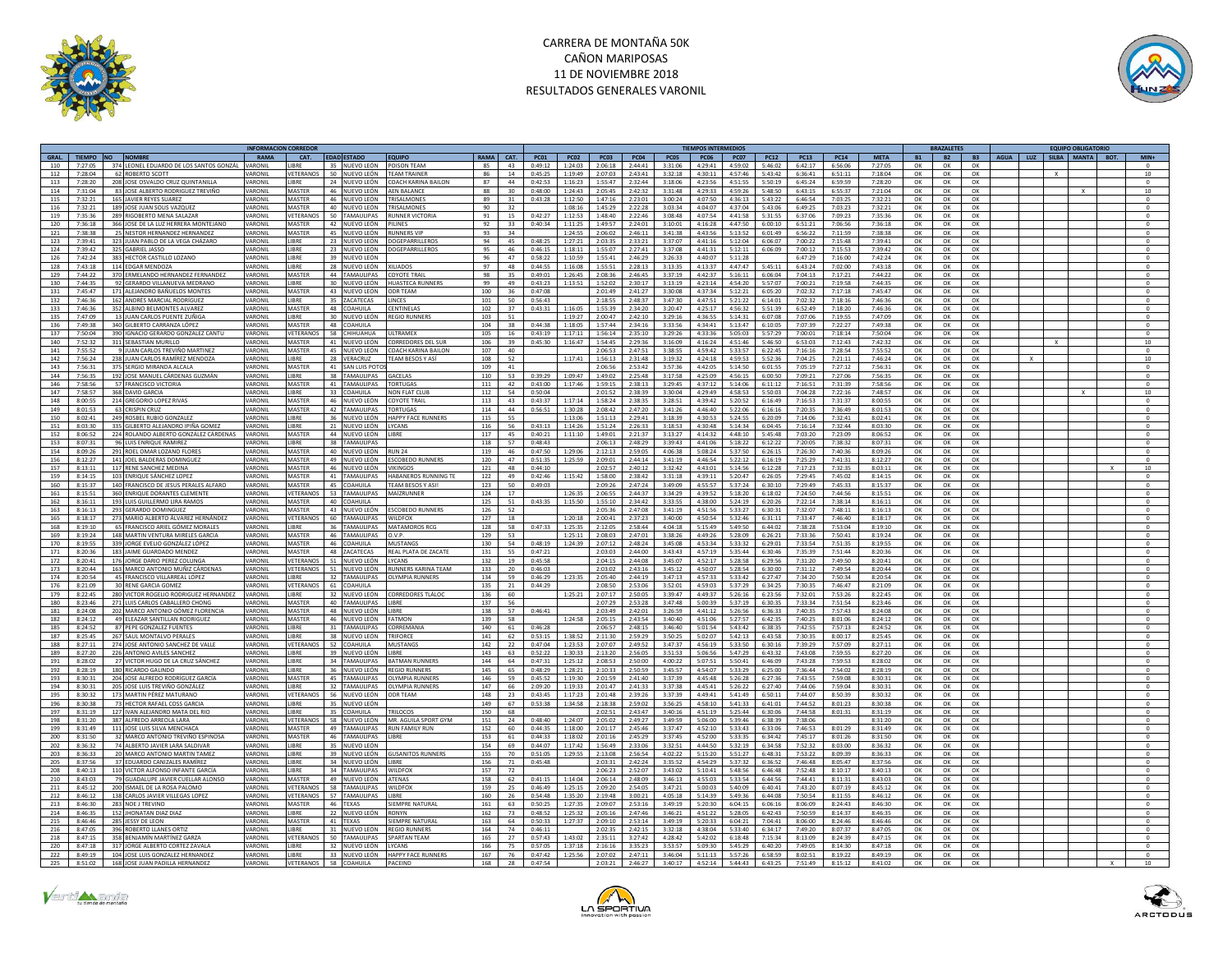



|                |                                         |                | <b>NFORMACION CORREDO</b> |                                    |                                              |           |      |             |             |             |             |             | <b>IEMPOS INTERMEDIOS</b> |         |             |               |             |             |           | RAZALETE  |           |  | <b>EQUIPO OBLIGATORIO</b> |                  |
|----------------|-----------------------------------------|----------------|---------------------------|------------------------------------|----------------------------------------------|-----------|------|-------------|-------------|-------------|-------------|-------------|---------------------------|---------|-------------|---------------|-------------|-------------|-----------|-----------|-----------|--|---------------------------|------------------|
| GRAL.          | TIEMPO NO NOMBRE                        | RAMA           | CAT.                      | <b>EDAD ESTADO</b>                 | EQUIPO                                       | RAMA CAT. |      | <b>PC01</b> | <b>PC02</b> | <b>PC03</b> | <b>PC04</b> | <b>PC05</b> | <b>PC06 PC07</b>          |         | <b>PC12</b> | <b>PC13</b>   | <b>PC14</b> | <b>META</b> | <b>B1</b> | <b>B2</b> | <b>B3</b> |  | AGUA LUZ SILBA MANTA BOT. | $MIN+$           |
| 110<br>7:27:05 | 374 LEONEL EDUARDO DE LOS SANTOS GONZÁL | VARONIL        | LIBRE                     | 35 NUEVO LEÓN                      | POISON TEAM                                  | 85        | 43   | 0:49:12     | 1:24:03     | 2:06:18     | 2:44:41     | 3:31:06     | 4:29:41 4:59:02           |         | 5:46:02     | 6:42:17       | 6:56:06     | 7:27:05     | OK        | OK        | OK        |  |                           |                  |
| 7:28:04<br>112 | 62 ROBERTO SCOTT                        | <b>VARONIL</b> | VETERANOS                 | 50 NUEVO LEÓN                      | <b>TFAM TRAINER</b>                          | 86        | 14   | 0:45:25     | 1:19:49     | 2:07:03     | 2:43:41     | 3:32:18     | 4:30:11                   | 4:57:46 | 5:43:42     | 6:36:41       | 6:51:11     | 7:18:04     | OK        | OK        | OK        |  |                           | 10               |
|                |                                         |                |                           |                                    |                                              |           |      |             |             |             |             |             |                           |         |             |               |             |             |           |           |           |  |                           |                  |
| 113<br>7:28:20 | 208 JOSE OSVALDO CRUZ QUINTANILLI       | VARONIL        | LIBRE                     | 24 NUEVO LEÓN                      | COACH KARINA BAILON                          | 87        | 44   | 0:42:53     | 1:16:23     | 1:55:47     | 2:32:44     | 3:18:06     | 4:23:56                   | 4:51:55 | 5:50:19     | 6:45:24       | 6:59:59     | 7:28:20     | OK        | OK        | OK        |  |                           | $^{\circ}$       |
| 7:31:04<br>114 | 83 JOSE ALBERTO RODRIGUEZ TREVIÑO       | VARONIL        | MASTER                    | 46 NUEVO LEÓN AEN BALANCE          |                                              | 88        | 30   | 0:48:00     | 1:24:43     | 2:05:45     | 2:42:32     | 3:31:48     | 4:29:33                   | 4:59:26 | 5:48:50     | 6:43:15       | 6:55:37     | 7:21:04     | OK        | OK        | OK        |  |                           | 10               |
| 115<br>7:32:21 | 165 JAVIER REYES SUAREZ                 | VARONIL        | MASTER                    | 46 NUEVO LEÓN TRISALMONES          |                                              | 89        | 31   | 0:43:28     | 1:12:50     | 1:47:16     | 2:23:01     | 3:00:24     | 4:07:50                   | 4:36:13 | 5:43:22     | 6:46:54       | 7:03:25     | 7:32:21     | OK        | OK        | OK        |  |                           | $\circ$          |
| 116<br>7:32:21 | 189 JOSE JUAN SOLIS VAZQUEZ             | VARONIL        | MASTER                    | 40 NUEVO LEÓN                      | <b>TRISALMONES</b>                           | 90        | 32   |             | 1:08:16     | 1:45:29     | 2:22:28     | 3:03:34     | 4:04:07                   | 4:37:04 | 5:43:06     | 6:49:25       | 7:03:23     | 7:32:21     | OK        | OK        | OK        |  |                           |                  |
| 119<br>7:35:36 | 289 RIGOBERTO MENA SALAZAR              | VARONII        | VETERANOS                 | 50 TAMAULIPAS                      | <b>RUNNER VICTORIA</b>                       | 91        | 15   | 0:42:27     | 1:12:53     | 1:48:40     | 2:22:46     | 3:08:48     | 4:07:54                   | 4:41:58 | 5:31:55     | 6:37:06       | 7:09:23     | 7:35:36     | OK        | OK        | OK        |  |                           | $\Omega$         |
| 7:36:18        | 366 JOSE DE LA LUZ HERRERA MONTEJANO    | VARONIL        | MASTER                    | 42 NUEVO LEÓN                      |                                              | 92        | 33   |             |             | 1:49:57     | 2:24:01     | 3:10:01     | 4:16:28                   | 4:47:50 |             |               |             | 7:36:18     |           | OK        | OK        |  |                           |                  |
| 120            |                                         |                |                           |                                    | PILINES                                      |           |      | 0:40:34     | 1:11:25     |             |             |             |                           |         | 6:00:10     | 6:51:21       | 7:06:56     |             | OK        |           |           |  |                           |                  |
| 7:38:38<br>121 | 25 NESTOR HERNANDEZ HERNANDEZ           | VARONIL        | MASTER                    | 45 NUEVO LEÓN RUNNERS VIP          |                                              | 93        | 34   |             | $1.24 - 55$ | 2:06:02     | 2:46:11     | 3:41:38     | 4.43.56                   | 5:13:52 | 6:01:49     | 6:56:22       | 7:11:59     | 7:38:38     | OK        | $\Omega$  | OK        |  |                           | $\Omega$         |
| 123<br>7:39:41 | 323 JUAN PABLO DE LA VEGA CHÁZARO       | VARONIL        | LIBRE                     | 23 NUEVO LEÓN                      | <b>DOGEPARRILLEROS</b>                       | 94        | 45   | 0:48:25     | 1:27:21     | 2:03:35     | 2:33:21     | 3:37:07     | 4:41:16                   | 5:12:04 | 6:06:07     | 7:00:22       | 7:15:48     | 7:39:41     | OK        | OK        | OK        |  |                           | $\circ$          |
| 7:39:42<br>124 | 325 GABRIEL JASSO                       | VARONIL        | <b>LIBRE</b>              | 23 NUEVO LEÓN                      | DOGEPARRILLEROS                              | 95        | 46   | 0:46:15     | 1:18:11     | 1:55:07     | 2:27:41     | 3:37:08     | 4:41:31                   | 5:12:11 | 6:06:09     | 7:00:12       | 7:15:53     | 7:39:42     | OK        | OK        | OK        |  |                           | $\circ$          |
| 126<br>7:42:24 | 383 HECTOR CASTILLO LOZANO              | VARONIL        | LIBRE                     | 39 NUEVO LEÓN                      |                                              | 96        | 47   | 0:58:22     | 1:10:59     | 1:55:41     | 2:46:29     | 3:26:33     | 4:40:07                   | 5:11:28 |             | 6:47:29       | 7:16:00     | 7:42:24     | OK        | OK        | OK        |  |                           | $\circ$          |
| 7:43:18        |                                         | VARONIL        | LIBRE                     |                                    | <b>XILIADOS</b>                              | 97        | 48   | 0:44:55     | 1:16:08     |             |             |             |                           | 4:47:47 |             |               |             |             |           |           |           |  |                           | $^{\circ}$       |
| 128            | 114 EDGAR MENDOZA                       |                |                           | 28 NUEVO LEÓN                      |                                              |           |      |             |             | 1:55:51     | 2:28:13     | 3:13:35     | 4:13:37                   |         | 5:45:11     | 6:43:24       | 7:02:00     | 7:43:18     | OK        | OK        | OK        |  |                           |                  |
| 7.44.22<br>129 | 370 ERMELANDO HERNANDEZ FERNANDEZ       | VARONIL        | MASTER                    | 44 TAMAULIPAS                      | <b>COYOTE TRAI</b>                           | 98        | 35   | 0:49:01     | 1:26:45     | 2:08:36     | 2:46:45     | 3:37:19     | 4:42:37                   | 5:16:11 | 6:06:04     | 7:04:13       | 7:17:21     | 7:44:22     | OK        | OK        | OK        |  |                           |                  |
| 130<br>7:44:35 | 92 GERARDO VIII ANUEVA MEDRANO          | VARONIL        | <b>LIBRE</b>              | 30 NUEVO LEÓN                      | <b>HUASTECA RUNNERS</b>                      | 99        | 49   | 0:43:23     | 1:13:51     | 1:52:02     | 2:30:17     | 3:13:19     | 4:23:14                   | 4:54:20 | 5:57:07     | 7:00:21       | 7:19:58     | 7:44:35     | OK        | OK        | OK        |  |                           | $^{\circ}$       |
| 7.45.47<br>131 | 171 ALEJANDRO BAÑUELOS MONTES           | VARONIL        | MASTER                    | 43 NUEVO LEÓN                      | ODR TFAM                                     | 100       | 36   | 0:47:08     |             | 2:01:49     | 2.41:27     | 3:30:08     | 4.37.34                   | 5:12:21 | 6:05:20     | 7:02:32       | 7:17:18     | 7.45.47     | OK        | OK        | $\alpha$  |  |                           | $\Omega$         |
| 132<br>7.46:36 | 162 ANDRÉS MARCIAL RODRÍGUEZ            | VARONIL        | <b>LIBRE</b>              | 35 ZACATECAS                       | <b>LINCES</b>                                | 101       | 50   | 0.56:43     |             | 2:18:55     | 2.48.37     | 3:47:30     | 4:47:51                   | 5:21:22 | 6:14:01     | 7:02:32       | 7:18:16     | 7.46.36     | OK        | OK        | OK        |  |                           | $^{\circ}$       |
| 133<br>7:46:36 | 352 ALBINO BELMONTES ALVAREZ            | VARONIL        | MASTER                    | 48 COAHUILA                        | CENTINELAS                                   | 102       | 37   | 0:43:31     | 1:16:05     | 1:55:39     | 2:34:20     | 3:20:47     | 4:25:17                   | 4:56:32 | 5:51:39     | 6:52:49       | 7:18:20     | 7:46:36     | OK        | OK        | OK        |  |                           | $\Omega$         |
|                |                                         |                |                           |                                    |                                              |           |      |             |             |             |             |             |                           |         |             |               |             |             |           |           |           |  |                           |                  |
| 135<br>7:47:09 | 13 JUAN CARLOS PUENTE ZUÑIGA            | VARONIL        | <b>LIBRE</b>              | 30 NUEVO LEÓN                      | <b>REGIO RUNNERS</b>                         | 103       | 51   |             | 1:19:27     | 2:00:47     | 2:42:10     | 3:29:16     | 4:36:55                   | 5:14:31 | 6:07:08     | 7:07:06       | 7:19:55     | 7:47:09     | OK        | OK        | OK        |  |                           | $\circ$          |
| 136<br>7:49:38 | 340 GILBERTO CARRANZA LÓPEZ             | VARONIL        | MASTER                    | 48 COAHUILA                        |                                              | 104       | 38   | 0:44:38     | 1:18:05     | 1:57:44     | 2:34:16     | 3:33:56     | 4:34:41                   | 5:13:47 | 6:10:05     | 7:07:39       | 7:22:27     | 7:49:38     | OK        | OK        | OK        |  |                           | $\circ$          |
| 137<br>7:50:04 | 390 IGNACIO GERARDO GONZALEZ CANTU      | VARONIL        | VETERANOS                 | 58 CHIHUAHUA                       | <b>JITRAMEX</b>                              | 105       | 16   | 0:43:19     | 1:17:11     | 1:56:14     | 2:35:10     | 3:29:26     | 4:33:36                   | 5:05:03 | 5:57:29     | 7:00:01       | 7:18:14     | 7:50:04     | OK        | OK        | OK        |  |                           | $\circ$          |
| 140<br>7:52:32 | 311 SEBASTIAN MURILLO                   | VARONIL        | MASTER                    | 41 NUEVO LEÓN                      | CORREDORES DEL SUR                           | 106       | 39   | 0:45:30     | 1:16:47     | 1:54:45     | 2:29:36     | 3:16:09     | 4:16:24                   | 4:51:46 | 5:46:50     | 6:53:03       | 7:12:43     | 7:42:32     | OK        | OK        | OK        |  |                           | $10$             |
| 141<br>7:55:52 | 9 JUAN CARLOS TREVIÑO MARTINEZ          | VARONII        | MASTER                    | 45 NUEVO LEÓN                      | COACH KARINA BAILON                          | 107       | AD   |             |             | 2:06:53     | 2:47:51     | 3:38:55     | 4.59:42                   | 5:33:57 | 6:22:45     | 7:16:16       | 7:28:54     | 7:55:52     | OK        | OK        | OK        |  |                           | $\Omega$         |
|                |                                         |                |                           |                                    |                                              |           |      |             |             |             |             |             |                           |         |             |               |             |             |           |           |           |  |                           |                  |
| 142<br>7:56:24 | 238 JUAN CARLOS RAMÍREZ MENDOZA         | VARONIL        | LIBRE                     | 28 VERACRUZ                        | <b>TEAM BESOS Y AS</b>                       | 108       | 52   |             | 1:17:41     | 1:56:13     | 2:31:48     | 3:19:32     | 4:24:18                   | 4:59:53 | 5:52:36     | 7:04:25       | 7:21:11     | 7:46:24     | OK        | OK        | OK        |  |                           | $10$             |
| 143<br>7:56:31 | 375 SERGIO MIRANDA ALCALA               | VARONIL        | MASTER                    | 41 SAN LUIS POTO                   |                                              | 109       | 41   |             |             | 2:06:56     | 2.53:42     | 3.57.36     | 4.42:05                   | 5:14:50 | 6:01:55     | 7:05:19       | 7:27:12     | 7:56:31     | OK        | OK        | OK        |  |                           | $\Omega$         |
| 144<br>7:56:35 | 192 JOSE MANUEL CÁRDENAS GUZMÁN         | VARONIL        | LIBRE                     | 38 TAMAULIPAS                      | <b>GACELAS</b>                               | 110       | 53   | 0:39:29     | 1:09:47     | 1:49:02     | 2:25:48     | 3:17:58     | 4:25:09                   | 4:56:15 | 6:00:50     | 7:09:21       | 7:27:06     | 7:56:35     | OK        | OK        | OK        |  |                           |                  |
| 146<br>7:58:56 | 57 FRANCISCO VICTORIA                   | VARONII        | MASTER                    | 41 TAMAULIPAS                      | <b>TORTUGAS</b>                              | 111       | 42   | 0.43:00     | 1:17:46     | 1:59:15     | 2.38:13     | 3:29:45     | 4:37:12                   | 5:14:06 | 6:11:12     | 7:16:51       | 7.31.39     | 7:58:56     | OK        | OK        | OK        |  |                           | $\Omega$         |
| 147<br>7:58:57 | 368 DAVID GARCIA                        | VARONIL        | LIBRE                     | 33 COAHUILA                        | <b>NON FLAT CLUI</b>                         | 112       | 54   | 0:50:04     |             | 2:01:52     | 2:38:39     | 3:30:04     | 4:29:49                   | 4:58:53 | 5:50:03     | 7:04:28       | 7:22:16     | 7:48:57     | OK        | OK        | OK        |  |                           | $10\,$           |
| 148<br>8:00:55 |                                         | VARONIL        | <b>MASTER</b>             | 46 NUEVOLEÓN COYOTE TRAIL          |                                              | 113       | 43   | 0.43.37     | 1:17:14     | 1:58:24     | 2.38.35     | 3.28:51     | 4:39:42                   | 5:20:52 | 6:16:49     | 7.16.53       | 7:31:37     | 8:00:55     | OK        | OK        |           |  |                           |                  |
|                | 214 GREGORIO LOPEZ RIVAS                |                |                           |                                    |                                              |           |      |             |             |             |             |             |                           |         |             |               |             |             |           |           | OK        |  |                           | $^{\circ}$       |
| 149<br>8:01:53 | 63 CRISPIN CRUZ                         | VARONIL        | MASTER                    | 42 TAMAULIPAS                      | <b>TORTUGAS</b>                              | 114       | 44   | 0:56:51     | 1:30:28     | 2:08:42     | 2:47:20     | 3:41:26     | 4:46:40                   | 5:22:06 | 6:16:16     | 7:20:35       | 7:36:49     | 8:01:53     | OK        | OK        | OK        |  |                           | $\circ$          |
| 150<br>8:02:41 | 249 ROSBEL RUBIO GONZALEZ               | VARONII        | <b>LIBRE</b>              |                                    | 36 NUEVO LEÓN HAPPY FACE RUNNERS             | 115       | 55   |             | 1:13:06     | 1:51:13     | 2.29:41     | 3.18.39     | 4:30:53                   | 5:24:55 | 6:20:09     | 7.14.06       | 7:32:41     | 8:02:41     | OK        | OK        | OK        |  |                           | $\Omega$         |
| 151<br>8:03:30 | 335 GILBERTO ALEJANDRO IPIÑA GOMEZ      | VARONIL        | LIBRE                     | 21 NUEVO LEÓN LYCANS               |                                              | 116       | 56   | 0:43:13     | 1:14:26     | 1:51:24     | 2:26:33     | 3:18:53     | 4:30:48                   | 5:14:34 | 6:04:45     | 7:16:14       | 7:32:44     | 8:03:30     | OK        | OK        | OK        |  |                           | $^{\circ}$       |
| 152<br>8:06:52 | 224 ROLANDO ALBERTO GONZÁLEZ CÁRDENAS   | VARONII        | MASTER                    | 44 NUEVO LEÓN                      | <b>LIBRE</b>                                 | 117       | 45   | 0:40:21     | 1:11:10     | 1:49:01     | 2:21:37     | 3:13:27     | 4:14:32                   | 4:48:10 | 5.45.48     | 7:03:20       | 7:23:09     | 8:06:52     | OK        | OK        | OK        |  |                           | $\Omega$         |
| 153<br>8:07:31 | 96 LUIS ENRIQUE RAMIREZ                 | VARONIL        | LIBRE                     | 38 TAMAULIPAS                      |                                              | 118       | 57   | 0:48:43     |             | 2:06:13     | 2:48:29     | 3:39:43     | 4:41:06                   | 5:18:22 | 6:12:22     | 7:20:05       | 7:38:32     | 8:07:31     | OK        | OK        | OK        |  |                           |                  |
|                |                                         |                |                           |                                    |                                              |           |      |             |             |             |             |             |                           |         |             |               |             |             |           |           |           |  |                           |                  |
| 154<br>8:09:26 | 291 ROEL OMAR LOZANO FLORES             | VARONIL        | <b>MASTER</b>             | 40 NUEVO LEÓN                      | <b>RUN 24</b>                                | 119       | 46   | 0:47:50     | 1:29:06     | 2:12:13     | 2:59:05     | 4:06:38     | 5:08:24                   | 5:37:50 | 6:26:15     | 7:26:30       | 7:40:36     | 8:09:26     | OK        | OK        | OK        |  |                           | $\circ$          |
| 156<br>8:12:27 | 141 JOEL BALDERAS DOMINGUE              | VARONI         | <b>MASTER</b>             | 49 NUEVO LEÓN                      | <b>ESCOBEDO RUNNERS</b>                      | 120       | 47   | 0:51:35     | 1:25:59     | 2:09:01     | 2:44:14     | 3:41:19     | 4:46:54                   | 5:22:12 | 6:16:19     | 7:25:29       | 7:41:31     | 8:12:27     | OK        | OK        | OK        |  |                           |                  |
| 157<br>8:13:11 | 117 RENE SANCHEZ MEDINA                 | VARONIL        | MASTER                    | 46 NUEVO LEÓN                      | <b>VIKINGOS</b>                              | 121       | 48   | 0:44:10     |             | 2:02:57     | 2:40:12     | 3:32:42     | 4:43:01                   | 5:14:56 | 6:12:28     | 7:17:23       | 7:32:35     | 8:03:11     | OK        | OK        | OK        |  |                           | 10 <sup>10</sup> |
| 159<br>8:14:15 | 103 ENRIQUE SÁNCHEZ LOPEZ               | VARONI         | MASTER                    | 41 TAMAULIPAS                      | HABANEROS RUNNING TE                         | 122       | 49   | 0:42:46     | 1:15:42     | 1:58:00     | 2:38:42     | 3:31:18     | 4:39:11                   | 5:20:47 | 6:26:05     | 7:29:45       | 7:45:02     | 8:14:15     | OK        | OK        | OK        |  |                           |                  |
| 160<br>8:15:37 | 140 FRANCISCO DE JESUS PERALES ALFARO   | VARONIL        | MASTER                    | 45 COAHUILA                        | TEAM BESOS Y ASI                             | 123       | 50   | 0:49:03     |             | 2:09:26     | 2:47:24     | 3:49:09     | 4:55:57                   | 5:37:24 | 6:30:10     | 7:29:49       | 7:45:33     | 8:15:37     | OK        | OK        | OK        |  |                           | $^{\circ}$       |
|                |                                         |                |                           | VETERANOS 53 TAMAULIPAS MAÍZRUNNER |                                              |           |      |             |             |             |             |             |                           |         |             |               |             |             |           |           |           |  |                           |                  |
| 161<br>8:15:51 | 360 ENRIQUE DORANTES CLEMENTE           | VARONII        |                           |                                    |                                              | 124       | 17   |             | 1:26:35     | 2:06:55     | 2.44.37     | 3:34:29     | 4:39:52                   | 5:18:20 | 6:18:02     | 7:24:50       | 7:44:56     | 8:15:51     | OK        | OK        | OK        |  |                           | $^{\circ}$       |
| 162<br>8:16:11 | 193 LUIS GUILLERMO LIRA RAMOS           | VARONII        | MASTER                    | 40 COAHUILA                        |                                              | 125       | 51   | 0:43:35     | 1:15:50     | 1:55:10     | $2.34 - 42$ | 3:33:55     | 4:38:00                   | 5:24:19 | 6:20:26     | 7:22:14       | 7:38:14     | 8:16:11     | OK        | OK        | OK        |  |                           |                  |
| 163<br>8:16:13 | 293 GERARDO DOMINGUEZ                   | VARONIL        | <b>MASTER</b>             | 43 NUEVO LEÓN                      | <b>ESCOBEDO RUNNERS</b>                      | 126       | 52   |             |             | 2:05:36     | 2:47:08     | 3:41:19     | 4:51:56                   | 5:33:27 | 6:30:31     | 7:32:07       | 7:48:11     | 8:16:13     | OK        | OK        | OK        |  |                           | $\mathbf{0}$     |
| 165<br>8:18:17 | 273 MARIO ALBERTO ÁLVAREZ HERNÁNDEZ     | VARONII        | VETERANOS                 | 60 TAMAULIPAS WILDFOX              |                                              | 127       | 18   |             | 1:20:18     | 2:00:41     | 2.37.23     | 3:40:00     | 4:50:54                   | 5:32:46 | 6:31:11     | $7 - 33 - 47$ | $7.46 - 40$ | 8:18:17     | OK        | OK        | OK        |  |                           | $\Omega$         |
| 168<br>8:19:10 | 65 FRANCISCO ARIEL GÓMEZ MORALES        | VARONIL        | <b>LIBRE</b>              | 36 TAMAULIPAS                      | <b>MATAMOROS RCG</b>                         | 128       | 58   | 0:47:33     | 1:25:35     | 2:12:05     | 2:58:44     | 4:04:18     | 5:15:49                   | 5:49:50 | 6:44:02     | 7:38:28       | 7:53:04     | 8:19:10     | OK        | OK        | OK        |  |                           | $^{\circ}$       |
|                |                                         |                |                           |                                    |                                              |           |      |             |             |             |             |             |                           |         |             |               |             |             |           |           |           |  |                           |                  |
| 169<br>8:19:24 | 148 MARTIN VENTURA MIRELES GARCIA       | VARONIL        | MASTER                    | 46 TAMAULIPAS                      | O.V.P.                                       | 129       | 53   |             | 1:25:11     | 2:08:03     | 2:47:01     | 3:38:26     | 4:49:26                   | 5:28:09 | 6:26:21     | 7:33:36       | 7:50:41     | 8:19:24     | OK        | OK        | OK        |  |                           | $\Omega$         |
| 170<br>8:19:55 | 339 JORGE EVELIO GONZÁLEZ LÓPEZ         | VARONI         | MASTER                    | 46 COAHUILA                        | MUSTANG                                      | 130       | 54   | 0:48:19     | 1:24:39     | 2:07:12     | 2:48:24     | 3:45:08     | 4:53:34                   | 5:33:32 | 6:29:01     | 7:33:54       | 7:51:35     | 8:19:55     | OK        | OK        | OK        |  |                           |                  |
| 171<br>8:20:36 | 183 JAIME GUARDADO MENDEZ               | VARONIL        | MASTER                    | 48 ZACATECAS                       | REAL PLATA DE ZACATE                         | 131       | 55   | 0:47:21     |             | 2:03:03     | 2:44:00     | 3:43:43     | 4:57:19                   | 5:35:44 | 6:30:46     | 7:35:39       | 7:51:44     | 8:20:36     | OK        | OK        | OK        |  |                           | $\Omega$         |
| 172<br>8:20:41 | 176 JORGE DARIO PEREZ COLUNG/           | VARONIL        |                           | VETERANOS 51 NUEVO LEÓN            | LYCANS                                       | 132       | 19   | 0:45:58     |             | 2:04:15     | 2:44:08     | 3:45:07     | 4:52:17                   | 5:28:58 | 6:29:56     | 7:31:20       | 7:49:50     | 8:20:41     | OK        | OK        | OK        |  |                           |                  |
| 173<br>8:20:44 | 163 MARCO ANTONIO MUÑIZ CÁRDENAS        | VARONIL        | VETERANOS                 | 51 NUEVO LEÓN                      | <b>RUNNERS KARINA TEAM</b>                   | 133       | 20   | 0:46:03     |             | 2:03:02     | 2:43:16     | 3:45:12     | 4:50:07                   | 5:28:54 | 6:30:00     | 7:31:12       | 7:49:54     | 8:20:44     | OK        | OK        | OK        |  |                           | $^{\circ}$       |
| 174            | 45 FRANCISCO VILLARREAL LÓPEZ           | VARONII        | LIBRE                     | 32 TAMAUUPAS                       | <b>OLYMPIA RUNNERS</b>                       | 134       | 59   |             | 1:23:35     | 2:05:40     |             | 3:47:13     |                           |         |             |               | 7:50:34     | 8:20:54     |           |           |           |  |                           | $\circ$          |
| 8:20:54        |                                         |                |                           |                                    |                                              |           |      | 0:46:29     |             |             | 2:44:19     |             | 4:57:33                   | 5:33:42 | 6:27:47     | 7:34:20       |             |             | OK        | OK        | OK        |  |                           |                  |
| 176<br>8:21:09 | 30 RENE GARCIA GOMEZ                    | VARONIL        |                           | VETERANOS 61 COAHUILA              |                                              | 135       | 21   | 0:44:29     |             | 2:08:50     | 2:53:06     | 3:52:01     | 4:59:03                   | 5:37:29 | 6:34:25     | 7:30:35       | 7:46:47     | 8:21:09     | OK        | OK        | OK        |  |                           | $\Omega$         |
| 179<br>8:22:45 | 280 VICTOR ROGELIO RODRIGUEZ HERNANDEZ  | VARONII        | <b>LIBRE</b>              | 32 NUEVO LEÓN                      | <b>CORREDORES TLÁLOD</b>                     | 136       | 60   |             | 1:25:21     | 2:07:17     | 2:50:05     | 3.39.47     | 4.49.37                   | 5:26:16 | 6:23:56     | 7:32:01       | 7:53:26     | 8:22:45     | OK        | OK        | OK        |  |                           | $^{\circ}$       |
| 180<br>8:23:46 | 271 LUIS CARLOS CABALLERO CHONG         | VARONIL        | MASTER                    | 40 TAMAULIPAS                      | LIBRE                                        | 137       | - 56 |             |             | 2:07:29     | 2:53:28     | 3:47:48     | 5:00:39                   | 5:37:19 | 6:30:35     | 7:33:34       | 7:51:54     | 8:23:46     | OK        | OK        | OK        |  |                           |                  |
| 181<br>8:24:08 | 202 MARCO ANTONIO GÓMEZ FLORENCI        | VARONIL        | MASTER                    | 48 NUEVO LEÓN                      | <b>ILIBRE</b>                                | 138       | 57   | 0:46:41     |             | 2:03:49     | 2:42:01     | 3:26:59     | 4:41:12                   | 5:26:56 | 6:36:33     | 7:40:35       | 7:57:43     | 8:24:08     | OK        | OK        | OK        |  |                           |                  |
| 182<br>8:24:12 | 49 ELEAZAR SANTILLAN RODRIGUEZ          | VARONIL        | MASTER                    | 46 NUEVO LEÓN                      | <b>FATMON</b>                                | 139       | 58   |             | 1:24:58     | 2:05:15     | 2:43:54     | 3:40:40     | 4:51:06                   | 5:27:57 | 6:42:35     | 7:40:25       | 8:01:06     | 8:24:12     | OK        | OK        | OK        |  |                           | $^{\circ}$       |
|                |                                         |                |                           |                                    | CORREMANIA                                   |           |      |             |             |             |             |             |                           |         |             |               |             |             |           |           |           |  |                           |                  |
| 185<br>8:24:52 | 87 PEPE GONZALEZ FUENTES                | VARONII        | LIBRE                     | 31 TAMAULIPAS                      |                                              | 140       | 61   | 0:46:28     |             | 2:06:57     | 2:48:15     | 3:46:40     | 5:01:54                   | 5:43:42 | 6:38:35     | 7:42:55       | 7:57:13     | 8:24:52     | OK        | OK        | OK        |  |                           | $\Omega$         |
| 187<br>8:25:45 | 267 SAUL MONTALVO PERALES               | VARONIL        | <b>IRRF</b>               | 38 NUEVO LEÓN                      | TRIFORCE                                     | 141       | 62   | 0:53:15     | 1:38:52     | 2:11:30     | 2:59:29     | 3:50:25     | 5:02:07                   | 5:42:13 | 6:43:58     | 7:30:35       | 8:00:17     | 8:25:45     | OK        | OK        | OK        |  |                           | $\circ$          |
| 188<br>8:27:11 | 274 JOSE ANTONIO SANCHEZ DE VALLI       | VARONIL        |                           | VETERANOS 52 COAHUILA              | <b>MUSTANGS</b>                              | 142       | 22   | 0:47:04     | 1:23:53     | 2:07:07     | 2:49:52     | 3:47:37     | 4:56:19                   | 5:33:50 | 6:30:16     | 7:39:29       | 7:57:09     | 8:27:11     | OK        | OK        | OK        |  |                           | $^{\circ}$       |
| 8:27:20<br>189 | 226 ANTONIO AVILES SANCHEZ              | VARONIL        | LIBRE                     | 39 NUEVO LEÓN                      | <b>LIBRE</b>                                 | 143       | 63   | 0:52:22     | 1:30:33     | 2:13:20     | 2:56:05     | 3:51:53     | 5:06:56                   | 5:47:29 | 6:43:32     | 7.43.08       | 7.59.55     | 8:27:20     | OK        | OK        | $\alpha$  |  |                           | $\Omega$         |
| 191<br>8:28:02 | 27 VICTOR HUGO DE LA CRUZ SÁNCHEZ       | VARONII        | <b>IIRRF</b>              | 34 TAMAULIPAS BATMAN RUNNERS       |                                              | 144       | 64   | 0:47:31     | 1:25:12     | 2:08:53     | 2:50:00     | 4:00:22     | 5:07:51                   | 5:50:41 | 6:46:09     | 7:43:28       | 7:59:53     | 8:28:02     | OK        | OK        | OK        |  |                           | $^{\circ}$       |
|                |                                         |                |                           |                                    |                                              |           |      |             |             |             |             |             |                           |         |             |               |             |             |           |           |           |  |                           |                  |
| 192<br>8:28:19 | 180 RICARDO GALINDO                     | VARONIL        | <b>JBRE</b>               | 36 NUEVO LEÓN                      | <b>REGIO RUNNERS</b>                         | 145       | 65   | 0:48:29     | 1:28:21     | 2:10:33     | 2:50:59     | 3:45:57     | 4:54:07                   | 5:33:29 | 6:25:00     | 7:36:44       | 7:54:02     | 8:28:19     | OK        | OK        | OK        |  |                           |                  |
| 193<br>8:30:31 | 204 JOSE ALFREDO RODRÍGUEZ GARCÍA       | VARONIL        | MASTER                    | 45 TAMAULIPAS                      | OLYMPIA RUNNERS                              | 146       | 59   | 0:45:52     | 1:19:30     | 2:01:59     | 2:41:40     | 3:37:39     | 4:45:48                   | 5:26:28 | 6:27:36     | 7:43:55       | 7:59:08     | 8:30:31     | OK        | OK        | OK        |  |                           | $\circ$          |
| 194<br>8:30:31 | 205 JOSE LUIS TREVIÑO GONZÁLEZ          | VARONIL        | <b>IRRF</b>               | 32 TAMAULIPAS                      | <b>OLYMPIA RUNNERS</b>                       | 147       | 66   | 2:09:20     | 1:19:33     | 2:01:47     | 2:41:33     | 3:37:38     | 4:45:41                   | 5:26:22 | 6:27:40     | 7:44:06       | 7:59:04     | 8:30:31     | OK        | OK        | OK        |  |                           | $^{\circ}$       |
| 195<br>8:30:32 | 173 MARTIN PÉREZ MATURANO               | VARONIL        |                           | VETERANOS 56 NUEVOLEÓN ODR TEAM    |                                              | 148       | 23   | 0.43:45     | 1:17:23     | 2:01:48     | 2:39:26     | 3:37:39     | 4.49.41                   | 5:41:49 | 6:50:11     | 7.44.07       | 8:50:39     | 8:30:32     | OK        | $\Omega$  | OK        |  |                           | $\Omega$         |
| 8:30:38<br>196 | 73 HECTOR RAFAEL COSS GARCIA            | VARONIL        | LIBRE                     | 35 NUEVO LEÓN                      |                                              | 149       | 67   | 0:53:38     | 1:34:58     | 2:18:38     | 2:59:02     | 3:56:25     | 4:58:10                   | 5:41:33 | 6:41:01     | 7:44:52       | 8:01:23     | 8:30:38     | OK        | OK        | OK        |  |                           | $^{\circ}$       |
| 197<br>8:31:19 | 127 IVAN ALFIANDRO MATA DEL RIO         | VARONIL        | LIBRE                     | 35 COAHUILA                        | TRU OCOS                                     | 150       | 68   |             |             |             | 2.43:47     |             | 4:51:19                   |         |             | 7:44:58       |             |             |           | OK        |           |  |                           | $\Omega$         |
|                |                                         |                |                           |                                    |                                              |           |      |             |             | 2:02:51     |             | 3:40:16     |                           | 5:25:44 | 6:30:06     |               | 8:01:31     | 8:31:19     | OK        |           | OK        |  |                           |                  |
| 198<br>8:31:20 | 387 ALFREDO ARREOLA LARA                | VARONIL        |                           |                                    | VETERANOS 58 NUEVO LEÓN MR. AGUILA SPORT GYM | 151       | 24   | 0:48:40     | 1:24:07     | 2:05:02     | 2:49:27     | 3:49:59     | 5:06:00                   | 5:39:46 | 6:38:39     | 7:38:06       |             | 8:31:20     | OK        | OK        | OK        |  |                           | $\circ$          |
| 199<br>8:31:49 | 111 JOSE LUIS SILVA MENCHACA            | VARONII        | <b>MASTER</b>             | 49 TAMAULIPAS RUN FAMILY RUN       |                                              | 152       | 60   | 0:44:35     | 1:18:00     | 2:01:17     | 2:45:46     | 3:37:47     | 4:52:10                   | 5:33:43 | 6:33:06     | 7:46:53       | 8:01:29     | 8:31:49     | OK        | OK        | OK        |  |                           | $^{\circ}$       |
| 200<br>8:31:50 | 32 MARCO ANTONIO TREVIÑO ESPINOSA       | VARONIL        | MASTER                    | 46 TAMAULIPAS                      | LIBRE                                        | 153       | 61   | 0:44:33     | 1:18:02     | 2:01:16     | 2:45:29     | 3:37:45     | 4:52:00                   | 5:33:35 | 6:34:42     | 7:45:17       | 8:01:26     | 8:31:50     | OK        | ок        | OK        |  |                           | $^{\circ}$       |
| 202<br>8:36:32 | 74 ALBERTO JAVIER LARA SALDIVAR         | VARONIL        | LIBRE                     | 35 NUEVO LEÓN                      |                                              | 154       | 69   | 0:44:07     | 1:17:42     | 1:56:49     | 2:33:06     | 3:32:51     | 4:44:50                   | 5:32:19 | 6:34:58     | 7:52:32       | 8:03:00     | 8:36:32     | OK        | OK        | OK        |  |                           |                  |
| 8:36:33        |                                         | VARONIL        | LIBRE                     |                                    |                                              | 155       | 70   |             | 1:29:55     | 2:13:08     | 2:56:54     | 4:02:22     | 5:15:20                   | 5:51:27 | 6:48:31     | 7:53:22       | 8:09:39     | 8:36:33     | OK        | OK        | OK        |  |                           | $\circ$          |
| 203            | 20 MARCO ANTONIO MARTIN TAMEZ           |                |                           | 39 NUEVO LEÓN                      | <b>GUSANITOS RUNNERS</b>                     |           |      | 0:51:05     |             |             |             |             |                           |         |             |               |             |             |           |           |           |  |                           |                  |
| 205<br>8:37:56 | 37 EDUARDO CANIZALES RAMÍREZ            | VARONII        | <b>LIBRE</b>              | 34 NUEVO LEÓN                      | <b>LIBRE</b>                                 | 156       | 71   | $0.45 - 48$ |             | 2:03:31     | 2.42.24     | 3:35:52     | 4.54.29                   | 5:37:32 | 6:36:52     | 7.46.48       | 8:05:47     | 8:37:56     | OK        | OK        | OK        |  |                           | $\Omega$         |
| 208<br>8:40:13 | 110 VICTOR ALFONSO INFANTE GARCÍA       | VARONIL        | LIBRE                     | 34 TAMAULIPAS                      | WILDFOX                                      | 157       | 72   |             |             | 2:06:23     | 2:52:07     | 3:43:02     | 5:10:41                   | 5:48:56 | 6:46:48     | 7:52:48       | 8:10:17     | 8:40:13     | OK        | OK        | OK        |  |                           | $^{\circ}$       |
| 210<br>8:43:03 | 79 GUADALUPE JAVIER CUELLAR ALONSO      | VARONIL        | <b>MASTER</b>             | 49 NUEVO LEÓN ATENAS               |                                              | 158       | 62   | 0:41:15     | 1:14:04     | 2:06:14     | $2.48 - 09$ | 3:46:13     | 4.55:03                   | 5:33:54 | 6:44:56     | 7.44.41       | 8:11:31     | 8:43:03     | OK        | OK        | OK        |  |                           | $\circ$          |
| 211<br>8:45:12 | 200 ISMAEL DE LA ROSA PALOMO            | VARONIL        |                           | VETERANOS SR TAMALILIPAS WILDEOX   |                                              | 159       | 25   | $0.46 - 49$ | 1:25:15     | 2:09:20     | 2:54:05     | 3:47:21     | 5:00:03                   | 5:40:09 | 6:40:41     | 7.43.20       | 8:07:19     | 8:45:12     | OK        | OK        | $\alpha$  |  |                           | $\Omega$         |
| 212<br>8:46:12 | 138 CARLOS JAVIER VILLEGAS LOPEZ        | VARONII        |                           | VETERANOS 57 TAMALILIPAS LIBRE     |                                              | 160       | 26   | 0:54:48     | 1:35:20     | 2:19:48     | 3:00:21     | 4:05:18     | 5:14:39                   | 5:49:36 | 6:44:08     | 7:50:54       | 8:11:55     | 8:46:12     | OK        | OK        | OK        |  |                           | $\Omega$         |
|                |                                         |                |                           |                                    |                                              |           |      |             |             |             |             |             |                           |         |             |               |             |             |           |           |           |  |                           |                  |
| 213<br>8:46:30 | 283 NOE J TREVINO                       | VARONIL        | MASTER                    | 46 TEXAS                           | SIEMPRE NATURAL                              | 161       | 63   | 0:50:25     | 1:27:35     | 2:09:07     | 2:53:16     | 3:49:19     | 5:20:30                   | 6:04:15 | 6:06:16     | 8:06:09       | 8:24:43     | 8:46:30     | OK        | OK        | OK        |  |                           | $\circ$          |
| 214<br>8:46:35 | 152 JHONATAN DIAZ DIAZ                  | VARONIL        | <b>LIBRE</b>              | 22 NUEVO LEÓN                      | RONYN                                        | 162       | 73   | 0:48:52     | 1:25:32     | 2:05:16     | 2.47.46     | 3:46:21     | 4:51:22                   | 5:28:05 | 6:42:43     | 7:50:59       | 8:14:37     | 8:46:35     | OK        | OK        | OK        |  |                           | $\Omega$         |
| 215<br>8:46:46 | 285 JESSY DE LEON                       | VARONIL        | MASTER                    | 41 TEXAS                           | SIEMPRE NATURAL                              | 163       | 64   | 0:50:33     | 1:27:37     | 2:09:10     | 2:53:14     | 3:49:19     | 5:20:33                   | 6:04:21 | 7:04:41     | 8:06:00       | 8:24:46     | 8:46:46     | OK        | OK        | OK        |  |                           | $^{\circ}$       |
| 216<br>8:47:05 | 396 ROBERTO LLANES ORTIZ                | VARONII        | <b>LIBRE</b>              | 31 NUEVO LEÓN REGIO RUNNERS        |                                              | 164       | 74   | 0:46:11     |             | 2:02:35     | 2.42.15     | 3:32:18     | 4:38:04                   | 5:33:40 | 6:34:17     | 7.49:20       | 8:07:37     | 8:47:05     | OK        | OK        | OK        |  |                           | $\Omega$         |
| 218<br>8:47:15 | ENJAMÍN MARTÍNEZ GARZ<br>358 B          | VARONIL        | <b>VETERANOS</b>          | 50<br><b>TAMAULIPAS</b>            | <b>SPARTAN TEAM</b>                          | 165       | 27   | 0:57:43     | 1:43:02     | 2:35:11     | 3:27:42     | 4:28:42     | 5:42:02                   | 6:18:48 | 7:15:34     | 8:13:09       | 8:24:39     | 8:47:15     | OK        | OK        | OK        |  |                           |                  |
|                |                                         |                |                           |                                    |                                              |           |      |             |             |             |             |             |                           |         |             |               |             |             |           |           |           |  |                           |                  |
| 220<br>8:47:18 | 317 JORGE ALBERTO CORTEZ ZAVALA         | VARONIL        | LIBRE                     | 32 NUEVO LEÓN LYCANS               |                                              | 166       | 75   | 0:57:05     | 1:37:18     | 2:16:16     | 3:35:23     | 3:53:57     | 5:09:30                   | 5:45:29 | 6:40:20     | 7:49:05       | 8:14:30     | 8:47:18     | OK        | OK        | OK        |  |                           | $\circ$          |
| 222<br>8:49:19 | 104 JOSE LUIS GONZALEZ HERNANDEZ        | VARONIL        | LIBRE                     |                                    | 33 NUEVO LEÓN HAPPY FACE RUNNERS             | 167       | 76   | 0:47:42     | 1:25:56     | 2:07:02     | 2:47:11     | 3:46:04     | 5:11:13                   | 5:57:26 | 6:58:59     | 8:02:51       | 8:19:22     | 8:49:19     | OK        | OK        | OK        |  |                           |                  |
| 225<br>8:51:02 | 168 JOSE JUAN PADILLA HERNANDEZ         | VARONIL        |                           | VETERANOS 58 COAHUILA              | <b>PACEIND</b>                               | 168       | 28   | 0:47:54     |             | 2:03:21     | 2.46:27     | 3:40:17     | 4:52:14                   | 5:44:43 | 6:43:25     | 7:51:49       | 8:15:12     | 8:41:02     | OK        | OK        | OK        |  |                           |                  |





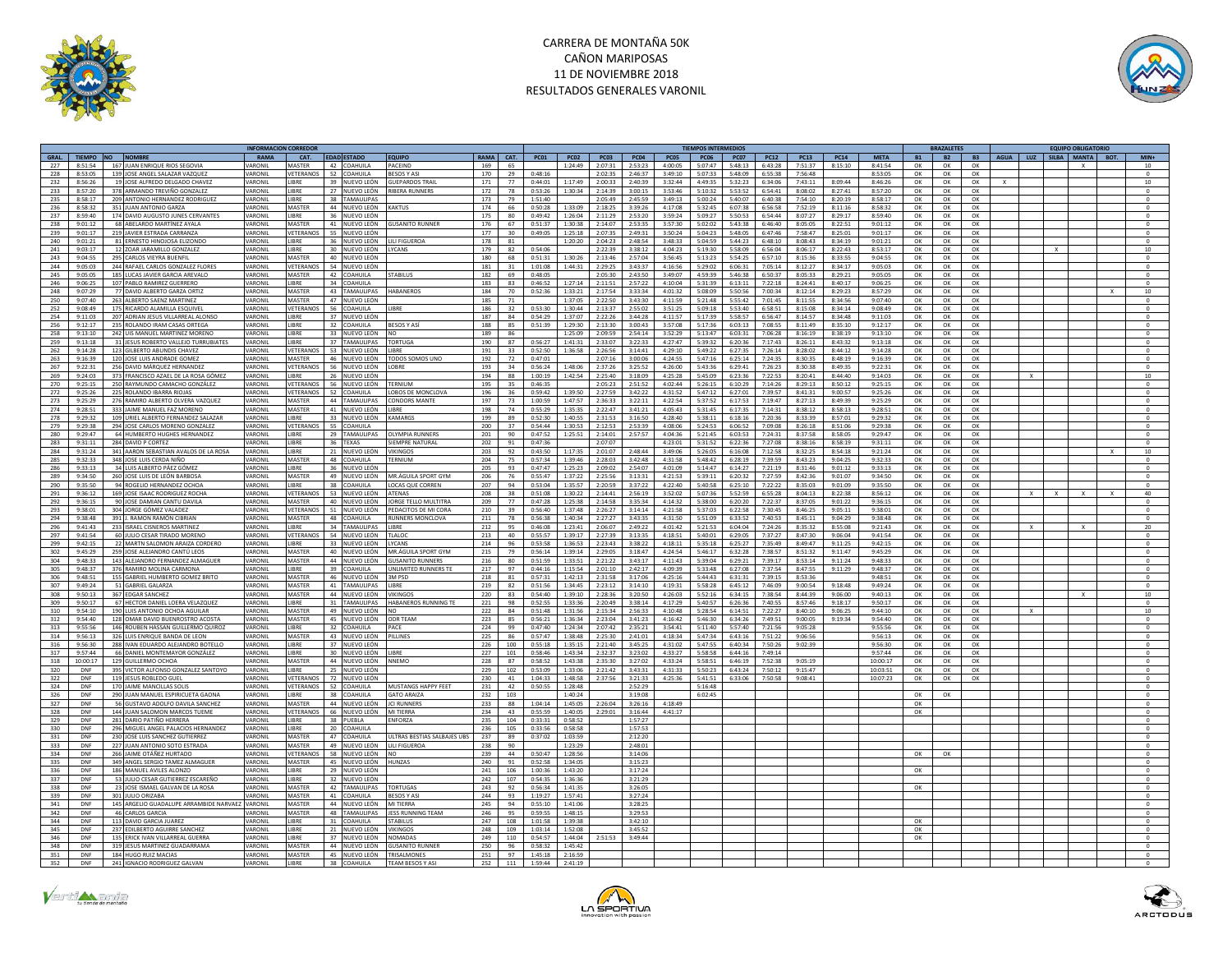



|                                  |                                                                        |                    | <b>INFORMACION CORREDOR</b> |                               |                                 |            |          |                    |                    |                                 |                    |                    | <b>TIEMPOS INTERMEDIOS</b> |                    |                                          |                    |                    |           | <b>BRAZALETES</b> |           | <b>EQUIPO OBLIGATORIO</b>    |                                  |
|----------------------------------|------------------------------------------------------------------------|--------------------|-----------------------------|-------------------------------|---------------------------------|------------|----------|--------------------|--------------------|---------------------------------|--------------------|--------------------|----------------------------|--------------------|------------------------------------------|--------------------|--------------------|-----------|-------------------|-----------|------------------------------|----------------------------------|
| GRAL.<br>TIEMPO NO               | <b>NOMBRE</b>                                                          | RAMA               | CAT.                        | <b>EDAD ESTADO</b>            | <b>EQUIPO</b>                   | RAMA CAT.  |          | <b>PC01</b>        | <b>PC02</b>        | PC03                            | <b>PC04</b>        | <b>PC05</b>        | <b>PC06</b>                | <b>PC07</b>        | <b>PC12</b><br><b>PC13</b>               | <b>PC14</b>        | <b>META</b>        | <b>B1</b> | <b>B2</b>         | <b>B3</b> | AGUA LUZ<br>SILBA MANTA BOT. | $MIN+$                           |
| 227<br>8:51:54                   | 167 JUAN ENRIQUE RIOS SEGOVIA                                          | VARONIL            | MASTER                      | 42 COAHUILA                   | PACEIND                         | 169        | 65       |                    | 1:24:49            | 2:07:31                         | 2:53:23            | 4:00:05            | 5:07:47                    | 5:48:13            | 7:51:37<br>6:43:28                       | 8:15:10            | 8:41:54            | OK        | OK                | OK        |                              |                                  |
| 228<br>8:53:05                   | 139 JOSE ANGEL SALAZAR VAZQUEZ                                         | VARONII            | VETERANOS                   | 52 COAHUILA                   | <b>RESOS Y ASI</b>              | 170        | 29       | $0.48 - 16$        |                    | 2:02:35                         | 2.46:37            | 3:49:10            | 5:07:33                    | 5:48:09            | 6:55:38<br>7.56:48                       |                    | 8:53:05            | OK        | OK                | OK        |                              | $\circ$                          |
| 232<br>8:56:26                   | 19 JOSE ALFREDO DELGADO CHAVEZ                                         | VARONIL            | <b>IBRE</b>                 | NUEVO LEÓN<br>39.             | <b>GUEPARDOS TRAI</b>           | 171        | 77       | 0:44:01            | 1:17:49            | 2:00:33                         | 2:40:39            | 3:32:44            | 4:49:35                    | 5:32:23            | 6:34:06<br>7:43:11                       | 8:09:44            | 8:46:26            | OK        | OK                | OK        |                              | 10                               |
| 233<br>8:57:20                   | 378 ARMANDO TREVIÑO GONZALEZ                                           | VARONIL            | <b>LIBRE</b>                | 27 NUEVO LEÓN                 | <b>RIRERA RUNNERS</b>           | 172        | 78       | 0.53.26            | 1:30:34            | 2:14:39                         | 3:00:15            | 3:53:46            | 5:10:32                    | 5:53:52            | 6:54:41<br>8:08:02                       | 8:27:41            | 8:57:20            | OK        | OK                | OK        |                              | $\sqrt{2}$                       |
| 235<br>8:58:17                   | 209 ANTONIO HERNANDEZ RODRIGUEZ                                        | VARONIL            | LIBRE                       | 38 TAMAULIPAS                 |                                 | 173        | 79       | 1:51:40            |                    | 2:05:49                         | 2:45:59            | 3:49:13            | 5:00:24                    | 5:40:07            | 6:40:38<br>7:54:10                       | 8:20:19            | 8:58:17            | OK        | OK                | OK        |                              | $^{\circ}$                       |
| 236<br>$8 - 58 - 37$             | 351 JUAN ANTONIO GARZA                                                 | VARONIL            | MASTER                      | 44 NUEVOLEÓN KAKTUS           |                                 | 174        | 66       | 0-50-28            | $1.33 - 09$        | 2:18:25                         | 3-30-26            | $4 - 17 - 08$      | $5 - 32 - 45$              | $6.07 - 38$        | 6-56-58<br>$7 - 57 - 19$                 | 8:11:16            | $8 - 58 - 37$      | $\cap K$  | $\Omega$ K        | OK        |                              | $\Omega$                         |
| 237<br>8:59:40                   | 174 DAVID AUGUSTO JUNES CERVANTES                                      | VARONIL            | LIBRE                       | 36 NUEVO LEÓN                 |                                 | 175        | 80       | 0:49:42            | 1:26:04            | 2:11:29                         | 2:53:20            | 3:59:24            | 5:09:27                    | 5:50:53            | 6:54:44<br>8:07:27                       | 8:29:17            | 8:59:40            | OK        | OK                | OK        |                              | $\circ$                          |
| 238<br>9:01:12                   | 68 ABELARDO MARTÍNEZ AYALA                                             | VARONII            | MASTER                      | 41 NUEVO LEÓN                 | <b>GUSANITO RUNNER</b>          | 176        | 67       | 0:51:37            | 1:30:38            | 2:14:07                         | 2:53:35            | 3:57:30            | 5:02:02                    | 5:43:38            | 6:46:40<br>8:05:05                       | 8:22:51            | 9:01:12            | OK        | OK                | OK        |                              | $\circ$                          |
| 239<br>9:01:17                   | 219 JAVIER ESTRADA CARRANZA                                            | VARONIL            | VETERANOS                   | 55 NUEVO LEÓN                 |                                 | 177        | 30       | 0:49:05            | 1:25:18            | 2:07:35                         | 2:49:31            | 3:50:24            | 5:04:23                    | 5:48:05            | 6:47:46<br>7:58:47                       | 8:25:01            | 9:01:17            | OK        | OK                | OK        |                              | $^{\circ}$                       |
| 240<br>9:01:21                   | 81 ERNESTO HINOJOSA ELIZONDO                                           | VARONIL            | <b>IIRRF</b>                | 36 NUEVO LEÓN                 | <b>IIII FIGUEROA</b>            | 178        | 81       |                    | 1:20:20            | 2:04:23                         | 2.48:54            | 3.48.33            | 5:04:59                    | 5:44:23            | 6:48:10<br>8:08:43                       | 8:34:19            | 9:01:21            | OK        | OK                | OK        |                              | $\Omega$                         |
| 241<br>9:03:17                   | 12 ZOAR JARAMILLO GONZALEZ                                             | VARONIL            | LIBRE                       | 30 NUEVO LEÓN                 | LYCANS                          | 179        | 82       | 0:54:06            |                    | 2:22:39                         | 3:38:12            | 4:04:23            | 5:19:30                    | 5:58:09            | 6:56:04<br>8:06:17                       | 8:22:43            | 8:53:17            | OK        | OK                | OK        |                              | $10\,$                           |
| 243<br>9:04:55                   | 295 CARLOS VIEYRA BUENELL                                              | VARONIL            | <b>MASTER</b>               | 40 NUEVO LEÓN                 |                                 | 180        | 68       | 0:51:31            | 1:30:26            | 2:13:46                         | 2:57:04            | 3:56:45            | 5:13:23                    | 5:54:25            | 6:57:10<br>8:15:36                       | 8:33:55            | 9:04:55            | OK        | OK                | OK        |                              | $\Omega$                         |
| 244<br>9:05:03                   | 244 RAFAEL CARLOS GONZALEZ FLORES                                      | VARONIL            | VETERANOS                   | 54 NUEVO LEÓN                 |                                 | 181        | 31       | 1:01:08            | 1:44:31            | 2:29:25                         | 3:43:37            | 4:16:56            | 5:29:02                    | 6:06:31            | 7:05:14<br>8:12:27                       | 8:34:17            | 9:05:03            | OK        | OK                | OK        |                              | $\circ$                          |
| 245<br>9:05:05                   | 185 LUCAS JAVIER GARCIA AREVALO                                        | VARONII            | MASTER                      | 42 COAHUILA                   | <b>STARILUS</b>                 | 182        | 69       | 0:48:05            |                    | 2:05:30                         | 2.43:50            | 3:49:07            | 4.59.39                    | 5.46.38            | 6:50:37<br>8:05:33                       | 8:29:21            | 9:05:05            | OK        | OK                | OK        |                              | $\Omega$                         |
| 246<br>9:06:25                   | 107 PABLO RAMIREZ GUERRERO                                             | VARONIL            | LIBRE                       | 34 COAHUILA                   |                                 | 183        | 83       | 0:46:52            | 1:27:14            | 2:11:51                         | 2:57:22            | 4:10:04            | 5:31:39                    | 6:13:11            | 7:22:18<br>8:24:41                       | 8:40:17            | 9:06:25            | OK        | OK                | OK        |                              | $\circ$                          |
| 248<br>9:07:29                   | 77 DAVID ALBERTO GARZA ORTIZ                                           | VARONIL            | MASTER                      | 43 TAMAULIPAS                 | HARANFROS                       | 184        | 70       | 0:52:36            | 1:33:21            | 2:17:54                         | 3:33:34            | 4:01:32            | 5:08:09                    | 5:50:56            | 7:00:34<br>8:12:14                       | 8:29:23            | 8:57:29            | OK        | OK                | OK        |                              | $10\,$                           |
| 250<br>9:07:40                   | 263 ALBERTO SAENZ MARTINEZ                                             | VARONIL            | <b>MASTER</b>               | 47 NUEVO LEÓN                 |                                 | 185        | 71       |                    | 1:37:05            | 2:22:50                         | 3:43:30            | 4:11:59            | 5:21:48                    | 5:55:42            | 7:01:45<br>8:11:55                       | 8:34:56            | 9:07:40            | OK        | OK                | OK        |                              | $\circ$                          |
| 252<br>9:08:49                   | 175 RICARDO ALAMILLA ESQUIVE                                           | VARONII            | VETERANOS                   | 56 COAHUILA                   | <b>IIRRF</b>                    | 186        | 32       | 0.53.30            | 1:30:44            | 2:13:37                         | 2.55:02            | 3:51:25            | 5:09:18                    | 5:53:40            | 6:58:51<br>8:15:08                       | 8:34:14            | 9:08:49            | OK        | OK                | OK        |                              |                                  |
| 254<br>9:11:03                   | 207 ADRIAN JESUS VILLARREAL ALONSO                                     | VARONIL            | LIBRE                       | 37<br>NUEVO LEÓN              |                                 | 187        | 84       | 0:54:29            | 1:37:07            | 2:22:26                         | 3:44:28            | 4:11:57            | 5:17:39                    | 5:58:57            | 6:56:47<br>8:14:57                       | 8:34:48            | 9:11:03            | OK        | OK                | OK        |                              | $\,$ 0                           |
| 256<br>9:12:17                   | 235 ROLANDO IRAM CASAS ORTEGA                                          | VARONIL            | LIBRE                       | 32 COAHUILA                   | <b>BESOS Y AS</b>               | 188        | 85       | 0:51:39            | 1:29:30            | 2:13:30                         | 3:00:43            | 3:57:08            | 5:17:36                    | 6:03:13            | 7:08:55<br>8:11:49                       | 8:35:10            | 9:12:17            | OK        | OK                | OK        |                              | $\Omega$                         |
| 258<br>9:13:10                   | 242 UIS MANUEL MARTINEZ MORENO                                         | VARONIL            | LIBRE                       | 33 NUEVO LEÓN                 | NO                              | 189        | 86       |                    | 1:25:09            | 2:09:59                         | 2:54:14            | 3:52:29            | 5:13:47                    | 6:03:31            | 7:06:28<br>8:16:19                       | 8:38:19            | 9:13:10            | OK        | OK                | OK        |                              | $\bf 0$                          |
| 259<br>9:13:18                   | 31 JESUS ROBERTO VALLEJO TURRUBIATES                                   | VARONIL            | <b>IRRF</b>                 | 37 TAMAULIPAS                 | <b>TORTUGA</b>                  | 190        | 87       | 0:56:27            | 1:41:31            | 2:33:07                         | 3:22:33            | 4:27:47            | 5:39:32                    | 6:20:36            | 7:17:43<br>8:26:11                       | 8:43:32            | 9:13:18            | OK        | OK                | OK        |                              | $\Omega$                         |
| 262<br>9:14:28                   | 123 GILBERTO ABUNDIS CHAVEZ                                            | VARONIL            | VETERANOS                   | 53 NUEVO LEÓN                 | LIBRE                           | 191        | 33       | 0:52:50            | 1:36:58            | 2:26:56                         | 3:14:41            | 4:29:10            | 5:49:22                    | 6:27:35            | 7:26:14<br>8:28:02                       | 8:44:12            | 9:14:28            | OK        | OK                | OK        |                              |                                  |
| 9:16:39<br>263                   | 120 JOSE LUIS ANDRADE GOMEZ                                            | VARONIL            | <b>MASTER</b>               | 46 NUEVO LEÓN                 | TODOS SOMOS UNO                 | 192        | 72       | 0:47:01            |                    | 2:07:16                         | 3:00:06            | 4:24:55            | 5:47:16                    | 6:25:14            | 7:24:35<br>8:30:35                       | 8:48:19            | 9:16:39            | OK        | OK                | OK        |                              | $\Omega$                         |
| 267<br>9:22:31                   | 256 DAVID MÁRQUEZ HERNANDEZ                                            | VARONIL            |                             | VETERANOS 56 NUEVO LEÓN       | LOBRE                           | 193        | 34       | 0:56:24            | 1:48:06            | 2:37:26                         | 3:25:52            | 4:26:00            | 5:43:36                    | 6:29:41            | 7:26:23<br>8:30:38                       | 8.49.35            | 9:22:31            | OK        | OK                | OK        |                              | $\circ$                          |
| 9:24:03<br>269                   | 373 FRANCISCO AZAEL DE LA ROSA GÓMEZ                                   | VARONIL            | <b>IRRF</b>                 | 26 NUEVO LEÓN                 |                                 | 194        | 88       | 1:00:19            | 1:42:54            | 2:25:40                         | 3:18:09            | 4:25:28            | 5:45:09                    | 6:23:36            | 7:22:53<br>8:20:41                       | 8:44:40            | 9:14:03            | OK        | OK                | OK        |                              | 10                               |
| 270<br>9:25:15                   | 250 RAYMUNDO CAMACHO GONZÁLEZ                                          | VARONII            | VETERANOS                   | 56 NUEVO LEÓN                 | TERNIUM                         | 195        | 35       | 0:46:35            |                    | 2:05:23                         | 2:51:52            | 4:02:44            | 5:26:15                    | 6:10:29            | 7:14:26<br>8:29:13                       | 8:50:12            | 9:25:15            | OK        | OK                | OK        |                              | $\circ$                          |
| 272<br>9:25:26                   | 225 ROLANDO IBARRA RIOJAS                                              | <b>VARONIL</b>     |                             | VETERANOS 52 COAHUILA         | LOBOS DE MONCLOVA               | 196        | 36       | 0.59:42            | 1:39:50            | 2:27:59                         | 3:42:22            | 4:31:52            | 5:47:12                    | 6:27:01            | 7:39:57<br>8:41:31                       | 9:00:57            | 9:25:26            | ок        | OK                | OK        |                              | $\Omega$                         |
| 273<br>9:25:29                   | 276 RAMIRO ALBERTO OLVERA VAZQUEZ                                      | VARONII            | MASTER                      | 44 TAMAUUPAS                  | <b>CONDORS MANTE</b>            | 197        | 73       | 1:00:59            | 1:47:57            | 2:36:33                         | 3:22:11            | 4:22:54            | 5:37:52                    | 6:17:53            | 7:19:47<br>8:27:13                       | 8.49.39            | 9:25:29            | OK        | OK                | OK        |                              | $\circ$                          |
| 274<br>9:28:51                   | 333 JAIME MANUEL FAZ MORENO                                            | VARONIL            | MASTER                      | 41 NUEVO LEÓN                 | LIBRE<br>KAMARGS                | 198        | 74       | 0:55:29            | 1:35:35            | 2:22:47                         | 3:41:21            | 4:05:43            | 5:31:45                    | 6:17:35            | 7:14:31<br>8:38:12                       | 8:58:13            | 9:28:51            | OK        | OK                | OK        |                              | $^{\circ}$                       |
| 278<br>9:29:32<br>279<br>9:29:38 | 109 URIEL ALBERTO FERNANDEZ SALAZAR<br>294 JOSE CARLOS MORENO GONZALEZ | VARONIL<br>VARONIL | LIBRE<br>VETERANOS          | 33 NUEVO LEÓN<br>55 COAHUILA  |                                 | 199<br>200 | 89<br>37 | 0:52:30<br>0:54:44 | 1:40:55<br>1:30:53 | 2:31:53<br>2:12:53              | 3:16:50<br>2:53:39 | 4:28:40<br>4:08:06 | 5:38:11<br>5:24:53         | 6:18:16<br>6:06:52 | 7:20:36<br>8:33:39<br>7:09:08<br>8:26:18 | 8:57:01<br>8:51:06 | 9:29:32<br>9:29:38 | OK<br>OK  | OK<br>OK          | OK<br>OK  |                              | $\circ$<br>$\circ$               |
|                                  |                                                                        | VARONIL            | <b>IRRE</b>                 |                               | OLYMPIA RUNNERS                 |            |          | $0.47 - 52$        |                    |                                 |                    | A:0A:36            |                            |                    | $8 - 27 - 58$                            | $8 - 58 - 05$      |                    |           |                   |           |                              | $\sqrt{2}$                       |
| 280<br>9:29:47<br>283<br>9:31:11 | 64 HUMBERTO HUGHES HERNANDEZ<br>284 DAVID P CORTEZ                     | VARONIL            | LIBRE                       | 29 TAMAULIPAS<br>36 TEXAS     | SIEMPRE NATURAL                 | 201<br>202 | 90<br>91 | 0:47:36            | 1:25:51            | 2:14:01<br>2:07:07              | 2:57:57            | 4:23:01            | 5:21:45<br>5:31:52         | 6:03:53<br>6:22:36 | 7:24:31<br>7:27:08<br>8:38:16            | 8:58:19            | 9:29:47<br>9:31:11 | OK<br>OK  | OK<br>OK          | OK        |                              |                                  |
| 284<br>9:31:24                   | 341 AARON SEBASTIAN AVAIOS DE LA ROSA                                  | VARONIL            | LIBRE                       | 21 NUEVO LEÓN                 | <b>VIKINGOS</b>                 | 203        | 92       | 0:43:50            | 1:17:35            | 2:01:07                         | 2.48.44            | 3.49:06            | 5:26:05                    | 6:16:08            | 7.12.58<br>8:32:25                       | 8:54:18            | 9:21:24            | OK        | OK                | OK<br>OK  |                              | $^{\circ}$<br>10<br>$\mathbf{x}$ |
| 9:32:33                          | 348 JOSE LUIS CERDA NIÑO                                               | VARONIL            | MASTER                      | 48 COAHUILA                   | TERNIUM                         | 204        | 75       | 0:57:34            | 1:39:46            | 2:28:03                         | 3:42:48            | 4:31:58            | 5:48:42                    | 6:28:19            | 7:39:59<br>8:43:23                       | 9:04:25            | 9:32:33            | OK        | OK                | OK        |                              |                                  |
| 285<br>286<br>9:33:13            | 34 I LUIS AI BERTO PÁEZ GÓMEZ                                          | VARONII            | <b>IIRRF</b>                | 36 NUEVOLEÓN                  |                                 | 205        | 93       | 0:47:47            | 1:25:23            | 2:09:02                         | 2:54:07            | 4:01:09            | 5:14:47                    | 6:14:27            | 7:21:19<br>8:31:46                       | 9:01:12            | 9.33.13            | OK        | OK                | OK        |                              | $^{\circ}$<br>$\Omega$           |
| 9:34:50                          |                                                                        | VARONIL            | MASTER                      |                               | MR.ÁGUILA SPORT GYM             | 206        | 76       | 0:55:47            | 1:37:22            | 2:25:56                         | 3:13:31            | 4:21:53            | 5:39:11                    |                    | 7:27:59<br>8:42:36                       | 9:01:07            | 9:34:50            | OK        |                   | OK        |                              |                                  |
| 289<br>290<br>9:35:50            | 260 JOSE LUIS DE LEÓN BARBOSA<br>94 ROGELIO HERNANDEZ OCHOA            | VARONIL            | <b>LIBRE</b>                | 49 NUEVO LEÓN<br>38 COAHUILA  | LOCAS OUE CORREN                | 207        | 94       | 0.53:04            | 1:35:57            | 2:20:59                         | 3:37:22            | 4:22:40            | 5:40:58                    | 6:20:32<br>6:25:10 | 7:22:22<br>8:35:03                       | 9:01:09            | 9:35:50            | OK        | OK<br>OK          | OK        |                              | $\Omega$                         |
| 291<br>9:36:12                   | 169 JOSE ISAAC RODRIGUEZ ROCHA                                         | VARONIL            |                             | VETERANOS S3 NUEVOLEÓN ATENAS |                                 | 208        | 38       | $0.51 - 0.8$       | 1:30:22            | $2.14 \cdot 41$ $2.56 \cdot 19$ |                    | $3.52 - 02$        | $5 - 07 - 36$              | $5 - 57 - 59$      | 6:55:28<br>8:04:13                       | 8:22:38            | 8:56:12            | OK        | $\Omega$          | OK        | $\mathbf{x}$                 | 40                               |
| 292<br>9:36:15                   | 90 JOSE DAMIAN CANTU DAVILA                                            | VARONII            | MASTER                      | 40 NUEVO LEÓN                 | <b>IORGE TELLO MULTITRA</b>     | 209        | 77       | 0:47:28            | 1:25:38            | 2:14:58                         | 3.35.34            | 4:14:32            | 5:38:00                    | 6:20:20            | 7:22:37<br>8:37:05                       | 9:01:22            | 9:36:15            | OK        | OK                | OK        |                              |                                  |
| 293<br>9:38:01                   | 304 JORGE GÓMEZ VALADEZ                                                | VARONIL            | VETERANOS                   | 51 NUEVO LEÓN                 | PEDACITOS DE MI CORA            | 210        | 39       | 0:56:40            | 1:37:48            | 2:26:27                         | 3:14:14            | 4:21:58            | 5:37:03                    | 6:22:58            | 7:30:45<br>8:46:25                       | 9:05:11            | 9:38:01            | OK        | OK                | OK        |                              | $^{\circ}$                       |
| 294<br>9:38:48                   | 391 L RAMON RAMÓN CIRRIAN                                              | VARONII            | MASTER                      | 48 COAHUILA                   | <b>RUNNERS MONCLOVA</b>         | 211        | 78       | 0.56:38            | 1:40:34            | 2:27:27                         | 3:43:35            | 4:31:50            | 5:51:09                    | 6:33:52            | 7:40:53<br>8:45:11                       | 9:04:29            | 9:38:48            | OK        | OK                | OK        |                              | $\Omega$                         |
| 296<br>9:41:43                   | 233 ISRAEL CISNEROS MARTINEZ                                           | VARONIL            | LIBRE                       | 34 TAMAULIPAS                 | LIBRE                           | 212        | 95       | 0:46:08            | 1:23:41            | 2:06:07                         | 2:49:22            | 4:01:42            | 5:21:53                    | 6:04:04            | 7:24:26<br>8:35:32                       | 8:55:08            | 9:21:43            | OK        | OK                | OK        |                              | 20                               |
| 297<br>9:41:54                   | 60 JULIO CESAR TIRADO MORENO                                           | VARONIL            | <b>/ETERANOS</b>            | 54 NUEVO LEÓN                 | TIAIOC                          | 213        | 40       | 0.55.57            | 1:39:17            | 2:27:39                         | 3:13:35            | 4:18:51            | 5:40:01                    | 6:29:05            | 7:37:27<br>8:47:30                       | 9:06:04            | 9:41:54            | OK        | OK                | OK        |                              | $\Omega$                         |
| 299<br>9:42:15                   | 22 MARTN SALOMON ARAIZA CORDERO                                        | VARONIL            | LIBRE                       | 33 NUEVO LEÓN                 | LYCANS                          | 214        | 96       | 0:53:58            | 1:36:53            | 2:23:43                         | 3:38:22            | 4:18:11            | 5:35:18                    | 6:25:27            | 7:35:49<br>8:49:47                       | 9:11:25            | 9:42:15            | OK        | ОК                | OK        |                              | $^{\circ}$                       |
| 302<br>9:45:29                   | 259 JOSE ALEJANDRO CANTÚ LEOS                                          | VARONIL            | MASTER                      | 40 NUEVO LEÓN                 | MR ÁGUILA SPORT GYM             | 215        | 79       | 0:56:14            | 1:39:14            | 2:29:05                         | 3:18:47            | 4:24:54            | 5:46:17                    | 6:32:28            | 7:38:57<br>8:51:32                       | 9:11:47            | 9:45:29            | OK        | OK                | OK        |                              | $\circ$                          |
| 304<br>9:48:33                   | 143 ALEJANDRO FERNANDEZ ALMAGUER                                       | VARONIL            | <b>MASTER</b>               | 44 NUEVO LEÓN                 | <b>GUSANITO RUNNERS</b>         | 216        | 80       | 0:51:59            | 1:33:51            | 2:21:22                         | 3:43:17            | 4:11:43            | 5:39:04                    | 6:29:21            | 7:39:17<br>8:53:14                       | 9:11:24            | 9:48:33            | OK        | ОК                | OK        |                              | $\circ$                          |
| 305<br>9:48:37                   | 376 RAMIRO MOLINA CARMONA                                              | VARONIL            | LIBRE                       | 39 COAHUILA                   | UNLIMITED RUNNERS TE            | 217        | 97       | 0:44:16            | 1:15:54            | 2:01:10                         | 2:42:17            | 4:09:39            | 5:33:48                    | 6:27:08            | 7:37:54<br>8:47:55                       | 9:11:29            | 9:48:37            | OK        | OK                | OK        |                              | $\Omega$                         |
| 306<br>9:48:51                   | 155 GABRIEL HUMBERTO GOMEZ BRITO                                       | VARONII            | MASTER                      | 46 NUEVO LEÓN                 | 3M PSD                          | 218        | 81       | 0:57:31            | 1:42:13            | 2:31:58                         | 3:17:06            | 4:25:16            | 5:44:43                    | 6:31:31            | 7:39:15<br>8:53:36                       |                    | 9:48:51            | OK        | OK                | OK        |                              | $\circ$                          |
| 307<br>9:49:24                   | 51 GABRIEL GALARZA                                                     | VARONIL            | MASTER                      | 41 TAMAULIPAS                 | <b>IIRRF</b>                    | 219        | 82       | 0:51:56            | 1:34:45            | 2:23:12                         | 3:14:10            | 4:19:31            | 5:58:28                    | 6:45:12            | 7:46:09<br>9:00:54                       | 9:18:48            | 9:49:24            | OK        | OK                | OK        |                              |                                  |
| 308<br>9:50:13                   | 367 EDGAR SANCHEZ                                                      | VARONIL            | MASTER                      | 44 NUEVO LEÓN VIKINGOS        |                                 | 220        | 83       | $0.54 - 40$        | 1:39:10            | 2:28:36                         | 3:20:50            | 4:26:03            | 5:52:16                    | 6:34:15            | 7:38:54<br>8:44:39                       | 9:06:00            | 9:40:13            | OK        | OK                | OK        |                              | 10                               |
| 309<br>9:50:17                   | 67 HECTOR DANIEL LOERA VELAZQUEZ                                       | VARONIL            | <b>JBRE</b>                 | 31 TAMAULIPAS                 | HABANEROS RUNNING TE            | 221        | 98       | 0:52:55            | 1:33:36            | 2:20:49                         | 3:38:14            | 4:17:29            | 5:40:57                    | 6:26:36            | 7:40:55<br>8:57:46                       | 9:18:17            | 9:50:17            | OK        | OK                | OK        |                              |                                  |
| 310<br>9:54:10                   | 190 I UIS ANTONIO OCHOA AGUILAR                                        | VARONIL            | MASTER                      | 49 NUEVO LEÓN                 | <b>NO</b>                       | 222        | 84       | 0:51:48            | 1:31:56            | 2:15:34                         | 2:56:33            | 4:10:48            | 5:28:54                    | 6:14:51            | 7:22:27<br>8:40:10                       | 9:06:25            | 9:44:10            | OK        | OK                | OK        | $\mathbf{x}$                 | 10                               |
| 312<br>9:54:40                   | 128 OMAR DAVID BUENROSTRO ACOSTA                                       | VARONIL            | MASTER                      | 45 NUEVO LEÓN ODR TEAM        |                                 | 223        | 85       | 0:56:21            | 1:36:34            | 2:23:04                         | 3:41:23            | 4:16:42            | 5:46:30                    | 6:34:26            | 7:49:51<br>9:00:05                       | 9:19:34            | 9:54:40            | OK        | OK                | OK        |                              | $\circ$                          |
| 313<br>9:55:56                   | 146 ROUBEN HASSAN GUILLERMO QUIROZ                                     | VARONII            | <b>LIBRE</b>                | 32 COAHUILA                   | PACE                            | 224        | 99       | 0:47:40            | 1:24:34            | 2:07:42                         | 2.35:21            | 3:54:41            | 5:11:40                    | 5:57:40            | 7:21:56<br>9:05:28                       |                    | 9:55:56            | OK        | $\Omega$          | OK        |                              | $\Omega$                         |
| 314<br>9:56:13                   | 326 LUIS ENRIQUE BANDA DE LEON                                         | VARONIL            | MASTER                      | 43 NUEVO LEÓN                 | PILLINES                        | 225        | 86       | 0:57:47            | 1:38:48            | 2:25:30                         | 2:41:01            | 4:18:34            | 5:47:34                    | 6:43:16            | 7:51:22<br>9:06:56                       |                    | 9:56:13            | OK        | OK                | OK        |                              | $\mathbf{0}$                     |
| 316<br>9:56:30                   | 288 IVAN EDUARDO ALEJANDRO BOTELLO                                     | VARONIL            | LIBRE                       | 37 NUEVO LEÓN                 |                                 | 226        | 100      | 0:55:18            | 1:35:15            | 2:21:40                         | 3:45:25            | 4:31:02            | 5:47:55                    | 6:40:34            | 7:50:26<br>9:02:39                       |                    | 9:56:30            | OK        | OK                | OK        |                              | $\Omega$                         |
| 317<br>9:57:44                   | 66 DANIEL MONTEMAYOR GONZÁLEZ                                          | VARONIL            | LIBRE                       | 30 NUEVO LEÓN                 | LIBRE                           | 227        | 101      | 0:58:46            | 1:43:34            | 2:32:37                         | 3:23:02            | 4:33:27            | 5:58:58                    | 6:44:16            | 7:49:14                                  |                    | 9:57:44            | OK        | OK                | OK        |                              | $\mathbf{0}$                     |
| 318<br>10:00:17                  | 129 GUILLERMO OCHOA                                                    | VARONIL            | MASTER                      | 44 NUEVO LEÓN                 | <b>NNFMO</b>                    | 228        | 87       | 0:58:52            | 1:43:38            | 2:35:30                         | 3:27:02            | 4:33:24            | 5:58:51                    | 6:46:19            | 7:52:38<br>9:05:19                       |                    | 10:00:17           | OK        | OK                | OK        |                              | $^{\circ}$                       |
| 320<br>DNF                       | 395<br>VICTOR ALFONSO GONZALEZ SANTOYO                                 | VARONIL            | LIBRE                       | 25 NUEVO LEÓN                 |                                 | 229        | 102      | 0:53:09            | 1:33:06            | 2:21:42                         | 3:43:31            | 4:31:33            | 5:50:23                    | 6:43:24            | 7:50:12<br>9:15:47                       |                    | 10:03:51           | OK        | OK                | OK        |                              |                                  |
| 322<br>DNF                       | 119 JESUS ROBLEDO GUEL                                                 | VARONIL            | VETERANOS                   | 72 NUEVO LEÓN                 |                                 | 230        | 41       | 1:04:33            | 1:48:58            | 2:37:56                         | 3:21:33            | 4:25:36            | 5:41:51                    | 6:33:06            | 9:08:41<br>7:50:58                       |                    | 10:07:23           | OK        | OK                | OK        |                              | $\circ$                          |
| 324<br>DNF                       | 170 JAIME MANCILLAS SOLIS                                              | VARONIL            | VETERANOS                   | 52 COAHUILA                   | MUSTANGS HAPPY FEET             | 231        | 42       | 0:50:55            | 1:28:48            |                                 | 2:52:29            |                    | 5:16:48                    |                    |                                          |                    |                    |           |                   |           |                              | $\circ$                          |
| 326<br>DNF                       | 290 JUAN MANUEL ESPIRICUETA GAONA                                      | VARONIL            | <b>IRRF</b>                 | 38 COAHUILA                   | <b>GATO ARAIZA</b>              | 232        | 103      |                    | 1:40:24            |                                 | 3:19:08            |                    | 6:02:45                    |                    |                                          |                    |                    | OK        |                   |           |                              | $\Omega$                         |
| 327<br>DNF                       | 56 GUSTAVO ADOLFO DAVILA SANCHEZ                                       | VARONI             | MASTER                      | 44 NUEVO LEÓN                 | <b>JCI RUNNER</b>               | 233        | 88       | 1:04:14            | 1:45:05            | 2:26:04                         | 3:26:16            | 4:18:49            |                            |                    |                                          |                    |                    | OK        |                   |           |                              |                                  |
| 328<br>DNF                       | 144 JUAN SALOMON MARCOS TUEME                                          | VARONIL            | VETERANOS                   | 66 NUEVO LEÓN                 | MI TIERRA                       | 234        | 43       | 0:55:59            | 1:40:05            | 2:29:01                         | 3:16:44            | 4:41:17            |                            |                    |                                          |                    |                    | ок        |                   |           |                              | $\circ$                          |
| 329<br>DNF                       | 281 DARIO PATIÑO HERRERA                                               | VARONIL            | LIBRE                       | 38 PUEBLA                     | <b>ENFORZA</b>                  | 235        | 104      | 0:33:31            | 0:58:52            |                                 | 1:57:27            |                    |                            |                    |                                          |                    |                    |           |                   |           |                              | $\circ$                          |
| 330<br>DNF                       | 296 MIGUEL ANGEL PALACIOS HERNANDEZ                                    | VARONIL            | LIBRE                       | 20 COAHUILA                   |                                 | 236        | 105      | 0:33:56            | 0:58:58            |                                 | 1:57:53            |                    |                            |                    |                                          |                    |                    |           |                   |           |                              | $^{\circ}$                       |
| 331<br>DNF                       | 230 JOSE LUIS SANCHEZ GUTIERREZ                                        | VARONIL            | MASTER                      | 47 COAHUILA                   | ULTRAS BESTIAS SALBAJES UBS     | 237        | 89       | 0:37:02            | 1:03:59            |                                 | 2:12:20            |                    |                            |                    |                                          |                    |                    |           |                   |           |                              | $\circ$                          |
| 333<br>DNF                       | 227 JUAN ANTONIO SOTO ESTRADA                                          | VARONIL            | MASTER                      | 49 NUEVO LEÓN                 | LILI FIGUEROA                   | 238        | 90       |                    | 1:23:29            |                                 | 2:48:01            |                    |                            |                    |                                          |                    |                    |           |                   |           |                              | $\circ$                          |
| 334<br>DNF                       | 266 JAIME OTÁÑEZ HURTADO                                               | VARONIL            | VETERANOS                   | 58 NUEVO LEÓN NO              |                                 | 239        | 44       | 0:50:47            | 1:28:56            |                                 | 3:14:06            |                    |                            |                    |                                          |                    |                    | OK        | OK                |           |                              | $\circ$                          |
| 335<br>DNF                       | 349 ANGEL SERGIO TAMEZ ALMAGUER                                        | VARONIL            | MASTER                      | 45 NUEVO LEÓN                 | <b>HUNZAS</b>                   | 240        | 91       | 0:52:58            | 1:34:05            |                                 | 3:15:23            |                    |                            |                    |                                          |                    |                    |           |                   |           |                              | $\Omega$                         |
| 336<br>DNF                       | 186 MANUEL AVILES ALONZO                                               | VARONIL            | LIBRE                       | 29<br>NUEVO LEÓN              |                                 | 241        | 106      | 1:00:36            | 1:43:20            |                                 | 3:17:24            |                    |                            |                    |                                          |                    |                    | OK        |                   |           |                              |                                  |
| 337<br>DNF                       | 53 JULIO CESAR GUTIERREZ ESCAREÑO                                      | VARONII            | <b>IRRF</b>                 | 32 NUEVO LEÓN                 |                                 | 242        | 107      | 0:54:35            | 1:36:36            |                                 | 3:21:29            |                    |                            |                    |                                          |                    |                    |           |                   |           |                              | $\Omega$                         |
| 338<br>DNF                       | 23 JOSE ISMAEL GALVAN DE LA ROSA                                       | VARONIL            | MASTER                      | 42 TAMAULIPAS                 | <b>TORTUGAS</b>                 | 243        | 92       | 0:56:34            | 1:41:35            |                                 | 3:26:05            |                    |                            |                    |                                          |                    |                    | OK        |                   |           |                              | $\circ$                          |
| DNF<br>339                       | 301 JULIO ORIZABA                                                      | VARONII            | MASTER                      | 41 COAHUILA                   | <b>RESOS Y ASI</b>              | 244        | 93       | 1:19:27            | 1:57:41            |                                 | 3:27:24            |                    |                            |                    |                                          |                    |                    |           |                   |           |                              | $\Omega$                         |
| 341<br>DNF                       | 145 ARGELIO GUADALUPE ARRAMBIDE NARVAEZ VARONIL                        |                    | <b>MASTER</b>               | 44 NUEVO LEÓN MI TIERRA       |                                 | 245        | 94       | 0:55:10            | 1:41:06            |                                 | 3:28:25            |                    |                            |                    |                                          |                    |                    |           |                   |           |                              | $\circ$                          |
| 342<br>DNF                       | 46 CARLOS GARCIA                                                       | VARONIL            | MASTER                      |                               | 48 TAMAULIPAS JESS RUNNING TEAM | 246        | 95       | 0.59.55            | 1:48:15            |                                 | 3.29:53            |                    |                            |                    |                                          |                    |                    |           |                   |           |                              | $\Omega$                         |
| 344<br>DNF                       | 113 DAVID GARCIA JUAREZ                                                | VARONII            | <b>LIBRE</b>                | 31 COAHUILA                   | <b>STARILUS</b>                 | 247        | 108      | 1:01:58            | 1:39:38            |                                 | 3:42:10            |                    |                            |                    |                                          |                    |                    | OK        |                   |           |                              | $\Omega$                         |
| DNF<br>345                       | 237 EDILBERTO AGUIRRE SANCHEZ                                          | VARONIL            | LIBRE                       | 21 NUEVO LEÓN                 | <b>VIKINGOS</b>                 | 248        | 109      | 1:03:14            | 1:52:08            |                                 | 3:45:52            |                    |                            |                    |                                          |                    |                    | OK        |                   |           |                              | $\Omega$                         |
| 346<br>DNF                       | 135 ERICK IVAN VILLARREAL GUERRA                                       | VARONII            | <b>IIRRF</b>                | 37 NUEVO LEÓN NOMADAS         |                                 | 249        | 110      | 0:54:57            | 1:44:04            | 2:51:53                         | 3.49.44            |                    |                            |                    |                                          |                    |                    | OK        |                   |           |                              | $\Omega$                         |
| 348<br>DNF                       | 319 JESUS MARTINEZ GUADARRAMA                                          | VARONIL            | MASTER                      | 44 NUEVO LEÓN GUSANITO RUNNER |                                 | 250        | 96       | 0:58:32            | 1:45:42            |                                 |                    |                    |                            |                    |                                          |                    |                    |           |                   |           |                              | $^{\circ}$                       |
| 351<br>DNF                       | 184 HUGO RUIZ MACIAS                                                   | VARONIL            | MASTER                      | 45 NUEVO LEÓN TRISALMONES     |                                 | 251        | 97       | 1:45:18            | 2:16:59            |                                 |                    |                    |                            |                    |                                          |                    |                    |           |                   |           |                              |                                  |
| 352<br>DNF                       | 241 IGNACIO RODRIGUEZ GALVAN                                           | VARONIL            | LIBRE                       | 38 COAHUILA                   | TEAM BESOS Y AS                 | 252        | 111      | 1:59:44            | 2:41:19            |                                 |                    |                    |                            |                    |                                          |                    |                    |           |                   |           |                              |                                  |





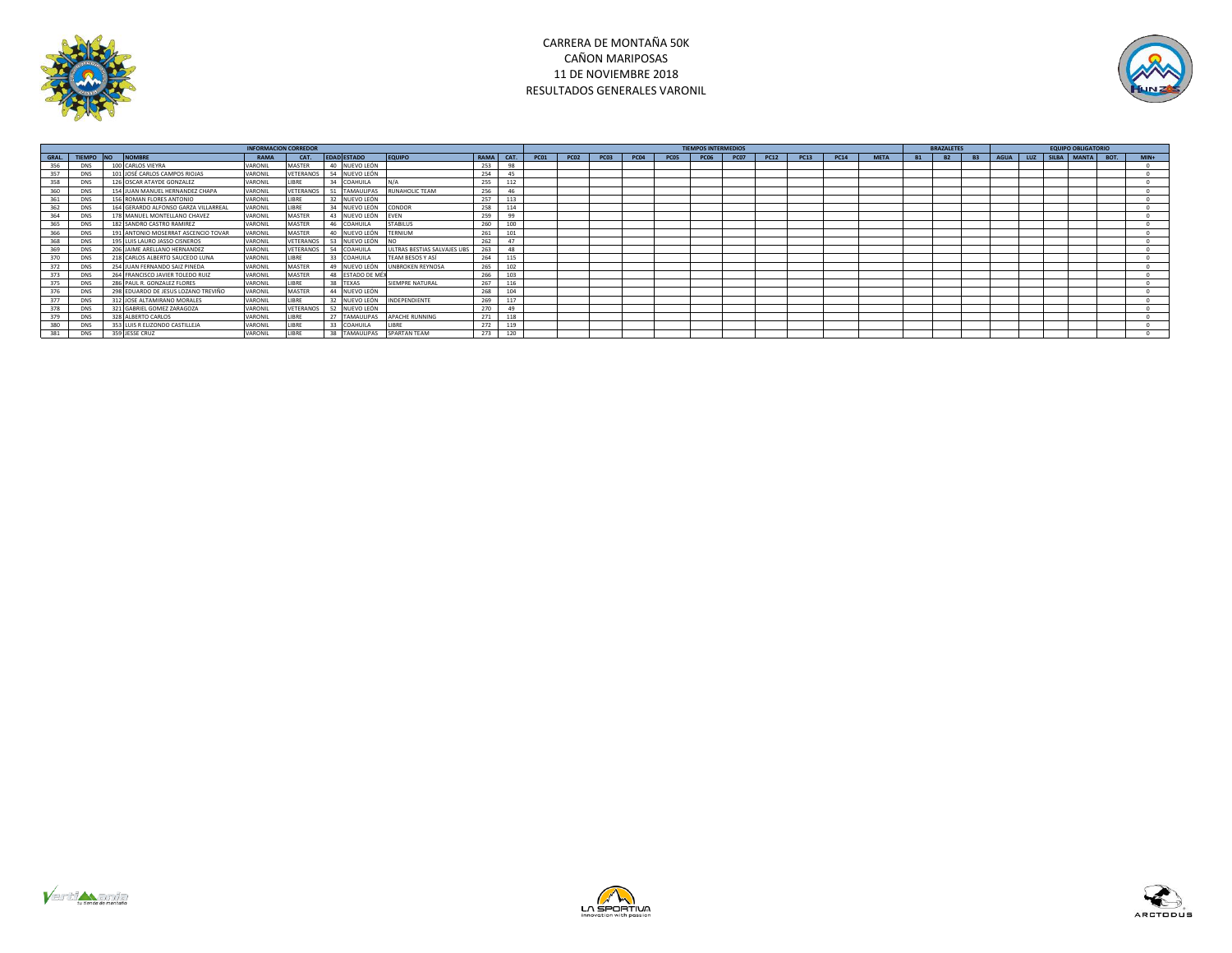



|       |            |                                      |             | <b>INFORMACION CORREDOR</b> |                    |                             |             |      |             |             |             |             |                  | <b>TIEMPOS INTERMEDIOS</b> |             |             |      |             |             | <b>BRAZALETES</b>      |           |             |     | <b>EQUIPO OBLIGATORIO</b> |      |        |
|-------|------------|--------------------------------------|-------------|-----------------------------|--------------------|-----------------------------|-------------|------|-------------|-------------|-------------|-------------|------------------|----------------------------|-------------|-------------|------|-------------|-------------|------------------------|-----------|-------------|-----|---------------------------|------|--------|
| GRAL. | TIEMPO NO  | <b>NOMBRE</b>                        | <b>RAMA</b> | CAT.                        | <b>EDAD ESTADO</b> | EQUIPO                      | <b>RAMA</b> | CAT. | <b>PC01</b> | <b>PC02</b> | <b>PC03</b> | <b>PC04</b> | PC <sub>05</sub> | <b>PC06</b>                | <b>PC07</b> | <b>PC12</b> | PC13 | <b>PC14</b> | <b>META</b> | <b>B2</b><br><b>B1</b> | <b>B3</b> | <b>AGUA</b> | LUZ | SILBA MANTA               | BOT. | $MIN+$ |
|       | <b>DNS</b> | 100 CARLOS VIEYRA                    | VARONIL     | MASTER                      | 40 NUEVO LEÓN      |                             | 253         | 98   |             |             |             |             |                  |                            |             |             |      |             |             |                        |           |             |     |                           |      |        |
|       | <b>DNS</b> | 101 JOSÉ CARLOS CAMPOS RIOJAS        | VARONIL     | VETERANOS                   | 54 NUEVO LEÓN      |                             | 254         | 45   |             |             |             |             |                  |                            |             |             |      |             |             |                        |           |             |     |                           |      |        |
|       | <b>DNS</b> | 126 OSCAR ATAYDE GONZALEZ            | VARONIL     | LIBRE                       | 34 COAHUILA        | N/A                         | 255         | 112  |             |             |             |             |                  |                            |             |             |      |             |             |                        |           |             |     |                           |      |        |
|       | <b>DNS</b> | 154 JUAN MANUEL HERNANDEZ CHAPA      | VARONIL     | VETERANOS                   | <b>TAMAULIPAS</b>  | <b>RUNAHOLIC TEAM</b>       | 256         | 46   |             |             |             |             |                  |                            |             |             |      |             |             |                        |           |             |     |                           |      |        |
|       | <b>DNS</b> | 156 ROMAN FLORES ANTONIO             | VARONIL     | LIBRE                       | 32 NUEVO LEÓN      |                             | 257         | 113  |             |             |             |             |                  |                            |             |             |      |             |             |                        |           |             |     |                           |      |        |
|       | <b>DNS</b> | 164 GERARDO ALFONSO GARZA VILLARREAL | VARONII     | <b>LIBRE</b>                | 34 NUEVO LEÓN      | <b>CONDOR</b>               | 258         | 114  |             |             |             |             |                  |                            |             |             |      |             |             |                        |           |             |     |                           |      |        |
| 364   | <b>DNS</b> | 178 MANUEL MONTELLANO CHAVEZ         | VARONIL     | MASTER                      | 43 NUEVO LEÓN      | EVEN                        | 259         | 99   |             |             |             |             |                  |                            |             |             |      |             |             |                        |           |             |     |                           |      |        |
| 365   | <b>DNS</b> | 182 SANDRO CASTRO RAMIREZ            | VARONII     | <b>MASTER</b>               | 46 COAHUILA        | <b>STABILUS</b>             | 260         | 100  |             |             |             |             |                  |                            |             |             |      |             |             |                        |           |             |     |                           |      |        |
| 366   | <b>DNS</b> | 191 ANTONIO MOSERRAT ASCENCIO TOVAR  | VARONIL     | MASTER                      | 40 NUEVO LEÓN      | TERNIUM                     | 261         | 101  |             |             |             |             |                  |                            |             |             |      |             |             |                        |           |             |     |                           |      |        |
| 368   | DNS        | 195 LUIS LAURO JASSO CISNEROS        | VARONIL     | VETERANOS                   | 53 NUEVO LEÓN      |                             | 262         | 47   |             |             |             |             |                  |                            |             |             |      |             |             |                        |           |             |     |                           |      |        |
|       | <b>DNS</b> | 206 JAIME ARELLANO HERNANDEZ         | VARONIL     | VETERANOS                   | 54 COAHUILA        | ULTRAS BESTIAS SALVAJES UBS | 263         | 48   |             |             |             |             |                  |                            |             |             |      |             |             |                        |           |             |     |                           |      |        |
|       | <b>DNS</b> | 218 CARLOS ALBERTO SAUCEDO LUNA      | VARONIL     | LIBRE                       | 33 COAHUILA        | TEAM BESOS Y ASÍ            | 264         | 115  |             |             |             |             |                  |                            |             |             |      |             |             |                        |           |             |     |                           |      |        |
|       | <b>DNS</b> | 254 JUAN FERNANDO SAIZ PINEDA        | VARONIL     | MASTER                      | 49 NUEVO LEÓN      | <b>UNBROKEN REYNOSA</b>     | 265         | 102  |             |             |             |             |                  |                            |             |             |      |             |             |                        |           |             |     |                           |      |        |
|       | <b>DNS</b> | 264 FRANCISCO JAVIER TOLEDO RUIZ     | VARONIL     | MASTER                      | 48 ESTADO DE MÉX   |                             | 266         | 103  |             |             |             |             |                  |                            |             |             |      |             |             |                        |           |             |     |                           |      |        |
| 375   | <b>DNS</b> | 286 PAUL R. GONZALEZ FLORES          | VARONIL     | LIBRE                       | 38 TEXAS           | SIEMPRE NATURAL             | 267         | 116  |             |             |             |             |                  |                            |             |             |      |             |             |                        |           |             |     |                           |      |        |
|       | <b>DNS</b> | 298 EDUARDO DE JESUS LOZANO TREVIÑO  | VARONIL     | MASTER                      | 44 NUEVO LEÓN      |                             | 268         | 104  |             |             |             |             |                  |                            |             |             |      |             |             |                        |           |             |     |                           |      |        |
|       | <b>DNS</b> | 312 JOSE ALTAMIRANO MORALES          | VARONIL     | LIBRE                       | 32 NUEVO LEÓN      | INDEPENDIENTE               | 269         | 117  |             |             |             |             |                  |                            |             |             |      |             |             |                        |           |             |     |                           |      |        |
|       | <b>DNS</b> | 321 GABRIEL GOMEZ ZARAGOZA           | VARONIL     | VETERANOS                   | 52 NUEVO LEÓN      |                             | 270         | 49   |             |             |             |             |                  |                            |             |             |      |             |             |                        |           |             |     |                           |      |        |
|       | <b>DNS</b> | 328 ALBERTO CARLOS                   | VARONIL     | LIBRE                       | 27 TAMAULIPAS      | <b>APACHE RUNNING</b>       | 271         | 118  |             |             |             |             |                  |                            |             |             |      |             |             |                        |           |             |     |                           |      |        |
|       | <b>DNS</b> | 353 LUIS R ELIZONDO CASTILLEJA       | VARONIL     | LIBRE                       | 33 COAHUILA        | LIBRE                       | 272         | 119  |             |             |             |             |                  |                            |             |             |      |             |             |                        |           |             |     |                           |      |        |
|       | <b>DNS</b> | 359 JESSE CRUZ                       | VARONIL     | <b>IRRF</b>                 | 38 TAMAULIPAS      | <b>SPARTAN TEAM</b>         | 273         | 120  |             |             |             |             |                  |                            |             |             |      |             |             |                        |           |             |     |                           |      |        |





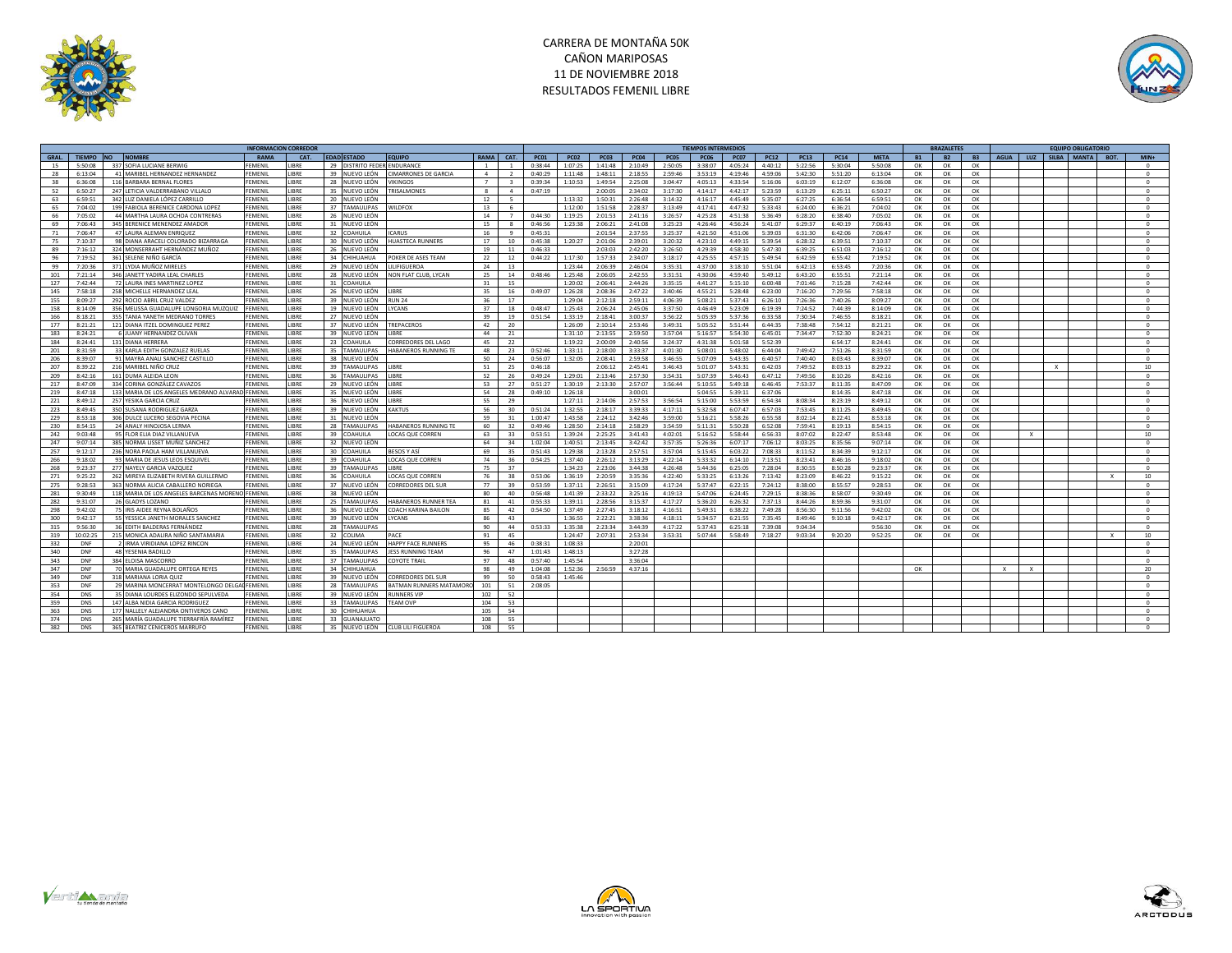



|       |               |                                                  | <b>INFORMACION CORREDO</b> |             |    |                          |                             |                |                |             |             |             |             |             | <b>TIEMPOS INTERMEDIOS</b> |             |             |             |             |             |           | <b>BRAZALETES</b> |                          |              |              | <b>FOUIPO OBLIGATORI</b> |              |                 |
|-------|---------------|--------------------------------------------------|----------------------------|-------------|----|--------------------------|-----------------------------|----------------|----------------|-------------|-------------|-------------|-------------|-------------|----------------------------|-------------|-------------|-------------|-------------|-------------|-----------|-------------------|--------------------------|--------------|--------------|--------------------------|--------------|-----------------|
| GRAL. | <b>TIFMPO</b> | NO.<br><b>NOMBRE</b>                             | <b>RAMA</b>                | CAT.        |    | <b>EDAD ESTADO</b>       | <b>EQUIPO</b>               | <b>RAMA</b>    | CAT.           | <b>PC01</b> | <b>PC02</b> | <b>PC03</b> | <b>PC04</b> | <b>PC05</b> | <b>PC06</b>                | <b>PC07</b> | <b>PC12</b> | <b>PC13</b> | <b>PC14</b> | <b>META</b> | <b>B1</b> | <b>B2</b>         | <b>B3</b><br><b>AGUA</b> | LUZ          |              | SILBA MANTA              | BOT.         | $MIN+$          |
| 15    | 5:50:08       | 337 SOFIA LUCIANE BERWIG                         | <b>FFMFNII</b>             | <b>JBRE</b> | 29 | DISTRITO FEDER ENDURANCE |                             | $\overline{1}$ | $\overline{1}$ | 0:38:44     | 1:07:25     | 1:41:48     | 2:10:49     | 2:50:05     | 3:38:07                    | 4:05:24     | 4:40:12     | 5:22:56     | 5:30:04     | 5:50:08     | OK        | OK                | OK                       |              |              |                          |              | $^{\circ}$      |
| 28    | 6:13:04       | 41 MARIBEL HERNANDEZ HERNANDEZ                   | FEMENIL                    | <b>JBRE</b> | 39 | IUEVO LEÓN               | <b>IMARRONES DE GARCIA</b>  | $\overline{a}$ | $\overline{z}$ | 0:40:29     | 1:11:48     | 1:48:11     | 2:18:55     | 2:59:46     | 3:53:19                    | 4:19:46     | 4:59:06     | 5:42:30     | 5:51:20     | 6:13:04     | OK        | OK                | OK                       |              |              |                          |              | $\circ$         |
| 38    | 6:36:08       | 116 BARBARA BERNAL FLORES                        | FEMENIL                    | <b>JBRE</b> | 28 | IUEVO LEÓN               | VIKINGOS                    | $7^{\circ}$    |                | 0:39:34     | 1:10:53     | 1:49:54     | 2:25:08     | 3:04:47     | 4:05:13                    | 4:33:54     | 5:16:06     | 6:03:19     | 6:12:07     | 6:36:08     | OK        | OK                | OK                       |              |              |                          |              | $^{\circ}$      |
| 52    | 5:50:27       | 247 LETICIA VALDERRABANO VILLALO                 | <b>FEMENIL</b>             | <b>JBRE</b> | 35 | IUEVO LEÓN               | <b>TRISALMONES</b>          | $\mathbf{R}$   | $\sim$         | 0:47:19     |             | 2:00:05     | 2:34:02     | 3:17:30     | 4:14:17                    | 4:42:17     | 5:23:59     | 6:13:29     | 6:25:11     | 6:50:27     | OK        | OK                | OK                       |              |              |                          |              | $\Omega$        |
| 63    | 6:59:51       | 342 LUZ DANIELA LÓPEZ CARRILLO                   | <b>FFMFNII</b>             | <b>IRRF</b> | 20 | NUEVO LEÓN               |                             | 12             | $\overline{a}$ |             | 1:13:32     | 1:50:31     | 2:26:48     | 3:14:32     | 4:16:17                    | 4.45.49     | 5:35:07     | 6:27:25     | 6:36:54     | 6:59:51     | OK        | OK                | OK                       |              |              |                          |              | $^{\circ}$      |
| 65    |               | 199 FABIOLA BERENICE CARDONA LOPEZ               | <b>FFMFNII</b>             | <b>IRRF</b> | 37 | TAMAULIPAS               | <b>WILDFOX</b>              | 13             | -6             |             | 1:12:00     | 1:51:58     | 2:28:37     | 3:13:49     | 4:17:41                    | 4:47:32     | 5:33:43     | 6:24:00     | 6:36:21     | 7:04:02     | OK        | OK                | OK                       |              |              |                          |              | $\Omega$        |
|       | 7:04:02       |                                                  |                            |             |    |                          |                             |                | $\overline{7}$ |             |             |             |             |             |                            |             |             |             |             |             |           |                   |                          |              |              |                          |              |                 |
| 66    | 7:05:02       | 44 MARTHA LAURA OCHOA CONTRERAS                  | <b>FEMENIL</b>             | <b>JBRE</b> | 26 | IUEVO LEÓN               |                             | 14             |                | 0:44:30     | 1:19:25     | 2:01:53     | 2:41:16     | 3:26:57     | 4:25:28                    | 4:51:38     | 5:36:49     | 6:28:20     | 6:38:40     | 7:05:02     | OK        | OK                | OK                       |              |              |                          |              | $\circ$         |
| 69    | 7:06:43       | 345 BERENICE MENENDEZ AMADOR                     | FFMFNII                    | <b>IRRF</b> | 31 | IUEVO LEÓN               |                             | 15             |                | 0:46:56     | 1:23:38     | 2:06:21     | 2:41:08     | 3:25:23     | 4:26:46                    | 4:56:24     | 5:41:07     | 6:29:37     | 6:40:19     | 7:06:43     | OK        | OK                | OK                       |              |              |                          |              | $^{\circ}$      |
| 71    | 7:06:47       | 47 LAURA ALEMAN ENRIQUE                          | FEMENIL                    | <b>IBRE</b> | 32 | OAHUILA                  | CARUS                       | 16             | $\alpha$       | 0:45:31     |             | 2:01:54     | 2:37:55     | 3:25:37     | 4:21:50                    | 4:51:06     | 5:39:03     | 6:31:30     | 6:42:06     | 7:06:47     | OK        | OK                | OK                       |              |              |                          |              | $\Omega$        |
| 75    | 7:10:37       | 98 DIANA ARACELI COLORADO BIZARRAGA              | FEMENIL                    | <b>JBRE</b> | 30 | IUEVO LEÓN               | HUASTECA RUNNERS            | 17             | 10             | 0:45:38     | 1:20:27     | 2:01:06     | 2:39:01     | 3:20:32     | 4:23:10                    | 4:49:15     | 5:39:54     | 6:28:32     | 6:39:51     | 7:10:37     | OK        | OK                | OK                       |              |              |                          |              | $\circ$         |
| 89    | 7:16:12       | 324 MONSERRAHT HERNÁNDEZ MUÑOZ                   | <b>FEMENIL</b>             | <b>JBRE</b> | 26 | IUEVO LEÓN               |                             | 19             | 11             | 0:46:33     |             | 2:03:03     | 2:42:20     | 3:26:50     | 4:29:39                    | 4:58:30     | 5:47:30     | 6:39:25     | 6:51:03     | 7:16:12     | ОК        | OK                | OK                       |              |              |                          |              | $\Omega$        |
| 96    | 7:19:52       | 361 SELENE NIÑO GARCÍA                           | FEMENIL                    | <b>JBRE</b> | 34 | HIHUAHUA                 | POKER DE ASES TEAM          | 22             | 12             | 0:44:22     | 1:17:30     | 1:57:33     | 2:34:07     | 3:18:17     | 4:25:55                    | 4:57:15     | 5:49:54     | 6:42:59     | 6:55:42     | 7:19:52     | ОК        | OK                | OK                       |              |              |                          |              | $^{\circ}$      |
| 99    | 7.20.36       | 371 LYDIA MUÑOZ MIRELES                          | <b>FFMFNII</b>             | <b>IRRF</b> | 29 | IUEVO LEÓN               | <b>ILIFIGUEROA</b>          | 24             | 13             |             | 1:23:44     | 2:06:39     | 2.46:04     | 3.35.31     | 4:37:00                    | 3:18:10     | 5:51:04     | 6:42:13     | 6:53:45     | 7:20:36     | OK        | OK                | OK                       |              |              |                          |              | $^{\circ}$      |
| 101   | 7:21:14       | 346 JANETT YADIRA LEAL CHARLES                   | <b>FFMFNII</b>             | <b>IRRF</b> | 28 | IUEVO LEÓN               | NON FLAT CLUB. LYCAN        | 25             | 14             | 0:48:46     | 1:25:48     | 2:06:05     | 2:42:55     | 3:31:51     | 4:30:06                    | 4:59:40     | 5:49:12     | 6:43:20     | 6:55:51     | 7:21:14     | OK        | OK                | OK                       |              |              |                          |              | $\Omega$        |
| 127   | 7:42:44       | 72 LAURA INES MARTINEZ LOPE                      | FEMENIL                    | <b>JBRE</b> | 31 | OAHUILA                  |                             | 31             | 15             |             | 1:20:02     | 2:06:41     | 2:44:26     | 3:35:15     | 4:41:27                    | 5:15:10     | 6:00:48     | 7:01:46     | 7:15:28     | 7:42:44     | OK        | OK                | OK                       |              |              |                          |              | $^{\circ}$      |
| 145   | 7:58:18       | 258 MICHELLE HERNANDEZ LEAL                      | <b>FEMENIL</b>             | <b>JBRE</b> | 26 | NUEVO LEÓN               | LIBRE                       | 35             | 16             | 0:49:07     | 1:26:28     | 2:08:36     | 2:47:22     | 3:40:46     | 4:55:21                    | 5:28:48     | 6:23:00     | 7:16:20     | 7:29:56     | 7:58:18     | OK        | OK                | OK                       |              |              |                          |              | $\Omega$        |
| 155   | 8:09:27       | 292 ROCIO ABRIL CRUZ VALDEZ                      | FFMFNII                    | <b>IRRF</b> | 39 | NUEVO LEÓN               | <b>RUN 24</b>               | 36             | 17             |             | 1:29:04     | 2:12:18     | 2:59:11     | 4:06:39     | 5:08:21                    | 5:37:43     | 6:26:10     | 7:26:36     | 7:40:26     | 8:09:27     | OK        | OK                | OK                       |              |              |                          |              | $\Omega$        |
| 158   | 8:14:09       | 356 MELISSA GUADALUPE LONGORIA MUZQUIZ           | <b>FEMENIL</b>             | <b>JBRE</b> | 19 | IUEVO LEÓN               | <b>YCANS</b>                | 37             | 18             | 0:48:47     | 1:25:43     | 2:06:24     | 2:45:06     | 3:37:50     | 4:46:49                    | 5:23:09     | 6:19:39     | 7:24:52     | 7:44:39     | 8:14:09     | OK        | OK                | OK                       |              |              |                          |              | $^{\circ}$      |
| 166   | 8:18:21       | 355 TANIA YANETH MEDRANO TORRE                   | FEMENIL                    | <b>JBRE</b> | 27 | NUEVO LEÓN               |                             | 39             | 19             | 0:51:54     | 1:33:19     | 2:18:41     | 3:00:37     | 3:56:22     | 5:05:39                    | 5:37:36     | 6:33:58     | 7:30:34     | 7:46:55     | 8:18:21     | OK        | OK                | OK                       |              |              |                          |              | $^{\circ}$      |
| 177   | 8:21:21       | 121 DIANA ITZEL DOMINGUEZ PERE                   | <b>FEMENIL</b>             | LIBRE       | 37 | NUEVO LEÓN               | TREPACEROS                  | 42             | 20             |             | 1:26:09     | 2:10:14     | 2:53:46     | 3:49:31     | 5:05:52                    | 5:51:44     | 6:44:35     | 7:38:48     | 7:54:12     | 8:21:21     | OK        | OK                | OK                       |              |              |                          |              | $^{\circ}$      |
|       |               |                                                  |                            |             |    |                          |                             |                |                |             |             |             |             |             |                            |             |             |             |             |             |           |                   |                          |              |              |                          |              |                 |
| 183   | 8:24:21       | 6 JUANY HERNANDEZ OLIVAN                         | <b>FFMFNII</b>             | <b>IRRF</b> | 39 | NUEVO LEÓN               | <b>IRRF</b>                 | 44             | 21             |             | 1:31:10     | 2:13:55     | 2:59:50     | 3:57:04     | 5:16:57                    | 5:54:30     | 6:45:01     | 7:34:47     | 7:52:30     | 8:24:21     | OK        | OK                | OK                       |              |              |                          |              | $^{\circ}$      |
| 184   | 8:24:41       | 131 DIANA HERRERA                                | <b>FEMENIL</b>             | LIBRE       | 23 | OAHUILA                  | CORREDORES DEL LAGO         | 45             | 22             |             | 1:19:22     | 2:00:09     | 2:40:56     | 3:24:37     | 4:31:38                    | 5:01:58     | 5:52:39     |             | 6:54:17     | 8:24:41     | OK        | OK                | OK                       |              |              |                          |              | $\Omega$        |
| 201   | 8:31:59       | 33 KARLA EDITH GONZALEZ RUELAS                   | <b>FFMFNII</b>             | <b>JBRE</b> | 35 | AMAULIPAS                | <b>HABANEROS RUNNING TE</b> | 48             | 23             | 0:52:46     | 1:33:11     | 2:18:00     | 3:33:37     | 4:01:30     | 5:08:01                    | 5:48:02     | 6:44:04     | 7:49:42     | 7:51:26     | 8:31:59     | OK        | OK                | OK                       |              |              |                          |              | $^{\circ}$      |
| 206   | 8:39:07       | 91 MAYRA ANALI SANCHEZ CASTILLO                  | FEMENIL                    | <b>JBRE</b> | 38 | UEVO LEÓN                |                             | 50             | 24             | 0:56:07     | 1:32:05     | 2:08:41     | 2:59:58     | 3:46:55     | 5:07:09                    | 5:43:35     | 6:40:57     | 7:40:40     | 8:03:43     | 8:39:07     | OK        | OK                | OK                       |              |              |                          |              | $\Omega$        |
| 207   | 8:39:22       | 216 MARIBEL NIÑO CRUZ                            | FEMENIL                    | LIBRE       | 39 | AMAULIPAS                | LIBRE                       | 51             | 25             | 0:46:18     |             | 2:06:12     | 2:45:41     | 3:46:43     | 5:01:07                    | 5:43:31     | 6:42:03     | 7:49:52     | 8:03:13     | 8:29:22     | ОК        | ОК                | OK                       |              | $\mathbf{x}$ |                          |              | 10              |
| 209   | 8:42:16       | 161 DUMA ALFIDA LEON                             | FFMFNII                    | <b>IRRF</b> | 36 | <b>AMAULIPAS</b>         | <b>IRRF</b>                 | 52             | 26             | 0.49.24     | 1:29:01     | 2:13:46     | $2.57 - 30$ | 3:54:31     | 5:07:39                    | 5:46:43     | 6:47:12     | 7.49.56     | 8:10:26     | 8:42:16     | OK        | OK                | OK                       |              |              |                          |              | $\Omega$        |
| 217   | 8:47:09       | 334 CORINA GONZÁLEZ CAVAZOS                      | <b>FFMFNII</b>             | <b>IRRF</b> | 29 | NUEVO LEÓN               | <b>IRRF</b>                 | 53             | 27             | 0:51:27     | 1:30:19     | 2:13:30     | 2:57:07     | 3:56:44     | 5:10:55                    | 5:49:18     | 6:46:45     | 7:53:37     | 8:11:35     | 8:47:09     | OK        | OK                | OK                       |              |              |                          |              | $^{\circ}$      |
| 219   | 8:47:18       | 133 MARIA DE LOS ANGELES MEDRANO ALVARAD FEMENIL |                            | <b>JBRE</b> | 35 | NUEVO LEÓN               | LIBRE                       | 54             | 28             | 0:49:10     | 1:26:18     |             | 3:00:01     |             | 5:04:55                    | 5:39:11     | 6:37:06     |             | 8:14:35     | 8:47:18     | OK        | OK                | OK                       |              |              |                          |              | $\circ$         |
| 221   | 8:49:12       | 257 YESIKA GARCIA CRUZ                           | FEMENIL                    | <b>JBRE</b> | 36 | NUEVO LEÓN               | LIBRE                       | 55             | 29             |             | 1:27:11     | 2:14:06     | 2:57:53     | 3:56:54     | 5:15:00                    | 5:53:59     | 6:54:34     | 8:08:34     | 8:23:19     | 8:49:12     | OK        | OK                | OK                       |              |              |                          |              | $\circ$         |
| 223   | 8:49:45       | 350 SUSANA RODRIGUEZ GARZ/                       | FEMENIL                    | <b>JBRE</b> | 39 | NUEVO LEÓN               | <b>KAKTUS</b>               | 56             | 30             | 0:51:24     | 1:32:55     | 2:18:17     | 3:39:33     | 4:17:11     | 5:32:58                    | 6:07:47     | 6:57:03     | 7:53:45     | 8:11:25     | 8:49:45     | OK        | OK                | OK                       |              |              |                          |              | $^{\circ}$      |
| 229   | 8:53:18       | 306 DULCE LUCERO SEGOVIA PECINA                  | FEMENIL                    | <b>IBRE</b> | 31 | IUEVO LEÓN               |                             | 59             | 31             | 1:00:47     | 1:43:58     | 2:24:12     | 3:42:46     | 3:59:00     | 5:16:21                    | 5:58:26     | 6:55:58     | 8:02:14     | 8:22:41     | 8:53:18     | OK        | OK                | OK                       |              |              |                          |              | $\Omega$        |
| 230   | 8:54:15       | 24 ANALY HINOJOSA LERMA                          | FEMENIL                    | <b>JBRE</b> | 28 | AMAULIPAS                | HABANEROS RUNNING TE        | 60             | 32             | 0:49:46     | 1:28:50     | 2:14:18     | 2:58:29     | 3:54:59     | 5:11:31                    | 5:50:28     | 6:52:08     | 7:59:41     | 8:19:13     | 8:54:15     | OK        | OK                | OK                       |              |              |                          |              | $\circ$         |
| 242   | 9:03:48       | 95 FLOR ELIA DIAZ VILLANUEVA                     | FEMENIL                    | <b>JBRE</b> | 39 | OAHUILA                  | OCAS QUE CORREN             | 63             | 33             | 0:53:51     | 1:39:24     | 2:25:25     | 3:41:43     | 4:02:01     | 5:16:52                    | 5:58:44     | 6:56:33     | 8:07:02     | 8:22:47     | 8:53:48     | OK        | OK                | OK                       | $\mathbf{Y}$ |              |                          |              | 10              |
| 247   | 9:07:14       | 385 NORMA LISSET MUÑIZ SANCHEZ                   | FEMENIL                    | <b>JBRE</b> | 32 | <b>IUEVO LEÓN</b>        |                             | 64             | 34             | 1:02:04     | 1:40:51     | 2:13:45     | 3:42:42     | 3:57:35     | 5:26:36                    | 6:07:17     | 7:06:12     | 8:03:25     | 8:35:56     | 9:07:14     | OK        | OK                | OK                       |              |              |                          |              | $\circ$         |
| 257   | 9:12:17       | 236 NORA PAOLA HAM VILLANUEVA                    | FEMENIL                    | <b>JBRE</b> | 30 | OAHUILA                  | BESOS Y ASÍ                 | 69             | 35             | 0:51:43     | 1:29:38     | 2:13:28     | 2:57:51     | 3:57:04     | 5:15:45                    | 6:03:22     | 7:08:33     | 8:11:52     | 8:34:39     | 9:12:17     | OK        | OK                | OK                       |              |              |                          |              | $^{\circ}$      |
| 266   | 9:18:02       | 93 MARIA DE JESUS LEOS ESQUIVEI                  | <b>FFMFNII</b>             | <b>IRRF</b> | 39 | <b>OAHUILA</b>           | LOCAS QUE CORREN            | 74             | 36             | 0:54:25     | 1:37:40     | 2:26:12     | 3:13:29     | 4:22:14     | 5:33:32                    | 6:14:10     | 7:13:51     | 8:23:41     | 8:46:16     | 9:18:02     | OK        | OK                | OK                       |              |              |                          |              | $\Omega$        |
|       |               |                                                  |                            |             |    |                          |                             |                |                |             |             |             |             |             |                            |             |             |             |             |             |           |                   |                          |              |              |                          |              |                 |
| 268   | 9:23:37       | 277 NAYELY GARCIA VAZQUEZ                        | <b>FEMENIL</b>             | LIBRE       | 39 | AMAULIPAS                | <b>LIBRE</b>                | 75             | 37             |             | 1:34:23     | 2:23:06     | 3:44:38     | 4:26:48     | 5:44:36                    | 6:25:05     | 7:28:04     | 8:30:55     | 8:50:28     | 9:23:37     | OK        | OK                | OK                       |              |              |                          |              | $^{\circ}$      |
| 271   | 9:25:22       | 262 MIREYA ELIZABETH RIVERA GUILLERMO            | <b>FFMFNII</b>             | <b>IRRF</b> | 36 | OAHUILA                  | <b>LOCAS QUE CORREN</b>     | 76             | 38             | 0:53:06     | 1:36:19     | 2:20:59     | 3:35:36     | 4:22:40     | 5:33:25                    | 6:13:26     | 7:13:42     | 8:23:09     | 8:46:22     | 9:15:22     | OK        | OK                | OK                       |              |              |                          | $\mathbf{x}$ | 10 <sup>1</sup> |
| 275   | 9:28:53       | 363 NORMA ALICIA CABALLERO NORIEGA               | FFMFNII                    | <b>JBRE</b> | 37 | NUEVO LEÓM               | ORREDORES DEL SUR           | 77             | 39             | 0:53:59     | 1:37:11     | 2:26:51     | 3:15:09     | 4:17:24     | 5:37:47                    | 6:22:15     | 7:24:12     | 8:38:00     | 8:55:57     | 9:28:53     | OK        | OK                | OK                       |              |              |                          |              | $\Omega$        |
| 281   | 9:30:49       | 118 MARIA DE LOS ANGELES BARCENAS MORENO FEMENIL |                            | <b>IRRF</b> | 38 | NUEVO LEÓN               |                             | 80             | 40             | 0:56:48     | 1:41:39     | 2.33.22     | 3:25:16     | 4:19:13     | 5:47:06                    | 6:24:45     | 7:29:15     | 8:38:36     | 8:58:07     | 9:30:49     | $\Omega$  | OK                | OK                       |              |              |                          |              | $\sim$          |
| 282   | 9:31:07       | 26 GLADYS LOZANO                                 | FEMENIL                    | LIBRE       | 25 | AMAULIPAS                | HABANEROS RUNNER TEA        | 81             | 41             | 0:55:33     | 1:39:11     | 2:28:56     | 3:15:37     | 4:17:27     | 5:36:20                    | 6:26:32     | 7:37:13     | 8:44:26     | 8:59:36     | 9:31:07     | OK        | OK                | OK                       |              |              |                          |              | $\Omega$        |
| 298   | 9:42:02       | 75 IRIS AIDEE REYNA BOLAÑOS                      | <b>FFMFNII</b>             | <b>IRRF</b> | 36 | NUEVO LEÓN               | COACH KARINA BAILON         | 85             | 42             | 0:54:50     | 1:37:49     | 2:27:45     | 3:18:12     | 4:16:51     | 5:49:31                    | 6:38:22     | 7:49:28     | 8:56:30     | 9:11:56     | 9:42:02     | OK        | OK                | OK                       |              |              |                          |              | $^{\circ}$      |
| 300   | 9:42:17       | 55 YESSICA JANETH MORALES SANCHEZ                | <b>FFMFNII</b>             | <b>IRRF</b> | 39 | NUEVO LEÓN               | LYCANS                      | 86             | 43             |             | 1:36:55     | 2:22:21     | 3:38:36     | 4:18:11     | 5:34:57                    | 6:21:55     | 7:35:45     | 8:49:46     | 9:10:18     | 9:42:17     | <b>OK</b> | OK                | OK                       |              |              |                          |              | $\Omega$        |
| 315   | 9:56:30       | 36 EDITH BALDERAS FERNÁNDEZ                      | <b>FEMENIL</b>             | LIBRE       | 28 | AMAULIPAS                |                             | 90             | 44             | 0:53:33     | 1:35:38     | 2:23:34     | 3:44:39     | 4:17:22     | 5:37:43                    | 6:25:18     | 7:39:08     | 9:04:34     |             | 9:56:30     | OK        | OK                | OK                       |              |              |                          |              | $\circ$         |
| 319   | 10:02:25      | 215 MONICA ADALIRA NIÑO SANTAMARIA               | <b>FEMENIL</b>             | <b>JBRE</b> | 32 | OLIMA                    | PACE                        | 91             | 45             |             | 1:24:47     | 2:07:31     | 2:53:34     | 3:53:31     | 5:07:44                    | 5:58:49     | 7:18:27     | 9:03:34     | 9:20:20     | 9:52:25     | OK        | OK                | OK                       |              |              |                          | $\mathbf{x}$ | 10              |
| 332   | DNF           | <b>IRMA VIRIDIANA LOPEZ RINCON</b>               | FEMENIL                    | <b>IBRE</b> | 24 | UEVO LEÓN                | <b>HAPPY FACE RUNNERS</b>   | 95             | 46             | 0:38:31     | 1:08:33     |             | 2:20:01     |             |                            |             |             |             |             |             |           |                   |                          |              |              |                          |              | $\Omega$        |
| 340   | DNF           | 48 YESENIA BADILLO                               | <b>FEMENIL</b>             | LIBRE       | 35 | AMAULIPAS                | <b>JESS RUNNING TEAM</b>    | 96             | 47             | 1:01:43     | 1:48:13     |             | 3:27:28     |             |                            |             |             |             |             |             |           |                   |                          |              |              |                          |              | $^{\circ}$      |
| 343   | DNF           | 384 FLOISA MASCORRO                              | <b>FFMFNII</b>             | <b>IRRF</b> | 37 | <b>AMAULIPAS</b>         | <b>OYOTE TRAIL</b>          | 97             | 48             | 0:57:40     | 1:45:54     |             | 3:36:04     |             |                            |             |             |             |             |             |           |                   |                          |              |              |                          |              | $\Omega$        |
| 347   | DNF           | 70 MARIA GUADALUPE ORTEGA REYES                  | <b>FFMFNII</b>             | <b>IRRF</b> | 34 | HIHUAHUA                 |                             | 98             | 49             | 1:04:08     | 1:52:36     | 2:56:59     | 4:37:16     |             |                            |             |             |             |             |             | OK        |                   | Y                        | $\mathbf{x}$ |              |                          |              | 20 <sup>2</sup> |
| 349   | DNF           | 318 MARIANA LORIA QUIZ                           | <b>FEMENIL</b>             | LIBRE       | 39 | NUEVO LEÓN               | CORREDORES DEL SUR          | 99             | 50             | 0:58:43     | 1:45:46     |             |             |             |                            |             |             |             |             |             |           |                   |                          |              |              |                          |              | $^{\circ}$      |
| 353   | DNF           | 29 MARINA MONCERRAT MONTELONGO DEL               | <b>UFEMENIL</b>            | <b>IRRF</b> | 28 | <b>AMALILIPAS</b>        | BATMAN RUNNERS MATAMORO     | 101            | 51             | 2:08:05     |             |             |             |             |                            |             |             |             |             |             |           |                   |                          |              |              |                          |              | $\Omega$        |
| 354   | <b>DNS</b>    | 35 DIANA LOURDES ELIZONDO SEPULVEDA              | FEMENIL                    | <b>JBRE</b> | 39 | IUEVO LEÓN               | <b>NUNNERS VIR</b>          | 102            | 52             |             |             |             |             |             |                            |             |             |             |             |             |           |                   |                          |              |              |                          |              | $^{\circ}$      |
|       |               | 147 ALBA NIDIA GARCIA RODRIGUE                   | FEMENIL                    | <b>IBRE</b> | 33 | AMAULIPAS                | <b>EAM OVP</b>              | 104            | 53             |             |             |             |             |             |                            |             |             |             |             |             |           |                   |                          |              |              |                          |              | $\Omega$        |
| 359   | <b>DNS</b>    |                                                  |                            |             |    |                          |                             |                |                |             |             |             |             |             |                            |             |             |             |             |             |           |                   |                          |              |              |                          |              |                 |
| 363   | <b>DNS</b>    | 177 NALLELY ALEJANDRA ONTIVEROS CANO             | FEMENIL                    | <b>JBRE</b> | 30 | <b>HIHUAHUA</b>          |                             | 105            | 54             |             |             |             |             |             |                            |             |             |             |             |             |           |                   |                          |              |              |                          |              | $^{\circ}$      |
| 374   | <b>DNS</b>    | 265   MARÍA GUADALUPE TIERRAFRÍA RAMÍREZ         | FFMFNII                    | <b>IRRF</b> | 33 | <b>GUANAIUATO</b>        |                             | 108            | 55             |             |             |             |             |             |                            |             |             |             |             |             |           |                   |                          |              |              |                          |              | $\Omega$        |
| 382   | <b>DNS</b>    | 365 BEATRIZ CENICEROS MARRUFC                    | <b>FFMFNII</b>             | <b>IRRE</b> | 35 | NUEVO LEÓN               | <b>CLUB LILI FIGUEROA</b>   | 108            | 55             |             |             |             |             |             |                            |             |             |             |             |             |           |                   |                          |              |              |                          |              | $\sim$          |





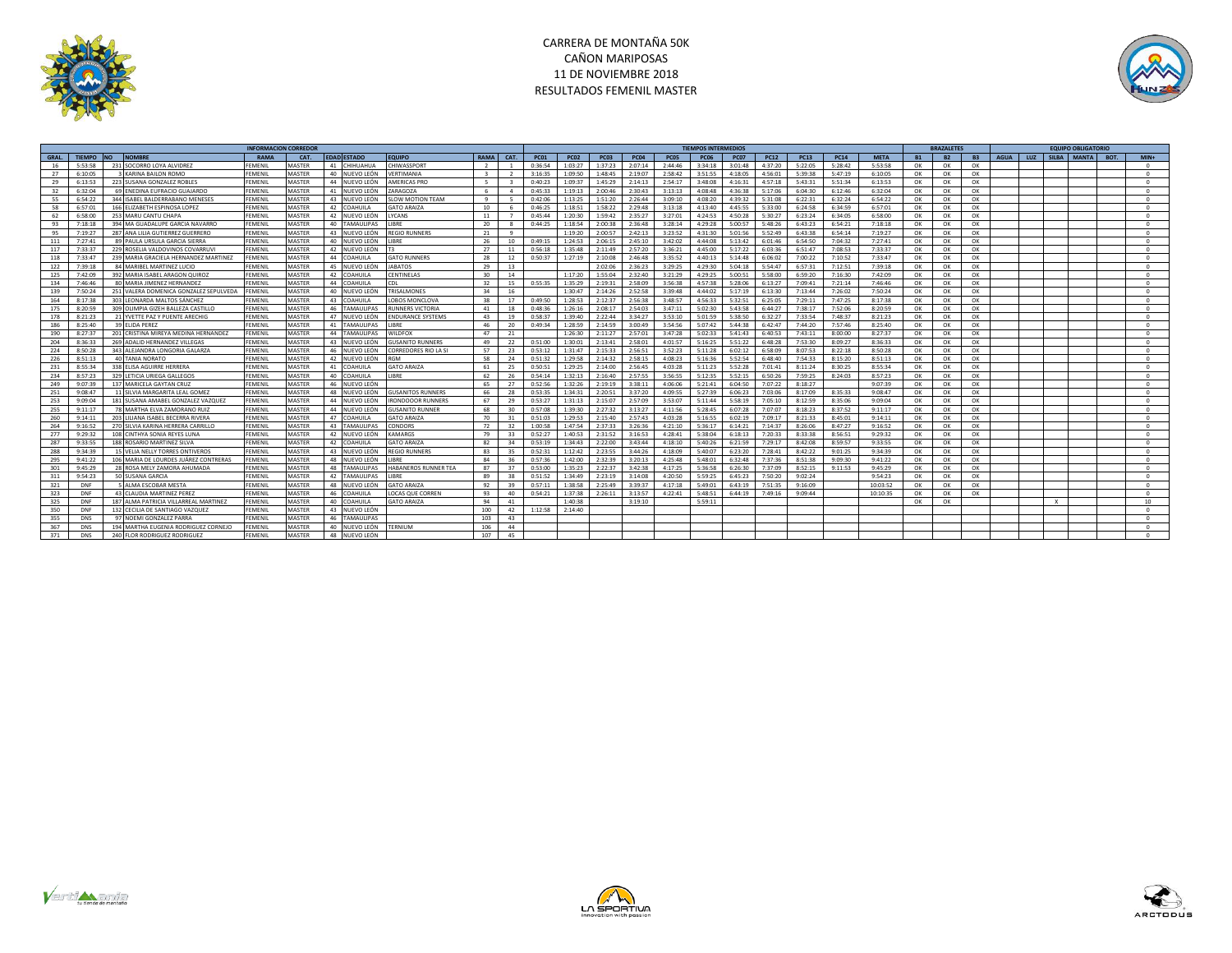



|             |               |                                        | <b>INFORMACION CORREDOR</b> |               |                 |                    |                          |                         |                |             |             |             |             |             | <b>TIEMPOS INTERMEDIOS</b> |             |             |             |             |             |           | <b>BRAZALETES</b> |           |             |     |              | <b>EQUIPO OBLIGATORIO</b> |      |                  |
|-------------|---------------|----------------------------------------|-----------------------------|---------------|-----------------|--------------------|--------------------------|-------------------------|----------------|-------------|-------------|-------------|-------------|-------------|----------------------------|-------------|-------------|-------------|-------------|-------------|-----------|-------------------|-----------|-------------|-----|--------------|---------------------------|------|------------------|
| <b>GRAL</b> | <b>TIFMPO</b> | <b>NOMBRI</b><br><b>INO</b>            | <b>RAMA</b>                 | CAT.          |                 | <b>EDAD ESTADO</b> | <b>EQUIPO</b>            | <b>RAMA</b>             | CAT.           | <b>PC01</b> | <b>PC02</b> | <b>PC03</b> | <b>PC04</b> | <b>PC05</b> | <b>PC06</b>                | <b>PC07</b> | <b>PC12</b> | <b>PC13</b> | <b>PC14</b> | <b>META</b> | <b>B1</b> | B2                | <b>B3</b> | <b>AGUA</b> | LUZ |              | SILBA MANTA               | BOT. | $MIN+$           |
|             | 5:53:58       | 231 SOCORRO LOYA ALVIDREZ              | <b>FFMFNII</b>              | MASTER        | 41              | <b>HIHUAHUA</b>    | <b>CHIWASSPORT</b>       |                         |                | 0:36:54     | 1:03:27     | 1:37:23     | 2:07:14     | 2:44:46     | 3:34:18                    | 3:01:48     | 4:37:20     | 5:22:05     | 5:28:42     | 5:53:58     | OK        | OK                | OK        |             |     |              |                           |      | $^{\circ}$       |
| 27          | 6:10:05       | KARINA BAILON ROMO                     | FEMENIL                     | MASTER        | 40              | NUEVO LEÓN         | <b>/ERTIMANIA</b>        | $\overline{\mathbf{3}}$ | $\overline{z}$ | 3:16:35     | 1:09:50     | 1:48:45     | 2:19:07     | 2:58:42     | 3:51:55                    | 4:18:05     | 4:56:01     | 5:39:38     | 5:47:19     | 6:10:05     | OK        | OK                | OK        |             |     |              |                           |      | $^{\circ}$       |
| 29          | 6:13:53       | 223 SUSANA GONZALEZ ROBLES             | <b>FFMFNII</b>              | MASTER        | 44              | NUEVO LEÓN         | AMERICAS PRO             | -5                      |                | 0:40:23     | 1:09:37     | 1:45:29     | 2:14:13     | 2:54:17     | 3.48.08                    | 4:16:31     | 4:57:18     | 5:43:31     | 5:51:34     | 6:13:53     | OK        | OK                | OK        |             |     |              |                           |      | $^{\circ}$       |
| 32          | 6:32:04       | 69 ENFOINA FUERACIO GUAIARDO           | FFMFNII                     | MASTER        | 41              | NUEVO LEÓN         | ARAGOZA                  | -6                      |                | 0:45:33     | 1:19:13     | 2:00:46     | 2.30.43     | 3:13:13     | 4:08:48                    | 4:36:38     | 5:17:06     | 6:04:30     | 6:12:46     | 6:32:04     | OK        | OK                | OK        |             |     |              |                           |      | $^{\circ}$       |
| 55          | 6:54:22       | 344 ISABEL BALDERRABANO MENESES        | FEMENII                     | MASTER        | 43              | NUEVO LEÓN         | <b>SLOW MOTION TEAM</b>  | $\mathbf{q}$            |                | 0:42:06     | 1:13:25     | 1:51:20     | 2:26:44     | 3:09:10     | 4:08:20                    | 4:39:32     | 5:31:08     | 6:22:31     | 6:32:24     | 6:54:22     | OK        | OK                | OK        |             |     |              |                           |      | $^{\circ}$       |
| 58          | 6:57:01       | 166 ELIZABETH ESPINOSA LOPEZ           | FEMENIL                     | MASTER        | 42              | <b>OAHUILA</b>     | <b>GATO ARAIZA</b>       | 10                      |                | 0:46:25     | 1:18:51     | 1:58:22     | 2:29:48     | 3:13:18     | 4:13:40                    | 4:45:55     | 5:33:00     | 6:24:58     | 6:34:59     | 6:57:01     | OK        | OK                | OK        |             |     |              |                           |      | $\Omega$         |
| 62          | 6:58:00       | 253 MARU CANTU CHAPA                   | FEMENIL                     | MASTER        | 42              | NUEVO LEÓN         | YCANS.                   | 11                      |                | 0:45:44     | 1:20:30     | 1:59:42     | 2:35:27     | 3:27:01     | 4:24:53                    | 4:50:28     | 5:30:27     | 6:23:24     | 6:34:05     | 6:58:00     | OK        | OK                | OK        |             |     |              |                           |      | $\Omega$         |
| 93          | 7:18:18       | 394 MA GUADALUPE GARCIA NAVARRO        | FFMFNII                     | MASTER        | 40              | <b>AMAULIPAS</b>   | <b>IRRF</b>              | 20                      |                | 0:44:25     | 1:18:54     | 2:00:38     | 2:36:48     | 3:28:14     | 4:29:28                    | 5:00:57     | 5:48:26     | 6:43:23     | 6:54:21     | 7:18:18     | OK        | OK                | OK        |             |     |              |                           |      | $^{\circ}$       |
| 95          | 7.19.27       | 287 ANA IIIIA GUTIERREZ GUERRERO       | <b>FFMFNII</b>              | MASTER        | 43              | NUEVO LEÓN         | <b>REGIO RUNNERS</b>     | 21                      | $\alpha$       |             | 1:19:20     | 2:00:57     | 2:42:13     | 3:23:52     | 4:31:30                    | 5:01:56     | 5:52:49     | 6:43:38     | 6:54:14     | 7:19:27     | OK        | OK                | OK        |             |     |              |                           |      | $^{\circ}$       |
| 111         | 7:27:41       | 89 PAULA URSULA GARCIA SIERRA          | FEMENIL                     | MASTER        | 40              | NUEVO LEÓN         | LIBRE                    | 26                      | 10             | 0:49:15     | 1:24:53     | 2:06:15     | 2:45:10     | 3:42:02     | 4:44:08                    | 5:13:42     | 6:01:46     | 6:54:50     | 7:04:32     | 7:27:41     | OK        | OK                | OK        |             |     |              |                           |      | $^{\circ}$       |
| 117         | 7.33.37       | 229 ROSELIA VALDOVINOS COVARRUV        | FFMFNII                     | MASTER        | 42              | NUEVO LEÓN         |                          | 27                      | 11             | 0:56:18     | 1:35:48     | 2:11:49     | 2:57:20     | 3.36:21     | 4:45:00                    | 5:17:22     | 6:03:36     | 6:51:47     | 7:08:53     | 7:33:37     | OK        | OK                | OK        |             |     |              |                           |      | $\Omega$         |
| 118         | 7:33:47       | 239 MARIA GRACIELA HERNANDEZ MARTINEZ  | FEMENIL                     | MASTER        | 44              | OAHUILA            | <b>GATO RUNNERS</b>      | 28                      | 12             | 0:50:37     | 1:27:19     | 2:10:08     | 2:46:48     | 3:35:52     | 4:40:13                    | 5:14:48     | 6:06:02     | 7:00:22     | 7:10:52     | 7:33:47     | OK        | OK                | OK        |             |     |              |                           |      | $^{\circ}$       |
| 122         | 7.39.18       | 84 MARIREL MARTINEZ LUCIO              | <b>FFMFNII</b>              | MASTER        | 45              | NUEVO LEÓN         | <b>IARATOS</b>           | 29                      | 13             |             |             | 2:02:06     | 2.36:23     | 3.29.25     | 4:29:30                    | 5:04:18     | $5.54 - 47$ | 6:57:31     | 7:12:51     | 7:39:18     | OK        | OK                | OK        |             |     |              |                           |      | $^{\circ}$       |
| 125         | 7:42:09       | 392 MARIA ISABEL ARAGON QUIROZ         | FEMENIL                     | MASTER        | 42              | OAHUILA            | CENTINELAS               | 30                      | 14             |             | 1:17:20     | 1:55:04     | 2:32:40     | 3:21:29     | 4:29:25                    | 5:00:51     | 5:58:00     | 6:59:20     | 7:16:30     | 7:42:09     | OK        | OK                | OK        |             |     |              |                           |      | $\sim$           |
| 134         | 7:46:46       | 80 MARIA JIMENEZ HERNANDEZ             | FEMENII                     | MASTER        | 44              | OAHUIL/            | CDL                      | 32                      | 15             | 0:55:35     | 1:35:29     | 2:19:31     | 2:58:09     | 3:56:38     | 4:57:38                    | 5:28:06     | 6:13:27     | 7:09:41     | 7:21:14     | 7:46:46     | OK        | OK                | OK        |             |     |              |                           |      | $^{\circ}$       |
| 139         | 7:50:24       | 251 VALERA DOMENICA GONZALEZ SEPULVEDA | FEMENIL                     | MASTER        | 40              | IUEVO LEÓN         | TRISALMONES              | 34                      | 16             |             | 1:30:47     | 2:14:26     | 2:52:58     | 3.39.48     | 4:44:02                    | 5:17:19     | 6:13:30     | 7:13:44     | 7:26:02     | 7:50:24     | OK        | OK                | OK        |             |     |              |                           |      | $\Omega$         |
| 164         | 8:17:38       | 303 LEONARDA MALTOS SÁNCHEZ            | FEMENIL                     | MASTER        | 43              | OAHUIL/            | LOBOS MONCLOVA           | 38                      | 17             | 0:49:50     | 1:28:53     | 2:12:37     | 2:56:38     | 3:48:57     | 4:56:33                    | 5:32:51     | 6:25:05     | 7:29:11     | 7:47:25     | 8:17:38     | OK        | OK                | OK        |             |     |              |                           |      | $^{\circ}$       |
| 175         | 8:20:59       | 309 OLIMPIA GIZEH BALLEZA CASTILLO     | FEMENIL                     | MASTER        | 46              | <b>AMAULIPAS</b>   | <b>RUNNERS VICTORIA</b>  | 41                      | 18             | 0:48:36     | 1:26:16     | 2:08:17     | 2:54:03     | 3:47:11     | 5:02:30                    | 5:43:58     | 6:44:27     | 7:38:17     | 7:52:06     | 8:20:59     | OK        | OK                | OK        |             |     |              |                           |      | $^{\circ}$       |
| 178         | 8:21:23       | 21 YVETTE PAZ Y PUENTE ARECHIG         | FEMENIL                     | MASTER        | 47              | NUEVO LEÓN         | <b>ENDURANCE SYSTEMS</b> | 43                      | 19             | 0:58:37     | 1:39:40     | 2:22:44     | 3:34:27     | 3:53:10     | 5:01:59                    | 5:38:50     | 6:32:27     | 7:33:54     | 7:48:37     | 8:21:23     | OK        | OK                | OK        |             |     |              |                           |      | $^{\circ}$       |
| 186         | 8:25:40       | 39 ELIDA PEREZ                         | FEMENII                     | MASTER        | 41              | AMAULIPAS          | <b>LIBRE</b>             | 46                      | 20             | 0:49:34     | 1:28:59     | 2:14:59     | 3:00:49     | 3:54:56     | 5:07:42                    | 5:44:38     | 6:42:47     | 7:44:20     | 7:57:46     | 8:25:40     | OK        | OK                | OK        |             |     |              |                           |      | $^{\circ}$       |
| 190         | 8:27:37       | 201 CRISTINA MIREYA MEDINA HERNANDEZ   | FEMENIL                     | MASTER        | 44              | AMAULIPAS          | <b>NILDFOX</b>           | 47                      | 21             |             | 1:26:30     | 2:11:27     | 2:57:01     | 3:47:28     | 5:02:33                    | 5:41:43     | 6:40:53     | 7:43:11     | 8:00:00     | 8:27:37     | OK        | OK                | OK        |             |     |              |                           |      | $\Omega$         |
| 204         | 8:36:33       | 269 ADALID HERNANDEZ VILLEGAS          | FEMENIL                     | MASTER        | 43              | NUEVO LEÓN         | <b>USANITO RUNNERS</b>   | 49                      | 22             | 0:51:00     | 1:30:01     | 2:13:41     | 2:58:01     | 4:01:57     | 5:16:25                    | 5:51:22     | 6:48:28     | 7:53:30     | 8:09:27     | 8:36:33     | OK        | OK                | OK        |             |     |              |                           |      | $\Omega$         |
| 224         | 8:50:28       | 343 ALEJANDRA LONGORIA GALARZA         | FEMENIL                     | MASTER        | 46              | NUEVO LEÓN         | CORREDORES RIO LA SI     | 57                      | 23             | 0:53:12     | 1:31:47     | 2:15:33     | 2:56:51     | 3:52:23     | 5:11:28                    | 6:02:12     | 6:58:09     | 8:07:53     | 8:22:18     | 8:50:28     | OK        | OK                | OK        |             |     |              |                           |      | $^{\circ}$       |
| 226         | 8:51:13       | 40 TANIA NORATO                        | FEMENIL                     | MASTER        | 42              | NUEVO LEÓN         | RGM                      | 58                      | 24             | 0:51:32     | 1:29:58     | 2:14:32     | 2:58:15     | 4:08:23     | 5:16:36                    | 5:52:54     | 6:48:40     | 7:54:33     | 8:15:20     | 8:51:13     | OK        | OK                | OK        |             |     |              |                           |      | $\Omega$         |
| 231         | 8:55:34       | 338 ELISA AGUIRRE HERRERA              | FEMENIL                     | MASTER        | 41              | OAHUILA            | <b>GATO ARAIZA</b>       | 61                      | 25             | 0:50:51     | 1:29:25     | 2:14:00     | 2:56:45     | 4:03:28     | 5:11:23                    | 5:52:28     | 7:01:41     | 8:11:24     | 8:30:25     | 8:55:34     | OK        | OK                | OK        |             |     |              |                           |      | $^{\circ}$       |
| 234         | 8.57.23       | 329 LETICIA URIEGA GALLEGOS            | <b>FFMFNII</b>              | MASTER        | 40              | <b>OAHUILA</b>     | <b>IIRRF</b>             | 62                      | 26             | 0:54:14     | 1:32:13     | 2:16:40     | 2.57:55     | 3:56:55     | 5:12:35                    | 5:52:15     | 6:50:26     | 7-59:25     | 8:24:03     | 8:57:23     | OK        | OK                | OK        |             |     |              |                           |      | $^{\circ}$       |
| 249         | 9:07:39       | 137 MARICELA GAYTAN CRUZ               | FEMENIL                     | MASTER        | 46              | NUEVO LEÓN         |                          | 65                      | 27             | 0:52:56     | 1:32:26     | 2:19:19     | 3:38:11     | 4:06:06     | 5:21:41                    | 6:04:50     | 7:07:22     | 8:18:27     |             | 9:07:39     | OK        | OK                | OK        |             |     |              |                           |      | $^{\circ}$       |
| 251         | 9:08:47       | 11 SILVIA MARGARITA LEAL GOMEZ         | <b>FFMFNII</b>              | MASTER        | 48              | NUEVO LEÓN         | <b>GUSANITOS RUNNERS</b> | 66                      | 28             | 0:53:35     | 1:34:31     | 2:20:51     | 3:37:20     | 4:09:55     | 5:27:39                    | 6:06:23     | 7:03:06     | 8:17:09     | 8:35:33     | 9:08:47     | OK        | OK                | OK        |             |     |              |                           |      | $^{\circ}$       |
| 253         | 9:09:04       | 181 SUSANA AMABEL GONZALEZ VAZQUEZ     | FEMENIL                     | MASTER        | 44              | NUEVO LEÓN         | RONDOOOR RUNNERS         | 67                      | 29             | 0:53:27     | 1:31:13     | 2:15:07     | 2:57:09     | 3:53:07     | 5:11:44                    | 5:58:19     | 7:05:10     | 8:12:59     | 8:35:06     | 9:09:04     | OK        | OK                | OK        |             |     |              |                           |      | $^{\circ}$       |
| 255         | 9:11:17       | 78 MARTHA ELVA ZAMORANO RUIZ           | FEMENIL                     | MASTER        | 44              | NUEVO LEÓN         | <b>GUSANITO RUNNE</b>    | 68                      | 30             | 0:57:08     | 1:39:30     | 2:27:32     | 3:13:27     | 4:11:56     | 5:28:45                    | 6:07:28     | 7:07:07     | 8:18:23     | 8:37:52     | 9:11:17     | OK        | OK                | OK        |             |     |              |                           |      | $^{\circ}$       |
| 260         | 9:14:11       | 203 LILIANA ISABEL BECERRA RIVERA      | FEMENIL                     | <b>MASTER</b> | $\overline{A7}$ | OAHUILA            | <b>GATO ARAIZA</b>       | 70                      | 31             | 0:51:03     | 1:29:53     | 2:15:40     | 2:57:43     | 4:03:28     | 5:16:55                    | 6:02:19     | 7:09:17     | 8:21:33     | 8:45:01     | 9:14:11     | OK        | OK                | OK        |             |     |              |                           |      | $^{\circ}$       |
| 264         | 9:16:52       | 270 SILVIA KARINA HERRERA CARRILLO     | FEMENIL                     | MASTER        | 43              | AMAULIPAS          | CONDORS                  | 72                      | 32             | 1:00:58     | 1:47:54     | 2:37:33     | 3:26:36     | 4:21:10     | 5:36:17                    | 6:14:21     | 7:14:37     | 8:26:06     | 8:47:27     | 9:16:52     | OK        | OK                | OK        |             |     |              |                           |      | $^{\circ}$       |
| 277         | 9.29.32       | 108 CINTHYA SONIA REYES LUNA           | FFMFNII                     | MASTER        | 42              | NUEVO LEÓN         | KAMARGS                  | 79                      | 33             | 0:52:27     | 1:40:53     | 2:31:52     | 3:16:53     | 4:28:41     | 5:38:04                    | 6:18:13     | 7:20:33     | 8:33:38     | 8:56:51     | 9:29:32     | OK        | OK                | OK        |             |     |              |                           |      | $^{\circ}$       |
| 287         | 9.33.55       | 188 ROSARIO MARTINEZ SILVA             | <b>FFMFNII</b>              | MASTER        | 42              | <b>OAHUILA</b>     | <b>GATO ARAIZA</b>       | 82                      | 34             | 0:53:19     | 1:34:43     | 2:22:00     | 3:43:44     | 4:18:10     | 5:40:26                    | 6:21:59     | 7:29:17     | 8:42:08     | 8:59:57     | 9:33:55     | OK        | OK                | OK        |             |     |              |                           |      | $^{\circ}$       |
| 288         | 9:34:39       | 15 VELIA NELLY TORRES ONTIVEROS        | FEMENIL                     | MASTER        | 43              | NUEVO LEÓN         | <b>REGIO RUNNER</b>      | 83                      | 35             | 0:52:31     | 1:12:42     | 2:23:55     | 3:44:26     | 4:18:09     | 5:40:07                    | 6:23:20     | 7:28:41     | 8:42:22     | 9:01:25     | 9:34:39     | OK        | OK                | OK        |             |     |              |                           |      | $^{\circ}$       |
| 295         | 9:41:22       | 106 MARIA DE LOURDES JUÁREZ CONTRERAS  | <b>FEMENIL</b>              | <b>MASTER</b> | 48              | IUEVO LEÓN         | <b>IRRF</b>              | 84                      | 36             | 0:57:36     | 1:42:00     | 2:32:39     | 3:20:13     | 4:25:48     | 5:48:01                    | 6:32:48     | 7:37:36     | 8:51:38     | 9:09:30     | 9:41:22     | OK        | OK                | OK        |             |     |              |                           |      | $^{\circ}$       |
| 301         | 9:45:29       | 28 ROSA MELY ZAMORA AHUMADA            | FEMENIL                     | MASTER        | 48              | AMAULIPAS          | HABANEROS RUNNER TEA     | 87                      | 37             | 0:53:00     | 1:35:23     | 2:22:37     | 3:42:38     | 4:17:25     | 5:36:58                    | 6:26:30     | 7:37:09     | 8:52:15     | 9:11:53     | 9:45:29     | OK        | OK                | OK        |             |     |              |                           |      | $\Omega$         |
| 311         | 9:54:23       | 50 SUSANA GARCIA                       | FEMENIL                     | MASTER        | 42              | <b>TAMAULIPAS</b>  | <b>IRRF</b>              | 89                      | 38             | 0:51:52     | 1:34:49     | 2:23:19     | 3:14:08     | 4:20:50     | 5:59:25                    | 6:45:23     | 7:50:20     | 9:02:24     |             | 9:54:23     | OK        | OK                | OK        |             |     |              |                           |      | $^{\circ}$       |
| 321         | DNF           | 5 ALMA ESCOBAR MESTA                   | FFMFNII                     | MASTER        | 48              | NUEVO LEÓN         | <b>GATO ARAIZA</b>       | 92                      | 39             | 0:57:11     | 1:38:58     | 2:25:49     | 3:39:37     | 4:17:18     | 5:49:01                    | 6:43:19     | 7:51:35     | 9:16:09     |             | 10:03:52    | OK        | OK                | OK        |             |     |              |                           |      | $^{\circ}$       |
| 323         | DNF           | 43 CLAUDIA MARTINEZ PEREZ              | FEMENII                     | MASTER        | 46              | <b>OAHUILA</b>     | LOCAS QUE CORREN         | 93                      | 40             | 0:54:21     | 1:37:38     | 2:26:11     | 3:13:57     | 4:22:41     | 5:48:51                    | 6:44:19     | 7:49:16     | 9:09:44     |             | 10:10:35    | OK        | OK                | OK        |             |     |              |                           |      | $\Omega$         |
| 325         | DNF           | 187 ALMA PATRICIA VILLARREAL MARTINEZ  | FFMFNII                     | MASTER        | 40              | <b>COAHUILA</b>    | GATO ARAIZA              | 94                      | 41             |             | 1:40:38     |             | 3:19:10     |             | 5:59:11                    |             |             |             |             |             | OK        | OK                |           |             |     | $\mathbf{x}$ |                           |      | 10 <sup>10</sup> |
| 350         | DNF           | 132 CECILIA DE SANTIAGO VAZQUEZ        | FFMFNII                     | <b>MASTER</b> | 43              | NUEVO LEÓN         |                          | 100                     | 42             | 1:12:58     | 2:14:40     |             |             |             |                            |             |             |             |             |             |           |                   |           |             |     |              |                           |      | $\Omega$         |
| 355         | <b>DNS</b>    | 97 NOEMI GONZALEZ PARRA                | FEMENIL                     | MASTER        | 46              | AMAULIPAS          |                          | 103                     | 43             |             |             |             |             |             |                            |             |             |             |             |             |           |                   |           |             |     |              |                           |      | $\Omega$         |
| 367         | <b>DNS</b>    | 194 MARTHA EUGENIA RODRIGUEZ CORNEJO   | FEMENIL                     | MASTER        | 40              | NUEVO LEÓN         | <b><i>TERNIUM</i></b>    | 106                     | 44             |             |             |             |             |             |                            |             |             |             |             |             |           |                   |           |             |     |              |                           |      | $^{\circ}$       |
| 371         | <b>DNS</b>    | 240 FLOR RODRIGUEZ RODRIGUEZ           | FEMENIL                     | MASTER        | 48              | NUEVO LEÓN         |                          | 107                     | 45             |             |             |             |             |             |                            |             |             |             |             |             |           |                   |           |             |     |              |                           |      | $^{\circ}$       |





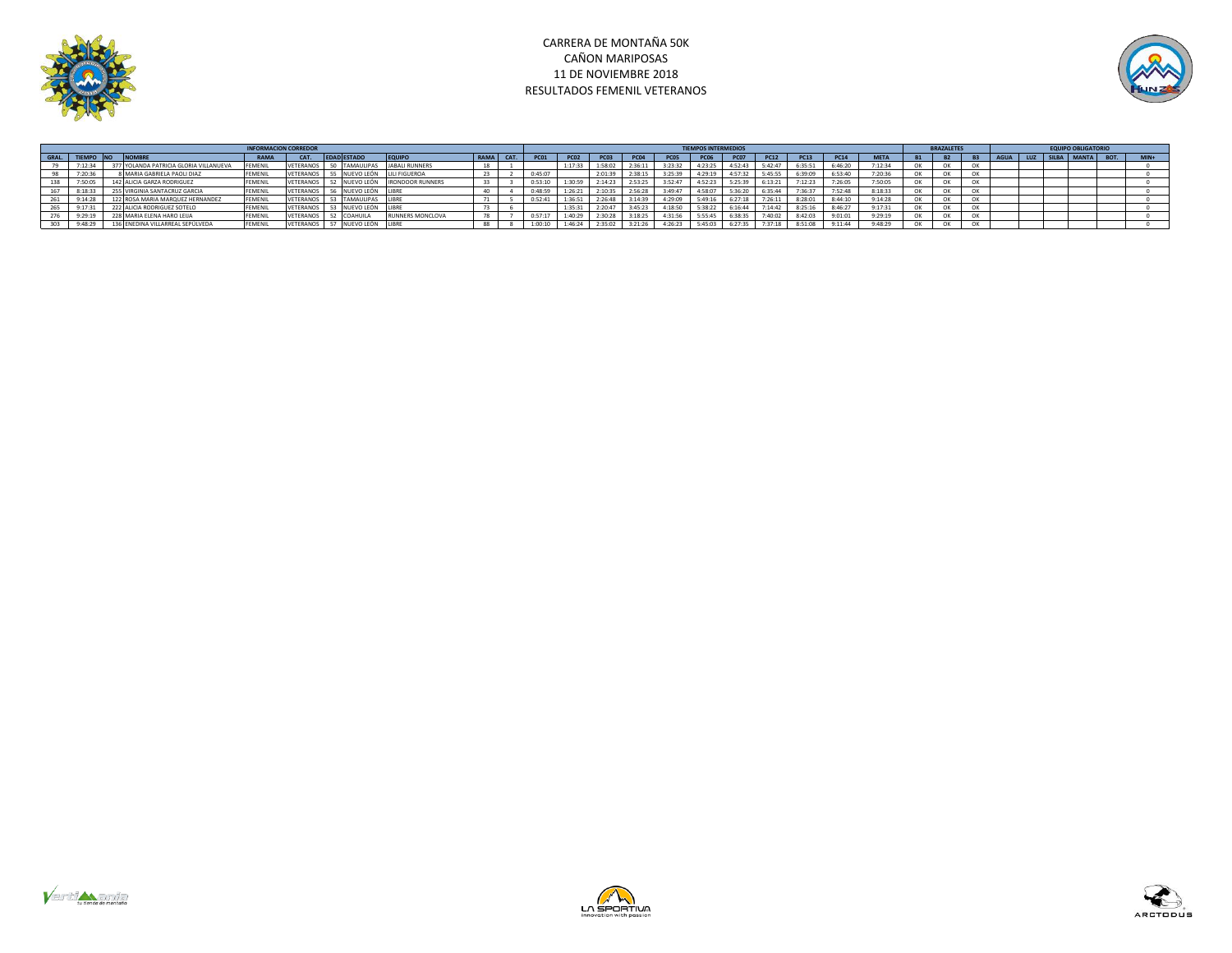



|       |         |                                                                           |                                        |                |                  |                               |                               |           |             | <b>TIEMPOS INTERMEDIOS</b> |                  |             |                  |             |             | <b>BRAZALETES</b> |             |             | <b>EQUIPO OBLIGATORIO</b> |  |  |                  |             |             |             |
|-------|---------|---------------------------------------------------------------------------|----------------------------------------|----------------|------------------|-------------------------------|-------------------------------|-----------|-------------|----------------------------|------------------|-------------|------------------|-------------|-------------|-------------------|-------------|-------------|---------------------------|--|--|------------------|-------------|-------------|-------------|
| GRAL. |         | <b>NOMBR</b><br><b>EDAD ESTADO</b><br><b>EQUIP</b><br><b>RAMA</b><br>CAT. |                                        |                |                  |                               |                               | RAMA CAT. | <b>PC01</b> | <b>PC02</b>                | PC <sub>03</sub> | <b>PC04</b> | PC <sub>05</sub> | <b>PC06</b> | <b>PC07</b> | <b>PC12</b>       | <b>PC13</b> | <b>PC14</b> | <b>META</b>               |  |  | LUZ <sub>1</sub> | SILBA MANTA | <b>BOT.</b> | <b>MIN4</b> |
|       | 7:12:34 |                                                                           | 377 YOLANDA PATRICIA GLORIA VILLANUEVA | <b>FEMENI</b>  | <b>VETERANOS</b> | 50 TAMAULIPAS                 | <b>JABALI RUNNERS</b>         |           |             | 1:17:33                    |                  | 2:36:1      | 3:23:32          | 4:23:25     | 4:52:43     | 5:42:47           | 6:35:51     | 6:46:20     | 7:12:34                   |  |  |                  |             |             |             |
|       | 7:20:36 |                                                                           | 8 MARIA GABRIELA PAOLI DIAZ            | FEMENII        | VETERANOS        |                               | NUEVO LEÓN LILI FIGUEROA      |           | 0:45:07     |                            | 2:01:39          | 2:38:15     | 3:25:39          | 4:29:19     | 4:57:32     | 5:45:55           | 6:39:09     | 6:53:40     | 7:20:36                   |  |  |                  |             |             |             |
|       | 7:50:05 |                                                                           | 142 ALICIA GARZA RODRIGUEZ             | FEMENII        | VETERANOS        |                               | NUEVO LEÓN   IRONDOOR RUNNERS |           | 0:53:10     |                            | 2:14:23          | 2:53:25     | 3:52:47          | 4:52:23     | 5:25:39     | 6:13:21           | 7:12:23     | 7:26:05     | 7:50:05                   |  |  |                  |             |             |             |
|       | 8:18:33 |                                                                           | 255 VIRGINIA SANTACRUZ GARCIA          | <b>FEMENIL</b> |                  | VETERANOS 56 NUEVO LEÓN LIBRE |                               |           | 0:48:59     | 1:26:21                    | 2:10:35          | 2:56:28     | 3:49:47          | 4:58:07     | 5:36:20     | 6:35:44           | 7:36:37     | 7:52:48     | 8:18:33                   |  |  |                  |             |             |             |
|       | 9:14:28 |                                                                           | 122 ROSA MARIA MARQUEZ HERNANDEZ       | FEMENII        |                  | VETERANOS 53 TAMAULIPAS LIBRE |                               |           | 0:52:41     | 1:36:51                    | 2:26:48          | 3:14:39     | 4:29:09          | 5:49:16     | 6:27:18     | 7:26:11           | 8:28:01     | 8:44:10     | 9:14:28                   |  |  |                  |             |             |             |
|       | 9:17:31 |                                                                           | 222 ALICIA RODRIGUEZ SOTELO            | <b>FEMENIL</b> |                  | VETERANOS 53 NUEVO LEÓN LIBRE |                               |           |             | 1:35:31                    | 2:20:47          | 3:45:23     | 4:18:50          | 5:38:22     | 6:16:44     | 7:14:42           | 8:25:16     | 8:46:27     | 9:17:31                   |  |  |                  |             |             |             |
|       | 9:29:19 |                                                                           | 228 MARIA ELENA HARO LEIJA             | FEMENII        | VETERANOS        | COAHUILA                      | <b>RUNNERS MONCLOVA</b>       |           | 0:57:17     | 1:40:29                    | 2:30:28          | 3:18:25     | 4:31:56          | 5:55:45     | 6:38:35     | 7:40:02           | 8:42:03     | 9:01:01     | 9:29:19                   |  |  |                  |             |             |             |
|       | 9:48:29 |                                                                           | 136 ENEDINA VILLARREAL SEPÚLVEDA       | FEMENII        | VETERANOS        | NUEVO LEÓN                    |                               |           | 1:00:10     | 1:46:24                    | 2:35:02          | 3:21:26     | 4:26:23          | 5:45:03     | 6:27:35     | 7:37:18           | 8:51:08     | 9:11:44     | 9:48:29                   |  |  |                  |             |             |             |





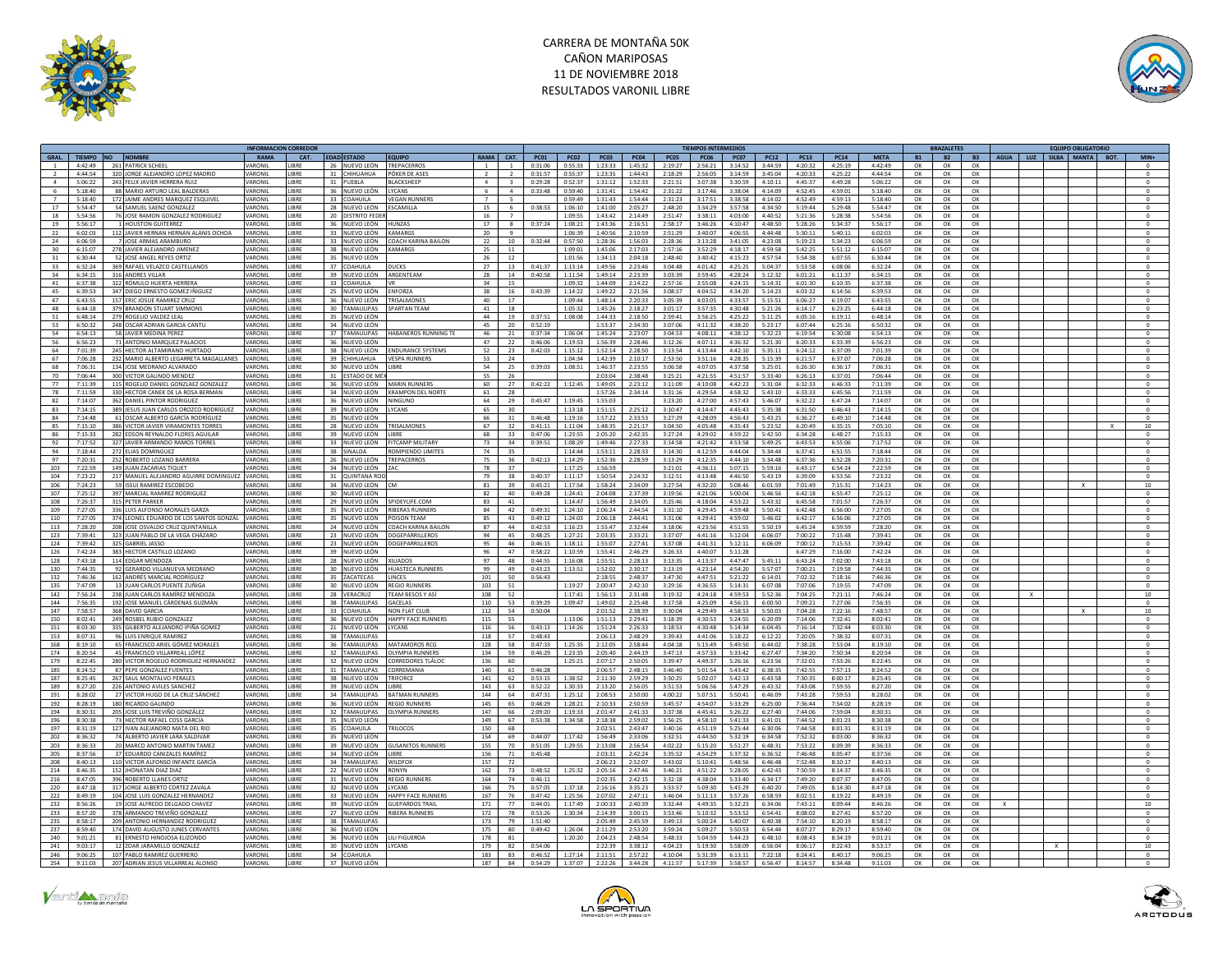



|                                                                                                            |         | <b>INFORMACION CORREDOR</b> |                                |                                     |                |                 |             |                    |                    |                     |                    | <b>TIEMPOS INTERMEDIOS</b> |                    |                                                                |                    |           | <b>BRAZALETES</b> |           | <b>EQUIPO OBLIGATORIO</b>    |                     |
|------------------------------------------------------------------------------------------------------------|---------|-----------------------------|--------------------------------|-------------------------------------|----------------|-----------------|-------------|--------------------|--------------------|---------------------|--------------------|----------------------------|--------------------|----------------------------------------------------------------|--------------------|-----------|-------------------|-----------|------------------------------|---------------------|
| GRAL.<br>TIEMPO NO<br><b>NOMBRE</b>                                                                        | RAMA    | CAT.                        | <b>EDAD ESTADO</b>             | <b>EQUIPO</b>                       | RAMA CAT.      |                 | <b>PC01</b> | <b>PC02</b>        | <b>PC03</b>        | <b>PC04</b>         | <b>PC05</b>        | <b>PC06</b>                | <b>PC07</b>        | <b>PC14</b><br><b>PC12</b><br><b>PC13</b>                      | <b>META</b>        | <b>B1</b> | <b>B2</b>         | <b>B3</b> | AGUA LUZ<br>SILBA MANTA BOT. | $MIN+$              |
| 261 PATRICK SCHEEL<br>4:42:49                                                                              | VARONI  | <b>IRRF</b>                 | 26 NUEVO LEÓN                  | <b>TREPACERROS</b>                  |                | $\overline{1}$  | 0:31:06     | 0:55:33            | 1:23:33            | 1:45:32             | 2:19:27            | 2:56:21                    | 3:14:52            | 3:44:59<br>4:20:32<br>4:25:19                                  | 4:42:49            | OK        | OK                | OK        |                              |                     |
| 320 JORGE ALEJANDRO LOPEZ MADRID<br>$A \cdot AA \cdot 5A$                                                  | VARONII | <b>IIRRF</b>                | 31 CHIHUAHUA                   | POKER DE ASES                       | $\overline{2}$ | $\overline{2}$  | 0:31:57     | 0:55:37            | 1:23:35            | 1:44:43             | 2:18:29            | 2:56:05                    | 3:14:59            | 3:45:04<br>4:20:33<br>4:25:22                                  | 4:44:54            | OK        | OK                | OK        |                              | $^{\circ}$          |
| $\sim$<br>5:06:22<br>243 FELIX JAVIER HERRERA RUIZ                                                         | VARONIL | LIBRE                       | 31 PUEBLA                      | BLACKSHEEP                          | $\mathbf{4}$   | 3               | 0:29:28     | 0:52:37            | 1:31:12            | 1:52:33             | 2:21:51            | 3:07:38                    | 3:30:59            | 4:10:11<br>4:49:28<br>4:45:37                                  | 5:06:22            | OK        | OK                | OK        |                              |                     |
| - 6<br>5:18:40<br>88 MARIO ARTURO LEAL BALDERAS                                                            | VARONIL | LIBRE                       | 36 NUEVO LEÓN                  | <b>IYCANS</b>                       | -6             | $\Lambda$       | 0:33:48     | 0.59:40            | 1:31:41            | 1:54:42             | 2:31:22            | 3:17:46                    | 3:38:04            | 4:14:09<br>4:52:45<br>4:59:01                                  | 5:18:40            | OK        | OK                | OK        |                              | $\Omega$            |
| 5:18:40<br>172 JAIME ANDRES MARQUEZ ESQUIVEL                                                               | VARONIL | LIBRE                       | 33 COAHUILA                    | <b>VEGAN RUNNERS</b>                |                | -5              |             | 0:59:49            | 1:31:43            | 1:54:44             | 2:31:23            | 3:17:51                    | 3:38:58            | 4:14:02<br>4:52:49<br>4:59:13                                  | 5:18:40            | OK        | OK                | OK        |                              | $\circ$             |
| 17<br>$5 - 5A - A7$<br>54 SAMUEL SAENZ GONZALEZ                                                            | VARONIL | LIRRE                       | 28 NUEVO LEÓN ESCAMILLA        |                                     | 15             | -6              | 0:38:53     | 1:06:10            |                    | $1:41:00$ $2:05:27$ | 2.48:20            | 3:34:29                    | 3.57.58            | $A - 3A - 50$<br>5:19:44<br>5:29:48                            | 5:54:47            | OK        | OK                | OK        |                              | $\circ$             |
| 18<br>5:54:56<br>76 JOSE RAMON GONZALEZ RODRIGUEZ                                                          | VARONIL | LIBRE                       | 20 DISTRITO FEDER              |                                     | 16             | $\overline{7}$  |             | 1:09:55            | 1:43:42            | 2:14:49             | 2:51:47            | 3:38:11                    | 4:03:00            | 4:40:52<br>5:21:36<br>5:28:38                                  | 5:54:56            | OK        | OK                | OK        |                              | $\circ$             |
|                                                                                                            |         |                             |                                |                                     |                |                 |             |                    |                    |                     |                    |                            |                    |                                                                |                    |           |                   |           |                              |                     |
| 19<br>5:56:17<br>1 HOUSTON GUITERREZ                                                                       | VARONIL | LIBRE                       | 36 NUEVO LEÓN                  | <b>HUNZAS</b>                       | 17             | 8               | 0:37:24     | 1:08:21            | 1:43:36            | 2:16:51             | 2:58:17            | 3:46:26                    | 4:10:47            | 4:48:50<br>5:28:26<br>5:34:37                                  | 5:56:17            | OK        | OK                | OK        |                              | $\circ$             |
| 22<br>6:02:03<br>112 JAVIER HERNAN HERNAN ALANIS OCHOA                                                     | VARONIL | LIBRE                       | 33 NUEVO LEÓN                  | <b>KAMARGS</b>                      | 20             | $\overline{9}$  |             | 1:06:39            | 1:40:56            | 2:10:59             | 2:51:29            | 3:40:07                    | 4:06:55            | 4:44:48<br>5:40:11<br>5:30:11                                  | 6:02:03            | OK        | OK                | OK        |                              | $\mathbf{0}$        |
| 24<br>6:06:59<br>7 IOSE ARMAS ARAMBURO                                                                     | VARONIL | <b>LIBRE</b>                |                                | 33 NUEVO LEÓN COACH KARINA BAILON   | 22             | 10 <sup>1</sup> | 0:32:44     | 0:57:50            | 1:28:36            | 1:56:03             | 2:28:36            | 3.13.28                    | 3:41:05            | 4:23:08<br>5:19:23<br>5:34:23                                  | 6:06:59            | OK        | OK                | OK        |                              | $^{\circ}$          |
| 278 JAVIER ALEJANDRO JIMENEZ<br>6:15:07<br>30                                                              | VARONIL | LIBRE                       | 38 NUEVO LEÓN                  | KAMARGS                             | 25             | 11              |             | 1:09:01            | 1:45:06            | 2:17:03             | 2:57:16            | 3:52:29                    | 4:18:17            | 5:51:12<br>4:59:58<br>5:42:25                                  | 6:15:07            | OK        | OK                | OK        |                              | $\mathbf{0}$        |
| 31<br>6:30:44<br>52 JOSÉ ANGEL REYES ORTIZ                                                                 | VARONIL | <b>LIBRE</b>                | 35 NUEVO LEÓN                  |                                     | 26             | 12              |             | 1:01:56            | 1:34:13            | 2:04:18             | 2:48:40            | 3:40:42                    | 4:15:23            | 4.57.54<br>5:54:38<br>6:07:55                                  | 6:30:44            | ок        | OK                | OK        |                              | $^{\circ}$          |
| 33<br>6:32:24<br>369 RAFAEL VELAZCO CASTELLANOS                                                            | VARONII | <b>LIBRE</b>                | 37 COAHUILA                    | <b>DUCKS</b>                        | 27             | $13\,$          | 0:41:37     | 1:13:14            | 1:49:56            | $2.23 - 46$         | $3.04 - 48$        | 4:01:42                    | 4:25:25            | 5:04:37<br>5:53:58<br>6:08:06                                  | 6:32:24            | OK        | OK                | OK        |                              | $\Omega$            |
| 34<br>6:34:15<br>316 ANDRES VILLAR                                                                         | VARONII | <b>IIRRF</b>                | 39 NUEVO LEÓN ARGENTEAM        |                                     | 28             | 14              | 0.40.58     | 1:11:54            | 1:49:14            | 2.23.39             | 3.03.39            | 3.59.45                    | 4:28:24            | 5.12.32<br>6:01:21<br>6:11:37                                  | 6:34:15            | OK        | OK                | OK        |                              | $\Omega$            |
| 41<br>6:37:38<br>322 RÓMULO HUERTA HERRER                                                                  | VARONIL | LIBRE                       | 33 COAHUILA                    |                                     | 34             | 15              |             | 1:09:32            | 1:44:09            | 2:14:22             | 2:57:16            | 3:55:08                    | 4:24:15            | 5:14:31<br>6:01:30<br>6:10:35                                  | 6:37:38            | OK        | OK                | OK        |                              | $\circ$             |
| 45<br>6:39:53<br>347 DIEGO ERNESTO GOMEZ IÑIGUEZ                                                           | VARONII | <b>IIRRF</b>                | 25 NUEVO LEÓN                  | ENFORZA                             | 38             | 16              | 0:43:39     | 1:14:22            | 1:49:22            | 2:21:56             | 3:08:57            | 4:04:52                    | 4:34:20            | 5:14:23<br>6:03:32<br>6:14:56                                  | 6:39:53            | OK        | ок                | OK        |                              | $\Omega$            |
| 47<br>6:43:55<br>157 ERIC JOSUE RAMIREZ CRUZ                                                               | VARONIL | LIBRE                       | 36 NUEVO LEÓN                  | <b>TRISALMONES</b>                  | 40             | 17              |             | 1:09:44            | 1:48:14            | 2:20:33             | 3:05:39            | 4:03:05                    | 4:33:57            | 5:15:51<br>6:06:27<br>6:19:07                                  | 6:43:55            | OK        | OK                | OK        |                              | $\circ$             |
| 48<br>6:44:18<br>379 BRANDON STUART SIMMON!                                                                | VARONII | LIBRE                       | 30 TAMAULIPAS                  | <b>SPARTAN TFAM</b>                 | 41             | 18              |             | 1:05:32            | 1:45:26            | 2:18:27             | 3:01:17            | 3:57:35                    | 4:30:48            | 5:21:26<br>6:14:17<br>6:23:25                                  | 6:44:18            | OK        | OK                | OK        |                              | $\Omega$            |
| 51<br>6:48:14<br>279 ROGELIO VALDEZ LEAL                                                                   | VARONIL | LIBRE                       | 35<br>NUEVO LEÓN               |                                     | 44             | 19              | 0:37:51     | 1:08:08            | 1:44:33            | 2:18:50             | 2:59:41            | 3:56:25                    | 4:25:22            | 5:11:25<br>6:05:16<br>6:19:11                                  | 6:48:14            | OK        | OK                | OK        |                              | $\circ$             |
| 53<br>248 OSCAR ADRIAN GARCIA CANTU                                                                        | VARONIL | LIBRE                       | 34 NUEVO LEÓN                  |                                     | 45             | 20              | 0:52:19     |                    |                    |                     | 3:07:06            |                            |                    |                                                                | 6:50:32            |           | OK                | OK        |                              | $\circ$             |
| 6:50:32                                                                                                    |         |                             |                                |                                     |                |                 |             |                    | 1:53:37            | 2:34:30             |                    | 4:11:32                    | 4:38:20            | 5:23:17<br>6:07:44<br>6:25:16                                  |                    | OK        |                   |           |                              |                     |
| 54<br>6:54:13<br>58 JAVIER MEDINA PEREZ                                                                    | VARONIL | LIBRE                       | 37 TAMAULIPAS                  | <b>HABANEROS RUNNING TE</b>         | 46             | 21              | 0:37:34     | 1:06:04            | 1:45:24            | 2:23:07             | 3:04:53            | 4:08:11                    | 4:38:12            | 5:32:23<br>6:19:54<br>6:30:08                                  | 6:54:13            | OK        | OK                | OK        |                              | $\circ$             |
| 56<br>6:56:23<br>71 ANTONIO MARQUEZ PALACIOS                                                               | VARONIL | LIBRE                       | 36 NUEVO LEÓN                  |                                     | 47             | 22              | 0:46:06     | 1:19:53            | 1:56:39            | 2:28:46             | 3:12:26            | 4:07:11                    | 4:36:32            | 5:21:30<br>6:20:33<br>6:33:39                                  | 6:56:23            | OK        | OK                | OK        |                              | $^{\circ}$          |
| 64<br>7:01:39<br>245 HECTOR ALTAMIRANO HURTADO                                                             | VARONIL | LIBRE                       | 38 NUEVO LEÓN                  | <b>ENDURANCE SYSTEMS</b>            | 52             | 23              | 0:42:03     | 1:15:12            | 1:52:14            | 2:28:50             | 3:13:54            | 4:13:44                    | 4:42:10            | 5:35:11<br>6:24:12<br>6:37:09                                  | 7:01:39            | OK        | OK                | OK        |                              | $^{\circ}$          |
| 67<br>232 MARIO ALBERTO LEGARRETA MAGALLANES VARONIL<br>7:06:28                                            |         | LIBRE                       | 39 CHIHUAHUA VESPA RUNNERS     |                                     | 53             | 24              |             | 1:04:34            | 1:42:39            | 2:10:17             | 2:53:50            | 3:51:16                    | 4:28:35            | 5:15:39<br>6:37:07<br>6:21:57                                  | 7:06:28            | OK        | OK                | OK        |                              | $\circ$             |
| 68<br>134 JOSE MEDRANO ALVARADO<br>7:06:31                                                                 | VARONIL | LIBRE                       | 30 NUEVO LEÓN                  | LIBRE                               | 54             | 25              | 0:39:03     | 1:08:51            | 1:46:37            | 2:23:55             | 3:06:58            | 4:07:05                    | 4:37:58            | 5:25:01<br>6:26:30<br>6:36:17                                  | 7:06:31            | OK        | ок                | ок        |                              | $\mathbf{0}$        |
| 70<br>7:06:44<br>300 VICTOR GALINDO MENDEZ                                                                 | VARONII | <b>IRRF</b>                 | 31 ESTADO DE MÉI               |                                     | 55             | 26              |             |                    | 2:03:04            | 2.38.48             | 3:25:21            | 4:21:55                    | 4:51:57            | 5:33:40<br>6:26:13<br>6:37:01                                  | 7:06:44            | OK        | OK                | OK        |                              | $\Omega$            |
| 77<br>7:11:39<br>115 ROGELIO DANIEL GONZLAEZ GONZALEZ                                                      | VARONII | LIBRE                       | 36<br>NUEVO LEÓN               | MARIN RUNNERS                       | 60             | 27              | 0:42:22     | 1:12:45            | 1:49:05            | 2:23:12             | 3:11:09            | 4:10:08                    | 4:42:23            | 5:31:04<br>6:32:33<br>6:46:33                                  | 7:11:39            | OK        | OK                | OK        |                              | $\circ$             |
| 78<br>330 HECTOR CANEK DE LA ROSA BERMAN<br>7:11:59                                                        | VARONII | <b>IRRF</b>                 |                                | 34 NUEVO LEÓN KRAMPON DEL NORTE     | 61             | 28              |             |                    | 1:57:26            | 2.34:14             | 3:31:16            | 4:29:54                    | 4:58:32            | 5:43:10<br>6-33-33<br>6:45:56                                  | 7:11:59            | OK        | OK                | OK        |                              | $\sqrt{2}$          |
| 82<br>7:14:07<br>362 DANIEL PINTOR RODRIGUEZ                                                               | VARONIL | LIBRE                       | 36 NUEVO LEÓN NINGUNO          |                                     | 64             | 29              | 0:45:47     | 1:19:45            | 1:55:03            |                     | 3:23:20            | 4:27:00                    | 4:57:43            | 5:46:07<br>6:32:22<br>6:47:24                                  | 7:14:07            | OK        | OK                | ок        |                              | $^{\circ}$          |
| 83<br>389 JESUS JUAN CARLOS OROZCO RODRÍGUEZ<br>7:14:15                                                    | VARONIL | LIBRE                       | 39 NUEVO LEÓN                  | LYCANS                              | 65             | 30              |             | 1:13:18            | 1:51:15            | 2:25:12             | 3:10:47            | 4:14:47                    | 4:45:43            | 5:35:38<br>6:46:43<br>6:31:50                                  | 7:14:15            | OK        | OK                | OK        |                              |                     |
|                                                                                                            | VARONI  |                             |                                |                                     |                |                 | 0:46:48     |                    |                    |                     |                    |                            |                    |                                                                |                    |           |                   |           |                              |                     |
| 84<br>7:14:48<br>61 OSCAR ALBERTO GARCÍA RODRÍGUEZ<br>7:15:10<br>85<br>386 VICTOR JAVIER VIRAMONTES TORRES | VARONIL | <b>IBRE</b><br><b>IRRF</b>  | 35 NUEVO LEÓN<br>28 NUEVO LEÓN | <b>TRISALMONES</b>                  | 66<br>67       | 31<br>32        | 0:41:11     | 1:19:16<br>1:11:04 | 1:57:22<br>1:48:35 | 2:33:53<br>2:21:17  | 3:27:29<br>3:04:50 | 4:28:09<br>4:05:48         | 4:56:43<br>4:35:43 | 5:43:25<br>6:36:27<br>6:49:10<br>5:23:52<br>6:20:49<br>6:35:15 | 7:14:48<br>7:05:10 | OK<br>OK  | OK<br>OK          | OK<br>OK  |                              | $10\,$              |
|                                                                                                            |         |                             |                                |                                     |                |                 |             |                    |                    |                     |                    |                            |                    |                                                                |                    |           |                   |           |                              |                     |
| 86<br>7:15:33<br>282 EDSON REYNALDO FLORES AGUILAR                                                         | VARONIL | LIBRE                       | 39 NUEVO LEÓN                  | LIBRE                               | 68             | 33              | 0:47:06     | 1:23:55            | 2:05:20            | 2:42:35             | 3:27:24            | 4:29:02                    | 4:59:22            | 5:42:50<br>6:34:28<br>6:48:27                                  | 7:15:33            | OK        | ОК                | OK        |                              | $\,$ 0              |
| 327 JAVIER ARMANDO RAMOS TORRES<br>92<br>7:17:52                                                           | VARONIL | LIBRE                       | 33 NUEVO LEÓN                  | <b>FITCAMP MILITARY</b>             | 73             | 34              | 0:39:51     | 1:08:29            | 1:49:46            | 2:27:33             | 3:14:58            | 4:21:42                    | 4:53:58            | 6:55:06<br>5:49:25<br>6:43:53                                  | 7:17:52            | OK        | OK                | OK        |                              | $^{\circ}$          |
| 94<br>7:18:44<br>272 ELIAS DOMINGUEZ                                                                       | VARONII | LIBRE                       | 38 SINALOA                     | ROMPIENDO LIMITES                   | 74             | 35              |             | 1:14:44            | 1:53:11            | 2:28:33             | 3:14:30            | 4:12:59                    | 4:44:04            | 5:34:44<br>6:51:55<br>6:37:41                                  | 7:18:44            | OK        | OK                | OK        |                              | $\circ$             |
| 7:20:31<br>97<br>252 ROBERTO LOZANO BARRERA                                                                | VARONIL | LIBRE                       | 26 NUEVO LEÓN TREPACERROS      |                                     | 75             | 36              | 0:42:13     | 1:14:29            | 1:52:36            | 2:28:59             | 3:13:29            | 4:12:35                    | 4:44:10            | 5:34:48<br>6:52:28<br>6:37:36                                  | 7:20:31            | OK        | OK                | OK        |                              | $\Omega$            |
| 103<br>7:22:59<br>149 JUAN ZACARIAS TIQUET                                                                 | VARONII | LIBRE                       | 34 NUEVO LEÓN ZAC              |                                     | 78             | 37              |             | 1:17:25            | 1:56:59            |                     | 3:21:01            | 4:36:11                    | 5:07:15            | 5:59:16<br>6:43:17<br>6:54:24                                  | 7:22:59            | OK        | OK                | OK        |                              | $\circ$             |
| 217 MANUEL ALEJANDRO AGUIRRE DOMINGUEZ VARONIL<br>104<br>7:23:22                                           |         | LIBRE                       | 31 QUINTANA ROO                |                                     | 79             | 38              | 0:40:37     | 1:11:17            | 1:50:54            | 2:24:32             | 3:12:51            | 4:13:48                    | 4:46:50            | 5:43:19<br>6:39:09<br>6:53:56                                  | 7:23:22            | OK        | OK                | OK        |                              | $\Omega$            |
| 106<br>7:24:23<br>59 ISSUI RAMIREZ ESCOBEDO                                                                | VARONIL | LIBRE                       | 34 NUEVO LEÓN                  |                                     | 81             | 39              | 0:45:21     | 1:17:54            | 1:58:24            | 2:34:09             | 3:27:54            | 4:32:20                    | 5:08:46            | 6:01:59<br>7:01:49<br>7:15:31                                  | 7:14:23            | OK        | OK                | OK        |                              | $10\,$              |
| 107<br>7:25:12<br>397 MARCIAL RAMIREZ RODRIGUEZ                                                            | VARONIL | LIBRE                       | 30 NUEVO LEÓN                  |                                     | 82             | 40              | 0:49:28     | 1:24:41            |                    | 2:04:08 2:37:39     | 3:19:56            | 4:21:06                    | 5:00:04            | 5:46:56<br>6:42:18<br>6:55:47                                  | 7:25:12            | OK        | OK                | OK        |                              | $\circ$             |
| 108<br>7:26:37<br>315 PETER PARKER                                                                         | VARONIL | LIBRE                       | 29 NUEVO LEÓN                  | SPIDEYLIFE.COM                      | 83             | A1              |             | 1.14.47            | 1:56:49            | 2:34:05             | 3:25:46            | 4:18:04                    | 4:53:22            | 5:43:32<br>$6 - 45 - 58$<br>7:01:57                            | 7:26:37            | OK        | OK                | OK        |                              |                     |
| 109<br>7:27:05<br>336 LUIS ALFONSO MORALES GARZA                                                           | VARONIL | LIBRE                       | 35 NUEVO LEÓN                  | <b>RIBERAS RUNNERS</b>              | 84             | 42              | 0:49:31     | 1:24:10            | 2:06:24            | 2:44:54             | 3:31:10            | 4:29:45                    | 4:59:48            | 5:50:41<br>6:42:48<br>6:56:00                                  | 7:27:05            | OK        | OK                | OK        |                              | $\circ$             |
| 110<br>$7.27 - 05$<br>374 LEONEL EDUARDO DE LOS SANTOS GONZÁL                                              | VARONIL | LIBRE                       | 35 NUEVO LEÓN POISON TEAM      |                                     | 85             | 43              | 0.49.12     | 1:24:03            | 2:06:18            | 2:44:41             | 3:31:06            | 4:29:41                    | 4:59:02            | 5:46:02<br>6:42:17<br>6:56:06                                  | 7:27:05            | OK        | OK                | OK        |                              | $\Omega$            |
| 113<br>7:28:20<br>208 JOSE OSVALDO CRUZ QUINTANILLA                                                        | VARONIL | LIBRE                       |                                | 24 NUEVO LEÓN COACH KARINA BAILON   | 87             | 44              | 0:42:53     | 1:16:23            | 1:55:47            | 2:32:44             | 3:18:06            | 4:23:56                    | 4:51:55            | 5:50:19<br>6:45:24<br>6:59:59                                  | 7:28:20            | OK        | OK                | OK        |                              | $\mathbf{0}$        |
| 123<br>7.39:41<br>323 IUAN PARIO DE LA VEGA CHÁZARO                                                        | VARONIL | <b>IIRRF</b>                |                                | 23 NUEVO LEÓN DOGEPARRILLEROS       | 94             | 45              | 0.48:25     | 1:27:21            | 2:03:35            | 2.33:21             | 3:37:07            | 4:41:16                    | 5:12:04            | 6:06:07<br>7:00:22<br>7:15:48                                  | 7:39:41            | OK        | OK                | OK        |                              | $\Omega$            |
|                                                                                                            |         |                             |                                |                                     |                |                 |             |                    |                    |                     |                    |                            |                    |                                                                |                    |           |                   |           |                              |                     |
| 124<br>7:39:42<br>325 GABRIEL JASSO                                                                        | VARONIL | LIBRE                       | 23 NUEVO LEÓN                  | DOGEPARRILLEROS                     | 95             | 46              | 0:46:15     | 1:18:11            | 1:55:07            | 2:27:41             | 3:37:08            | 4:41:31                    | 5:12:11            | 7:00:12<br>7:15:53<br>6:06:09                                  | 7:39:42            | OK        | OK                | OK        |                              |                     |
| 126<br>7:42:24<br>383 HECTOR CASTILLO LOZANO                                                               | VARONIL | <b>LIBRE</b>                | 39 NUEVO LEÓN                  |                                     | 96             | 47              | 0:58:22     | 1:10:59            | 1:55:41            | 2.46:29             | 3:26:33            | 4:40:07                    | 5:11:28            | 6:47:29<br>7:16:00                                             | 7:42:24            | ок        | ок                | OK        |                              | $^{\circ}$          |
| 128<br>7:43:18<br>114 EDGAR MENDOZA                                                                        | VARONIL | LIBRE                       | 28 NUEVO LEÓN                  | <b>XILIADOS</b>                     | 97             | 48              | 0:44:55     | 1:16:08            | 1:55:51            | 2:28:13             | 3:13:35            | 4:13:37                    | 4:47:47            | 5:45:11<br>6:43:24<br>7:02:00                                  | 7:43:18            | OK        | OK                | OK        |                              | $\mathbf{0}$        |
| 130<br>7:44:35<br>92 GERARDO VIII ANUEVA MEDRANO                                                           | VARONIL | <b>IIRRF</b>                | 30 NUEVOLEÓN                   | <b>HUASTECA RUNNERS</b>             | 99             | 49              | 0.43.23     | 1:13:51            | 1:52:02            | 2:30:17             | 3:13:19            | 4:23:14                    | 4:54:20            | 5:57:07<br>7:00:21<br>7:19:58                                  | 7:44:35            | OK        | OK                | OK        |                              | $\Omega$            |
| 132<br>7:46:36<br>ANDRÉS MARCIAL RODRÍGUEZ                                                                 | VARONIL | LIBRE                       | 35 ZACATECAS                   | LINCES                              | 101            | 50              | 0:56:43     |                    | 2:18:55            | 2:48:37             | 3:47:30            | 4:47:51                    | 5:21:22            | 6:14:01<br>7:02:32<br>7:18:16                                  | 7:46:36            | OK        | OK                | OK        |                              | $\circ$             |
| 13 IUAN CARLOS PUENTE ZUÑIGA<br>135<br>7:47:09                                                             | VARONIL | LIBRE                       | 30 NUEVO LEÓN                  | <b>REGIO RUNNERS</b>                | 103            | 51              |             | 1:19:27            | 2:00:47            | 2:42:10             | 3:29:16            | 4:36:55                    | 5:14:31            | 6:07:08<br>7:07:06<br>7:19:55                                  | 7:47:09            | OK        | OK                | OK        |                              | $\Omega$            |
| 238 JUAN CARLOS RAMÍREZ MENDOZA<br>142<br>7:56:24                                                          | VARONIL | LIBRE                       | 28 VERACRUZ                    | TEAM BESOS Y ASÍ                    | 108            | 52              |             | 1:17:41            | 1:56:13            | 2:31:48             | 3:19:32            | 4:24:18                    | 4:59:53            | 5:52:36<br>7:04:25<br>7:21:11                                  | 7:46:24            | OK        | OK                | OK        |                              | 10                  |
| 144<br>7.56.35<br>192 JOSE MANUEL CÁRDENAS GUZMÁN                                                          | VARONII | LIBRE                       | 38 TAMAULIPAS                  | <b>GACELAS</b>                      | 110            | 53              | 0.39.29     | 1:09:47            | 1:49:02            | 2:25:48             | 3.17.58            | 4:25:09                    | 4:56:15            | 6:00:50<br>7:09:21<br>7:27:06                                  | 7:56:35            | OK        | OK                | OK        |                              | $\Omega$            |
| 147<br>7:58:57<br>368 DAVID GARCIA                                                                         | VARONIL | LIBRE                       | 33 COAHUILA                    | <b>NON FLAT CLUI</b>                | 112            | 54              | 0:50:04     |                    | 2:01:52            | 2:38:39             | 3:30:04            | 4:29:49                    | 4:58:53            | 5:50:03<br>7:04:28<br>7:22:16                                  | 7:48:57            | OK        | OK                | OK        |                              | 10                  |
| 249 ROSBEL RUBIO GONZALEZ<br>150<br>8:02:41                                                                | VARONIL | LIBRE                       | 36 NUEVO LEÓN                  | <b>HAPPY FACE RUNNERS</b>           | 115            | 55              |             | 1:13:06            | 1:51:13            | 2:29:41             | 3:18:39            | 4:30:53                    | 5:24:55            | 6:20:09<br>7:14:06<br>7:32:41                                  | 8:02:41            | OK        | OK                | OK        |                              | $\circ$             |
| 151<br>8:03:30<br>335 GILBERTO ALEJANDRO IPIÑA GOMEZ                                                       | VARONIL | LIBRE                       | 21 NUEVO LEÓN                  | LYCANS                              | 116            | 56              | 0:43:13     | 1:14:26            | 1:51:24            | 2:26:33             | 3:18:53            | 4:30:48                    | 5:14:34            | 6:04:45<br>7:16:14<br>7:32:44                                  | 8:03:30            | OK        | OK                | OK        |                              |                     |
| 153<br>8:07:31<br>96 LUIS ENRIQUE RAMIREZ                                                                  | VARONIL | LIBRE                       | 38 TAMAULIPAS                  |                                     | 118            | 57              | 0:48:43     |                    | 2:06:13            | 2:48:29             | 3:39:43            | 4:41:06                    | 5:18:22            | 7:38:32<br>6:12:22<br>7:20:05                                  | 8:07:31            | OK        | OK                | OK        |                              | $\Omega$            |
|                                                                                                            |         |                             | 36                             |                                     |                |                 |             |                    |                    |                     |                    |                            |                    |                                                                |                    |           |                   |           |                              |                     |
| 168<br>8:19:10<br>65 FRANCISCO ARIEL GÓMEZ MORALES                                                         | VARONIL | LIBRE                       | <b>TAMAULIPAS</b>              | <b>MATAMOROS RCC</b>                | 128            | 58<br>59        | 0:47:33     | 1:25:35            | 2:12:05            | 2:58:44             | 4:04:18            | 5:15:49                    | 5:49:50            | 6:44:02<br>7:38:28<br>7:53:04                                  | 8:19:10            | OK        | OK                | OK        |                              |                     |
| 45 FRANCISCO VILLARREAL LÓPEZ<br>174<br>8:20:54                                                            | VARONIL | LIBRE                       | 32 TAMAULIPAS                  | <b>OLYMPIA RUNNERS</b>              | 134            |                 | 0:46:29     | 1:23:35            | 2:05:40            | 2:44:19             | 3:47:13            | 4:57:33                    | 5:33:42            | 6:27:47<br>7:34:20<br>7:50:34                                  | 8:20:54            | OK        | OK                | OK        |                              | $\Omega$            |
| 179<br>280 VICTOR ROGELIO RODRIGUEZ HERNANDEZ<br>8:22:45                                                   | VARONIL | LIBRE                       | 32 NUEVO LEÓN                  | <b>CORREDORES TLÁLO</b>             | 136            | 60              |             | 1:25:21            | 2:07:17            | 2:50:05             | 3:39:47            | 4.49.37                    | 5:26:16            | 6:23:56<br>7:32:01<br>7:53:26                                  | 8:22:45            | OK        | OK                | OK        |                              | $\mathbf{0}$        |
| 87 PEPE GONZALEZ FUENTES<br>185<br>8:24:52                                                                 | VARONIL | LIBRE                       | 31 TAMAULIPAS                  | CORREMANIA                          | 140            | 61              | 0:46:28     |                    | 2:06:57            | 2:48:15             | 3:46:40            | 5:01:54                    | 5:43:42            | 7:57:13<br>6:38:35<br>7:42:55                                  | 8:24:52            | OK        | OK                | OK        |                              | $^{\circ}$          |
| 187<br>267 SAUL MONTALVO PERALES<br>8:25:45                                                                | VARONIL | LIBRE                       | 38 NUEVO LEÓN                  | TRIFORCE                            | 141            | 62              | 0:53:15     | 1:38:52            | 2:11:30            | 2:59:29             | 3:50:25            | 5:02:07                    | 5:42:13            | 6:43:58<br>7:30:35<br>8:00:17                                  | 8:25:45            | OK        | OK                | OK        |                              | $\circ$             |
| 189<br>8:27:20<br>226 ANTONIO AVILES SANCHEZ                                                               | VARONIL | LIBRE                       | 39 NUEVO LEÓN LIBRE            |                                     | 143            | 63              | 0:52:22     | 1:30:33            | 2:13:20            | 2:56:05             | 3:51:53            | 5:06:56                    | 5:47:29            | 6:43:32<br>7:43:08<br>7:59:55                                  | 8:27:20            | OK        | OK                | OK        |                              | $\circ$             |
| 191<br>27 VICTOR HUGO DE LA CRUZ SÁNCHEZ<br>$8.78 - 07$                                                    | VARONIL | LIBRE                       |                                | <b>34 TAMALIUPAS RATMAN RUNNERS</b> | 144            | 64              | $0.47 - 31$ | $1.75 - 17$        | $2.08 - 53$        | $2 - 50 - 00$       | A:00:22            | $5 - 07 - 51$              | $5.50 - 41$        | 6:46:09<br>$7 - 50 - 52$<br>$7 - 43 - 78$                      | 8:28:02            | $\cap K$  | <b>OK</b>         | OK        |                              | $\Omega$            |
| 192<br>8:28:19<br>180 RICARDO GALINDO                                                                      | VARONIL | LIBRE                       | 36 NUEVO LEÓN                  | <b>REGIO RUNNERS</b>                | 145            | 65              | 0:48:29     | 1:28:21            | 2:10:33            | 2:50:59             | 3:45:57            | 4:54:07                    | 5:33:29            | 6:25:00<br>7:36:44<br>7:54:02                                  | 8:28:19            | OK        | OK                | OK        |                              | $\Omega$            |
| 194<br>8:30:31<br>205 JOSE LUIS TREVIÑO GONZÁLI                                                            | VARONIL | LIBRE                       | 32 TAMAULIPAS                  | <b>DLYMPIA RUNNERS</b>              | 147            | 66              | 2:09:20     | 1:19:33            | 2:01:47            | 2:41:33             | 3:37:38            | 4:45:41                    | 5:26:22            | 7:59:04<br>6:27:40<br>7:44:06                                  | 8:30:31            | OK        | OK                | OK        |                              |                     |
| 196<br>8:30:38<br>73 HECTOR RAFAEL COSS GARCIA                                                             | VARONIL | LIBRE                       | 35 NUEVO LEÓN                  |                                     | 149            | 67              | 0:53:38     | 1:34:58            | 2:18:38            | 2:59:02             | 3:56:25            | 4:58:10                    | 5:41:33            | 6:41:01<br>7:44:52<br>8:01:23                                  | 8:30:38            | OK        | OK                | OK        |                              | $\mathbf{0}$        |
| 197<br>127 IVAN ALEJANDRO MATA DEL RIO<br>8:31:19                                                          | VARONIL | LIBRE                       | 35 COAHUILA                    | <b>TRILOCOS</b>                     | 150            | 68              |             |                    | 2:02:51            | 2:43:47             | 3:40:16            | 4:51:19                    | 5:25:44            | 7:44:58<br>6:30:06<br>8:01:31                                  | 8:31:19            | OK        | ОК                | OK        |                              | $\circ$             |
| 202<br>74 ALBERTO JAVIER LARA SALDIVAR<br>8:36:32                                                          | VARONIL | LIBRE                       | 35 NUEVO LEÓN                  |                                     | 154            | 69              | 0:44:07     | 1:17:42            | 1:56:49            | 2:33:06             | 3:32:51            | 4:44:50                    | 5:32:19            | 7:52:32<br>6:34:58<br>8:03:00                                  | 8:36:32            | OK        | OK                | OK        |                              | $\Omega$            |
|                                                                                                            | VARONIL |                             |                                | <b>GUSANITOS RUNNERS</b>            |                |                 |             |                    |                    |                     |                    |                            |                    |                                                                |                    |           |                   |           |                              |                     |
| 20 MARCO ANTONIO MARTIN TAMEZ<br>203<br>8:36:33<br>205<br>8:37:56                                          | VARONIL | LIBRE<br><b>LIBRE</b>       | 39 NUEVO LEÓN                  |                                     | 155<br>156     | 70<br>71        | 0:51:05     | 1:29:55            | 2:13:08<br>2:03:31 | 2:56:54<br>2.42:24  | 4:02:22<br>3:35:52 | 5:15:20<br>4:54:29         | 5:51:27<br>5:37:32 | 6:48:31<br>7:53:22<br>8:09:39<br>7.46.48<br>6:36:52<br>8:05:47 | 8:36:33<br>8:37:56 | OK<br>OK  | OK<br>OK          | OK<br>OK  |                              | $\circ$<br>$\Omega$ |
| 37 EDUARDO CANIZALES RAMÍREZ                                                                               |         |                             | 34 NUEVO LEÓN LIBRE            |                                     |                |                 | 0:45:48     |                    |                    |                     |                    |                            |                    |                                                                |                    |           |                   |           |                              |                     |
| 208<br>8:40:13<br>110 VICTOR ALFONSO INFANTE GARCÍA                                                        | VARONII | <b>LIBRE</b>                | 34 TAMAULIPAS WILDEOX          |                                     | 157            | 72              |             |                    | 2:06:23            | 2:52:07             | 3:43:02            | 5:10:41                    | 5.48:56            | 6:46:48<br>7.52.48<br>8:10:17                                  | 8:40:13            | OK        | OK                | OK        |                              | $^{\circ}$          |
| 8:46:35<br>152 JHONATAN DIAZ DIAZ<br>214                                                                   | VARONIL | LIBRE                       | 22 NUEVO LEÓN                  | RONYN                               | 162            | 73              | 0:48:52     | 1:25:32            | 2:05:16            | 2:47:46             | 3:46:21            | 4:51:22                    | 5:28:05            | 6:42:43<br>7:50:59<br>8:14:37                                  | 8:46:35            | OK        | OK                | OK        |                              | $\Omega$            |
| 216<br>8:47:05<br>396 ROBERTO LLANES ORTIZ                                                                 | VARONII | LIBRE                       | 31 NUEVO LEÓN                  | <b>REGIO RUNNERS</b>                | 164            | 74              | 0:46:11     |                    | 2:02:35            | 2:42:15             | 3:32:18            | 4:38:04                    | 5:33:40            | 6:34:17<br>7:49:20<br>8:07:37                                  | 8:47:05            | OK        | ок                | OK        |                              | $\mathbf{0}$        |
| 220<br>8:47:18<br>317 JORGE ALBERTO CORTEZ ZAVALA                                                          | VARONIL | LIBRE                       | 32 NUEVO LEÓN                  | <b>ILYCANS</b>                      | 166            | 75              | 0:57:05     | 1:37:18            | 2:16:16            | 3:35:23             | 3:53:57            | 5:09:30                    | 5:45:29            | 6:40:20<br>7:49:05<br>8:14:30                                  | 8:47:18            | OK        | OK                | OK        |                              | $\Omega$            |
| 222<br>8:49:19<br>104 JOSE LUIS GONZALEZ HERNANDEZ                                                         | VARONII | <b>LIBRE</b>                |                                | 33 NUEVO LEÓN HAPPY FACE RUNNERS    | 167            | 76              | 0:47:42     | 1:25:56            | 2:07:02            | 2:47:11             | 3:46:04            | 5:11:13                    | 5:57:26            | 6:58:59<br>8:02:51<br>8:19:22                                  | 8:49:19            | OK        | $\Omega$ K        | OK        |                              | $\Omega$            |
| 232<br>8:56:26<br>19 JOSE ALFREDO DELGADO CHAVEZ                                                           | VARONIL | LIBRE                       | 39 NUEVO LEÓN                  | <b>GUEPARDOS TRAIL</b>              | 171            | 77              | 0:44:01     | 1:17:49            | 2:00:33            | 2:40:39             | 3:32:44            | 4:49:35                    | 5:32:23            | 6:34:06<br>7:43:11<br>8:09:44                                  | 8:46:26            | OK        | OK                | OK        |                              | $10\,$              |
| 233<br>8:57:20<br>378 ARMANDO TREVIÑO GONZALEZ                                                             | VARONII | <b>LIBRE</b>                | 27 NUEVO LEÓN                  | <b>RIBERA RUNNERS</b>               | 172            | 78              | 0:53:26     | 1:30:34            | 2:14:39            | 3:00:15             | 3:53:46            | 5:10:32                    | 5:53:52            | 6:54:41<br>8:08:02<br>8:27:41                                  | 8:57:20            | OK        | OK                | OK        |                              | $\Omega$            |
| 235<br>8:58:17<br>209 ANTONIO HERNANDEZ RODRIGUEZ                                                          | VARONIL | LIBRE                       | 38 TAMAULIPAS                  |                                     | 173            | 79              | 1:51:40     |                    | 2:05:49            | 2:45:59             | 3:49:13            | 5:00:24                    | 5:40:07            | 6:40:38<br>7:54:10<br>8:20:19                                  | 8:58:17            | OK        | OK                | OK        |                              | $\mathbf{0}$        |
| 237<br>$8.59 - 40$<br>174 DAVID AUGUSTO JUNES CERVANTES                                                    | VARONII | LIBRE                       | 36 NUEVO LEÓN                  |                                     | 175            | 80              | $0.49 - 42$ | 1:26:04            | 2:11:29            | 2.53:20             | 3:59:24            | 5:09:27                    | 5:50:53            | 6:54:44<br>8:07:27<br>8:29:17                                  | 8:59:40            | OK        | $\Omega$          | OK        |                              | $\Omega$            |
| 240<br>9:01:21<br>RNESTO HINOJOSA ELIZONDO<br>81                                                           | VARONIL | LIBRE                       | NUEVO LEÓN                     | LILI FIGUERO/                       | 178            | 81              |             | 1:20:20            | 2:04:23            | 2:48:54             | 3:48:33            | 5:04:59                    | 5:44:23            | 8:08:43<br>8:34:19<br>6:48:10                                  | 9:01:21            | OK        | OK                | OK        |                              |                     |
| 241<br>12 ZOAR JARAMILLO GONZALEZ<br>9:03:17                                                               | VARONII | <b>LIBRE</b>                | 30 NUEVO LEÓN                  | <b>I</b> IYCANS                     | 179            | 82              | 0:54:06     |                    | 2.22.39            | 3:38:12             | 4:04:23            | 5:19:30                    | 5:58:09            | 6:56:04<br>8:06:17<br>8:22:43                                  | 8:53:17            | OK        | OK                | OK        | $\times$                     | 10 <sup>10</sup>    |
| 107 PABLO RAMIREZ GUERRERO                                                                                 | VARONIL | LIBRE                       | 34 COAHUILA                    |                                     | 183            | 83              | 0:46:52     |                    | $1:27:14$ 2:11:51  | 2:57:22             | 4:10:04            | 5:31:39                    | 6:13:11            | 7:22:18<br>8:24:41<br>8:40:17                                  | 9:06:25            | OK        | OK                | OK        |                              |                     |
| 246<br>9:06:25                                                                                             |         |                             |                                |                                     |                |                 |             |                    |                    |                     |                    |                            |                    |                                                                |                    |           |                   |           |                              |                     |
| 254<br>9:11:03<br>207 ADRIAN IFSUS VILLARREAL ALONSO                                                       | VARONIL | <b>LIBRE</b>                | 37 NUEVO LEÓN                  |                                     | 187            | 84              | 0.54.29     | 1:37:07            | 2:22:26            | 3.44.28             | 4:11:57            | 5:17:39                    | 5:58:57            | 6:56:47<br>8:14:57<br>8:34:48                                  | 9:11:03            | OK        | OK                | OK        |                              |                     |





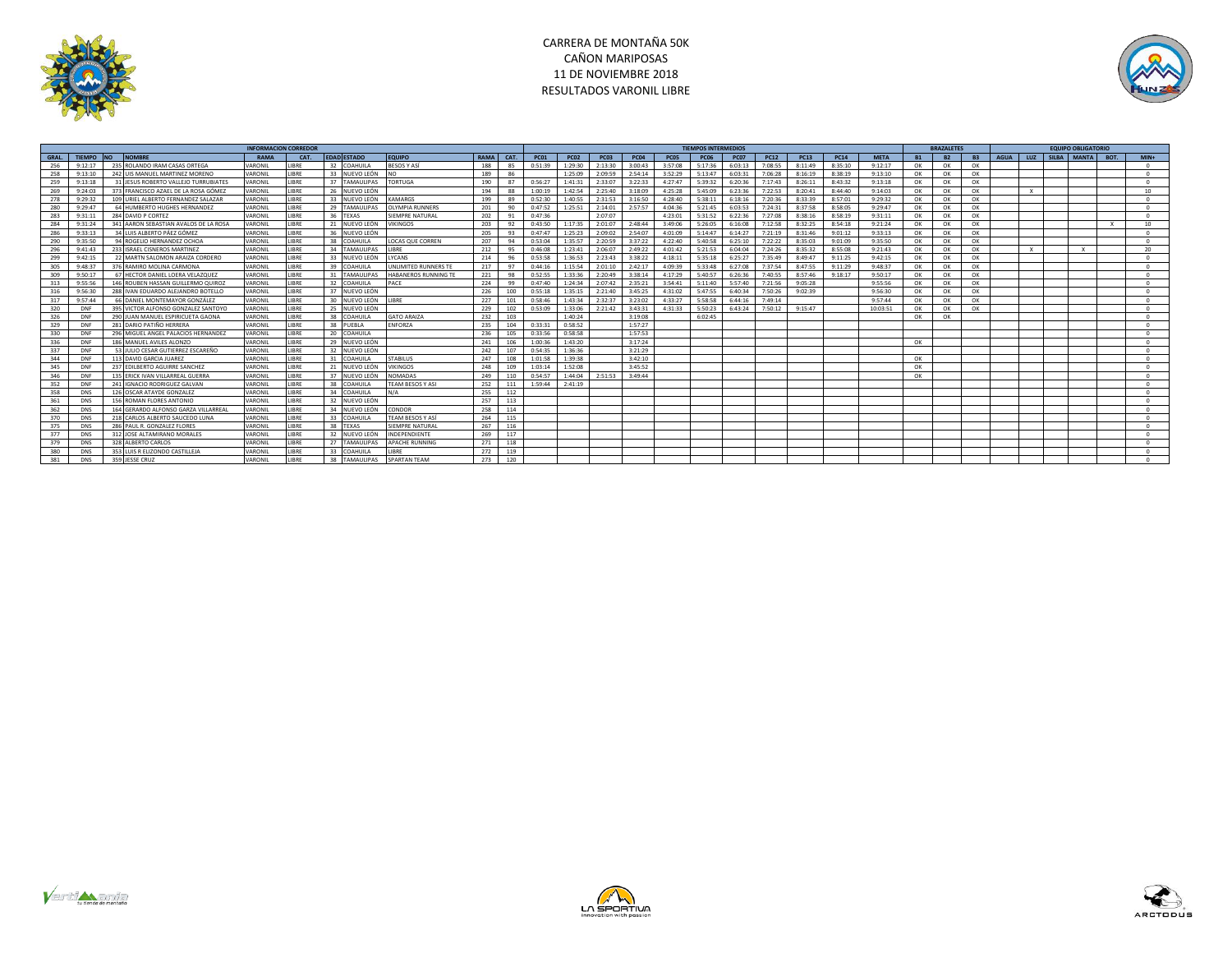



|       |               |                                       |             | <b>INFORMACION CORREDOR</b> |                                    |                         |      |      |             |             |             |             |             | <b>TIEMPOS INTERMEDIOS</b> |             |             |             |             |             |           | <b>BRAZALETES</b> |           |             |              | <b>EQUIPO OBLIGATORIO</b> |                 |
|-------|---------------|---------------------------------------|-------------|-----------------------------|------------------------------------|-------------------------|------|------|-------------|-------------|-------------|-------------|-------------|----------------------------|-------------|-------------|-------------|-------------|-------------|-----------|-------------------|-----------|-------------|--------------|---------------------------|-----------------|
| GRAL. | <b>TIFMPO</b> | <b>NOMBRE</b><br>I NO                 | <b>RAMA</b> | CAT.                        | <b>EDAD ESTADO</b>                 | <b>EQUIPO</b>           | RAMA | CAT. | <b>PC01</b> | <b>PC02</b> | <b>PC03</b> | <b>PC04</b> | <b>PC05</b> | <b>PC06</b>                | <b>PC07</b> | <b>PC12</b> | <b>PC13</b> | <b>PC14</b> | <b>MFTA</b> | <b>B1</b> | <b>B2</b>         | <b>B3</b> | <b>AGUA</b> | LUZ          | SILBA MANTA BOT.          | $MIN+$          |
| 256   | 9:12:17       | 235 ROLANDO IRAM CASAS ORTEGA         | VARONIL     | <b>IRRF</b>                 | 32 COAHUILA                        | BESOS Y ASÍ             | 188  | 85   | 0:51:39     | 1:29:30     | 2:13:30     | 3:00:43     | 3:57:08     | 5:17:36                    | 6:03:13     | 7:08:55     | 8:11:49     | 8:35:10     | 9:12:17     | OK        | OK                | OK        |             |              |                           | $^{\circ}$      |
| 258   | 9:13:10       | 242 UIS MANUEL MARTINEZ MORENO        | VARONIL     | <b>JBRE</b>                 | 33 NUEVO LEÓN                      |                         | 189  | 86   |             | 1:25:09     | 2:09:59     | 2:54:14     | 3:52:29     | 5:13:47                    | 6:03:31     | 7:06:28     | 8:16:19     | 8:38:19     | 9:13:10     | OK        | OK                | OK        |             |              |                           | $^{\circ}$      |
| 259   | 9:13:18       | 31 JESUS ROBERTO VALLEJO TURRUBIATES  | VARONIL     | <b>IRRF</b>                 | 37<br><b>TAMAULIPAS</b>            | <b>CORTUGA</b>          | 190  | 87   | 0.56:27     | 1:41:31     | 2:33:07     | 3:22:33     | 4:27:47     | 5.39.32                    | 6:20:36     | 7:17:43     | 8:26:11     | 8:43:32     | 9:13:18     | OK        | OK                | OK        |             |              |                           | $^{\circ}$      |
| 269   | 9:24:03       | 373 FRANCISCO AZAEL DE LA ROSA GÓMEZ  | VARONIL     | <b>JBRE</b>                 | 26 NUEVO LEÓN                      |                         | 194  | 88   | 1:00:19     | 1:42:54     | 2:25:40     | 3:18:09     | 4:25:28     | 5:45:09                    | 6:23:36     | 7:22:53     | 8:20:41     | 8:44:40     | 9:14:03     | OK        | OK                | OK        |             | $\mathbf{x}$ |                           | 10 <sup>1</sup> |
| 278   | 9:29:32       | 109 URIEL ALBERTO FERNANDEZ SALAZAR   | VARONIL     | <b>JBRE</b>                 | 33<br>NUEVO LEÓN                   | KAMARGS                 | 199  | 89   | 0:52:30     | 1:40:55     | 2:31:53     | 3:16:50     | 4:28:40     | 5:38:11                    | 6:18:16     | 7:20:36     | 8:33:39     | 8:57:01     | 9:29:32     | OK        | OK                | OK        |             |              |                           | $\Omega$        |
| 280   | 9:29:47       | 64 HUMBERTO HUGHES HERNANDEZ          | VARONIL     | <b>IBRE</b>                 | 29<br><b>TAMAULIPAS</b>            | <b>ILYMPIA RUNNERS</b>  | 201  | 90   | 0:47:52     | 1:25:51     | 2:14:01     | 2:57:57     | 4:04:36     | 5:21:45                    | 6:03:53     | 7:24:31     | 8:37:58     | 8:58:05     | 9:29:47     | OK        | OK                | OK        |             |              |                           | $^{\circ}$      |
| 283   | 9:31:11       | 284 DAVID P CORTEZ                    | VARONIL     | <b>JBRE</b>                 | 36 TEXAS                           | <b>IEMPRE NATURAL</b>   | 202  |      | 0:47:36     |             | 2:07:07     |             | 4:23:01     | 5:31:52                    | 6:22:36     | 7:27:08     | 8:38:16     | 8:58:19     | 9:31:11     | OK        | OK                | OK        |             |              |                           | $^{\circ}$      |
| 284   | 9:31:24       | 341 AARON SEBASTIAN AVALOS DE LA ROSA | VARONIL     | <b>IRRF</b>                 | 21 NUEVO LEÓN                      | <b>IKINGOS</b>          | 203  | 92   | 0:43:50     | 1:17:35     | 2:01:07     | 2:48:44     | 3.49:06     | 5:26:05                    | 6:16:08     | 7:12:58     | 8:32:25     | 8:54:18     | 9:21:24     | OK        | OK                | OK        |             |              |                           | 10 <sup>1</sup> |
| 286   | 9:33:13       | 34 LUIS ALBERTO PÁEZ GÓMEZ            | VARONIL     | <b>JBRE</b>                 | 36<br>NUEVO LEÓN                   |                         | 205  | 93   | 0:47:47     | 1:25:23     | 2:09:02     | 2:54:07     | 4:01:09     | 5:14:47                    | 6:14:27     | 7:21:19     | 8:31:46     | 9:01:12     | 9:33:13     | OK        | OK                | OK        |             |              |                           | $\Omega$        |
| 290   | 9:35:50       | 94 ROGELIO HERNANDEZ OCHOA            | VARONIL     | LIBRE                       | 38<br>COAHUILA                     | <b>LOCAS QUE CORREN</b> | 207  | 94   | 0:53:04     | 1:35:57     | 2:20:59     | 3:37:22     | 4:22:40     | 5:40:58                    | 6:25:10     | 7:22:22     | 8:35:03     | 9:01:09     | 9:35:50     | OK        | OK                | OK        |             |              |                           | $^{\circ}$      |
| 296   | 9:41:43       | 233 ISRAEL CISNEROS MARTINEZ          | VARONIL     | <b>JBRE</b>                 | 34<br><b>TAMAULIPAS</b>            | LIBRE                   | 212  | 95   | 0:46:08     | 1:23:41     | 2:06:07     | 2:49:22     | 4:01:42     | 5:21:53                    | 6:04:04     | 7:24:26     | 8:35:32     | 8:55:08     | 9:21:43     | OK        | OK                | OK        |             |              |                           | 20              |
| 299   | 9:42:15       | 22 MARTN SALOMON ARAIZA CORDERO       | VARONIL     | LIBRE                       | 33 NUEVO LEÓN                      | LYCANS                  | 214  | 96   | 0:53:58     | 1:36:53     | 2:23:43     | 3:38:22     | 4:18:11     | 5:35:18                    | 6:25:27     | 7:35:49     | 8:49:47     | 9:11:25     | 9:42:15     | OK        | OK                | OK        |             |              |                           | $^{\circ}$      |
| 305   | 9:48:37       | 376 RAMIRO MOLINA CARMONA             | VARONIL     | LIBRE                       | 39<br>COAHUILA                     | UNLIMITED RUNNERS TE    | 217  | 97   | 0:44:16     | 1:15:54     | 2:01:10     | 2:42:17     | 4:09:39     | 5:33:48                    | 6:27:08     | 7:37:54     | 8:47:55     | 9:11:29     | 9:48:37     | OK        | OK                | OK        |             |              |                           | $\sim$          |
| 309   | 9:50:17       | 67 HECTOR DANIEL LOERA VELAZQUEZ      | VARONIL     | <b>IRRF</b>                 | 31<br><b>TAMAULIPAS</b>            | HARANEROS RUNNING TE    | 221  | 98   | 0:52:55     | 1:33:36     | 2:20:49     | 3:38:14     | 4:17:29     | 5:40:57                    | 6:26:36     | 7:40:55     | 8:57:46     | 9:18:17     | 9:50:17     | OK        | OK                | OK        |             |              |                           | $^{\circ}$      |
| 313   | 9:55:56       | 146 ROUBEN HASSAN GUILLERMO QUIROJ    | VARONIL     | <b>IRRF</b>                 | 32 COAHUILA                        | PACE                    | 224  | 99   | 0:47:40     | 1:24:34     | 2:07:42     | 2:35:21     | 3:54:41     | 5:11:40                    | 5:57:40     | 7:21:56     | 9:05:28     |             | 9:55:56     | OK        | OK                | OK        |             |              |                           | $^{\circ}$      |
| 316   | 9:56:30       | 288 IVAN EDUARDO ALFIANDRO BOTELLO    | VARONIL     | <b>IRRF</b>                 | 37 NUEVO LEÓN                      |                         | 226  | 100  | 0:55:18     | 1:35:15     | 2:21:40     | 3:45:25     | 4:31:02     | 5:47:55                    | 6:40:34     | 7:50:26     | 9:02:39     |             | 9:56:30     | OK        | OK                | OK        |             |              |                           | $\Omega$        |
| 317   | 9:57:44       | 66 DANIEL MONTEMAYOR GONZÁLEZ         | VARONIL     | LIBRE                       | 30 NUEVO LEÓN                      | LIBRE                   | 227  | 101  | 0:58:46     | 1:43:34     | 2:32:37     | 3:23:02     | 4:33:27     | 5:58:58                    | 6:44:16     | 7:49:14     |             |             | 9:57:44     | OK        | OK                | OK        |             |              |                           | $^{\circ}$      |
| 320   | DNF           | 395 VICTOR ALFONSO GONZALEZ SANTOYO   | VARONIL     | LIBRE                       | 25 NUEVO LEÓN                      |                         | 229  | 102  | 0:53:09     | 1:33:06     | 2:21:42     | 3:43:31     | 4:31:33     | 5:50:23                    | 6:43:24     | 7:50:12     | 9:15:47     |             | 10:03:51    | OK        | OK                | OK        |             |              |                           | $^{\circ}$      |
| 326   | DNF           | 290 JUAN MANUEL ESPIRICUETA GAONA     | VARONIL     | <b>JBRE</b>                 | 38<br>COAHUILA                     | <b>GATO ARAIZA</b>      | 232  | 103  |             | 1:40:24     |             | 3:19:08     |             | 6:02:45                    |             |             |             |             |             | OK        | OK                |           |             |              |                           | $\Omega$        |
| 329   | DNF           | 281 DARIO PATIÑO HERRERA              | VARONIL     | LIBRE                       | 38 PUEBLA                          | ENFORZA                 | 235  | 104  | 0:33:31     | 0:58:52     |             | 1:57:27     |             |                            |             |             |             |             |             |           |                   |           |             |              |                           | $^{\circ}$      |
| 330   | DNF           | 296 MIGUEL ANGEL PALACIOS HERNANDEZ   | VARONII     | <b>IRRF</b>                 | 20 <sub>0</sub><br><b>COAHUILA</b> |                         | 236  | 105  | 0:33:56     | 0.58.58     |             | 1.57.53     |             |                            |             |             |             |             |             |           |                   |           |             |              |                           | $\Omega$        |
| 336   | DNF           | 186 MANUEL AVILES ALONZO              | VARONIL     | <b>JBRE</b>                 | 29 NUEVO LEÓN                      |                         | 241  | 106  | 1:00:36     | 1:43:20     |             | 3:17:24     |             |                            |             |             |             |             |             | OK        |                   |           |             |              |                           | $^{\circ}$      |
| 337   | DNF           | 53 IUIIO CESAR GUTIERREZ ESCAREÑO     | VARONII     | <b>IRRF</b>                 | 32 NUEVO LEÓN                      |                         | 242  | 107  | 0:54:35     | 1:36:36     |             | 3:21:29     |             |                            |             |             |             |             |             |           |                   |           |             |              |                           | $\sim$          |
| 344   | DNF           | 113 DAVID GARCIA JUAREZ               | VARONIL     | <b>JBRE</b>                 | 31<br>COAHUILA                     | <b>STABILUS</b>         | 247  | 108  | 1:01:58     | 1:39:38     |             | 3:42:10     |             |                            |             |             |             |             |             | OK        |                   |           |             |              |                           | $^{\circ}$      |
| 345   | DNF           | 237 EDILBERTO AGUIRRE SANCHEZ         | VARONIL     | <b>IBRE</b>                 | 21<br>NUEVO LEÓN                   | <b>IKINGOS</b>          | 248  | 109  | 1:03:14     | 1:52:08     |             | 3:45:52     |             |                            |             |             |             |             |             | OK        |                   |           |             |              |                           | $^{\circ}$      |
| 346   | DNF           | 135 ERICK IVAN VILLARREAL GUERRA      | VARONIL     | <b>IBRE</b>                 | 37<br>NUEVO LEÓN                   | NOMADAS                 | 249  | 110  | 0:54:57     | 1:44:04     | 2:51:53     | 3:49:44     |             |                            |             |             |             |             |             | OK        |                   |           |             |              |                           | $\sim$          |
| 352   | DNF           | 241 IGNACIO RODRIGUEZ GALVAN          | VARONIL     | <b>JBRE</b>                 | 38<br>COAHUILA                     | <b>FEAM BESOS Y ASI</b> | 252  | 111  | 1:59:44     | 2:41:19     |             |             |             |                            |             |             |             |             |             |           |                   |           |             |              |                           | $^{\circ}$      |
| 358   | <b>DNS</b>    | 126 OSCAR ATAYDE GONZALEZ             | VARONIL     | <b>IRRF</b>                 | 34<br><b>COAHUILA</b>              | $N/\Delta$              | 255  | 112  |             |             |             |             |             |                            |             |             |             |             |             |           |                   |           |             |              |                           | $^{\circ}$      |
| 361   | <b>DNS</b>    | 156 ROMAN FLORES ANTONIO              | VARONIL     | <b>JBRE</b>                 | 32 NUEVO LEÓN                      |                         | 257  | 113  |             |             |             |             |             |                            |             |             |             |             |             |           |                   |           |             |              |                           | $^{\circ}$      |
| 362   | <b>DNS</b>    | 164 GERARDO ALFONSO GARZA VILLARREAL  | VARONIL     | <b>JBRE</b>                 | 34 NUEVO LEÓN                      | CONDOR                  | 258  | 114  |             |             |             |             |             |                            |             |             |             |             |             |           |                   |           |             |              |                           | $^{\circ}$      |
| 370   | <b>DNS</b>    | 218 CARLOS ALBERTO SAUCEDO LUNA       | VARONIL     | <b>JBRE</b>                 | 33<br>COAHUILA                     | TEAM BESOS Y ASÍ        | 264  | 115  |             |             |             |             |             |                            |             |             |             |             |             |           |                   |           |             |              |                           | $\Omega$        |
| 375   | <b>DNS</b>    | 286 PAUL R. GONZALEZ FLORES           | VARONIL     | <b>IBRE</b>                 | 38<br><b>TEXAS</b>                 | SIEMPRE NATURAL         | 267  | 116  |             |             |             |             |             |                            |             |             |             |             |             |           |                   |           |             |              |                           | $\Omega$        |
| 377   | <b>DNS</b>    | 312 JOSE ALTAMIRANO MORALES           | VARONIL     | <b>IBRE</b>                 | 32<br>NUEVO LEÓN                   | INDEPENDIENTE           | 269  | 117  |             |             |             |             |             |                            |             |             |             |             |             |           |                   |           |             |              |                           | $\Omega$        |
| 379   | <b>DNS</b>    | 328 ALBERTO CARLOS                    | VARONIL     | <b>IBRE</b>                 | 27<br><b>TAMAULIPAS</b>            | <b>APACHE RUNNING</b>   | 271  | 118  |             |             |             |             |             |                            |             |             |             |             |             |           |                   |           |             |              |                           | $\Omega$        |
| 380   | <b>DNS</b>    | 353 LUIS R ELIZONDO CASTILLEJA        | VARONII     | <b>IBRE</b>                 | 33<br>COAHUILA                     | <b>IRRF</b>             | 272  | 119  |             |             |             |             |             |                            |             |             |             |             |             |           |                   |           |             |              |                           | $^{\circ}$      |
| 381   | <b>DNS</b>    | 359 JESSE CRUZ                        | VARONII     | <b>IRRF</b>                 | 38<br><b>TAMAULIPAS</b>            | <b>SPARTAN TFAM</b>     | 273  | 120  |             |             |             |             |             |                            |             |             |             |             |             |           |                   |           |             |              |                           |                 |





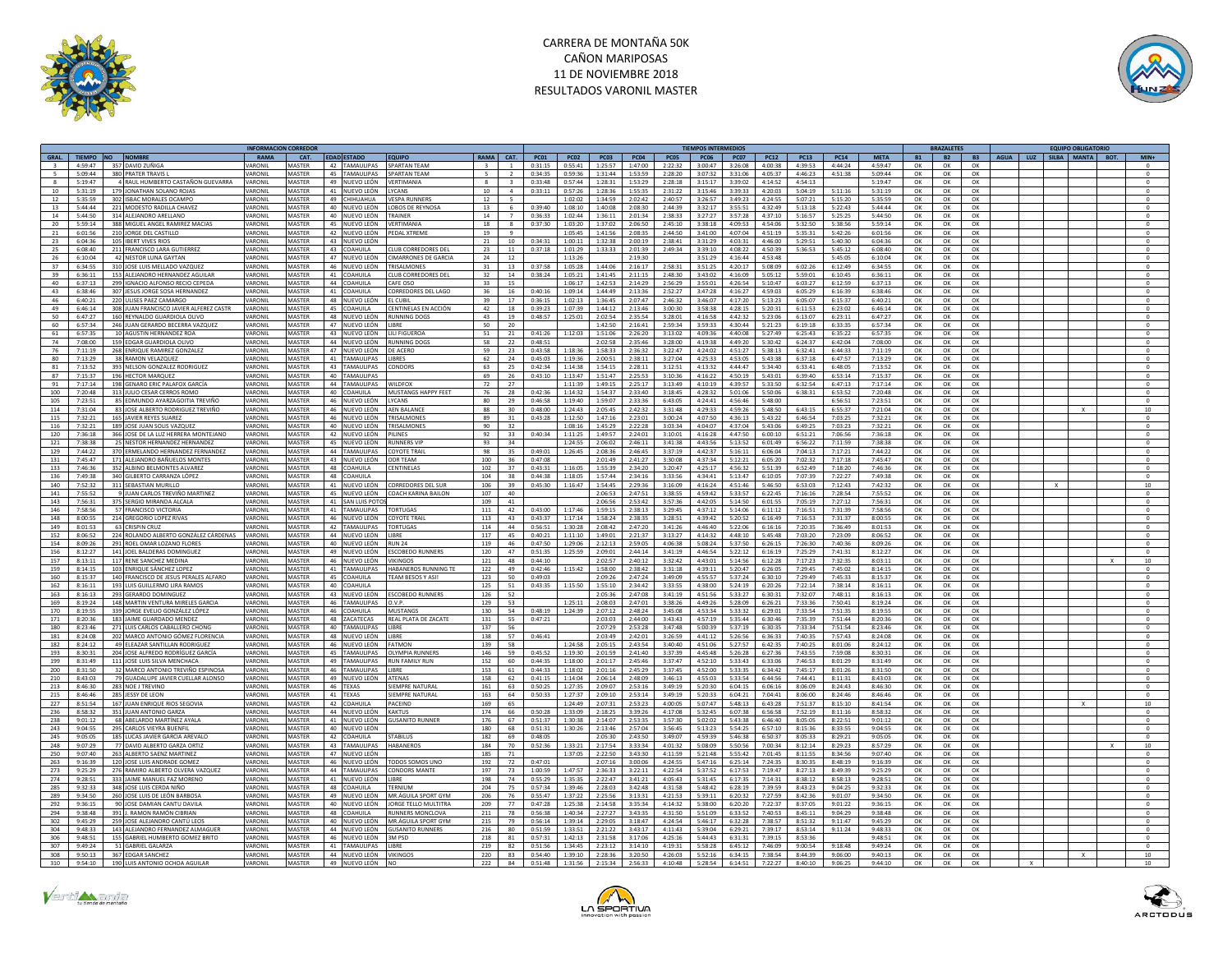

## CARRERA DE MONTAÑA 50K CAÑON MARIPOSAS 11 DE NOVIEMBRE 2018 RESULTADOS VARONIL MASTER



|                      | <b>INFORMACION CORREDOI</b><br>RAMA<br>CAT.<br><b>FDAD ESTADO</b> |                                         |               |               |                                                 |              |                          |             |             |             |                 |             | <b>TIEMPOS INTERMEDIOS</b> |             |               |                            |             |           | <b>BRAZALETE:</b> |           |          |              | <b>EQUIPO OBLIGATORIO</b> |                  |
|----------------------|-------------------------------------------------------------------|-----------------------------------------|---------------|---------------|-------------------------------------------------|--------------|--------------------------|-------------|-------------|-------------|-----------------|-------------|----------------------------|-------------|---------------|----------------------------|-------------|-----------|-------------------|-----------|----------|--------------|---------------------------|------------------|
| GRAL.                | TIEMPO NO                                                         | <b>NOMBRE</b>                           |               |               | <b>FOUIPO</b>                                   | RAMA         | CAT.                     | <b>PC01</b> | <b>PC02</b> | <b>PC03</b> | <b>PC04</b>     | <b>PC05</b> | <b>PC06</b>                | <b>PC07</b> | <b>PC12</b>   | <b>PC13</b><br><b>PC14</b> | <b>META</b> | <b>B1</b> | <b>B2</b>         | <b>B3</b> | AGUA LUZ |              | SILBA MANTA BOT.          | MIN <sub>4</sub> |
|                      |                                                                   | 4:59:47 357 DAVID ZUÑIGA                | VARONI        | MASTER        | 42 TAMAULIPAS<br><b>SPARTAN TEAM</b>            |              | $\overline{1}$           | 0:31:15     | 0:55:41     | 1:25:57     | 1:47:00         | 2:22:32     | 3:00:47                    | 3:26:08     | 4:00:38       | 4:39:53<br>4:44:24         | 4:59:47     | OK        | OK                | OK        |          |              |                           |                  |
| -5<br>5:09:44        |                                                                   | 380 PRATER TRAVIS L                     | VARONI        | MASTER        | 45 TAMAULIPAS<br><b>SPARTAN TFAM</b>            | $\mathbf{r}$ | $\overline{z}$           | 0:34:35     | 0:59:36     | 1:31:44     | 1:53:59         | 2:28:20     | 3:07:32                    | 3:31:06     | 4:05:37       | 4:46:23<br>4:51:38         | 5:09:44     | OK        | OK                | OK        |          |              |                           | $^{\circ}$       |
| 5:19:47              |                                                                   | 4 RAUL HUMBERTO CASTAÑON GUEVARRA       | ARONII        | MASTER        | <b>ERTIMANIA</b><br>49 NUEVO LEÓN               |              | з                        | 0:33:48     | 0:57:44     | 1:28:31     | 1:53:29         | 2:28:18     | 3:15:17                    | 3:39:02     | 4:14:52       | 4:54:13                    | 5:19:47     | OK        | OK                | OK        |          |              |                           |                  |
| 10<br>5:31:19        |                                                                   | 179 JONATHAN SOLANO ROJAS               | VARONIL       | MASTER        | 41 NUEVO LEÓN<br>VCANS                          | 10           | $\Lambda$                | 0:33:11     | 0:57:26     | 1:28:36     | 1:55:35         | 2:31:22     | 3:15:46                    | 3:39:33     | 4:20:03       | 5:04:19<br>5:11:16         | 5:31:19     | OK        | OK                | OK        |          |              |                           | $\Omega$         |
| 12<br>5:35:59        |                                                                   | 302 ISBAC MORALES OCAMPO                | VARONIL       | MASTER        | 49 CHIHUAHUA<br><b>VESPA RUNNERS</b>            | 12           | $\overline{\phantom{a}}$ |             | 1:02:02     | 1:34:59     | 2:02:42         | 2:40:57     | 3:26:57                    | 3:49:23     | 4:24:55       | 5:07:21<br>5:15:20         | 5:35:59     | OK        | OK                | OK        |          |              |                           | $\circ$          |
| $5 - AA - AA$<br>13  |                                                                   | 221 MODESTO RADILLA CHAVEZ              | VARONIL       | MASTER        | 40 NUEVO LEÓN<br>LOBOS DE REYNOSA               | 13           | -6                       | $0.39 - 40$ | 1:08:10     | 1:40:08     | 2:08:30         | 2:44:39     | 3:32:17                    | 3:55:51     | $A - 37 - A9$ | 5:13:18<br>5:22:43         | 5:44:44     | OK        | OK                | OK        |          |              |                           | $^{\circ}$       |
| 5:44:50<br>14        |                                                                   | 314 ALEJANDRO ARELLANO                  | <b>ARONI</b>  | MASTER        | 40 NUEVO LEÓN<br>TRAINER                        | 14           | $\overline{7}$           | 0:36:33     | 1:02:44     | 1:36:11     | 2:01:34         | 2:38:33     | 3:27:27                    | 3:57:28     | 4:37:10       | 5:16:57<br>5:25:25         | 5:44:50     | OK        | OK                | OK        |          |              |                           | $^{\circ}$       |
| 20<br>5:59:14        |                                                                   | 388 MIGUEL ANGEL RAMIREZ MACIAS         | VARONIL       | MASTER        | 45 NUEVO LEÓN<br>VERTIMANIA                     | 18           | 8                        | 0:37:30     | 1:03:20     | 1:37:02     | 2:06:50         | 2:45:10     | 3:38:18                    | 4:09:53     | 4:54:06       | 5:32:50<br>5:38:56         | 5:59:14     | OK        | OK                | OK        |          |              |                           | $\circ$          |
| $\bf{21}$<br>6:01:56 |                                                                   | 210 JORGE DEL CASTILLO                  | VARONIL       | MASTER        | 42 NUEVO LEÓN<br><b>EDAL XTREME</b>             | 19           | $\overline{9}$           |             | 1:05:45     | 1:41:56     | 2:08:35         | 2:44:50     | 3:41:00                    | 4:07:04     | 4:51:19       | 5:35:31<br>5:42:26         | 6:01:56     | OK        | OK                | OK        |          |              |                           | $^{\circ}$       |
| 23<br>6:04:36        |                                                                   | 105 IRERT VIVES RIOS                    | VARONII       | MASTER        | 43 NUEVO LEÓN                                   | 21           | 10                       | 0:34:31     | 1:00:11     | 1:32:38     | 2:00:19         | 2.38:41     | 3.31.29                    | 4:03:31     | 4:46:00       | 5:29:51<br>5:40:30         | 6:04:36     | OK        | OK                | OK        |          |              |                           | $^{\circ}$       |
| 6:08:40<br>25        |                                                                   | 211 FRANCISCO LARA GUTIERREZ            | ARONIL        | MASTER        | 43 COAHUILA<br>LUB CORREDORES DEL               | 23           | $11\,$                   | 0:37:18     | 1:01:29     | 1:33:33     | 2:01:39         | 2:49:34     | 3:39:10                    | 4:08:22     | 4:50:39       | 5:45:12<br>5:36:53         | 6:08:40     | OK        | OK                | OK        |          |              |                           | $^{\circ}$       |
| 26<br>6:10:04        |                                                                   | 42 NESTOR IUNA GAYTAN                   | VARONIL       | MASTER        | 47 NUEVO LEÓN<br><b>CIMARRONES DE GARCIA</b>    | 24           | 12                       |             | 1:13:26     |             | 2.19.30         |             | 3.51.29                    | 4:16:44     | $4.53 - 48$   | 5:45:05                    | 6:10:04     | OK        | OK                | OK        |          |              |                           | $\Omega$         |
| 37<br>6:34:55        |                                                                   | 310 JOSE LUIS MELLADO VAZQUEZ           | VARONI        | MASTER        | 46 NUEVO LEÓN<br><b>TRISALMONES</b>             | 31           | 13                       | 0:37:58     | 1:05:28     | 1:44:06     | 2:16:17         | 2:58:31     | 3:51:25                    | 4:20:17     | 5:08:09       | 6:02:26<br>6:12:49         | 6:34:55     | OK        | OK                | $\Omega$  |          |              |                           | $\Omega$         |
| 39<br>6:36:11        |                                                                   | 153 ALEJANDRO HERNANDEZ AGUILAR         | VARONII       | MASTER        | 41 COAHUILA<br><b>TUR CORREDORES DEI</b>        | 32           | 14                       | 0:38:24     | 1:05:21     | 1:41:45     | 2:11:15         | 2.48:30     | 3.43:02                    | 4:16:09     | 5:05:12       | 5:59:01<br>6:10:45         | 6:36:11     | OK        | OK                | OK        |          |              |                           | $\Omega$         |
| 40<br>6:37:13        |                                                                   | 299 IGNACIO ALFONSO RECIO CEPEDA        | <b>ARONI</b>  | MASTER        | 44 COAHUILA<br>AFE OSO                          | 33           | 15                       |             | 1:06:17     | 1:42:53     | 2:14:29         | 2:56:29     | 3:55:01                    | 4:26:54     | 5:10:47       | 6:03:27<br>6:12:59         | 6:37:13     | OK        | OK                | OK        |          |              |                           | $^{\circ}$       |
| 43<br>6:38:46        |                                                                   | 307 JESUS JORGE SOSA HERNANDEZ          | VARONI        | MASTER        | 41 COAHUILA<br><b>CORREDORES DEL LAGO</b>       | 36           | 16                       | 0:40:16     | 1:09:14     | 1:44:49     | 2:13:36         | 2:52:27     | 3:47:28                    | 4:16:27     | 4:59:03       | 6:05:29<br>6:16:39         | 6:38:46     | OK        | OK                | OK        |          |              |                           | $^{\circ}$       |
| 46<br>6:40:21        |                                                                   | 220 ULISES PAEZ CAMARGO                 | VARONII       | MASTER        | 48 NUEVO LEÓN<br>L CUBIL                        | 39           | 17                       | 0:36:15     | 1:02:13     | 1:36:45     | 2:07:47         | 2:46:32     | 3:46:07                    | 4:17:20     | 5:13:23       | 6:05:07<br>6:15:37         | 6:40:21     | OK        | OK                | OK        |          |              |                           | $\circ$          |
| 49<br>6:46:14        |                                                                   | 308 JUAN FRANCISCO JAVIER ALFEREZ CASTR | VARONII       | MASTER        | 45 COAHUILA<br>"ENTINELAS EN ACCIÓN             | 42           | 18                       | 0.39.23     | 1:07:39     | 1:44:12     | 2:13:46         | 3:00:30     | 3.58.38                    | 4:28:15     | 5:20:31       | 6:11:53<br>6:23:02         | 6:46:14     | OK        | OK                | OK        |          |              |                           | $\Omega$         |
| 50<br>6:47:27        |                                                                   | 160 REYNALDO GUARDIOLA OLIVO            | ARONI         | MASTER        | 48<br>NUEVO LEÓN<br>UNNING DOGS                 | 43           | 19                       | 0:48:57     | 1:25:01     | 2:02:54     | 2:35:54         | 3:28:01     | 4:16:58                    | 4:42:32     | 5:23:06       | 6:13:07<br>6:23:11         | 6:47:27     | OK        | OK                | OK        |          |              |                           | $^{\circ}$       |
| 60<br>6:57:34        |                                                                   | 246 JUAN GERARDO BECERRA VAZQUEZ        | VARONIL       | MASTER        | 47 NUEVO LEÓN<br>LIBRE                          | 50           | 20                       |             |             | 1:42:50     | 2:16:41         | 2:59:34     | 3:59:33                    | 4:30:44     | 5:21:23       | 6:33:35<br>6:19:18         | 6:57:34     | OK        | OK                | OK        |          |              |                           | $\circ$          |
| 61<br>6:57:35        |                                                                   | 10 AGUSTIN HERNANDEZ ROA                | VARONII       | MASTER        | 43 NUEVO LEÓN<br>LILI FIGUEROA                  | 51           | 21                       | 0:41:26     | 1:12:03     | 1:51:06     | 2:26:20         | 3:13:02     | 4:09:36                    | 4:40:08     | 5:27:49       | 6:25:43<br>6:35:22         | 6:57:35     | OK        | OK                | OK        |          |              |                           |                  |
| 74<br>7:08:00        |                                                                   | 159 EDGAR GUARDIOLA OLIVO               | <b>ARONI</b>  | MASTER        | 44 NUEVO LEÓN<br>RUNNING DOG                    | 58           | 22                       | 0:48:51     |             | 2:02:58     | 2:35:46         | 3:28:00     | 4:19:38                    | 4:49:20     | 5:30:42       | 6:24:37<br>6:42:04         | 7:08:00     | OK        | OK                | OK        |          |              |                           | $^{\circ}$       |
| 76<br>7:11:19        |                                                                   | 268 ENRIQUE RAMIREZ GONZALEZ            | <b>ARONI</b>  | <b>ASTER</b>  | 47 NUEVO LEÓN<br>E ACERO                        | 59           | 23                       | 0:43:58     | 1:18:36     | 1:58:33     | 2:36:32         | 3:22:47     | 4:24:02                    | 4:51:27     | 5:38:13       | 6:32:41<br>6:44:33         | 7:11:19     | OK        | OK                | OK        |          |              |                           |                  |
| 80<br>7:13:29        |                                                                   | 38 RAMON VELAZQUEZ                      | VARONIL       | <b>MASTER</b> | 41 TAMAULIPAS<br><b>IBRES</b>                   | 62           | 24                       | 0:45:03     | 1:19:36     | 2:00:51     | 2:38:11         | 3:27:04     | 4:25:33                    | 4:53:05     | 5:43:38       | 6:37:18<br>6:47:57         | 7:13:29     | OK        | OK                | OK        |          |              |                           | $\circ$          |
| 81<br>7:13:52        |                                                                   | 393 NELSON GONZALEZ RODRIGUEZ           | VARONI        | MASTER        | 43 TAMAUUPAS<br>ONDORS                          | 63           | 25                       | 0:42:34     | 1:14:38     |             | 1:54:15 2:28:11 | 3:12:51     | 4:13:32                    | 4:44:47     | 5:34:40       | 6:33:41<br>6:48:05         | 7:13:52     | OK        | OK                | OK        |          |              |                           | $\circ$          |
| 87<br>7:15:37        |                                                                   | 196 HECTOR MAROUEZ                      | <b>ARONI</b>  | MASTER        | 40 TAMAULIPAS                                   | 69           | 26                       | 0:43:10     | 1:13:47     | 1:51:47     | 2:25:53         | 3:10:36     | 4:16:22                    | 4:50:19     | 5:43:01       | 6:39:40<br>6:53:14         | 7:15:37     | OK        | OK                | OK        |          |              |                           |                  |
| 91<br>7:17:14        |                                                                   | 198 GENARO ERIC PALAFOX GARCI           | VARONII       | MASTER        | 44 TAMAULIPAS<br>WILDFOX                        | 72           | 27                       |             | 1:11:39     | 1:49:15     | 2:25:17         | 3:13:49     | 4:10:19                    | 4:39:57     | 5:33:50       | 6:32:54<br>6:47:13         | 7:17:14     | OK        | OK                | OK        |          |              |                           |                  |
| 100<br>7:20:48       |                                                                   | 313 JULIO CESAR CERROS ROMO             | VARONI        | MASTER        | 40 COAHUILA<br>MUSTANGS HAPPY FFFT              | 76           | 28                       | 0:42:36     | 1:14:32     | 1:54:37     | 2:33:40         | 3:18:45     | 4:28:32                    | 5:01:06     | 5:50:06       | 6:53:52<br>6:38:31         | 7:20:48     | OK        | OK                | $\Omega$  |          |              |                           | $\sim$           |
| 105<br>7:23:51       |                                                                   | 85 EDMUNDO AYARZAGOITIA TREVIÑO         | VARONII       | MASTER        | 46 NUEVO LEÓN<br>YCANS.                         | 80           | 29                       | 0:46:58     | 1:19:40     | 1:59:07     | 2:33:36         | 6:43:05     | 4:24:41                    | 4:56:46     | 5:48:00       | 6:56:51                    | 7:23:51     | OK        | OK                | OK        |          |              |                           | $\mathbf{0}$     |
| 7.31:04<br>114       |                                                                   | 83 JOSE ALBERTO RODRIGUEZ TREVIÑO       | <b>ARONI</b>  | MASTER        | <b>AEN BALANCE</b><br>46 NUEVO LEÓN             | 88           | 30                       | 0.48:00     | 1:24:43     | 2:05:45     | 2:42:32         | 3:31:48     | 4:29:33                    | 4:59:26     | 5:48:50       | 6:43:15<br>6:55:37         | 7:21:04     | OK        | OK                | OK        |          |              |                           | 10 <sup>10</sup> |
| 115<br>7:32:21       |                                                                   | 165 JAVIER REYES SUAREZ                 | VARONII       | <b>MASTER</b> | 46 NUEVO LEÓN<br><b>TRISALMONES</b>             | 89           | 31                       | 0:43:28     | 1:12:50     | 1:47:16     | 2:23:01         | 3:00:24     | 4:07:50                    | 4:36:13     | 5:43:22       | 6:46:54<br>7:03:25         | 7:32:21     | OK        | ок                | OK        |          |              |                           | $^{\circ}$       |
| 7.32.21<br>116       |                                                                   | 189 JOSE JUAN SOLIS VAZQUEZ             | VARONIL       | MASTER        | 40 NUEVO LEÓN<br>TRISALMONES                    | 90           | 32                       |             | 1:08:16     | 1:45:29     | 2:22:28         | 3:03:34     | 4:04:07                    | 4:37:04     | 5:43:06       | 7:03:23<br>6:49:25         | 7:32:21     | OK        | OK                | OK        |          |              |                           | $\Omega$         |
| 120<br>7:36:18       |                                                                   | 366 JOSE DE LA LUZ HERRERA MONTEJANO    | VARONI        | MASTER        | 42 NUEVO LEÓN<br>PILINES                        | 92           | 33                       | 0:40:34     | 1:11:25     | 1:49:57     | 2:24:01         | 3:10:01     | 4:16:28                    | 4:47:50     | 6:00:10       | 6:51:21<br>7:06:56         | 7:36:18     | OK        | OK                | OK        |          |              |                           |                  |
| 7:38:38<br>121       |                                                                   | 25 NESTOR HERNANDEZ HERNANDEZ           | ARONI         | MASTER        | 45 NUEVO LEÓN<br><b>NUNNERS VIR</b>             | 93           | 34                       |             | 1:24:55     | 2:06:02     | 2:46:11         | 3:41:38     | 4:43:56                    | 5:13:52     | 6:01:49       | 7:11:59<br>6:56:22         | 7:38:38     | OK        | OK                | OK        |          |              |                           |                  |
| 129<br>7:44:22       |                                                                   | 370 ERMELANDO HERNANDEZ FERNANDEZ       | VARONI        | MASTER        | 44 TAMAUUPAS<br>OYOTE TRAI                      | 98           | 35                       | 0:49:01     | 1:26:45     | 2:08:36     | 2:46:45         | 3:37:19     | 4:42:37                    | 5:16:11     | 6:06:04       | 7:04:13<br>7:17:21         | 7:44:22     | OK        | OK                | OK        |          |              |                           | $^{\circ}$       |
| 131<br>7.45.47       |                                                                   | 171 ALEJANDRO BAÑUELOS MONTES           | VARONIL       | MASTER        | 43 NUEVO LEÓN<br><b>DR TFAM</b>                 | 100          | 36                       | 0:47:08     |             | 2:01:49     | 2:41:27         | 3:30:08     | 4:37:34                    | 5:12:21     | 6:05:20       | 7:17:18<br>7:02:32         | 7:45:47     | OK        | OK                | OK        |          |              |                           |                  |
| 133<br>7:46:36       |                                                                   | 352 ALBINO BELMONTES ALVAREZ            | VARONIL       | MASTER        | 48 COAHUILA<br><b>CENTINELAS</b>                | 102          | 37                       | 0:43:31     | 1:16:05     | 1:55:39     | 2:34:20         | 3:20:47     | 4:25:17                    | 4:56:32     | 5:51:39       | 6:52:49<br>7:18:20         | 7:46:36     | OK        | OK                | OK        |          |              |                           | $\circ$          |
| 7:49:38<br>136       |                                                                   | 340 GILBERTO CARRANZA LÓPEZ             | <b>ARONIL</b> | <b>MASTER</b> | 48 COAHUILA                                     | 104          | 38                       | 0:44:38     | 1:18:05     | 1:57:44     | 2:34:16         | 3:33:56     | 4:34:41                    | 5:13:47     | 6:10:05       | 7:07:39<br>7:22:27         | 7:49:38     | OK        | OK                | OK        |          |              |                           | $\Omega$         |
| 140<br>7:52:32       |                                                                   | 311 SEBASTIAN MURILLO                   | VARONII       | MASTER        | 41 NUEVO LEÓN<br>ORREDORES DEL SUR              | 106          | 39                       | 0:45:30     | 1:16:47     | 1:54:45     | 2:29:36         | 3:16:09     | 4:16:24                    | 4:51:46     | 5:46:50       | 6:53:03<br>7:12:43         | 7:42:32     | OK        | OK                | OK        |          | $\mathbf{x}$ |                           | 10               |
| 141<br>7:55:52       |                                                                   | 9 JUAN CARLOS TREVIÑO MARTINEZ          | VARONI        | MASTER        | 45 NUEVO LEÓN<br>OACH KARINA BAILON             | 107          | 40                       |             |             | 2:06:53     | 2:47:51         | 3:38:55     | 4:59:42                    | 5:33:57     | 6:22:45       | 7:16:16<br>7:28:54         | 7:55:52     |           | OK                | OK        |          |              |                           |                  |
| 143<br>7:56:31       |                                                                   | 375 SERGIO MIRANDA ALCALA               | VARONI        | MASTER        | 41 SAN LUIS POTC                                | 109          | 41                       |             |             | 2:06:56     | 2:53:42         | 3:57:36     | 4:42:05                    | 5:14:50     | 6:01:55       | 7:05:19<br>7:27:12         | 7:56:31     | OK        | OK                | OK        |          |              |                           | $^{\circ}$       |
| 146<br>7:58:56       |                                                                   | 57 FRANCISCO VICTORIA                   | <b>ARONI</b>  | MASTER        | 41 TAMAULIPAS<br>ORTUGAS                        | 111          | 42                       | 0:43:00     | 1:17:46     | 1:59:15     | 2:38:13         | 3:29:45     | 4:37:12                    | 5:14:06     | 6:11:12       | 7:31:39<br>7:16:51         | 7:58:56     | OK        | OK                | OK        |          |              |                           | $^{\circ}$       |
| 148<br>8:00:55       |                                                                   | 214 GREGORIO LOPEZ RIVAS                | VARONI        | MASTER        | 46 NUEVO LEÓN<br><b>OYOTE TRAI</b>              | 113          | 43                       | 0:43:37     | 1:17:14     | 1:58:24     | 2:38:35         | 3:28:51     | 4:39:42                    | 5:20:52     | 6:16:49       | 7:31:37<br>7:16:53         | 8:00:55     | OK        | OK                | OK        |          |              |                           | $\Omega$         |
| 149<br>8:01:53       |                                                                   | 63 CRISPIN CRUZ                         | VARONII       | MASTER        | 42 TAMAULIPAS<br><b>TORTUGAS</b>                | 114          | 44                       | 0:56:51     | 1:30:28     | 2:08:42     | 2:47:20         | 3:41:26     | 4:46:40                    | 5:22:06     | 6:16:16       | 7:20:35<br>7:36:49         | 8:01:53     | OK        | OK                | OK        |          |              |                           | $\circ$          |
| 152<br>8:06:52       |                                                                   | 224 ROLANDO ALBERTO GONZÁLEZ CÁRDENAS   | VARONII       | MASTER        | 44 NUEVO LEÓN<br><b>LIBRE</b>                   | 117          | 45                       | 0:40:21     | 1:11:10     | 1:49:01     | 2:21:37         | 3:13:27     | 4:14:32                    | 4:48:10     | 5.45.48       | 7:03:20<br>7:23:09         | 8:06:52     | OK        | OK                | OK        |          |              |                           | $\Omega$         |
| 8:09:26<br>154       |                                                                   | 291 ROEL OMAR LOZANO FLORES             | <b>ARONI</b>  | MASTER        | 40 NUEVO LEÓN<br><b>RUN 24</b>                  | 119          | 46                       | 0:47:50     | 1:29:06     | 2:12:13     | 2:59:05         | 4:06:38     | 5:08:24                    | 5:37:50     | 6:26:15       | 7:26:30<br>7:40:36         | 8:09:26     | OK        | OK                | OK        |          |              |                           | $^{\circ}$       |
| 156<br>8:12:27       |                                                                   | 141 JOEL BALDERAS DOMINGUEZ             | VARONIL       | MASTER        | 49 NUEVO LEÓN<br><b>ESCOREDO RUNNERS</b>        | 120          | 47                       | 0:51:35     | 1:25:59     | 2:09:01     | 2:44:14         | 3:41:19     | 4.46:54                    | 5:22:12     | 6:16:19       | 7.25.29<br>7:41:31         | 8:12:27     | OK        | OK                | OK        |          |              |                           | $\Omega$         |
| 157<br>8:13:11       |                                                                   | 117 RENE SANCHEZ MEDINA                 | VARONI        | MASTER        | 46 NUEVO LEÓN<br><b>VIKINGOS</b>                | 121          | 48                       | 0:44:10     |             | 2:02:57     | 2:40:12         | 3:32:42     | 4:43:01                    | 5:14:56     | 6:12:28       | 7:17:23<br>7:32:35         | 8:03:11     | OK        | OK                | OK        |          |              |                           | $10\,$           |
| 159<br>8:14:15       |                                                                   | 103 ENRIQUE SÁNCHEZ LOPEZ               | VARONII       | MASTER        | 41 TAMAUUPAS<br>HARANFROS RUNNING TF            | 122          | 49                       | 0.42.46     | 1:15:42     | 1:58:00     | 7.38.47         | 3:31:18     | 4:39:11                    | 5:20:47     | 6:26:05       | 7.29:45<br>7:45:02         | 8:14:15     | OK        | OK                | OK        |          |              |                           | $\Omega$         |
| 160<br>8:15:37       |                                                                   | 140 FRANCISCO DE JESUS PERALES ALFARO   | VARONII       | MASTER        | 45 COAHUILA<br>TEAM BESOS Y ASI!                | 123          | 50                       | 0:49:03     |             | 2:09:26     | 2:47:24         | 3:49:09     | 4:55:57                    | 5:37:24     | 6:30:10       | 7:29:49<br>7:45:33         | 8:15:37     | OK        | OK                | OK        |          |              |                           | $\circ$          |
| 162<br>8:16:11       |                                                                   | 193 I LUIS GUILLERMO LIRA RAMOS         | VARONII       | MASTER        | 40 COAHUILA                                     | 125          | 51                       | 0:43:35     | 1:15:50     | 1:55:10     | 2.34.42         | 3.33.55     | 4.38:00                    | 5:24:19     | 6:20:26       | 7:22:14<br>7:38:14         | 8:16:11     | OK        | OK                | OK        |          |              |                           | $\Omega$         |
| 163<br>8:16:13       |                                                                   | 293 GERARDO DOMINGUEZ                   | <b>/ARONI</b> | MASTER        | 43 NUEVO LEÓN<br>ESCOBEDO RUNNERS               | 126          | 52                       |             |             | 2:05:36     | 2:47:08         | 3:41:19     | 4:51:56                    | 5:33:27     | 6:30:31       | 7:32:07<br>7:48:11         | 8:16:13     | OK        | OK                | OK        |          |              |                           | $\mathbf 0$      |
| 169<br>8:19:24       |                                                                   | 148 MARTIN VENTURA MIRELES GARCIA       | VARONII       | MASTER        | 46 TAMAULIPAS<br>O.V.P.                         | 129          | 53.                      |             | 1:25:11     | 2:08:03     | 2:47:01         | 3.38.26     | 4.49.26                    | 5:28:09     | 6:26:21       | 7.33.36<br>7:50:41         | 8:19:24     | OK        | OK                | OK        |          |              |                           | $\Omega$         |
| 170<br>8:19:55       |                                                                   | 339 JORGE EVELIO GONZÁLEZ LÓPEZ         | VARONII       | MASTER        | 46 COAHUILA<br>MUSTANGS                         | 130          | 54                       | 0:48:19     | 1:24:39     | 2:07:12     | 2:48:24         | 3:45:08     | 4:53:34                    | 5:33:32     | 6:29:01       | 7:33:54<br>7:51:35         | 8:19:55     | OK        | OK                | OK        |          |              |                           |                  |
| 171<br>8:20:36       |                                                                   | 183 JAIME GUARDADO MENDEZ               | VARONIL       | MASTER        | 48 ZACATECAS<br>REAL PLATA DE ZACATE            | 131          | 55                       | 0:47:21     |             | 2:03:03     | 2:44:00         | 3:43:43     | 4:57:19                    | 5:35:44     | 6:30:46       | 7:35:39<br>7:51:44         | 8:20:36     | OK        | OK                | OK        |          |              |                           | $\circ$          |
| 180<br>8:23:46       |                                                                   | 271 LUIS CARLOS CABALLERO CHONG         | <b>ARONI</b>  | MASTER        | 40 TAMAULIPAS<br><b>JBRE</b>                    | 137          | 56                       |             |             | 2:07:29     | 2:53:28         | 3:47:48     | 5:00:39                    | 5:37:19     | 6:30:35       | 7:33:34<br>7:51:54         | 8:23:46     | OK        | OK                | OK        |          |              |                           |                  |
| 181<br>8:24:08       |                                                                   | 202 MARCO ANTONIO GÓMEZ FLORENCIA       | <b>ARONI</b>  | MASTER        | 48 NUEVO LEÓN<br><b>IIRRF</b>                   | 138          | 57                       | 0:46:41     |             | 2:03:49     | 2:42:01         | 3:26:59     | 4:41:12                    | 5:26:56     | 6:36:33       | 7:57:43<br>7:40:35         | 8:24:08     | OK        | OK                | OK        |          |              |                           | $^{\circ}$       |
| 182<br>8:24:12       |                                                                   | 49 ELEAZAR SANTILLAN RODRIGUEZ          | <b>ARONI</b>  | MASTER        | 46<br>NUEVO LEÓN<br>ATMON                       | 139          | 58                       |             | 1:24:58     | 2:05:15     | 2:43:54         | 3:40:40     | 4:51:06                    | 5:27:57     | 6:42:35       | 7:40:25<br>8:01:06         | 8:24:12     | OK        | OK                | OK        |          |              |                           |                  |
| 193<br>8:30:31       |                                                                   | 204 JOSE ALFREDO RODRÍGUEZ GARCÍA       | VARONII       | MASTER        | 45 TAMAULIPAS<br>OLYMPIA RUNNER!                | 146          | 59                       | 0:45:52     | 1:19:30     | 2:01:59     | 2:41:40         | 3:37:39     | 4:45:48                    | 5:26:28     | 6:27:36       | 7:59:08<br>7:43:55         | 8:30:31     | OK        | OK                | OK        |          |              |                           | $\Omega$         |
| 199<br>8:31:49       |                                                                   | 111 JOSE LUIS SILVA MENCHACA            | VARONI        | MASTER        | 49 TAMAUUPAS<br><b>RUN FAMILY RUN</b>           | 152          | 60                       | 0:44:35     | 1:18:00     | 2:01:17     | 2:45:46         | 3:37:47     | 4:52:10                    | 5:33:43     | 6:33:06       | 7:46:53<br>8:01:29         | 8:31:49     | OK        | OK                | OK        |          |              |                           | $^{\circ}$       |
| 8:31:50<br>200       |                                                                   | 32 MARCO ANTONIO TREVIÑO ESPINOSA       | <b>ARONI</b>  | MASTER        | 46 TAMAULIPAS<br><b>IBRE</b>                    | 153          | 61                       | 0:44:33     | 1:18:02     | 2:01:16     | 2:45:29         | 3:37:45     | 4:52:00                    | 5:33:35     | 6:34:42       | 8:01:26<br>7:45:17         | 8:31:50     | OK        | OK                | OK        |          |              |                           |                  |
| 210<br>8:43:03       |                                                                   | 79 GUADALUPE JAVIER CUELLAR ALONSO      | VARONI        | MASTER        | 49 NUEVO LEÓN<br><b>ATFNAS</b>                  | 158          | 62                       | 0:41:15     | 1:14:04     | 2:06:14     | 2:48:09         | 3:46:13     | 4:55:03                    | 5:33:54     | 6:44:56       | 7:44:41<br>8:11:31         | 8:43:03     | OK        | OK                | OK        |          |              |                           | $^{\circ}$       |
| 8:46:30<br>213       |                                                                   | 283 NOE J TREVINO                       | VARONI        | MASTER        | 46 TEXAS<br>SIEMPRE NATURA                      | 161          | 63                       | 0:50:25     | 1:27:35     | 2:09:07     | 2:53:16         | 3:49:19     | 5:20:30                    | 6:04:15     | 6:06:16       | 8:06:09<br>8:24:43         | 8:46:30     | OK        | OK                | OK        |          |              |                           |                  |
| $8 - 46 - 46$<br>215 |                                                                   | 285 JESSY DE LEON                       | VARONIL       | MASTER        | 41 TFXAS<br>SIFMPRE NATURAL                     | 163          | 64                       | 0.50.33     | 1.27.27     | $2.09 - 10$ | $7 - 53 - 14$   | 3.49.19     | 5:20:33                    | 6:04:21     | $7.04 - 41$   | 8:06:00<br>8:24:46         | 8:46:46     | $\cap K$  | OK.               | OK        |          |              |                           | $\Omega$         |
| 8:51:54<br>227       |                                                                   | 167 JUAN ENRIQUE RIOS SEGOVIA           | <b>ARONIL</b> | <b>MASTER</b> | 42 COAHUILA<br>PACEIND                          | 169          | 65                       |             | 1:24:49     | 2:07:31     | 2:53:23         | 4:00:05     | 5:07:47                    | 5:48:13     | 6:43:28       | 7:51:37<br>8:15:10         | 8:41:54     | OK        | OK                | OK        |          |              |                           | $10$             |
| 236<br>8:58:32       |                                                                   | 351 JUAN ANTONIO GARZA                  | VARONII       | MASTER        | 44 NUEVO LEÓN<br>KAKTUS                         | 174          | 66                       | 0:50:28     | 1:33:09     | 2:18:25     | 3:39:26         | 4:17:08     | 5:32:45                    | 6:07:38     | 6:56:58       | 7:52:19<br>8:11:16         | 8:58:32     | OK        | OK                | OK        |          |              |                           | $^{\circ}$       |
| 238<br>9:01:12       |                                                                   | 68 ABELARDO MARTÍNEZ AYALA              | VARONI        | MASTER        | 41 NUEVO LEÓN<br><b>GUSANITO RUNNER</b>         | 176          | 67                       | 0:51:37     | 1:30:38     | 2:14:07     | 2:53:35         | 3:57:30     | 5:02:02                    | 5:43:38     | 6:46:40       | 8:05:05<br>8:22:51         | 9:01:12     | OK        | OK                | OK        |          |              |                           | $\circ$          |
| 243<br>9:04:55       |                                                                   | 295 CARLOS VIEYRA BUENFII               | VARONIL       | MASTER        | 40 NUEVO LEÓN                                   | 180          | 68                       | 0:51:31     | 1:30:26     | 2:13:46     | 2:57:04         | 3:56:45     | 5:13:23                    | 5:54:25     | 6:57:10       | 8:15:36<br>8:33:55         | 9:04:55     | OK        | OK                | OK        |          |              |                           |                  |
| 245<br>9:05:05       |                                                                   | 185 LUCAS JAVIER GARCIA AREVALO         | <b>ARONIL</b> | MASTER        | 42 COAHUILA<br>TABILUS                          | 182          | 69                       | 0:48:05     |             | 2:05:30     | 2:43:50         | 3:49:07     | 4:59:39                    | 5:46:38     | 6:50:37       | 8:05:33<br>8:29:21         | 9:05:05     | OK        | OK                | OK        |          |              |                           |                  |
| 248<br>9:07:29       |                                                                   | 77 DAVID ALBERTO GARZA ORTIZ            | VARONIL       | MASTER        | 43 TAMAULIPAS<br><b>HABANEROS</b>               | 184          | 70                       | 0:52:36     | 1:33:21     | 2:17:54     | 3:33:34         | 4:01:32     | 5:08:09                    | 5:50:56     | 7:00:34       | 8:12:14<br>8:29:23         | 8:57:29     | OK        | OK                | OK        |          |              |                           | 10               |
| 250<br>9:07:40       |                                                                   | 263 ALBERTO SAENZ MARTINEZ              | VARONIL       | MASTER        | 47 NUEVO LEÓN                                   | 185          | 71                       |             | 1:37:05     | 2:22:50     | 3:43:30         | 4:11:59     | 5:21:48                    | 5:55:42     | 7:01:45       | 8:11:55<br>8:34:56         | 9:07:40     | OK        | OK                | $\Omega$  |          |              |                           | $\Omega$         |
| 263<br>9:16:39       |                                                                   | 120 IOSE LUIS ANDRADE GOMEZ             | VARONII       | MASTER        | 46 NUEVO LEÓN<br>TODOS SOMOS UNO                | 192          | 72                       | 0:47:01     |             | 2:07:16     | 3:00:06         | 4:24:55     | 5:47:16                    | 6:25:14     | 7.24.35       | 8:30:35<br>8:48:19         | 9:16:39     | OK        | OK                | OK        |          |              |                           | $\Omega$         |
| 9:25:29<br>273       |                                                                   | 276 RAMIRO ALBERTO OLVERA VAZQUEZ       | VARONIL       | MASTER        | 44 TAMAULIPAS<br><b>ONDORS MANTE</b>            | 197          | 73                       | 1:00:59     | 1:47:57     | 2:36:33     | 3:22:11         | 4:22:54     | 5:37:52                    | 6:17:53     | 7:19:47       | 8:27:13<br>8:49:39         | 9:25:29     | OK        | OK                | OK        |          |              |                           | $\Omega$         |
| 274<br>9:28:51       |                                                                   | 333 JAIME MANUEL FAZ MORENO             | VARONIL       | MASTER        | 41 NUEVO LEÓN<br><b>IIRRF</b>                   | 198          | 74                       | 0.55.29     | 1:35:35     | 2:22:47     | 3:41:21         | 4:05:43     | 5:31:45                    | 6:17:35     | 7:14:31       | 8:38:12<br>8:58:13         | 9:28:51     | OK        | OK                | OK        |          |              |                           | $^{\circ}$       |
| 9:32:33<br>285       |                                                                   | 348 JOSE LUIS CERDA NIÑO                | VARONIL       | MASTER        | 48 COAHUILA<br>FRNIUM                           | 204          | 75                       | 0.57:34     | 1:39:46     | 2:28:03     | 3:42:48         | 4:31:58     | 5:48:42                    | 6:28:19     | 7:39:59       | 9:04:25<br>8:43:23         | 9:32:33     | OK        | OK                | OK        |          |              |                           | $\Omega$         |
| 289<br>9:34:50       |                                                                   | 260 JOSE LUIS DE LEÓN BARBOSA           | VARONI        | MASTER        | 49 NUEVO LEÓN<br>MR ÁGUILA SPORT GYM            | 206          | 76                       | 0:55:47     | 1:37:22     | 2:25:56     | 3:13:31         | 4:21:53     | 5:39:11                    | 6:20:32     | 7:27:59       | 8:42:36<br>9:01:07         | 9:34:50     | OK        | OK                | OK        |          |              |                           | $^{\circ}$       |
| 292<br>9:36:15       |                                                                   | 90 JOSE DAMIAN CANTU DAVILA             | <b>ARONI</b>  | MASTER        | 40<br>NUEVO LEÓN<br><b>JORGE TELLO MULTITRA</b> | 209          | 77                       | 0:47:28     | 1:25:38     | 2:14:58     | 3:35:34         | 4:14:32     | 5:38:00                    | 6:20:20     | 7:22:37       | 8:37:05<br>9:01:22         | 9:36:15     | OK        | OK                | OK        |          |              |                           | $^{\circ}$       |
| 294<br>9:38:48       |                                                                   | 391 L RAMON RAMÓN CIRRIAN               | VARONII       | MASTER        | 48 COAHUILA<br><b>RUNNERS MONCLOVA</b>          | 211          | 78                       | 0:56:38     | 1:40:34     | 2:27:27     | 3:43:35         | 4:31:50     | 5:51:09                    | 6:33:52     | 7:40:53       | 8.45:11<br>9:04:29         | $9.38 - 48$ | OK        | OK                | OK        |          |              |                           | $\Omega$         |
| 302<br>9:45:29       |                                                                   | 259 JOSE ALEJANDRO CANTÚ LEO:           | VARONII       | MASTER        | 40 NUEVO LEÓN<br>MR.ÁGUILA SPORT GYM            | 215          | 79                       | 0:56:14     | 1:39:14     | 2:29:05     | 3:18:47         | 4:24:54     | 5:46:17                    | 6:32:28     | 7:38:57       | 8:51:32<br>9:11:47         | 9:45:29     | OK        | OK                | OK        |          |              |                           | $^{\circ}$       |
| 304<br>9:48:33       |                                                                   | 143 ALEJANDRO FERNANDEZ ALMAGUER        | VARONII       | MASTER        | 44 NUEVO LEÓN<br><b>GUSANITO RUNNERS</b>        | 216          | 80                       | 0:51:59     | 1:33:51     | 2:21:22     | 3:43:17         | 4:11:43     | 5:39:04                    | 6:29:21     | 7.39.17       | 8:53:14<br>9:11:24         | 9.48.33     | OK        | OK                | OK        |          |              |                           | $\Omega$         |
| 9:48:51<br>306       |                                                                   | 155 GABRIEL HUMBERTO GOMEZ BRITO        | <b>ARONI</b>  | MASTER        | 46 NUEVO LEÓN<br>M PSD                          | 218          | 81                       | 0:57:31     | 1:42:13     | 2:31:58     | 3:17:06         | 4:25:16     | 5:44:43                    | 6:31:31     | 7:39:15       | 8:53:36                    | 9:48:51     | OK        | OK                | OK        |          |              |                           |                  |
| 307<br>9:49:24       |                                                                   | 51 GARRIEL GALARZA                      | VARONI        | MASTER        | 41 TAMAULIPAS<br><b>LIBRE</b>                   | 219          | 82                       | 0:51:56     | 1:34:45     | 2:23:12     | 3:14:10         | 4:19:31     | 5.58.28                    | 6:45:12     | 7:46:09       | 9:00:54<br>9:18:48         | 9.49.24     | OK        | OK                | OK        |          |              |                           | $\Omega$         |
| 308<br>9:50:13       |                                                                   | 367 EDGAR SANCHEZ                       | VARONII       | MASTER        | 44 NUEVO LEÓN<br>VIKINGOS                       | 220          | 83                       | 0:54:40     | 1:39:10     | 2:28:36     | 3:20:50         | 4:26:03     | 5:52:16                    | 6:34:15     | 7:38:54       | 8:44:39<br>9:06:00         | 9:40:13     | OK        | OK                | OK        |          |              |                           | 10               |
| 310<br>9:54:10       |                                                                   | 190 I UIS ANTONIO OCHOA AGUILAR         | VARONIL       | MASTER        | 49 NUEVO LEÓN<br>NO.                            | 222          | 84                       | 0:51:48     | 1:31:56     | 2:15:34     | 2.56.33         | 4:10:48     | 5:28:54                    | 6:14:51     | 7:22:27       | 8:40:10<br>9:06:25         | 9:44:10     | OK        | OK                | OK        |          |              |                           |                  |





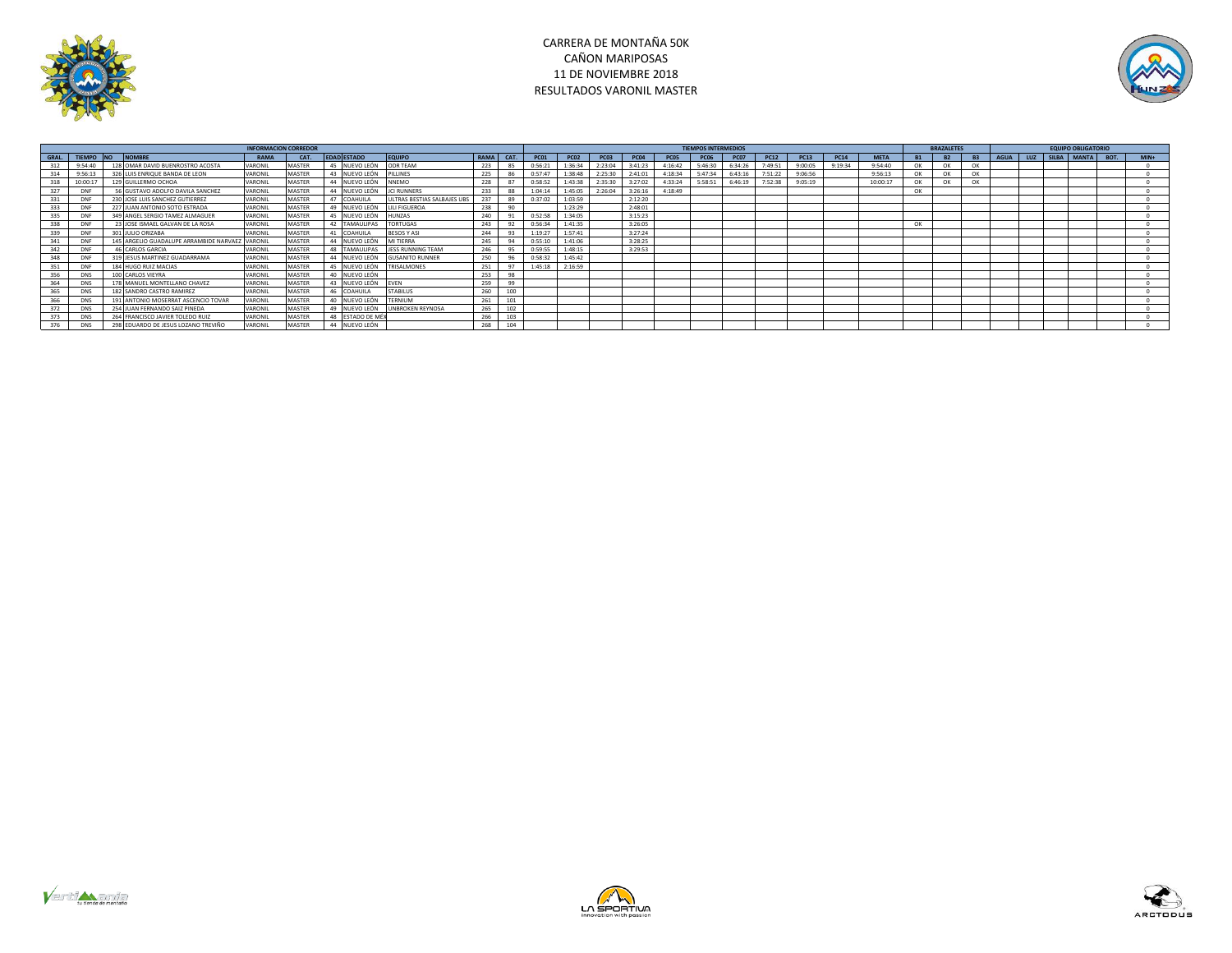

# CARRERA DE MONTAÑA 50K CAÑON MARIPOSAS 11 DE NOVIEMBRE 2018 RESULTADOS VARONIL MASTER



|     |                 |    |                                                |         |               |                    |                             |                   |                | <b>TIEMPOS INTERMEDIOS</b> |             |             |               |                  |             |             | <b>BRAZALETES</b> |             |             |             | <b>EQUIPO OBLIGATORIO</b> |           |           |      |  |                      |         |
|-----|-----------------|----|------------------------------------------------|---------|---------------|--------------------|-----------------------------|-------------------|----------------|----------------------------|-------------|-------------|---------------|------------------|-------------|-------------|-------------------|-------------|-------------|-------------|---------------------------|-----------|-----------|------|--|----------------------|---------|
|     | GRAL. TIEMPO NO |    | <b>NOMBRE</b>                                  | RAMA    | CAT.          | <b>EDAD ESTADO</b> | EQUIPO                      | RAMA <sup>I</sup> | CAT.           | <b>PC01</b>                | <b>PC02</b> | <b>PC03</b> | <b>PC04</b>   | PC <sub>05</sub> | <b>PC06</b> | <b>PC07</b> | <b>PC12</b>       | <b>PC13</b> | <b>PC14</b> | <b>META</b> | <b>B1</b>                 | <b>B2</b> | <b>B3</b> | AGUA |  | LUZ SILBA MANTA BOT. | $MIN +$ |
|     | 9:54:40         |    | 128 OMAR DAVID BUENROSTRO ACOSTA               | VARONIL | <b>MASTER</b> | 45 NUEVO LEÓN      | ODR TEAM                    | 223               | 85             | 0:56:21                    | 1:36:34     | 2:23:04     | 3:41:23       | 4:16:42          | 5:46:30     | 6:34:26     | 7:49:51           | 9:00:05     | 9:19:34     | 9:54:40     | OK                        | OK        |           |      |  |                      |         |
|     | 9:56:13         |    | LUIS ENRIQUE BANDA DE LEON                     | VARONIL | <b>MASTER</b> | 43 NUEVO LEÓN      | PILLINES                    | 225               | 86             | 0:57:47                    | 1:38:48     | 2:25:30     | 2:41:01       | 4:18:3           | 5:47:34     | 6:43:16     | 7:51:22           | 9:06:56     |             | 9:56:13     | OK                        | OK        | OK        |      |  |                      |         |
|     | 10:00:17        |    | 129 GUILLERMO OCHOA                            | VARONIL | MASTER        | 44 NUEVO LEÓN      | <b>NNEMO</b>                | 228               | 87             | 0:58:52                    | 1:43:38     | 2:35:30     | 3:27:02       | 4:33:24          | 5:58:51     | 6:46:19     | 7:52:38           | 9:05:19     |             | 10:00:17    | OK                        | OK        | OK        |      |  |                      |         |
|     | <b>DNF</b>      |    | GUSTAVO ADOLFO DAVILA SANCHEZ                  | VARONIL | MASTER        | 44 NUEVO LEÓI      | <b>JCI RUNNERS</b>          | 233               | 88             | 1:04:14                    | 1:45:05     | 2:26:04     | 3:26:16       | 4:18:49          |             |             |                   |             |             |             | OK                        |           |           |      |  |                      |         |
|     | <b>DNF</b>      |    | 230 JOSE LUIS SANCHEZ GUTIERREZ                | VARONIL | <b>MASTER</b> | 47 COAHUILA        | ULTRAS BESTIAS SALBAJES UBS | 237               | 89             | 0:37:02                    | 1:03:59     |             | 2:12:20       |                  |             |             |                   |             |             |             |                           |           |           |      |  |                      |         |
| 333 | <b>DNF</b>      |    | 227 JUAN ANTONIO SOTO ESTRADA                  | VARONIL | MASTER        | 49 NUEVO LEÓN      | <b>JLI FIGUEROA</b>         | 238               | 90             |                            | 1:23:29     |             | $2 - 48 - 01$ |                  |             |             |                   |             |             |             |                           |           |           |      |  |                      |         |
| 335 | DNF             |    | 349 ANGEL SERGIO TAMEZ ALMAGUER                | VARONIL | MASTER        | 45 NUEVO LEÓN      | <b>HUNZAS</b>               | 240               |                | 0:52:58                    | 1:34:05     |             | 3:15:23       |                  |             |             |                   |             |             |             |                           |           |           |      |  |                      |         |
|     | DNF             |    | <b>BUOSE ISMAEL GALVAN DE LA ROSA</b>          | VARONII | MASTER        | 42 TAMAULIPAS      | <b>TORTUGAS</b>             | 243               | 92             | 0:56:34                    | 1:41:35     |             | 3:26:05       |                  |             |             |                   |             |             |             | OK                        |           |           |      |  |                      |         |
|     | DNF             | 30 | <b>JULIO ORIZABA</b>                           | VARONIL | <b>MASTER</b> | 41 COAHUILA        | <b>BESOS Y ASI</b>          | 244               | 93             | 1:19:27                    | 1:57:41     |             | 3:27:24       |                  |             |             |                   |             |             |             |                           |           |           |      |  |                      |         |
|     | <b>DNF</b>      |    | 145 ARGELIO GUADALUPE ARRAMBIDE NARVAEZ VARONI |         | <b>MASTER</b> | 44 NUEVO LEÓN      | MI TIERRA                   | 245               |                | 0:55:10                    | 1:41:06     |             | 3:28:25       |                  |             |             |                   |             |             |             |                           |           |           |      |  |                      |         |
| 342 | <b>DNF</b>      |    | 46 CARLOS GARCIA                               | VARONII | MASTER        | 48 TAMAULIPAS      | JESS RUNNING TEAM           | 246               |                | 0:59:55                    | 1:48:15     |             | 3:29:53       |                  |             |             |                   |             |             |             |                           |           |           |      |  |                      |         |
|     | DNF             |    | 319 JESUS MARTINEZ GUADARRAMA                  | VARONII | <b>MASTER</b> | 44 NUEVO LEÓN      | <b>GUSANITO RUNNER</b>      | 250               | 96             | 0:58:32                    | 1:45:42     |             |               |                  |             |             |                   |             |             |             |                           |           |           |      |  |                      |         |
|     | <b>DNF</b>      |    | 184 HUGO RUIZ MACIAS                           | VARONIL | MASTER        | 45 NUEVO LEÓN      | TRISALMONES                 | 251               | Q <sub>7</sub> | 1:45:18                    | 2:16:59     |             |               |                  |             |             |                   |             |             |             |                           |           |           |      |  |                      |         |
|     | <b>DNS</b>      |    | 100 CARLOS VIEYRA                              | VARONII | MASTER        | 40 NUEVO LEÓN      |                             | 253               | 98             |                            |             |             |               |                  |             |             |                   |             |             |             |                           |           |           |      |  |                      |         |
|     | <b>DNS</b>      |    | 178 MANUEL MONTELLANO CHAVEZ                   | VARONIL | <b>MASTER</b> | 43 NUEVO LEÓN      | EVEN                        | 259               | 99             |                            |             |             |               |                  |             |             |                   |             |             |             |                           |           |           |      |  |                      |         |
| 365 | <b>DNS</b>      |    | 182 SANDRO CASTRO RAMIREZ                      | VARONIL | <b>MASTER</b> | 46 COAHUILA        | <b>STABILUS</b>             | 260               | 100            |                            |             |             |               |                  |             |             |                   |             |             |             |                           |           |           |      |  |                      |         |
|     | DNS             |    | 191 ANTONIO MOSERRAT ASCENCIO TOVAR            | VARONI  | MASTER        | 40 NUEVO LEÓN      | TERNIUM                     | 261               | 101            |                            |             |             |               |                  |             |             |                   |             |             |             |                           |           |           |      |  |                      |         |
|     | <b>DNS</b>      |    | 254 JUAN FERNANDO SAIZ PINEDA                  | VARONIL | MASTER        | 49 NUEVO LEÓN      | <b>UNBROKEN REYNOSA</b>     | 265               | 102            |                            |             |             |               |                  |             |             |                   |             |             |             |                           |           |           |      |  |                      |         |
|     | DNS             |    | FRANCISCO JAVIER TOLEDO RUIZ                   | VARONIL | <b>MASTER</b> | 48 ESTADO DE MÉ    |                             | 266               | 103            |                            |             |             |               |                  |             |             |                   |             |             |             |                           |           |           |      |  |                      |         |
|     | <b>DNS</b>      |    | 298 EDUARDO DE JESUS LOZANO TREVIÑO            | VARONIL | <b>MASTER</b> | 44 NUEVO LEÓN      |                             | 268               | 104            |                            |             |             |               |                  |             |             |                   |             |             |             |                           |           |           |      |  |                      |         |